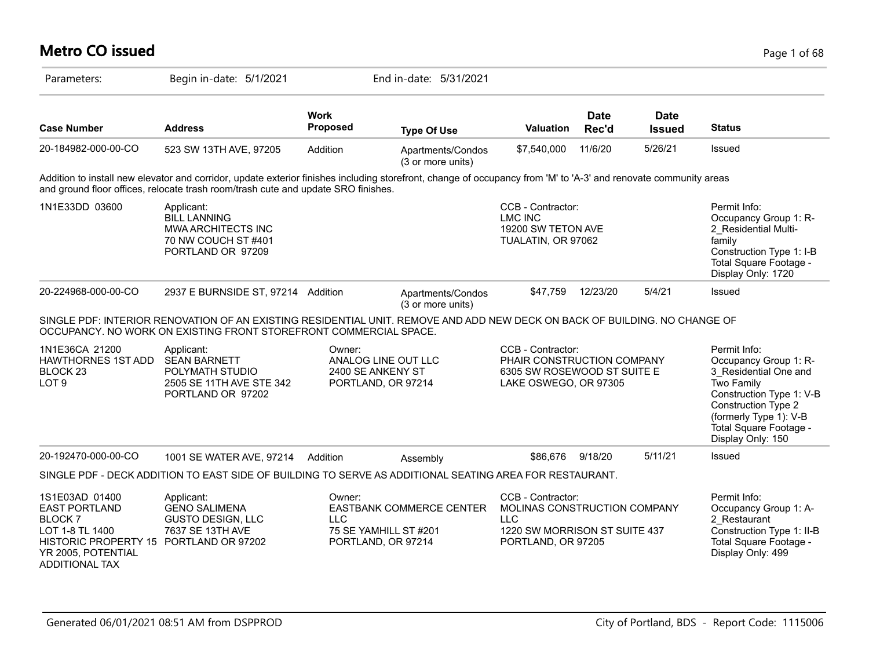| <b>Metro CO issued</b>                                                                                                                          |                                                                                                                                                                                                                                                       |                                                                          |                                        |                                                                                                                        |                      |                              | Page 1 of 68                                                                                                                                                                                             |
|-------------------------------------------------------------------------------------------------------------------------------------------------|-------------------------------------------------------------------------------------------------------------------------------------------------------------------------------------------------------------------------------------------------------|--------------------------------------------------------------------------|----------------------------------------|------------------------------------------------------------------------------------------------------------------------|----------------------|------------------------------|----------------------------------------------------------------------------------------------------------------------------------------------------------------------------------------------------------|
| Parameters:                                                                                                                                     | Begin in-date: 5/1/2021                                                                                                                                                                                                                               |                                                                          | End in-date: 5/31/2021                 |                                                                                                                        |                      |                              |                                                                                                                                                                                                          |
| <b>Case Number</b>                                                                                                                              | <b>Address</b>                                                                                                                                                                                                                                        | <b>Work</b><br>Proposed                                                  | <b>Type Of Use</b>                     | <b>Valuation</b>                                                                                                       | <b>Date</b><br>Rec'd | <b>Date</b><br><b>Issued</b> | <b>Status</b>                                                                                                                                                                                            |
| 20-184982-000-00-CO                                                                                                                             | 523 SW 13TH AVE, 97205                                                                                                                                                                                                                                | Addition                                                                 | Apartments/Condos<br>(3 or more units) | \$7,540,000                                                                                                            | 11/6/20              | 5/26/21                      | <b>Issued</b>                                                                                                                                                                                            |
|                                                                                                                                                 | Addition to install new elevator and corridor, update exterior finishes including storefront, change of occupancy from 'M' to 'A-3' and renovate community areas<br>and ground floor offices, relocate trash room/trash cute and update SRO finishes. |                                                                          |                                        |                                                                                                                        |                      |                              |                                                                                                                                                                                                          |
| 1N1E33DD 03600                                                                                                                                  | Applicant:<br><b>BILL LANNING</b><br>MWA ARCHITECTS INC<br>70 NW COUCH ST #401<br>PORTLAND OR 97209                                                                                                                                                   |                                                                          |                                        | CCB - Contractor:<br><b>LMC INC</b><br>19200 SW TETON AVE<br>TUALATIN, OR 97062                                        |                      |                              | Permit Info:<br>Occupancy Group 1: R-<br>2 Residential Multi-<br>family<br>Construction Type 1: I-B<br>Total Square Footage -<br>Display Only: 1720                                                      |
| 20-224968-000-00-CO                                                                                                                             | 2937 E BURNSIDE ST, 97214 Addition                                                                                                                                                                                                                    |                                                                          | Apartments/Condos<br>(3 or more units) | \$47,759                                                                                                               | 12/23/20             | 5/4/21                       | Issued                                                                                                                                                                                                   |
|                                                                                                                                                 | SINGLE PDF: INTERIOR RENOVATION OF AN EXISTING RESIDENTIAL UNIT. REMOVE AND ADD NEW DECK ON BACK OF BUILDING. NO CHANGE OF<br>OCCUPANCY. NO WORK ON EXISTING FRONT STOREFRONT COMMERCIAL SPACE.                                                       |                                                                          |                                        |                                                                                                                        |                      |                              |                                                                                                                                                                                                          |
| 1N1E36CA 21200<br><b>HAWTHORNES 1ST ADD</b><br>BLOCK 23<br>LOT <sub>9</sub>                                                                     | Applicant:<br><b>SEAN BARNETT</b><br>POLYMATH STUDIO<br>2505 SE 11TH AVE STE 342<br>PORTLAND OR 97202                                                                                                                                                 | Owner:<br>ANALOG LINE OUT LLC<br>2400 SE ANKENY ST<br>PORTLAND, OR 97214 |                                        | CCB - Contractor:<br>PHAIR CONSTRUCTION COMPANY<br>6305 SW ROSEWOOD ST SUITE E<br>LAKE OSWEGO, OR 97305                |                      |                              | Permit Info:<br>Occupancy Group 1: R-<br>3 Residential One and<br>Two Family<br>Construction Type 1: V-B<br>Construction Type 2<br>(formerly Type 1): V-B<br>Total Square Footage -<br>Display Only: 150 |
| 20-192470-000-00-CO                                                                                                                             | 1001 SE WATER AVE, 97214                                                                                                                                                                                                                              | Addition                                                                 | Assembly                               | \$86,676                                                                                                               | 9/18/20              | 5/11/21                      | <b>Issued</b>                                                                                                                                                                                            |
|                                                                                                                                                 | SINGLE PDF - DECK ADDITION TO EAST SIDE OF BUILDING TO SERVE AS ADDITIONAL SEATING AREA FOR RESTAURANT.                                                                                                                                               |                                                                          |                                        |                                                                                                                        |                      |                              |                                                                                                                                                                                                          |
| 1S1E03AD 01400<br><b>EAST PORTLAND</b><br>BLOCK <sub>7</sub><br>LOT 1-8 TL 1400<br>HISTORIC PROPERTY 15<br>YR 2005, POTENTIAL<br>ADDITIONAL TAX | Applicant:<br><b>GENO SALIMENA</b><br><b>GUSTO DESIGN, LLC</b><br>7637 SE 13TH AVE<br>PORTLAND OR 97202                                                                                                                                               | Owner:<br><b>LLC</b><br>75 SE YAMHILL ST #201<br>PORTLAND, OR 97214      | EASTBANK COMMERCE CENTER               | CCB - Contractor:<br>MOLINAS CONSTRUCTION COMPANY<br><b>LLC</b><br>1220 SW MORRISON ST SUITE 437<br>PORTLAND, OR 97205 |                      |                              | Permit Info:<br>Occupancy Group 1: A-<br>2 Restaurant<br>Construction Type 1: II-B<br>Total Square Footage -<br>Display Only: 499                                                                        |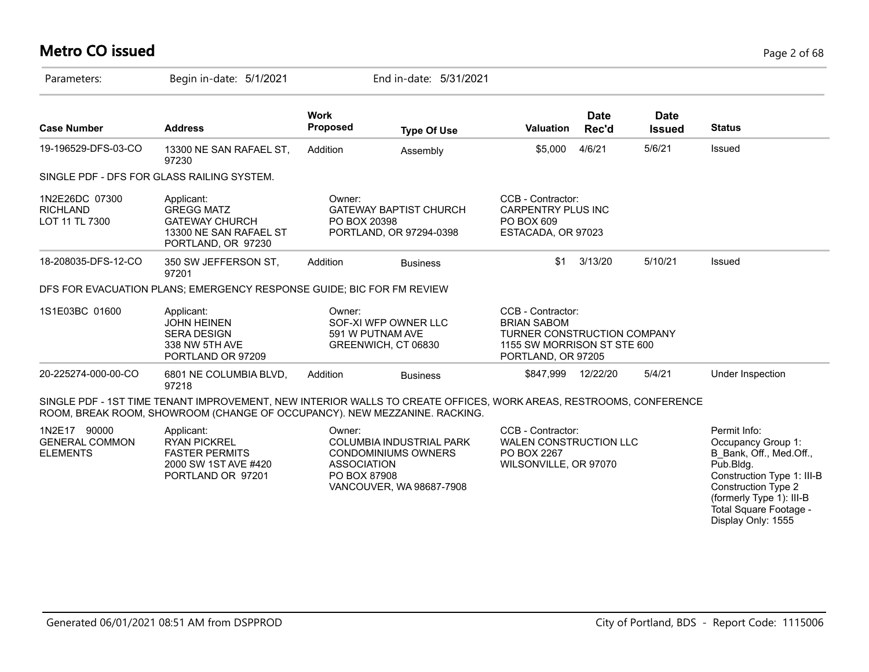## **Metro CO issued** Page 2 of 68

| Parameters:                                              | Begin in-date: 5/1/2021                                                                                                                                                                        |                                              | End in-date: 5/31/2021                                                             |                                                                                                                             |                      |                              |                                                                                                                                                                                              |
|----------------------------------------------------------|------------------------------------------------------------------------------------------------------------------------------------------------------------------------------------------------|----------------------------------------------|------------------------------------------------------------------------------------|-----------------------------------------------------------------------------------------------------------------------------|----------------------|------------------------------|----------------------------------------------------------------------------------------------------------------------------------------------------------------------------------------------|
| <b>Case Number</b>                                       | <b>Address</b>                                                                                                                                                                                 | <b>Work</b><br><b>Proposed</b>               | <b>Type Of Use</b>                                                                 | <b>Valuation</b>                                                                                                            | <b>Date</b><br>Rec'd | <b>Date</b><br><b>Issued</b> | <b>Status</b>                                                                                                                                                                                |
| 19-196529-DFS-03-CO                                      | 13300 NE SAN RAFAEL ST,<br>97230                                                                                                                                                               | Addition                                     | Assembly                                                                           | \$5,000                                                                                                                     | 4/6/21               | 5/6/21                       | Issued                                                                                                                                                                                       |
|                                                          | SINGLE PDF - DFS FOR GLASS RAILING SYSTEM.                                                                                                                                                     |                                              |                                                                                    |                                                                                                                             |                      |                              |                                                                                                                                                                                              |
| 1N2E26DC 07300<br><b>RICHLAND</b><br>LOT 11 TL 7300      | Applicant:<br><b>GREGG MATZ</b><br><b>GATEWAY CHURCH</b><br>13300 NE SAN RAFAEL ST<br>PORTLAND, OR 97230                                                                                       | Owner:<br>PO BOX 20398                       | <b>GATEWAY BAPTIST CHURCH</b><br>PORTLAND, OR 97294-0398                           | CCB - Contractor:<br><b>CARPENTRY PLUS INC</b><br>PO BOX 609<br>ESTACADA, OR 97023                                          |                      |                              |                                                                                                                                                                                              |
| 18-208035-DFS-12-CO                                      | 350 SW JEFFERSON ST,<br>97201                                                                                                                                                                  | Addition                                     | <b>Business</b>                                                                    | \$1                                                                                                                         | 3/13/20              | 5/10/21                      | Issued                                                                                                                                                                                       |
|                                                          | DFS FOR EVACUATION PLANS; EMERGENCY RESPONSE GUIDE; BIC FOR FM REVIEW                                                                                                                          |                                              |                                                                                    |                                                                                                                             |                      |                              |                                                                                                                                                                                              |
| 1S1E03BC 01600                                           | Applicant:<br><b>JOHN HEINEN</b><br><b>SERA DESIGN</b><br>338 NW 5TH AVE<br>PORTLAND OR 97209                                                                                                  | Owner:                                       | SOF-XI WFP OWNER LLC<br>591 W PUTNAM AVE<br>GREENWICH, CT 06830                    | CCB - Contractor:<br><b>BRIAN SABOM</b><br>TURNER CONSTRUCTION COMPANY<br>1155 SW MORRISON ST STE 600<br>PORTLAND, OR 97205 |                      |                              |                                                                                                                                                                                              |
| 20-225274-000-00-CO                                      | 6801 NE COLUMBIA BLVD,<br>97218                                                                                                                                                                | Addition                                     | <b>Business</b>                                                                    | \$847,999 12/22/20                                                                                                          |                      | 5/4/21                       | Under Inspection                                                                                                                                                                             |
|                                                          | SINGLE PDF - 1ST TIME TENANT IMPROVEMENT, NEW INTERIOR WALLS TO CREATE OFFICES, WORK AREAS, RESTROOMS, CONFERENCE<br>ROOM, BREAK ROOM, SHOWROOM (CHANGE OF OCCUPANCY). NEW MEZZANINE. RACKING. |                                              |                                                                                    |                                                                                                                             |                      |                              |                                                                                                                                                                                              |
| 1N2E17 90000<br><b>GENERAL COMMON</b><br><b>ELEMENTS</b> | Applicant:<br><b>RYAN PICKREL</b><br><b>FASTER PERMITS</b><br>2000 SW 1ST AVE #420<br>PORTLAND OR 97201                                                                                        | Owner:<br><b>ASSOCIATION</b><br>PO BOX 87908 | COLUMBIA INDUSTRIAL PARK<br><b>CONDOMINIUMS OWNERS</b><br>VANCOUVER, WA 98687-7908 | CCB - Contractor:<br><b>WALEN CONSTRUCTION LLC</b><br>PO BOX 2267<br>WILSONVILLE, OR 97070                                  |                      |                              | Permit Info:<br>Occupancy Group 1:<br>B Bank, Off., Med.Off.,<br>Pub.Bldg.<br>Construction Type 1: III-B<br><b>Construction Type 2</b><br>(formerly Type 1): III-B<br>Total Square Footage - |

Display Only: 1555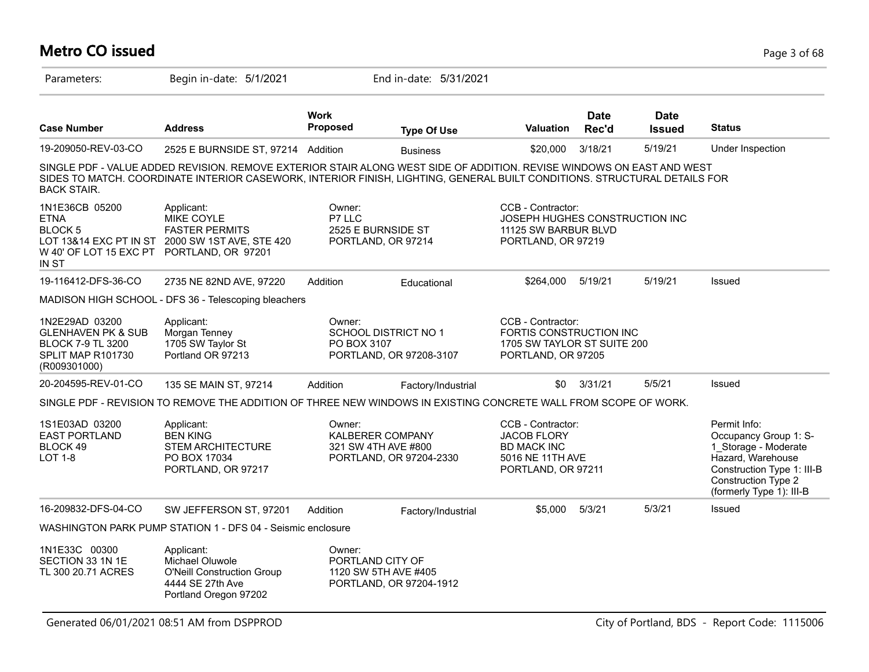### **Metro CO issued** Page 3 of 68 Parameters: Begin in-date: 5/1/2021 End in-date: 5/31/2021 **Work Case Number Address Proposed Type Of Use Valuation Status Date Rec'd Date Issued** 19-209050-REV-03-CO 2525 E BURNSIDE ST, 97214 Addition Business \$20,000 3/18/21 5/19/21 Under Inspection SINGLE PDF - VALUE ADDED REVISION. REMOVE EXTERIOR STAIR ALONG WEST SIDE OF ADDITION. REVISE WINDOWS ON EAST AND WEST SIDES TO MATCH. COORDINATE INTERIOR CASEWORK, INTERIOR FINISH, LIGHTING, GENERAL BUILT CONDITIONS. STRUCTURAL DETAILS FOR BACK STAIR. 1N1E36CB 05200 ETNA BLOCK 5 LOT 13&14 EXC PT IN ST 2000 SW 1ST AVE, STE 420 W 40' OF LOT 15 EXC PT PORTLAND, OR 97201 IN ST CCB - Contractor: JOSEPH HUGHES CONSTRUCTION INC 11125 SW BARBUR BLVD PORTLAND, OR 97219 Owner: P7 LLC 2525 E BURNSIDE ST PORTLAND, OR 97214 Applicant: MIKE COYLE FASTER PERMITS 19-116412-DFS-36-CO 2735 NE 82ND AVE, 97220 Addition Educational \$264,000 5/19/21 5/19/21 Issued MADISON HIGH SCHOOL - DFS 36 - Telescoping bleachers 1N2E29AD 03200 GLENHAVEN PK & SUB BLOCK 7-9 TL 3200 SPLIT MAP R101730 (R009301000) CCB - Contractor: FORTIS CONSTRUCTION INC 1705 SW TAYLOR ST SUITE 200 PORTLAND, OR 97205 Owner: SCHOOL DISTRICT NO 1 PO BOX 3107 PORTLAND, OR 97208-3107 Applicant: Morgan Tenney 1705 SW Taylor St Portland OR 97213 20-204595-REV-01-CO 135 SE MAIN ST, 97214 Addition Factory/Industrial \$0 3/31/21 5/5/21 Issued SINGLE PDF - REVISION TO REMOVE THE ADDITION OF THREE NEW WINDOWS IN EXISTING CONCRETE WALL FROM SCOPE OF WORK. 1S1E03AD 03200 EAST PORTLAND BLOCK 49 LOT 1-8 Permit Info: Occupancy Group 1: S-1\_Storage - Moderate Hazard, Warehouse Construction Type 1: III-B Construction Type 2 (formerly Type 1): III-B CCB - Contractor: JACOB FLORY BD MACK INC 5016 NE 11TH AVE PORTLAND, OR 97211 Owner: KALBERER COMPANY 321 SW 4TH AVE #800 PORTLAND, OR 97204-2330 Applicant: BEN KING STEM ARCHITECTURE PO BOX 17034 PORTLAND, OR 97217 16-209832-DFS-04-CO SW JEFFERSON ST, 97201 Addition Factory/Industrial \$5,000 5/3/21 5/3/21 Issued WASHINGTON PARK PUMP STATION 1 - DFS 04 - Seismic enclosure 1N1E33C 00300 SECTION 33 1N 1E TL 300 20.71 ACRES Owner: PORTLAND CITY OF 1120 SW 5TH AVE #405 PORTLAND, OR 97204-1912 Applicant: Michael Oluwole O'Neill Construction Group 4444 SE 27th Ave Portland Oregon 97202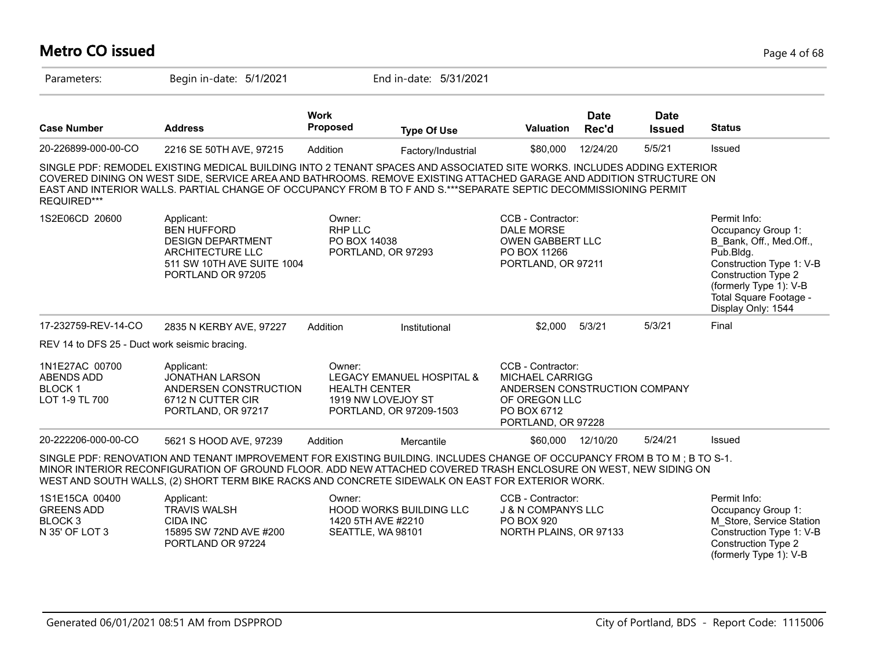#### **Metro CO issued** Page 4 of 68 Parameters: Begin in-date: 5/1/2021 End in-date: 5/31/2021 **Work Case Number Address Proposed Type Of Use Valuation Status Date Rec'd Date Issued** 20-226899-000-00-CO 2216 SE 50TH AVE, 97215 Addition Factory/Industrial \$80,000 12/24/20 5/5/21 Issued SINGLE PDF: REMODEL EXISTING MEDICAL BUILDING INTO 2 TENANT SPACES AND ASSOCIATED SITE WORKS. INCLUDES ADDING EXTERIOR COVERED DINING ON WEST SIDE, SERVICE AREA AND BATHROOMS. REMOVE EXISTING ATTACHED GARAGE AND ADDITION STRUCTURE ON EAST AND INTERIOR WALLS. PARTIAL CHANGE OF OCCUPANCY FROM B TO F AND S.\*\*\*SEPARATE SEPTIC DECOMMISSIONING PERMIT REQUIRED\*\*\* 1S2E06CD 20600 Applicant: A CONDITE: CCB - Contractor: Permit Info: Occupancy Group 1: B\_Bank, Off., Med.Off., Pub.Bldg. Construction Type 1: V-B Construction Type 2 (formerly Type 1): V-B Total Square Footage - Display Only: 1544 CCB - Contractor: DALE MORSE OWEN GABBERT LLC PO BOX 11266 PORTLAND, OR 97211 Owner: RHP IIC PO BOX 14038 PORTLAND, OR 97293 Applicant: BEN HUFFORD DESIGN DEPARTMENT ARCHITECTURE LLC 511 SW 10TH AVE SUITE 1004 PORTLAND OR 97205 17-232759-REV-14-CO 2835 N KERBY AVE, 97227 Addition Institutional \$2,000 5/3/21 5/3/21 Final REV 14 to DFS 25 - Duct work seismic bracing. 1N1E27AC 00700 ABENDS ADD BLOCK 1 LOT 1-9 TL 700 CCB - Contractor: MICHAEL CARRIGG ANDERSEN CONSTRUCTION COMPANY OF OREGON LLC PO BOX 6712 PORTLAND, OR 97228 Owner: LEGACY EMANUEL HOSPITAL & HEALTH CENTER 1919 NW LOVEJOY ST PORTLAND, OR 97209-1503 Applicant: JONATHAN LARSON ANDERSEN CONSTRUCTION 6712 N CUTTER CIR PORTLAND, OR 97217 20-222206-000-00-CO 5621 S HOOD AVE, 97239 Addition Mercantile \$60,000 12/10/20 5/24/21 Issued SINGLE PDF: RENOVATION AND TENANT IMPROVEMENT FOR EXISTING BUILDING. INCLUDES CHANGE OF OCCUPANCY FROM B TO M ; B TO S-1. MINOR INTERIOR RECONFIGURATION OF GROUND FLOOR. ADD NEW ATTACHED COVERED TRASH ENCLOSURE ON WEST, NEW SIDING ON WEST AND SOUTH WALLS, (2) SHORT TERM BIKE RACKS AND CONCRETE SIDEWALK ON EAST FOR EXTERIOR WORK. 1S1E15CA 00400 GREENS ADD BLOCK 3 N 35' OF LOT 3 Permit Info: Occupancy Group 1: M\_Store, Service Station Construction Type 1: V-B Construction Type 2 (formerly Type 1): V-B CCB - Contractor: J & N COMPANYS LLC PO BOX 920 NORTH PLAINS, OR 97133 Owner: HOOD WORKS BUILDING LLC 1420 5TH AVE #2210 SEATTLE, WA 98101 Applicant: TRAVIS WALSH CIDA INC 15895 SW 72ND AVE #200 PORTLAND OR 97224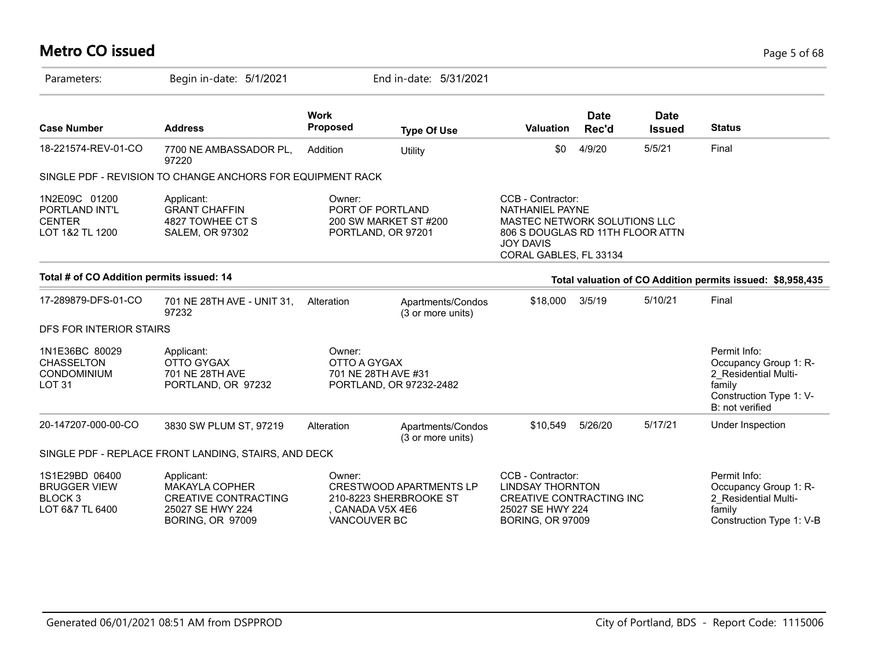# **Metro CO issued** Page 5 of 68

| Parameters:                                                                    | Begin in-date: 5/1/2021                                                                                    |                                          | End in-date: 5/31/2021                                          |                                                                                                                                                               |                      |                              |                                                                                                                       |
|--------------------------------------------------------------------------------|------------------------------------------------------------------------------------------------------------|------------------------------------------|-----------------------------------------------------------------|---------------------------------------------------------------------------------------------------------------------------------------------------------------|----------------------|------------------------------|-----------------------------------------------------------------------------------------------------------------------|
| <b>Case Number</b>                                                             | <b>Address</b>                                                                                             | <b>Work</b><br><b>Proposed</b>           | <b>Type Of Use</b>                                              | <b>Valuation</b>                                                                                                                                              | <b>Date</b><br>Rec'd | <b>Date</b><br><b>Issued</b> | <b>Status</b>                                                                                                         |
| 18-221574-REV-01-CO                                                            | 7700 NE AMBASSADOR PL,<br>97220                                                                            | Addition                                 | Utility                                                         | \$0                                                                                                                                                           | 4/9/20               | 5/5/21                       | Final                                                                                                                 |
|                                                                                | SINGLE PDF - REVISION TO CHANGE ANCHORS FOR EQUIPMENT RACK                                                 |                                          |                                                                 |                                                                                                                                                               |                      |                              |                                                                                                                       |
| 1N2E09C 01200<br>PORTLAND INT'L<br><b>CENTER</b><br>LOT 1&2 TL 1200            | Applicant:<br><b>GRANT CHAFFIN</b><br>4827 TOWHEE CT S<br><b>SALEM, OR 97302</b>                           | Owner:                                   | PORT OF PORTLAND<br>200 SW MARKET ST #200<br>PORTLAND, OR 97201 | CCB - Contractor:<br><b>NATHANIEL PAYNE</b><br>MASTEC NETWORK SOLUTIONS LLC<br>806 S DOUGLAS RD 11TH FLOOR ATTN<br><b>JOY DAVIS</b><br>CORAL GABLES, FL 33134 |                      |                              |                                                                                                                       |
| Total # of CO Addition permits issued: 14                                      |                                                                                                            |                                          |                                                                 |                                                                                                                                                               |                      |                              | Total valuation of CO Addition permits issued: \$8,958,435                                                            |
| 17-289879-DFS-01-CO                                                            | 701 NE 28TH AVE - UNIT 31,<br>97232                                                                        | Alteration                               | Apartments/Condos<br>(3 or more units)                          | \$18,000                                                                                                                                                      | 3/5/19               | 5/10/21                      | Final                                                                                                                 |
| DFS FOR INTERIOR STAIRS                                                        |                                                                                                            |                                          |                                                                 |                                                                                                                                                               |                      |                              |                                                                                                                       |
| 1N1E36BC 80029<br><b>CHASSELTON</b><br>CONDOMINIUM<br>LOT <sub>31</sub>        | Applicant:<br><b>OTTO GYGAX</b><br>701 NE 28TH AVE<br>PORTLAND, OR 97232                                   | Owner:<br>OTTO A GYGAX                   | 701 NE 28TH AVE #31<br>PORTLAND, OR 97232-2482                  |                                                                                                                                                               |                      |                              | Permit Info:<br>Occupancy Group 1: R-<br>2 Residential Multi-<br>family<br>Construction Type 1: V-<br>B: not verified |
| 20-147207-000-00-CO                                                            | 3830 SW PLUM ST, 97219                                                                                     | Alteration                               | Apartments/Condos<br>(3 or more units)                          | \$10,549                                                                                                                                                      | 5/26/20              | 5/17/21                      | Under Inspection                                                                                                      |
|                                                                                | SINGLE PDF - REPLACE FRONT LANDING, STAIRS, AND DECK                                                       |                                          |                                                                 |                                                                                                                                                               |                      |                              |                                                                                                                       |
| 1S1E29BD 06400<br><b>BRUGGER VIEW</b><br>BLOCK <sub>3</sub><br>LOT 6&7 TL 6400 | Applicant:<br>MAKAYLA COPHER<br><b>CREATIVE CONTRACTING</b><br>25027 SE HWY 224<br><b>BORING, OR 97009</b> | Owner:<br>CANADA V5X 4E6<br>VANCOUVER BC | <b>CRESTWOOD APARTMENTS LP</b><br>210-8223 SHERBROOKE ST        | CCB - Contractor:<br><b>LINDSAY THORNTON</b><br>CREATIVE CONTRACTING INC<br>25027 SE HWY 224<br><b>BORING, OR 97009</b>                                       |                      |                              | Permit Info:<br>Occupancy Group 1: R-<br>2 Residential Multi-<br>family<br>Construction Type 1: V-B                   |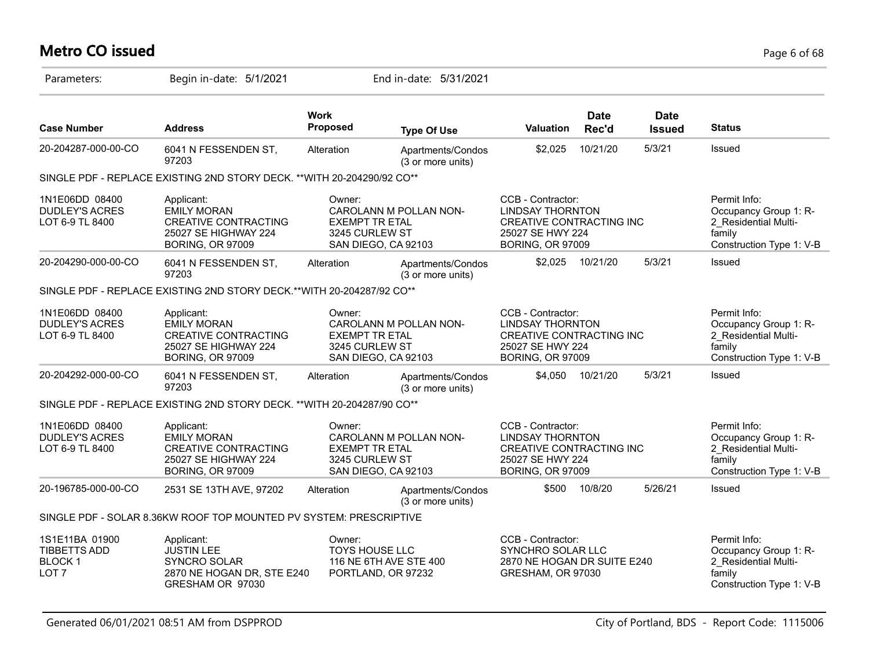# **Metro CO issued** Page 6 of 68

| Parameters:                                                                | Begin in-date: 5/1/2021                                                                                            |                                                   | End in-date: 5/31/2021                        |                                                                                                                         |                      |                              |                                                                                                     |
|----------------------------------------------------------------------------|--------------------------------------------------------------------------------------------------------------------|---------------------------------------------------|-----------------------------------------------|-------------------------------------------------------------------------------------------------------------------------|----------------------|------------------------------|-----------------------------------------------------------------------------------------------------|
| <b>Case Number</b>                                                         | <b>Address</b>                                                                                                     | <b>Work</b><br>Proposed                           | <b>Type Of Use</b>                            | <b>Valuation</b>                                                                                                        | <b>Date</b><br>Rec'd | <b>Date</b><br><b>Issued</b> | <b>Status</b>                                                                                       |
| 20-204287-000-00-CO                                                        | 6041 N FESSENDEN ST,<br>97203                                                                                      | Alteration                                        | Apartments/Condos<br>(3 or more units)        | \$2,025                                                                                                                 | 10/21/20             | 5/3/21                       | Issued                                                                                              |
|                                                                            | SINGLE PDF - REPLACE EXISTING 2ND STORY DECK. ** WITH 20-204290/92 CO**                                            |                                                   |                                               |                                                                                                                         |                      |                              |                                                                                                     |
| 1N1E06DD 08400<br><b>DUDLEY'S ACRES</b><br>LOT 6-9 TL 8400                 | Applicant:<br><b>EMILY MORAN</b><br><b>CREATIVE CONTRACTING</b><br>25027 SE HIGHWAY 224<br><b>BORING, OR 97009</b> | Owner:<br><b>EXEMPT TR ETAL</b><br>3245 CURLEW ST | CAROLANN M POLLAN NON-<br>SAN DIEGO, CA 92103 | CCB - Contractor:<br><b>LINDSAY THORNTON</b><br>CREATIVE CONTRACTING INC<br>25027 SE HWY 224<br><b>BORING, OR 97009</b> |                      |                              | Permit Info:<br>Occupancy Group 1: R-<br>2 Residential Multi-<br>family<br>Construction Type 1: V-B |
| 20-204290-000-00-CO                                                        | 6041 N FESSENDEN ST,<br>97203                                                                                      | Alteration                                        | Apartments/Condos<br>(3 or more units)        | \$2,025                                                                                                                 | 10/21/20             | 5/3/21                       | Issued                                                                                              |
|                                                                            | SINGLE PDF - REPLACE EXISTING 2ND STORY DECK.**WITH 20-204287/92 CO**                                              |                                                   |                                               |                                                                                                                         |                      |                              |                                                                                                     |
| 1N1E06DD 08400<br><b>DUDLEY'S ACRES</b><br>LOT 6-9 TL 8400                 | Applicant:<br><b>EMILY MORAN</b><br><b>CREATIVE CONTRACTING</b><br>25027 SE HIGHWAY 224<br><b>BORING, OR 97009</b> | Owner:<br><b>EXEMPT TR ETAL</b><br>3245 CURLEW ST | CAROLANN M POLLAN NON-<br>SAN DIEGO, CA 92103 | CCB - Contractor:<br><b>LINDSAY THORNTON</b><br>CREATIVE CONTRACTING INC<br>25027 SE HWY 224<br><b>BORING, OR 97009</b> |                      |                              | Permit Info:<br>Occupancy Group 1: R-<br>2 Residential Multi-<br>family<br>Construction Type 1: V-B |
| 20-204292-000-00-CO                                                        | 6041 N FESSENDEN ST,<br>97203                                                                                      | Alteration                                        | Apartments/Condos<br>(3 or more units)        | \$4.050                                                                                                                 | 10/21/20             | 5/3/21                       | Issued                                                                                              |
|                                                                            | SINGLE PDF - REPLACE EXISTING 2ND STORY DECK. ** WITH 20-204287/90 CO**                                            |                                                   |                                               |                                                                                                                         |                      |                              |                                                                                                     |
| 1N1E06DD 08400<br><b>DUDLEY'S ACRES</b><br>LOT 6-9 TL 8400                 | Applicant:<br><b>EMILY MORAN</b><br><b>CREATIVE CONTRACTING</b><br>25027 SE HIGHWAY 224<br><b>BORING, OR 97009</b> | Owner:<br><b>EXEMPT TR ETAL</b><br>3245 CURLEW ST | CAROLANN M POLLAN NON-<br>SAN DIEGO, CA 92103 | CCB - Contractor:<br><b>LINDSAY THORNTON</b><br>CREATIVE CONTRACTING INC<br>25027 SE HWY 224<br><b>BORING, OR 97009</b> |                      |                              | Permit Info:<br>Occupancy Group 1: R-<br>2 Residential Multi-<br>family<br>Construction Type 1: V-B |
| 20-196785-000-00-CO                                                        | 2531 SE 13TH AVE, 97202                                                                                            | Alteration                                        | Apartments/Condos<br>(3 or more units)        | \$500                                                                                                                   | 10/8/20              | 5/26/21                      | Issued                                                                                              |
|                                                                            | SINGLE PDF - SOLAR 8.36KW ROOF TOP MOUNTED PV SYSTEM: PRESCRIPTIVE                                                 |                                                   |                                               |                                                                                                                         |                      |                              |                                                                                                     |
| 1S1E11BA 01900<br><b>TIBBETTS ADD</b><br><b>BLOCK1</b><br>LOT <sub>7</sub> | Applicant:<br><b>JUSTIN LEE</b><br>SYNCRO SOLAR<br>2870 NE HOGAN DR, STE E240<br>GRESHAM OR 97030                  | Owner:<br><b>TOYS HOUSE LLC</b>                   | 116 NE 6TH AVE STE 400<br>PORTLAND, OR 97232  | CCB - Contractor:<br>SYNCHRO SOLAR LLC<br>2870 NE HOGAN DR SUITE E240<br>GRESHAM, OR 97030                              |                      |                              | Permit Info:<br>Occupancy Group 1: R-<br>2 Residential Multi-<br>family<br>Construction Type 1: V-B |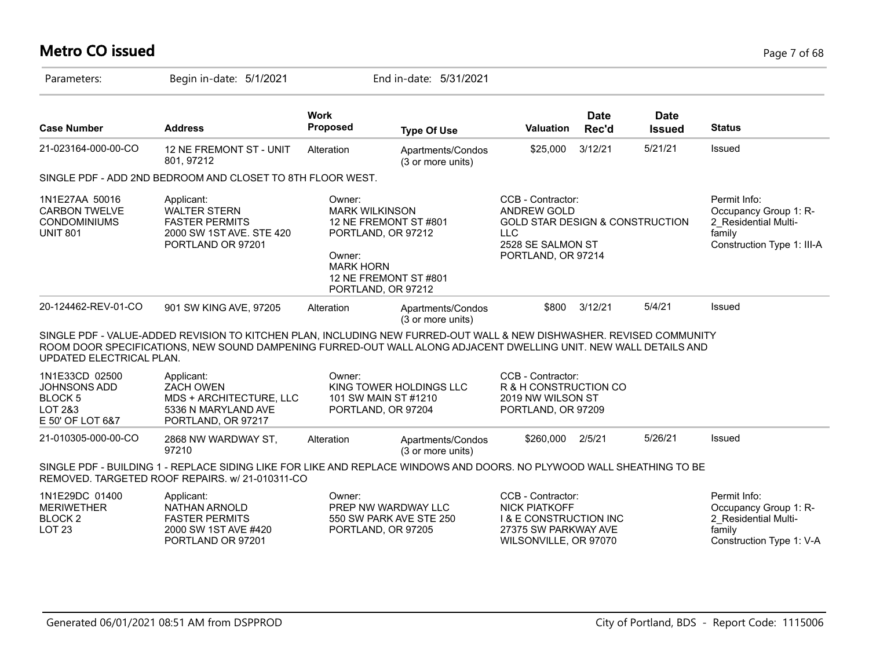# **Metro CO issued** Page 7 of 68

| Parameters:                                                                         | Begin in-date: 5/1/2021                                                                                                                                                                                                                  |                                                                                                                                                             | End in-date: 5/31/2021                 |                                                                                                                                          |                      |                              |                                                                                                       |
|-------------------------------------------------------------------------------------|------------------------------------------------------------------------------------------------------------------------------------------------------------------------------------------------------------------------------------------|-------------------------------------------------------------------------------------------------------------------------------------------------------------|----------------------------------------|------------------------------------------------------------------------------------------------------------------------------------------|----------------------|------------------------------|-------------------------------------------------------------------------------------------------------|
| <b>Case Number</b>                                                                  | <b>Address</b>                                                                                                                                                                                                                           | <b>Work</b><br><b>Proposed</b>                                                                                                                              | <b>Type Of Use</b>                     | Valuation                                                                                                                                | <b>Date</b><br>Rec'd | <b>Date</b><br><b>Issued</b> | <b>Status</b>                                                                                         |
| 21-023164-000-00-CO                                                                 | 12 NE FREMONT ST - UNIT<br>801, 97212                                                                                                                                                                                                    | Alteration                                                                                                                                                  | Apartments/Condos<br>(3 or more units) | \$25,000                                                                                                                                 | 3/12/21              | 5/21/21                      | Issued                                                                                                |
|                                                                                     | SINGLE PDF - ADD 2ND BEDROOM AND CLOSET TO 8TH FLOOR WEST.                                                                                                                                                                               |                                                                                                                                                             |                                        |                                                                                                                                          |                      |                              |                                                                                                       |
| 1N1E27AA 50016<br><b>CARBON TWELVE</b><br><b>CONDOMINIUMS</b><br><b>UNIT 801</b>    | Applicant:<br><b>WALTER STERN</b><br><b>FASTER PERMITS</b><br>2000 SW 1ST AVE. STE 420<br>PORTLAND OR 97201                                                                                                                              | Owner:<br><b>MARK WILKINSON</b><br>12 NE FREMONT ST #801<br>PORTLAND, OR 97212<br>Owner:<br><b>MARK HORN</b><br>12 NE FREMONT ST #801<br>PORTLAND, OR 97212 |                                        | CCB - Contractor:<br><b>ANDREW GOLD</b><br><b>GOLD STAR DESIGN &amp; CONSTRUCTION</b><br>LLC.<br>2528 SE SALMON ST<br>PORTLAND, OR 97214 |                      |                              | Permit Info:<br>Occupancy Group 1: R-<br>2 Residential Multi-<br>family<br>Construction Type 1: III-A |
| 20-124462-REV-01-CO                                                                 | 901 SW KING AVE, 97205                                                                                                                                                                                                                   | Alteration                                                                                                                                                  | Apartments/Condos<br>(3 or more units) | \$800                                                                                                                                    | 3/12/21              | 5/4/21                       | Issued                                                                                                |
| UPDATED ELECTRICAL PLAN.                                                            | SINGLE PDF - VALUE-ADDED REVISION TO KITCHEN PLAN, INCLUDING NEW FURRED-OUT WALL & NEW DISHWASHER. REVISED COMMUNITY<br>ROOM DOOR SPECIFICATIONS, NEW SOUND DAMPENING FURRED-OUT WALL ALONG ADJACENT DWELLING UNIT. NEW WALL DETAILS AND |                                                                                                                                                             |                                        |                                                                                                                                          |                      |                              |                                                                                                       |
| 1N1E33CD 02500<br>JOHNSONS ADD<br>BLOCK <sub>5</sub><br>LOT 2&3<br>E 50' OF LOT 6&7 | Applicant:<br><b>ZACH OWEN</b><br>MDS + ARCHITECTURE, LLC<br>5336 N MARYLAND AVE<br>PORTLAND, OR 97217                                                                                                                                   | Owner:<br>101 SW MAIN ST #1210<br>PORTLAND, OR 97204                                                                                                        | KING TOWER HOLDINGS LLC                | CCB - Contractor:<br>R & H CONSTRUCTION CO<br>2019 NW WILSON ST<br>PORTLAND, OR 97209                                                    |                      |                              |                                                                                                       |
| 21-010305-000-00-CO                                                                 | 2868 NW WARDWAY ST,<br>97210                                                                                                                                                                                                             | Alteration                                                                                                                                                  | Apartments/Condos<br>(3 or more units) | \$260,000                                                                                                                                | 2/5/21               | 5/26/21                      | Issued                                                                                                |
|                                                                                     | SINGLE PDF - BUILDING 1 - REPLACE SIDING LIKE FOR LIKE AND REPLACE WINDOWS AND DOORS. NO PLYWOOD WALL SHEATHING TO BE<br>REMOVED. TARGETED ROOF REPAIRS. w/ 21-010311-CO                                                                 |                                                                                                                                                             |                                        |                                                                                                                                          |                      |                              |                                                                                                       |
| 1N1E29DC 01400<br><b>MERIWETHER</b><br><b>BLOCK 2</b><br><b>LOT 23</b>              | Applicant:<br>NATHAN ARNOLD<br><b>FASTER PERMITS</b><br>2000 SW 1ST AVE #420<br>PORTLAND OR 97201                                                                                                                                        | Owner:<br>PREP NW WARDWAY LLC<br>PORTLAND, OR 97205                                                                                                         | 550 SW PARK AVE STE 250                | CCB - Contractor:<br><b>NICK PIATKOFF</b><br><b>I &amp; E CONSTRUCTION INC</b><br>27375 SW PARKWAY AVE<br>WILSONVILLE, OR 97070          |                      |                              | Permit Info:<br>Occupancy Group 1: R-<br>2 Residential Multi-<br>family<br>Construction Type 1: V-A   |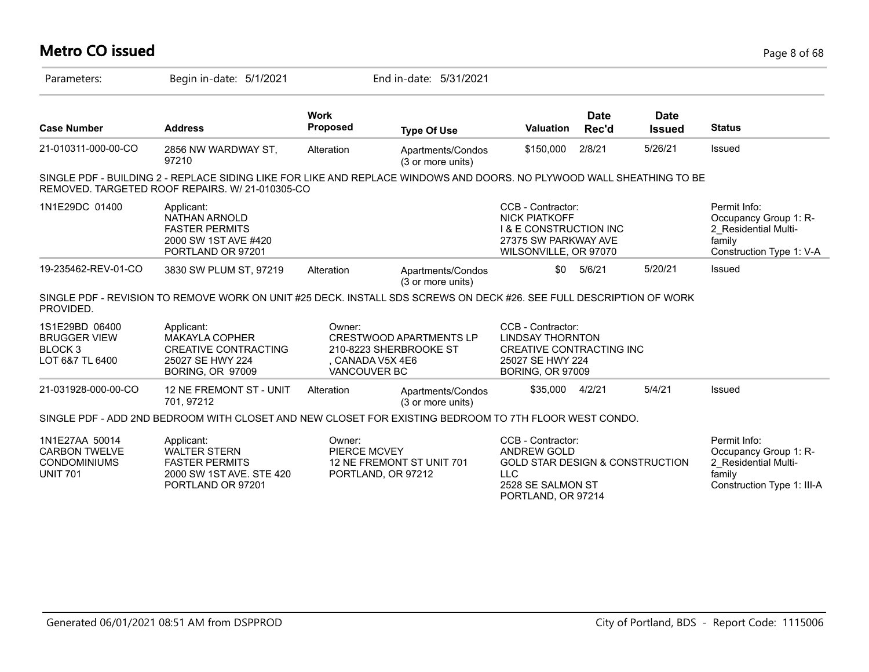## **Metro CO issued** Page 8 of 68

| Parameters:                                                                      | Begin in-date: 5/1/2021                                                                                                                                                  |                                                   | End in-date: 5/31/2021                                   |                                                                                                                                                |                      |                              |                                                                                                       |
|----------------------------------------------------------------------------------|--------------------------------------------------------------------------------------------------------------------------------------------------------------------------|---------------------------------------------------|----------------------------------------------------------|------------------------------------------------------------------------------------------------------------------------------------------------|----------------------|------------------------------|-------------------------------------------------------------------------------------------------------|
| <b>Case Number</b>                                                               | <b>Address</b>                                                                                                                                                           | <b>Work</b><br>Proposed                           | <b>Type Of Use</b>                                       | <b>Valuation</b>                                                                                                                               | <b>Date</b><br>Rec'd | <b>Date</b><br><b>Issued</b> | <b>Status</b>                                                                                         |
| 21-010311-000-00-CO                                                              | 2856 NW WARDWAY ST,<br>97210                                                                                                                                             | Alteration                                        | Apartments/Condos<br>(3 or more units)                   | \$150,000                                                                                                                                      | 2/8/21               | 5/26/21                      | Issued                                                                                                |
|                                                                                  | SINGLE PDF - BUILDING 2 - REPLACE SIDING LIKE FOR LIKE AND REPLACE WINDOWS AND DOORS. NO PLYWOOD WALL SHEATHING TO BE<br>REMOVED. TARGETED ROOF REPAIRS. W/ 21-010305-CO |                                                   |                                                          |                                                                                                                                                |                      |                              |                                                                                                       |
| 1N1E29DC 01400                                                                   | Applicant:<br><b>NATHAN ARNOLD</b><br><b>FASTER PERMITS</b><br>2000 SW 1ST AVE #420<br>PORTLAND OR 97201                                                                 |                                                   |                                                          | CCB - Contractor:<br><b>NICK PIATKOFF</b><br><b>1 &amp; E CONSTRUCTION INC</b><br>27375 SW PARKWAY AVE<br>WILSONVILLE, OR 97070                |                      |                              | Permit Info:<br>Occupancy Group 1: R-<br>2 Residential Multi-<br>family<br>Construction Type 1: V-A   |
| 19-235462-REV-01-CO                                                              | 3830 SW PLUM ST, 97219                                                                                                                                                   | Alteration                                        | Apartments/Condos<br>(3 or more units)                   | \$0                                                                                                                                            | 5/6/21               | 5/20/21                      | Issued                                                                                                |
| PROVIDED.                                                                        | SINGLE PDF - REVISION TO REMOVE WORK ON UNIT #25 DECK. INSTALL SDS SCREWS ON DECK #26. SEE FULL DESCRIPTION OF WORK                                                      |                                                   |                                                          |                                                                                                                                                |                      |                              |                                                                                                       |
| 1S1E29BD 06400<br><b>BRUGGER VIEW</b><br>BLOCK <sub>3</sub><br>LOT 6&7 TL 6400   | Applicant:<br><b>MAKAYLA COPHER</b><br><b>CREATIVE CONTRACTING</b><br>25027 SE HWY 224<br><b>BORING, OR 97009</b>                                                        | Owner:<br>. CANADA V5X 4E6<br><b>VANCOUVER BC</b> | <b>CRESTWOOD APARTMENTS LP</b><br>210-8223 SHERBROOKE ST | CCB - Contractor:<br><b>LINDSAY THORNTON</b><br>CREATIVE CONTRACTING INC<br>25027 SE HWY 224<br><b>BORING, OR 97009</b>                        |                      |                              |                                                                                                       |
| 21-031928-000-00-CO                                                              | <b>12 NE FREMONT ST - UNIT</b><br>701, 97212                                                                                                                             | Alteration                                        | Apartments/Condos<br>(3 or more units)                   | \$35,000                                                                                                                                       | 4/2/21               | 5/4/21                       | Issued                                                                                                |
|                                                                                  | SINGLE PDF - ADD 2ND BEDROOM WITH CLOSET AND NEW CLOSET FOR EXISTING BEDROOM TO 7TH FLOOR WEST CONDO.                                                                    |                                                   |                                                          |                                                                                                                                                |                      |                              |                                                                                                       |
| 1N1E27AA 50014<br><b>CARBON TWELVE</b><br><b>CONDOMINIUMS</b><br><b>UNIT 701</b> | Applicant:<br><b>WALTER STERN</b><br><b>FASTER PERMITS</b><br>2000 SW 1ST AVE, STE 420<br>PORTLAND OR 97201                                                              | Owner:<br>PIERCE MCVEY<br>PORTLAND, OR 97212      | 12 NE FREMONT ST UNIT 701                                | CCB - Contractor:<br><b>ANDREW GOLD</b><br><b>GOLD STAR DESIGN &amp; CONSTRUCTION</b><br><b>LLC</b><br>2528 SE SALMON ST<br>PORTLAND, OR 97214 |                      |                              | Permit Info:<br>Occupancy Group 1: R-<br>2_Residential Multi-<br>family<br>Construction Type 1: III-A |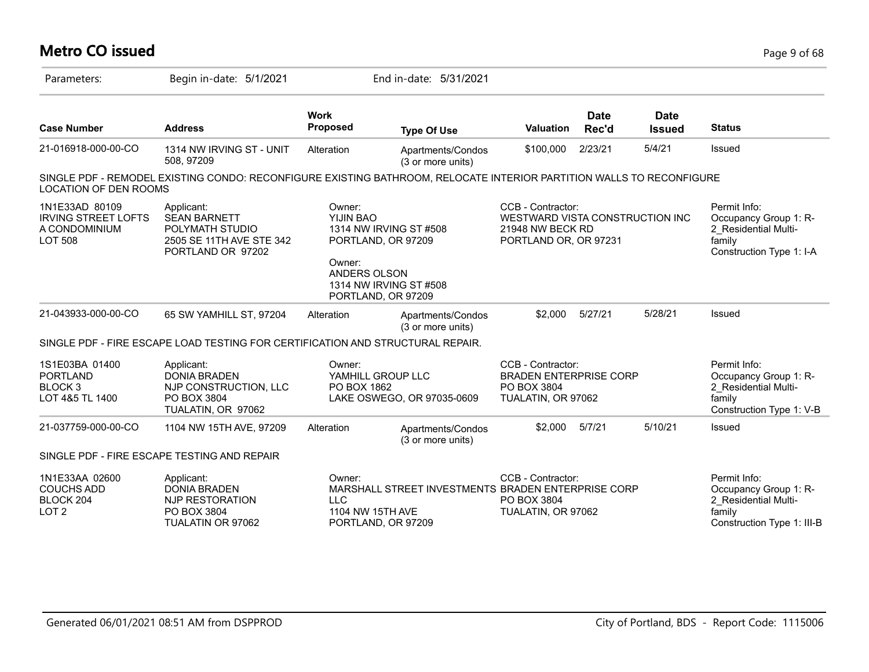# **Metro CO issued** Page 9 of 68

| Parameters:                                                                     | Begin in-date: 5/1/2021                                                                                              |                                                                                           | End in-date: 5/31/2021                             |                                                                                                   |                      |                              |                                                                                                       |
|---------------------------------------------------------------------------------|----------------------------------------------------------------------------------------------------------------------|-------------------------------------------------------------------------------------------|----------------------------------------------------|---------------------------------------------------------------------------------------------------|----------------------|------------------------------|-------------------------------------------------------------------------------------------------------|
| <b>Case Number</b>                                                              | <b>Address</b>                                                                                                       | <b>Work</b><br>Proposed                                                                   | <b>Type Of Use</b>                                 | <b>Valuation</b>                                                                                  | <b>Date</b><br>Rec'd | <b>Date</b><br><b>Issued</b> | <b>Status</b>                                                                                         |
| 21-016918-000-00-CO                                                             | 1314 NW IRVING ST - UNIT<br>508.97209                                                                                | Alteration                                                                                | Apartments/Condos<br>(3 or more units)             | \$100,000                                                                                         | 2/23/21              | 5/4/21                       | Issued                                                                                                |
| <b>LOCATION OF DEN ROOMS</b>                                                    | SINGLE PDF - REMODEL EXISTING CONDO: RECONFIGURE EXISTING BATHROOM, RELOCATE INTERIOR PARTITION WALLS TO RECONFIGURE |                                                                                           |                                                    |                                                                                                   |                      |                              |                                                                                                       |
| 1N1E33AD 80109<br><b>IRVING STREET LOFTS</b><br>A CONDOMINIUM<br><b>LOT 508</b> | Applicant:<br><b>SEAN BARNETT</b><br>POLYMATH STUDIO<br>2505 SE 11TH AVE STE 342<br>PORTLAND OR 97202                | Owner:<br>YIJIN BAO<br>PORTLAND, OR 97209<br>Owner:<br>ANDERS OLSON<br>PORTLAND, OR 97209 | 1314 NW IRVING ST #508<br>1314 NW IRVING ST #508   | CCB - Contractor:<br>WESTWARD VISTA CONSTRUCTION INC<br>21948 NW BECK RD<br>PORTLAND OR, OR 97231 |                      |                              | Permit Info:<br>Occupancy Group 1: R-<br>2 Residential Multi-<br>family<br>Construction Type 1: I-A   |
| 21-043933-000-00-CO                                                             | 65 SW YAMHILL ST, 97204                                                                                              | Alteration                                                                                | Apartments/Condos<br>(3 or more units)             | \$2.000                                                                                           | 5/27/21              | 5/28/21                      | Issued                                                                                                |
|                                                                                 | SINGLE PDF - FIRE ESCAPE LOAD TESTING FOR CERTIFICATION AND STRUCTURAL REPAIR.                                       |                                                                                           |                                                    |                                                                                                   |                      |                              |                                                                                                       |
| 1S1E03BA 01400<br><b>PORTLAND</b><br><b>BLOCK3</b><br>LOT 4&5 TL 1400           | Applicant:<br><b>DONIA BRADEN</b><br>NJP CONSTRUCTION, LLC<br>PO BOX 3804<br>TUALATIN, OR 97062                      | Owner:<br>YAMHILL GROUP LLC<br>PO BOX 1862                                                | LAKE OSWEGO, OR 97035-0609                         | CCB - Contractor:<br><b>BRADEN ENTERPRISE CORP</b><br>PO BOX 3804<br>TUALATIN, OR 97062           |                      |                              | Permit Info:<br>Occupancy Group 1: R-<br>2 Residential Multi-<br>family<br>Construction Type 1: V-B   |
| 21-037759-000-00-CO                                                             | 1104 NW 15TH AVE, 97209                                                                                              | Alteration                                                                                | Apartments/Condos<br>(3 or more units)             | \$2,000                                                                                           | 5/7/21               | 5/10/21                      | Issued                                                                                                |
|                                                                                 | SINGLE PDF - FIRE ESCAPE TESTING AND REPAIR                                                                          |                                                                                           |                                                    |                                                                                                   |                      |                              |                                                                                                       |
| 1N1E33AA 02600<br><b>COUCHS ADD</b><br>BLOCK 204<br>LOT <sub>2</sub>            | Applicant:<br><b>DONIA BRADEN</b><br>NJP RESTORATION<br>PO BOX 3804<br>TUALATIN OR 97062                             | Owner:<br><b>LLC</b><br>1104 NW 15TH AVE<br>PORTLAND, OR 97209                            | MARSHALL STREET INVESTMENTS BRADEN ENTERPRISE CORP | CCB - Contractor:<br>PO BOX 3804<br>TUALATIN, OR 97062                                            |                      |                              | Permit Info:<br>Occupancy Group 1: R-<br>2_Residential Multi-<br>family<br>Construction Type 1: III-B |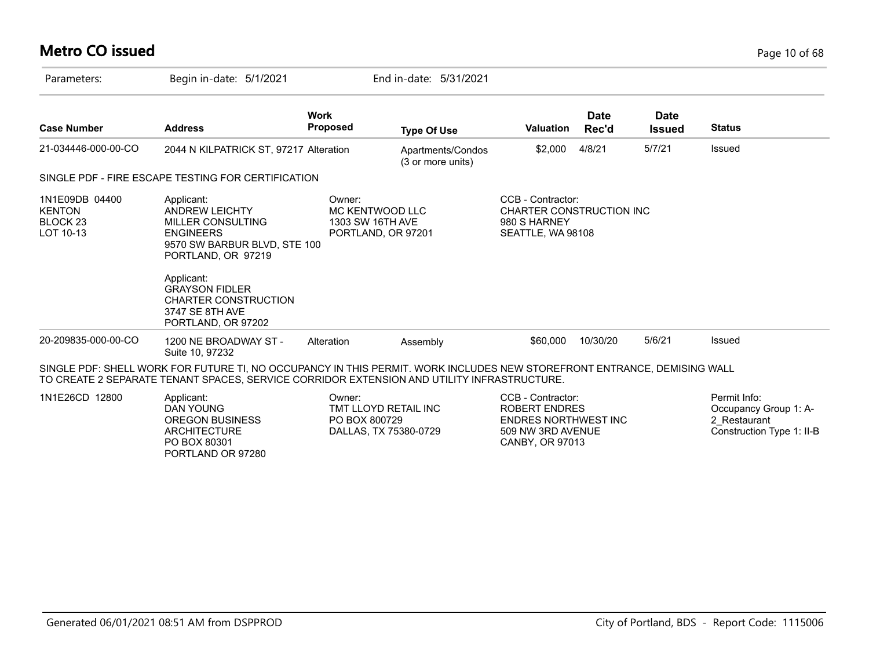## **Metro CO issued** Page 10 of 68

| Parameters:                                                         | Begin in-date: 5/1/2021                                                                                                                                                                                                                                  |                                               | End in-date: 5/31/2021                        |                                                                                                                         |                      |                       |                                                                                    |
|---------------------------------------------------------------------|----------------------------------------------------------------------------------------------------------------------------------------------------------------------------------------------------------------------------------------------------------|-----------------------------------------------|-----------------------------------------------|-------------------------------------------------------------------------------------------------------------------------|----------------------|-----------------------|------------------------------------------------------------------------------------|
| <b>Case Number</b>                                                  | <b>Address</b>                                                                                                                                                                                                                                           | <b>Work</b><br><b>Proposed</b>                | <b>Type Of Use</b>                            | <b>Valuation</b>                                                                                                        | <b>Date</b><br>Rec'd | Date<br><b>Issued</b> | <b>Status</b>                                                                      |
| 21-034446-000-00-CO                                                 | 2044 N KILPATRICK ST, 97217 Alteration                                                                                                                                                                                                                   |                                               | Apartments/Condos<br>(3 or more units)        | \$2,000                                                                                                                 | 4/8/21               | 5/7/21                | Issued                                                                             |
|                                                                     | SINGLE PDF - FIRE ESCAPE TESTING FOR CERTIFICATION                                                                                                                                                                                                       |                                               |                                               |                                                                                                                         |                      |                       |                                                                                    |
| 1N1E09DB 04400<br><b>KENTON</b><br>BLOCK <sub>23</sub><br>LOT 10-13 | Applicant:<br><b>ANDREW LEICHTY</b><br><b>MILLER CONSULTING</b><br><b>ENGINEERS</b><br>9570 SW BARBUR BLVD, STE 100<br>PORTLAND, OR 97219<br>Applicant:<br><b>GRAYSON FIDLER</b><br><b>CHARTER CONSTRUCTION</b><br>3747 SE 8TH AVE<br>PORTLAND, OR 97202 | Owner:<br>MC KENTWOOD LLC<br>1303 SW 16TH AVE | PORTLAND, OR 97201                            | CCB - Contractor:<br><b>CHARTER CONSTRUCTION INC</b><br>980 S HARNEY<br>SEATTLE, WA 98108                               |                      |                       |                                                                                    |
| 20-209835-000-00-CO                                                 | 1200 NE BROADWAY ST -<br>Suite 10, 97232                                                                                                                                                                                                                 | Alteration                                    | Assembly                                      | \$60,000                                                                                                                | 10/30/20             | 5/6/21                | Issued                                                                             |
|                                                                     | SINGLE PDF: SHELL WORK FOR FUTURE TI, NO OCCUPANCY IN THIS PERMIT. WORK INCLUDES NEW STOREFRONT ENTRANCE, DEMISING WALL<br>TO CREATE 2 SEPARATE TENANT SPACES, SERVICE CORRIDOR EXTENSION AND UTILITY INFRASTRUCTURE.                                    |                                               |                                               |                                                                                                                         |                      |                       |                                                                                    |
| 1N1E26CD 12800                                                      | Applicant:<br><b>DAN YOUNG</b><br><b>OREGON BUSINESS</b><br><b>ARCHITECTURE</b><br>PO BOX 80301                                                                                                                                                          | Owner:<br>PO BOX 800729                       | TMT LLOYD RETAIL INC<br>DALLAS, TX 75380-0729 | CCB - Contractor:<br><b>ROBERT ENDRES</b><br><b>ENDRES NORTHWEST INC</b><br>509 NW 3RD AVENUE<br><b>CANBY, OR 97013</b> |                      |                       | Permit Info:<br>Occupancy Group 1: A-<br>2 Restaurant<br>Construction Type 1: II-B |

PORTLAND OR 97280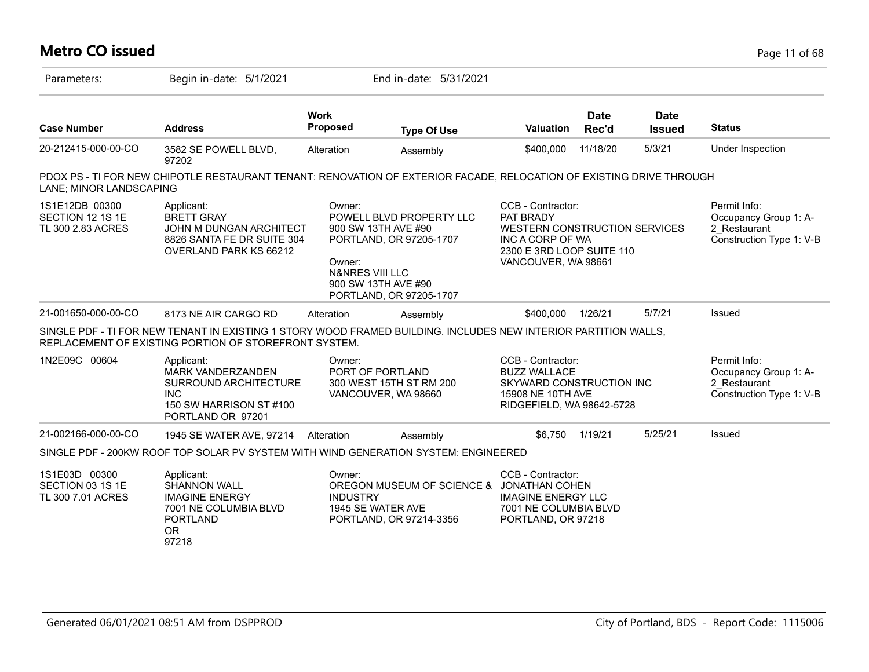| <b>Metro CO issued</b>                                  |                                                                                                                                                                          |                                                |                                                                                                                              |                                                                                                                                                |                      |                              | Page 11 of 68                                                                     |
|---------------------------------------------------------|--------------------------------------------------------------------------------------------------------------------------------------------------------------------------|------------------------------------------------|------------------------------------------------------------------------------------------------------------------------------|------------------------------------------------------------------------------------------------------------------------------------------------|----------------------|------------------------------|-----------------------------------------------------------------------------------|
| Parameters:                                             | Begin in-date: 5/1/2021                                                                                                                                                  |                                                | End in-date: 5/31/2021                                                                                                       |                                                                                                                                                |                      |                              |                                                                                   |
| <b>Case Number</b>                                      | <b>Address</b>                                                                                                                                                           | <b>Work</b><br>Proposed                        | <b>Type Of Use</b>                                                                                                           | <b>Valuation</b>                                                                                                                               | <b>Date</b><br>Rec'd | <b>Date</b><br><b>Issued</b> | <b>Status</b>                                                                     |
| 20-212415-000-00-CO                                     | 3582 SE POWELL BLVD,<br>97202                                                                                                                                            | Alteration                                     | Assembly                                                                                                                     | \$400,000                                                                                                                                      | 11/18/20             | 5/3/21                       | Under Inspection                                                                  |
| LANE; MINOR LANDSCAPING                                 | PDOX PS - TI FOR NEW CHIPOTLE RESTAURANT TENANT: RENOVATION OF EXTERIOR FACADE, RELOCATION OF EXISTING DRIVE THROUGH                                                     |                                                |                                                                                                                              |                                                                                                                                                |                      |                              |                                                                                   |
| 1S1E12DB 00300<br>SECTION 12 1S 1E<br>TL 300 2.83 ACRES | Applicant:<br><b>BRETT GRAY</b><br>JOHN M DUNGAN ARCHITECT<br>8826 SANTA FE DR SUITE 304<br>OVERLAND PARK KS 66212                                                       | Owner:<br>Owner:<br><b>N&amp;NRES VIII LLC</b> | POWELL BLVD PROPERTY LLC<br>900 SW 13TH AVE #90<br>PORTLAND, OR 97205-1707<br>900 SW 13TH AVE #90<br>PORTLAND, OR 97205-1707 | CCB - Contractor:<br>PAT BRADY<br><b>WESTERN CONSTRUCTION SERVICES</b><br>INC A CORP OF WA<br>2300 E 3RD LOOP SUITE 110<br>VANCOUVER, WA 98661 |                      |                              | Permit Info:<br>Occupancy Group 1: A-<br>2 Restaurant<br>Construction Type 1: V-B |
| 21-001650-000-00-CO                                     | 8173 NE AIR CARGO RD                                                                                                                                                     | Alteration                                     | Assembly                                                                                                                     | \$400,000                                                                                                                                      | 1/26/21              | 5/7/21                       | <b>Issued</b>                                                                     |
|                                                         | SINGLE PDF - TI FOR NEW TENANT IN EXISTING 1 STORY WOOD FRAMED BUILDING. INCLUDES NEW INTERIOR PARTITION WALLS,<br>REPLACEMENT OF EXISTING PORTION OF STOREFRONT SYSTEM. |                                                |                                                                                                                              |                                                                                                                                                |                      |                              |                                                                                   |
| 1N2E09C 00604                                           | Applicant:<br>MARK VANDERZANDEN<br>SURROUND ARCHITECTURE<br><b>INC</b><br>150 SW HARRISON ST #100<br>PORTLAND OR 97201                                                   | Owner:                                         | PORT OF PORTLAND<br>300 WEST 15TH ST RM 200<br>VANCOUVER, WA 98660                                                           | CCB - Contractor:<br><b>BUZZ WALLACE</b><br>SKYWARD CONSTRUCTION INC<br>15908 NE 10TH AVE<br>RIDGEFIELD, WA 98642-5728                         |                      |                              | Permit Info:<br>Occupancy Group 1: A-<br>2 Restaurant<br>Construction Type 1: V-B |
| 21-002166-000-00-CO                                     | 1945 SE WATER AVE, 97214                                                                                                                                                 | Alteration                                     | Assembly                                                                                                                     | \$6,750                                                                                                                                        | 1/19/21              | 5/25/21                      | Issued                                                                            |
|                                                         | SINGLE PDF - 200KW ROOF TOP SOLAR PV SYSTEM WITH WIND GENERATION SYSTEM: ENGINEERED                                                                                      |                                                |                                                                                                                              |                                                                                                                                                |                      |                              |                                                                                   |
| 1S1E03D 00300<br>SECTION 03 1S 1E<br>TL 300 7.01 ACRES  | Applicant:<br><b>SHANNON WALL</b><br><b>IMAGINE ENERGY</b><br>7001 NE COLUMBIA BLVD<br><b>PORTLAND</b><br><b>OR</b><br>97218                                             | Owner:<br><b>INDUSTRY</b>                      | OREGON MUSEUM OF SCIENCE &<br>1945 SE WATER AVE<br>PORTLAND, OR 97214-3356                                                   | CCB - Contractor:<br><b>JONATHAN COHEN</b><br><b>IMAGINE ENERGY LLC</b><br>7001 NE COLUMBIA BLVD<br>PORTLAND, OR 97218                         |                      |                              |                                                                                   |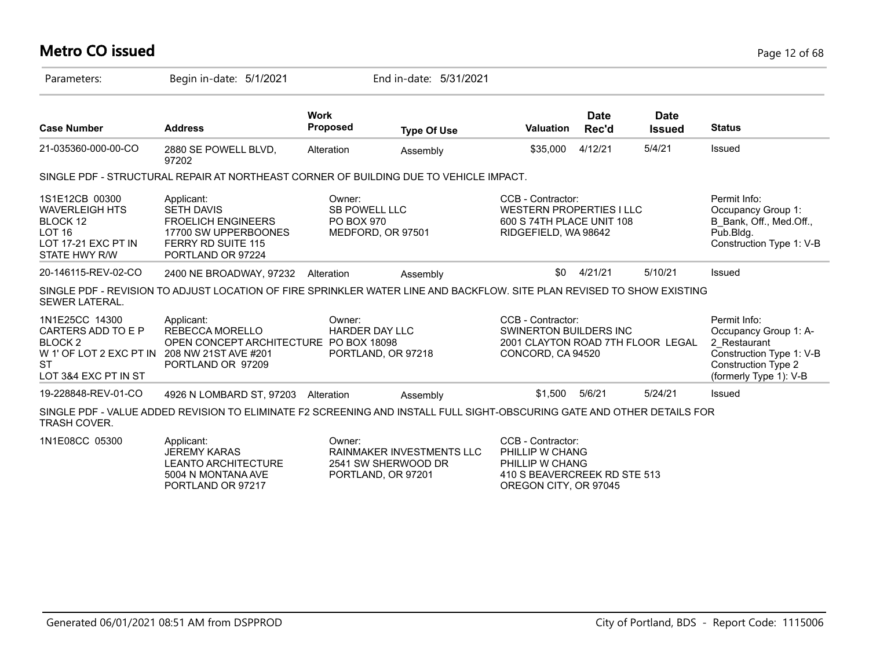# **Metro CO issued** Page 12 of 68

| Parameters:                                                                                                            | Begin in-date: 5/1/2021                                                                                                                |                                              | End in-date: 5/31/2021                                                        |                                                                                                                  |                      |                              |                                                                                                                                           |
|------------------------------------------------------------------------------------------------------------------------|----------------------------------------------------------------------------------------------------------------------------------------|----------------------------------------------|-------------------------------------------------------------------------------|------------------------------------------------------------------------------------------------------------------|----------------------|------------------------------|-------------------------------------------------------------------------------------------------------------------------------------------|
| <b>Case Number</b>                                                                                                     | <b>Address</b>                                                                                                                         | <b>Work</b><br><b>Proposed</b>               | <b>Type Of Use</b>                                                            | Valuation                                                                                                        | <b>Date</b><br>Rec'd | <b>Date</b><br><b>Issued</b> | <b>Status</b>                                                                                                                             |
| 21-035360-000-00-CO                                                                                                    | 2880 SE POWELL BLVD,<br>97202                                                                                                          | Alteration                                   | Assembly                                                                      | \$35,000                                                                                                         | 4/12/21              | 5/4/21                       | Issued                                                                                                                                    |
|                                                                                                                        | SINGLE PDF - STRUCTURAL REPAIR AT NORTHEAST CORNER OF BUILDING DUE TO VEHICLE IMPACT.                                                  |                                              |                                                                               |                                                                                                                  |                      |                              |                                                                                                                                           |
| 1S1E12CB 00300<br><b>WAVERLEIGH HTS</b><br>BLOCK 12<br>LOT <sub>16</sub><br>LOT 17-21 EXC PT IN<br>STATE HWY R/W       | Applicant:<br><b>SETH DAVIS</b><br><b>FROELICH ENGINEERS</b><br>17700 SW UPPERBOONES<br><b>FERRY RD SUITE 115</b><br>PORTLAND OR 97224 | Owner:<br><b>SB POWELL LLC</b><br>PO BOX 970 | MEDFORD, OR 97501                                                             | CCB - Contractor:<br>WESTERN PROPERTIES I LLC<br>600 S 74TH PLACE UNIT 108<br>RIDGEFIELD, WA 98642               |                      |                              | Permit Info:<br>Occupancy Group 1:<br>B Bank, Off., Med.Off.,<br>Pub.Bldg.<br>Construction Type 1: V-B                                    |
| 20-146115-REV-02-CO                                                                                                    | 2400 NE BROADWAY, 97232                                                                                                                | Alteration                                   | Assembly                                                                      | \$0                                                                                                              | 4/21/21              | 5/10/21                      | Issued                                                                                                                                    |
| <b>SEWER LATERAL.</b>                                                                                                  | SINGLE PDF - REVISION TO ADJUST LOCATION OF FIRE SPRINKLER WATER LINE AND BACKFLOW. SITE PLAN REVISED TO SHOW EXISTING                 |                                              |                                                                               |                                                                                                                  |                      |                              |                                                                                                                                           |
| 1N1E25CC 14300<br>CARTERS ADD TO E P<br><b>BLOCK 2</b><br>W 1' OF LOT 2 EXC PT IN<br><b>ST</b><br>LOT 3&4 EXC PT IN ST | Applicant:<br>REBECCA MORELLO<br>OPEN CONCEPT ARCHITECTURE PO BOX 18098<br>208 NW 21ST AVE #201<br>PORTLAND OR 97209                   | Owner:<br><b>HARDER DAY LLC</b>              | PORTLAND, OR 97218                                                            | CCB - Contractor:<br>SWINERTON BUILDERS INC<br>2001 CLAYTON ROAD 7TH FLOOR LEGAL<br>CONCORD, CA 94520            |                      |                              | Permit Info:<br>Occupancy Group 1: A-<br>2 Restaurant<br>Construction Type 1: V-B<br><b>Construction Type 2</b><br>(formerly Type 1): V-B |
| 19-228848-REV-01-CO                                                                                                    | 4926 N LOMBARD ST, 97203                                                                                                               | Alteration                                   | Assembly                                                                      | \$1.500                                                                                                          | 5/6/21               | 5/24/21                      | Issued                                                                                                                                    |
| TRASH COVER.                                                                                                           | SINGLE PDF - VALUE ADDED REVISION TO ELIMINATE F2 SCREENING AND INSTALL FULL SIGHT-OBSCURING GATE AND OTHER DETAILS FOR                |                                              |                                                                               |                                                                                                                  |                      |                              |                                                                                                                                           |
| 1N1E08CC 05300                                                                                                         | Applicant:<br><b>JEREMY KARAS</b><br><b>LEANTO ARCHITECTURE</b><br>5004 N MONTANA AVE<br>PORTLAND OR 97217                             | Owner:                                       | <b>RAINMAKER INVESTMENTS LLC</b><br>2541 SW SHERWOOD DR<br>PORTLAND, OR 97201 | CCB - Contractor:<br>PHILLIP W CHANG<br>PHILLIP W CHANG<br>410 S BEAVERCREEK RD STE 513<br>OREGON CITY, OR 97045 |                      |                              |                                                                                                                                           |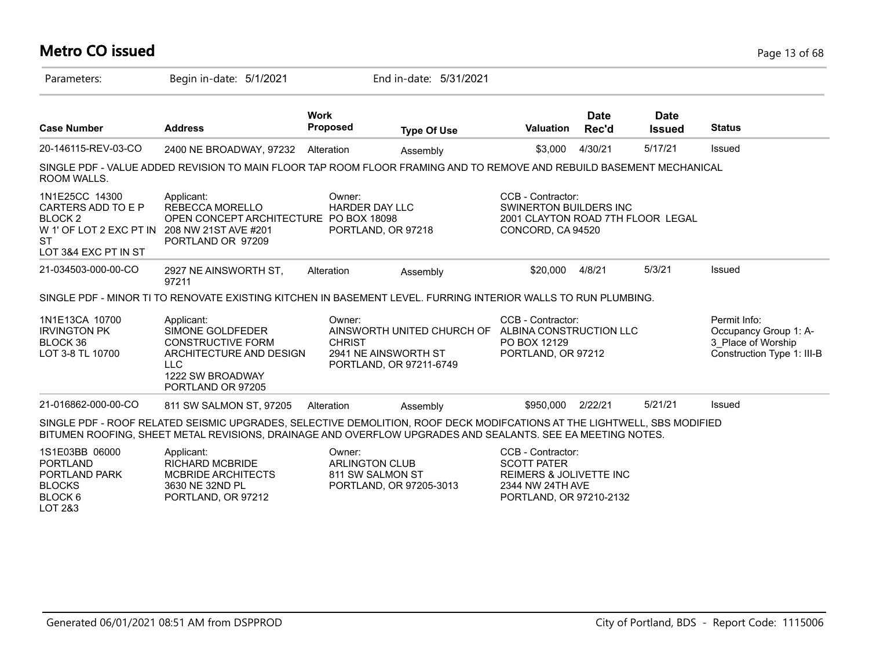#### **Metro CO issued** Page 13 of 68 Parameters: Begin in-date: 5/1/2021 End in-date: 5/31/2021 **Work Case Number Address Proposed Type Of Use Valuation Status Date Rec'd Date Issued** 20-146115-REV-03-CO 2400 NE BROADWAY, 97232 Alteration Assembly \$3,000 4/30/21 5/17/21 Issued SINGLE PDF - VALUE ADDED REVISION TO MAIN FLOOR TAP ROOM FLOOR FRAMING AND TO REMOVE AND REBUILD BASEMENT MECHANICAL ROOM WALLS. 1N1E25CC 14300 CARTERS ADD TO E P BLOCK 2 W 1' OF LOT 2 EXC PT IN 208 NW 21ST AVE #201 **ST** LOT 3&4 EXC PT IN ST CCB - Contractor: SWINERTON BUILDERS INC 2001 CLAYTON ROAD 7TH FLOOR LEGAL CONCORD, CA 94520 Owner: HARDER DAY LLC OPEN CONCEPT ARCHITECTURE PO BOX 18098 PORTLAND, OR 97218 Applicant: REBECCA MORELLO PORTLAND OR 97209 21-034503-000-00-CO 2927 NE AINSWORTH ST, 97211 Alteration Assembly \$20,000 4/8/21 5/3/21 Issued SINGLE PDF - MINOR TI TO RENOVATE EXISTING KITCHEN IN BASEMENT LEVEL. FURRING INTERIOR WALLS TO RUN PLUMBING. 1N1E13CA 10700 IRVINGTON PK BLOCK 36 LOT 3-8 TL 10700 Permit Info: Occupancy Group 1: A-3\_Place of Worship Construction Type 1: III-B CCB - Contractor: AINSWORTH UNITED CHURCH OF ALBINA CONSTRUCTION LLC PO BOX 12129 PORTLAND, OR 97212 Owner: **CHRIST** 2941 NE AINSWORTH ST PORTLAND, OR 97211-6749 Applicant: SIMONE GOLDFEDER CONSTRUCTIVE FORM ARCHITECTURE AND DESIGN LLC 1222 SW BROADWAY PORTLAND OR 97205 21-016862-000-00-CO 811 SW SALMON ST, 97205 Alteration Assembly \$950,000 2/22/21 5/21/21 Issued SINGLE PDF - ROOF RELATED SEISMIC UPGRADES, SELECTIVE DEMOLITION, ROOF DECK MODIFCATIONS AT THE LIGHTWELL, SBS MODIFIED BITUMEN ROOFING, SHEET METAL REVISIONS, DRAINAGE AND OVERFLOW UPGRADES AND SEALANTS. SEE EA MEETING NOTES. 1S1E03BB 06000 PORTLAND PORTLAND PARK BLOCKS BLOCK 6 LOT 2&3 CCB - Contractor: SCOTT PATER REIMERS & JOLIVETTE INC 2344 NW 24TH AVE PORTLAND, OR 97210-2132 Owner: ARLINGTON CLUB 811 SW SALMON ST PORTLAND, OR 97205-3013 Applicant: RICHARD MCBRIDE MCBRIDE ARCHITECTS 3630 NE 32ND PL PORTLAND, OR 97212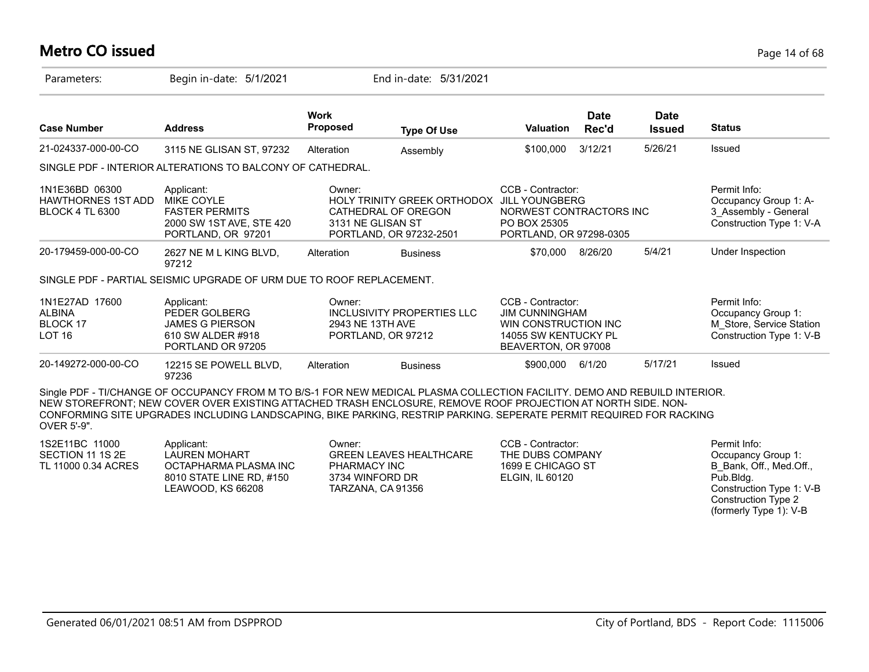## **Metro CO issued** Page 14 of 68

| Parameters:                                                           | Begin in-date: 5/1/2021                                                                                                                                                                                                                                                                                                                                           |                             | End in-date: 5/31/2021                                                        |                                                                                                                   |                      |                              |                                                                                            |
|-----------------------------------------------------------------------|-------------------------------------------------------------------------------------------------------------------------------------------------------------------------------------------------------------------------------------------------------------------------------------------------------------------------------------------------------------------|-----------------------------|-------------------------------------------------------------------------------|-------------------------------------------------------------------------------------------------------------------|----------------------|------------------------------|--------------------------------------------------------------------------------------------|
| <b>Case Number</b>                                                    | <b>Address</b>                                                                                                                                                                                                                                                                                                                                                    | Work<br><b>Proposed</b>     | <b>Type Of Use</b>                                                            | Valuation                                                                                                         | <b>Date</b><br>Rec'd | <b>Date</b><br><b>Issued</b> | <b>Status</b>                                                                              |
| 21-024337-000-00-CO                                                   | 3115 NE GLISAN ST, 97232                                                                                                                                                                                                                                                                                                                                          | Alteration                  | Assembly                                                                      | \$100,000                                                                                                         | 3/12/21              | 5/26/21                      | Issued                                                                                     |
|                                                                       | SINGLE PDF - INTERIOR ALTERATIONS TO BALCONY OF CATHEDRAL.                                                                                                                                                                                                                                                                                                        |                             |                                                                               |                                                                                                                   |                      |                              |                                                                                            |
| 1N1E36BD 06300<br><b>HAWTHORNES 1ST ADD</b><br><b>BLOCK 4 TL 6300</b> | Applicant:<br><b>MIKE COYLE</b><br><b>FASTER PERMITS</b><br>2000 SW 1ST AVE, STE 420<br>PORTLAND, OR 97201                                                                                                                                                                                                                                                        | Owner:<br>3131 NE GLISAN ST | HOLY TRINITY GREEK ORTHODOX<br>CATHEDRAL OF OREGON<br>PORTLAND, OR 97232-2501 | CCB - Contractor:<br><b>JILL YOUNGBERG</b><br>NORWEST CONTRACTORS INC<br>PO BOX 25305<br>PORTLAND, OR 97298-0305  |                      |                              | Permit Info:<br>Occupancy Group 1: A-<br>3 Assembly - General<br>Construction Type 1: V-A  |
| 20-179459-000-00-CO                                                   | 2627 NE M L KING BLVD,<br>97212                                                                                                                                                                                                                                                                                                                                   | Alteration                  | <b>Business</b>                                                               | \$70,000                                                                                                          | 8/26/20              | 5/4/21                       | Under Inspection                                                                           |
|                                                                       | SINGLE PDF - PARTIAL SEISMIC UPGRADE OF URM DUE TO ROOF REPLACEMENT.                                                                                                                                                                                                                                                                                              |                             |                                                                               |                                                                                                                   |                      |                              |                                                                                            |
| 1N1E27AD 17600<br><b>ALBINA</b><br>BLOCK 17<br>LOT <sub>16</sub>      | Applicant:<br>PEDER GOLBERG<br><b>JAMES G PIERSON</b><br>610 SW ALDER #918<br>PORTLAND OR 97205                                                                                                                                                                                                                                                                   | Owner:<br>2943 NE 13TH AVE  | INCLUSIVITY PROPERTIES LLC<br>PORTLAND, OR 97212                              | CCB - Contractor:<br><b>JIM CUNNINGHAM</b><br>WIN CONSTRUCTION INC<br>14055 SW KENTUCKY PL<br>BEAVERTON, OR 97008 |                      |                              | Permit Info:<br>Occupancy Group 1:<br>M Store, Service Station<br>Construction Type 1: V-B |
| 20-149272-000-00-CO                                                   | 12215 SE POWELL BLVD,<br>97236                                                                                                                                                                                                                                                                                                                                    | Alteration                  | <b>Business</b>                                                               | \$900,000                                                                                                         | 6/1/20               | 5/17/21                      | Issued                                                                                     |
| OVER 5'-9".                                                           | Single PDF - TI/CHANGE OF OCCUPANCY FROM M TO B/S-1 FOR NEW MEDICAL PLASMA COLLECTION FACILITY. DEMO AND REBUILD INTERIOR.<br>NEW STOREFRONT; NEW COVER OVER EXISTING ATTACHED TRASH ENCLOSURE, REMOVE ROOF PROJECTION AT NORTH SIDE. NON-<br>CONFORMING SITE UPGRADES INCLUDING LANDSCAPING, BIKE PARKING, RESTRIP PARKING. SEPERATE PERMIT REQUIRED FOR RACKING |                             |                                                                               |                                                                                                                   |                      |                              |                                                                                            |
| 1S2E11BC 11000<br>SECTION 11 1S 2E<br>TL 11000 0.34 ACRES             | Applicant:<br><b>LAUREN MOHART</b><br>OCTAPHARMA PLASMA INC                                                                                                                                                                                                                                                                                                       | Owner:<br>PHARMACY INC      | <b>GREEN LEAVES HEALTHCARE</b>                                                | CCB - Contractor:<br>THE DUBS COMPANY<br>1699 E CHICAGO ST                                                        |                      |                              | Permit Info:<br>Occupancy Group 1:<br>B Bank, Off., Med.Off.,                              |

3734 WINFORD DR TARZANA, CA 91356 ELGIN, IL 60120

Generated 06/01/2021 08:51 AM from DSPPROD City of Portland, BDS - Report Code: 1115006

8010 STATE LINE RD, #150 LEAWOOD, KS 66208

Pub.Bldg.

Construction Type 1: V-B Construction Type 2 (formerly Type 1): V-B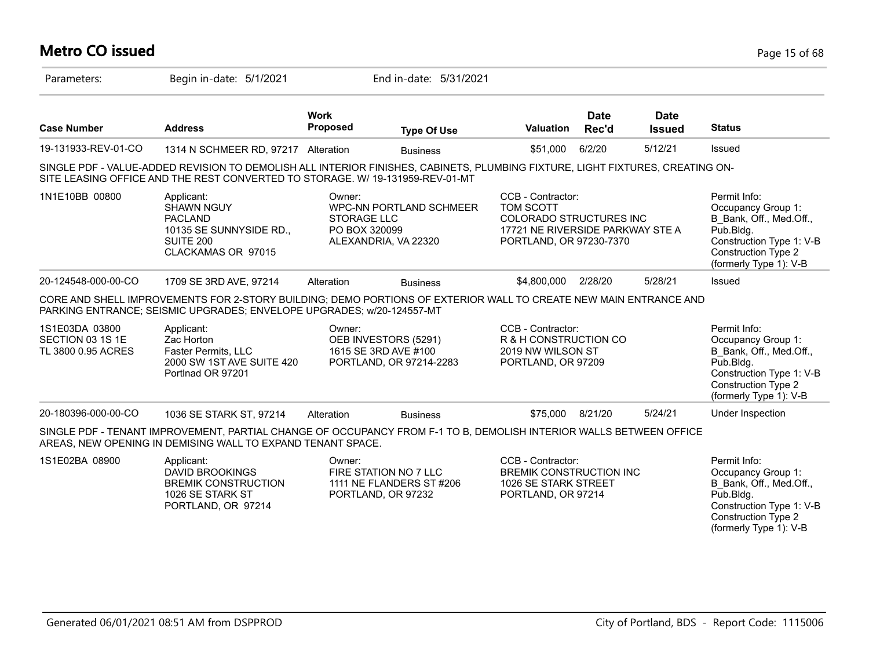## **Metro CO issued** Page 15 of 68

| Parameters:                                              | Begin in-date: 5/1/2021                                                                                                                                                                                        |                                               | End in-date: 5/31/2021                                                  |                                                                                                                          |                      |                              |                                                                                                                                                                |
|----------------------------------------------------------|----------------------------------------------------------------------------------------------------------------------------------------------------------------------------------------------------------------|-----------------------------------------------|-------------------------------------------------------------------------|--------------------------------------------------------------------------------------------------------------------------|----------------------|------------------------------|----------------------------------------------------------------------------------------------------------------------------------------------------------------|
| <b>Case Number</b>                                       | <b>Address</b>                                                                                                                                                                                                 | <b>Work</b><br><b>Proposed</b>                | <b>Type Of Use</b>                                                      | <b>Valuation</b>                                                                                                         | <b>Date</b><br>Rec'd | <b>Date</b><br><b>Issued</b> | <b>Status</b>                                                                                                                                                  |
| 19-131933-REV-01-CO                                      | 1314 N SCHMEER RD, 97217 Alteration                                                                                                                                                                            |                                               | <b>Business</b>                                                         | \$51,000                                                                                                                 | 6/2/20               | 5/12/21                      | Issued                                                                                                                                                         |
|                                                          | SINGLE PDF - VALUE-ADDED REVISION TO DEMOLISH ALL INTERIOR FINISHES, CABINETS, PLUMBING FIXTURE, LIGHT FIXTURES, CREATING ON-<br>SITE LEASING OFFICE AND THE REST CONVERTED TO STORAGE. W/ 19-131959-REV-01-MT |                                               |                                                                         |                                                                                                                          |                      |                              |                                                                                                                                                                |
| 1N1E10BB 00800                                           | Applicant:<br><b>SHAWN NGUY</b><br><b>PACLAND</b><br>10135 SE SUNNYSIDE RD.,<br>SUITE 200<br>CLACKAMAS OR 97015                                                                                                | Owner:<br><b>STORAGE LLC</b><br>PO BOX 320099 | <b>WPC-NN PORTLAND SCHMEER</b><br>ALEXANDRIA, VA 22320                  | CCB - Contractor:<br>TOM SCOTT<br>COLORADO STRUCTURES INC<br>17721 NE RIVERSIDE PARKWAY STE A<br>PORTLAND, OR 97230-7370 |                      |                              | Permit Info:<br>Occupancy Group 1:<br>B Bank, Off., Med.Off.,<br>Pub.Bldg.<br>Construction Type 1: V-B<br>Construction Type 2<br>(formerly Type 1): V-B        |
| 20-124548-000-00-CO                                      | 1709 SE 3RD AVE, 97214                                                                                                                                                                                         | Alteration                                    | <b>Business</b>                                                         | \$4,800,000                                                                                                              | 2/28/20              | 5/28/21                      | Issued                                                                                                                                                         |
|                                                          | CORE AND SHELL IMPROVEMENTS FOR 2-STORY BUILDING; DEMO PORTIONS OF EXTERIOR WALL TO CREATE NEW MAIN ENTRANCE AND<br>PARKING ENTRANCE; SEISMIC UPGRADES; ENVELOPE UPGRADES; w/20-124557-MT                      |                                               |                                                                         |                                                                                                                          |                      |                              |                                                                                                                                                                |
| 1S1E03DA 03800<br>SECTION 03 1S 1E<br>TL 3800 0.95 ACRES | Applicant:<br>Zac Horton<br>Faster Permits, LLC<br>2000 SW 1ST AVE SUITE 420<br>Portlnad OR 97201                                                                                                              | Owner:                                        | OEB INVESTORS (5291)<br>1615 SE 3RD AVE #100<br>PORTLAND, OR 97214-2283 | CCB - Contractor:<br>R & H CONSTRUCTION CO<br>2019 NW WILSON ST<br>PORTLAND, OR 97209                                    |                      |                              | Permit Info:<br>Occupancy Group 1:<br>B Bank, Off., Med.Off.,<br>Pub.Bldg.<br>Construction Type 1: V-B<br><b>Construction Type 2</b><br>(formerly Type 1): V-B |
| 20-180396-000-00-CO                                      | 1036 SE STARK ST, 97214                                                                                                                                                                                        | Alteration                                    | <b>Business</b>                                                         | \$75,000                                                                                                                 | 8/21/20              | 5/24/21                      | Under Inspection                                                                                                                                               |
|                                                          | SINGLE PDF - TENANT IMPROVEMENT, PARTIAL CHANGE OF OCCUPANCY FROM F-1 TO B, DEMOLISH INTERIOR WALLS BETWEEN OFFICE<br>AREAS, NEW OPENING IN DEMISING WALL TO EXPAND TENANT SPACE.                              |                                               |                                                                         |                                                                                                                          |                      |                              |                                                                                                                                                                |
| 1S1E02BA 08900                                           | Applicant:<br><b>DAVID BROOKINGS</b><br><b>BREMIK CONSTRUCTION</b><br>1026 SE STARK ST<br>PORTLAND, OR 97214                                                                                                   | Owner:                                        | FIRE STATION NO 7 LLC<br>1111 NE FLANDERS ST #206<br>PORTLAND, OR 97232 | CCB - Contractor:<br>BREMIK CONSTRUCTION INC<br>1026 SE STARK STREET<br>PORTLAND, OR 97214                               |                      |                              | Permit Info:<br>Occupancy Group 1:<br>B Bank, Off., Med.Off.,<br>Pub.Bldg.<br>Construction Type 1: V-B<br><b>Construction Type 2</b><br>(formerly Type 1): V-B |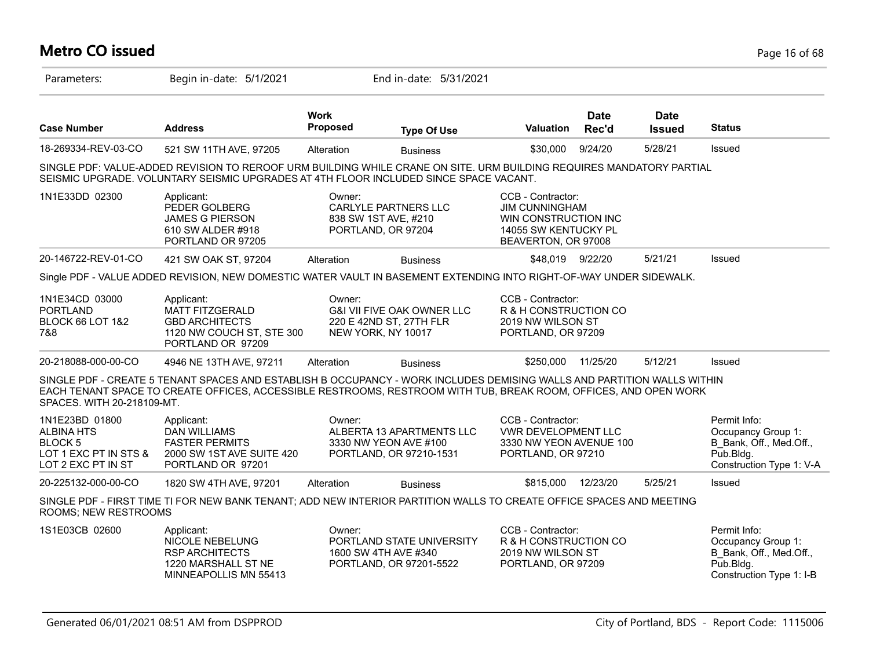## **Metro CO issued** Page 16 of 68

| Parameters:                                                                                              | Begin in-date: 5/1/2021                                                                                                                                                                                                                     |                         | End in-date: 5/31/2021                                                                 |                                                                                                                   |                      |                              |                                                                                                        |
|----------------------------------------------------------------------------------------------------------|---------------------------------------------------------------------------------------------------------------------------------------------------------------------------------------------------------------------------------------------|-------------------------|----------------------------------------------------------------------------------------|-------------------------------------------------------------------------------------------------------------------|----------------------|------------------------------|--------------------------------------------------------------------------------------------------------|
| <b>Case Number</b>                                                                                       | <b>Address</b>                                                                                                                                                                                                                              | <b>Work</b><br>Proposed | <b>Type Of Use</b>                                                                     | <b>Valuation</b>                                                                                                  | <b>Date</b><br>Rec'd | <b>Date</b><br><b>Issued</b> | <b>Status</b>                                                                                          |
| 18-269334-REV-03-CO                                                                                      | 521 SW 11TH AVE, 97205                                                                                                                                                                                                                      | Alteration              | <b>Business</b>                                                                        | \$30,000                                                                                                          | 9/24/20              | 5/28/21                      | Issued                                                                                                 |
|                                                                                                          | SINGLE PDF: VALUE-ADDED REVISION TO REROOF URM BUILDING WHILE CRANE ON SITE. URM BUILDING REQUIRES MANDATORY PARTIAL<br>SEISMIC UPGRADE. VOLUNTARY SEISMIC UPGRADES AT 4TH FLOOR INCLUDED SINCE SPACE VACANT.                               |                         |                                                                                        |                                                                                                                   |                      |                              |                                                                                                        |
| 1N1E33DD 02300                                                                                           | Applicant:<br>PEDER GOLBERG<br><b>JAMES G PIERSON</b><br>610 SW ALDER #918<br>PORTLAND OR 97205                                                                                                                                             | Owner:                  | CARLYLE PARTNERS LLC<br>838 SW 1ST AVE, #210<br>PORTLAND, OR 97204                     | CCB - Contractor:<br><b>JIM CUNNINGHAM</b><br>WIN CONSTRUCTION INC<br>14055 SW KENTUCKY PL<br>BEAVERTON, OR 97008 |                      |                              |                                                                                                        |
| 20-146722-REV-01-CO                                                                                      | 421 SW OAK ST, 97204                                                                                                                                                                                                                        | Alteration              | <b>Business</b>                                                                        | \$48,019 9/22/20                                                                                                  |                      | 5/21/21                      | Issued                                                                                                 |
|                                                                                                          | Single PDF - VALUE ADDED REVISION, NEW DOMESTIC WATER VAULT IN BASEMENT EXTENDING INTO RIGHT-OF-WAY UNDER SIDEWALK.                                                                                                                         |                         |                                                                                        |                                                                                                                   |                      |                              |                                                                                                        |
| 1N1E34CD 03000<br><b>PORTLAND</b><br><b>BLOCK 66 LOT 1&amp;2</b><br>7&8                                  | Applicant:<br><b>MATT FITZGERALD</b><br><b>GBD ARCHITECTS</b><br>1120 NW COUCH ST, STE 300<br>PORTLAND OR 97209                                                                                                                             | Owner:                  | <b>G&amp;I VII FIVE OAK OWNER LLC</b><br>220 E 42ND ST, 27TH FLR<br>NEW YORK, NY 10017 | CCB - Contractor:<br>R & H CONSTRUCTION CO<br>2019 NW WILSON ST<br>PORTLAND, OR 97209                             |                      |                              |                                                                                                        |
| 20-218088-000-00-CO                                                                                      | 4946 NE 13TH AVE, 97211                                                                                                                                                                                                                     | Alteration              | <b>Business</b>                                                                        | \$250,000                                                                                                         | 11/25/20             | 5/12/21                      | Issued                                                                                                 |
| SPACES. WITH 20-218109-MT.                                                                               | SINGLE PDF - CREATE 5 TENANT SPACES AND ESTABLISH B OCCUPANCY - WORK INCLUDES DEMISING WALLS AND PARTITION WALLS WITHIN<br>EACH TENANT SPACE TO CREATE OFFICES, ACCESSIBLE RESTROOMS, RESTROOM WITH TUB, BREAK ROOM, OFFICES, AND OPEN WORK |                         |                                                                                        |                                                                                                                   |                      |                              |                                                                                                        |
| 1N1E23BD 01800<br><b>ALBINA HTS</b><br>BLOCK <sub>5</sub><br>LOT 1 EXC PT IN STS &<br>LOT 2 EXC PT IN ST | Applicant:<br><b>DAN WILLIAMS</b><br><b>FASTER PERMITS</b><br>2000 SW 1ST AVE SUITE 420<br>PORTLAND OR 97201                                                                                                                                | Owner:                  | ALBERTA 13 APARTMENTS LLC<br>3330 NW YEON AVE #100<br>PORTLAND, OR 97210-1531          | CCB - Contractor:<br>VWR DEVELOPMENT LLC<br>3330 NW YEON AVENUE 100<br>PORTLAND, OR 97210                         |                      |                              | Permit Info:<br>Occupancy Group 1:<br>B_Bank, Off., Med.Off.,<br>Pub.Bldg.<br>Construction Type 1: V-A |
| 20-225132-000-00-CO                                                                                      | 1820 SW 4TH AVE, 97201                                                                                                                                                                                                                      | Alteration              | <b>Business</b>                                                                        | \$815,000                                                                                                         | 12/23/20             | 5/25/21                      | Issued                                                                                                 |
| ROOMS; NEW RESTROOMS                                                                                     | SINGLE PDF - FIRST TIME TI FOR NEW BANK TENANT; ADD NEW INTERIOR PARTITION WALLS TO CREATE OFFICE SPACES AND MEETING                                                                                                                        |                         |                                                                                        |                                                                                                                   |                      |                              |                                                                                                        |
| 1S1E03CB 02600                                                                                           | Applicant:<br>NICOLE NEBELUNG<br><b>RSP ARCHITECTS</b><br>1220 MARSHALL ST NE<br>MINNEAPOLLIS MN 55413                                                                                                                                      | Owner:                  | PORTLAND STATE UNIVERSITY<br>1600 SW 4TH AVE #340<br>PORTLAND, OR 97201-5522           | CCB - Contractor:<br>R & H CONSTRUCTION CO<br>2019 NW WILSON ST<br>PORTLAND, OR 97209                             |                      |                              | Permit Info:<br>Occupancy Group 1:<br>B Bank, Off., Med.Off.,<br>Pub.Bldg.<br>Construction Type 1: I-B |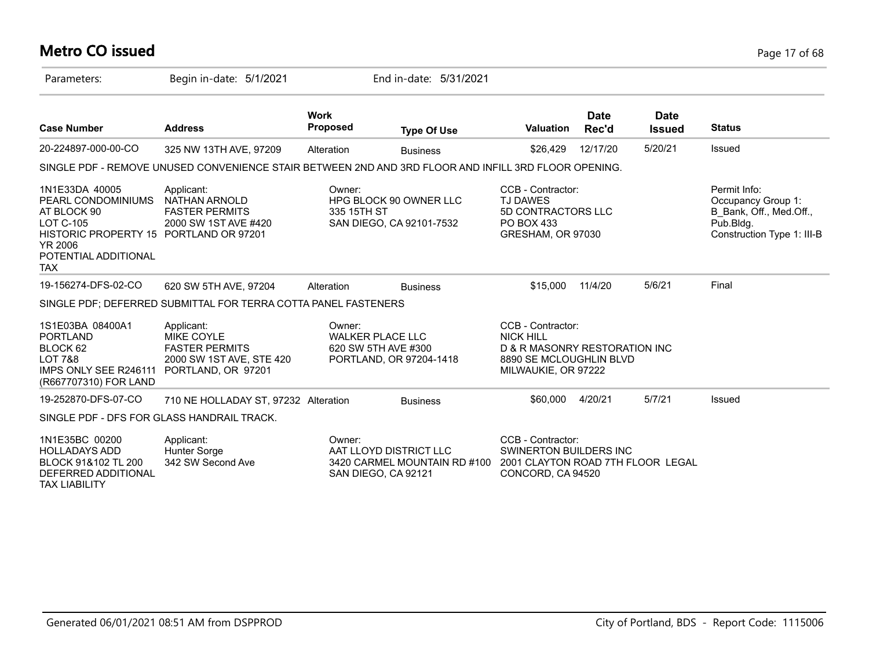# **Metro CO issued** Page 17 of 68

| Parameters:                                                                                                                                                               | Begin in-date: 5/1/2021                                                                                    |                                                          | End in-date: 5/31/2021                                 |                                                                                                                          |                      |                              |                                                                                                          |
|---------------------------------------------------------------------------------------------------------------------------------------------------------------------------|------------------------------------------------------------------------------------------------------------|----------------------------------------------------------|--------------------------------------------------------|--------------------------------------------------------------------------------------------------------------------------|----------------------|------------------------------|----------------------------------------------------------------------------------------------------------|
| <b>Case Number</b>                                                                                                                                                        | <b>Address</b>                                                                                             | <b>Work</b><br>Proposed                                  | <b>Type Of Use</b>                                     | <b>Valuation</b>                                                                                                         | <b>Date</b><br>Rec'd | <b>Date</b><br><b>Issued</b> | <b>Status</b>                                                                                            |
| 20-224897-000-00-CO                                                                                                                                                       | 325 NW 13TH AVE, 97209                                                                                     | Alteration                                               | <b>Business</b>                                        | \$26,429                                                                                                                 | 12/17/20             | 5/20/21                      | Issued                                                                                                   |
|                                                                                                                                                                           | SINGLE PDF - REMOVE UNUSED CONVENIENCE STAIR BETWEEN 2ND AND 3RD FLOOR AND INFILL 3RD FLOOR OPENING.       |                                                          |                                                        |                                                                                                                          |                      |                              |                                                                                                          |
| 1N1E33DA 40005<br>PEARL CONDOMINIUMS<br>AT BLOCK 90<br><b>LOT C-105</b><br>HISTORIC PROPERTY 15 PORTLAND OR 97201<br><b>YR 2006</b><br>POTENTIAL ADDITIONAL<br><b>TAX</b> | Applicant:<br>NATHAN ARNOLD<br><b>FASTER PERMITS</b><br>2000 SW 1ST AVE #420                               | Owner:<br>335 15TH ST                                    | HPG BLOCK 90 OWNER LLC<br>SAN DIEGO, CA 92101-7532     | CCB - Contractor:<br><b>TJ DAWES</b><br>5D CONTRACTORS LLC<br>PO BOX 433<br>GRESHAM, OR 97030                            |                      |                              | Permit Info:<br>Occupancy Group 1:<br>B_Bank, Off., Med.Off.,<br>Pub.Bldg.<br>Construction Type 1: III-B |
| 19-156274-DFS-02-CO                                                                                                                                                       | 620 SW 5TH AVE, 97204                                                                                      | Alteration                                               | <b>Business</b>                                        | \$15,000                                                                                                                 | 11/4/20              | 5/6/21                       | Final                                                                                                    |
|                                                                                                                                                                           | SINGLE PDF; DEFERRED SUBMITTAL FOR TERRA COTTA PANEL FASTENERS                                             |                                                          |                                                        |                                                                                                                          |                      |                              |                                                                                                          |
| 1S1E03BA 08400A1<br><b>PORTLAND</b><br>BLOCK 62<br><b>LOT 7&amp;8</b><br>IMPS ONLY SEE R246111<br>(R667707310) FOR LAND                                                   | Applicant:<br><b>MIKE COYLE</b><br><b>FASTER PERMITS</b><br>2000 SW 1ST AVE, STE 420<br>PORTLAND, OR 97201 | Owner:<br><b>WALKER PLACE LLC</b><br>620 SW 5TH AVE #300 | PORTLAND, OR 97204-1418                                | CCB - Contractor:<br><b>NICK HILL</b><br>D & R MASONRY RESTORATION INC<br>8890 SE MCLOUGHLIN BLVD<br>MILWAUKIE, OR 97222 |                      |                              |                                                                                                          |
| 19-252870-DFS-07-CO                                                                                                                                                       | 710 NE HOLLADAY ST, 97232 Alteration                                                                       |                                                          | <b>Business</b>                                        | \$60,000                                                                                                                 | 4/20/21              | 5/7/21                       | Issued                                                                                                   |
| SINGLE PDF - DFS FOR GLASS HANDRAIL TRACK.                                                                                                                                |                                                                                                            |                                                          |                                                        |                                                                                                                          |                      |                              |                                                                                                          |
| 1N1E35BC 00200<br><b>HOLLADAYS ADD</b><br>BLOCK 91&102 TL 200<br>DEFERRED ADDITIONAL<br><b>TAX LIABILITY</b>                                                              | Applicant:<br>Hunter Sorge<br>342 SW Second Ave                                                            | Owner:<br>SAN DIEGO, CA 92121                            | AAT LLOYD DISTRICT LLC<br>3420 CARMEL MOUNTAIN RD #100 | CCB - Contractor:<br><b>SWINERTON BUILDERS INC</b><br>2001 CLAYTON ROAD 7TH FLOOR LEGAL<br>CONCORD, CA 94520             |                      |                              |                                                                                                          |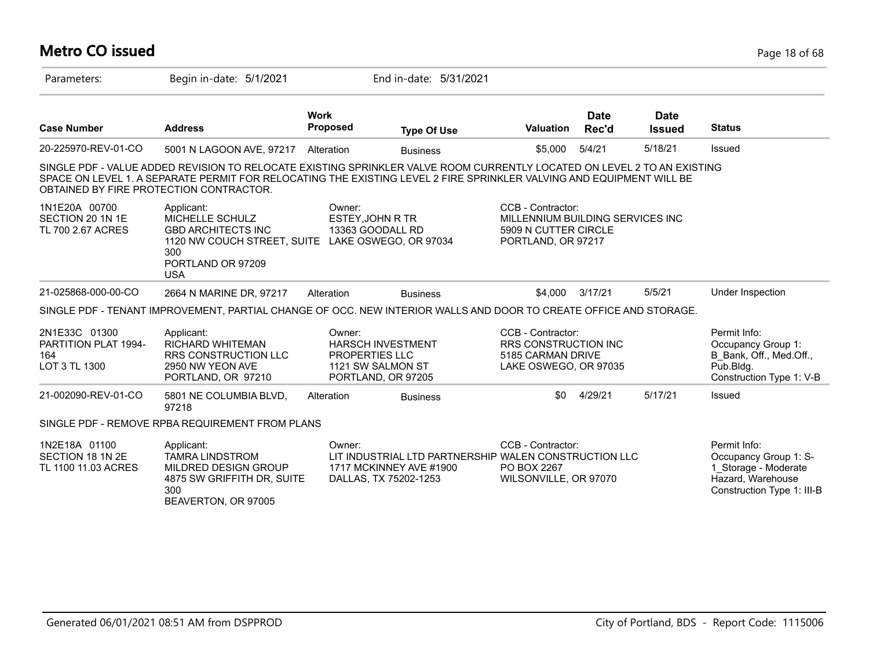#### **Metro CO issued** Page 18 of 68 Parameters: Begin in-date: 5/1/2021 End in-date: 5/31/2021 **Work Case Number Address Proposed Type Of Use Valuation Status Date Rec'd Date Issued** 20-225970-REV-01-CO 5001 N LAGOON AVE, 97217 Alteration Business \$5,000 5/4/21 5/18/21 Issued SINGLE PDF - VALUE ADDED REVISION TO RELOCATE EXISTING SPRINKLER VALVE ROOM CURRENTLY LOCATED ON LEVEL 2 TO AN EXISTING SPACE ON LEVEL 1. A SEPARATE PERMIT FOR RELOCATING THE EXISTING LEVEL 2 FIRE SPRINKLER VALVING AND EQUIPMENT WILL BE OBTAINED BY FIRE PROTECTION CONTRACTOR. 1N1E20A 00700 SECTION 20 1N 1E TL 700 2.67 ACRES CCB - Contractor: MILLENNIUM BUILDING SERVICES INC 5909 N CUTTER CIRCLE PORTLAND, OR 97217 Owner: ESTEY,JOHN R TR 13363 GOODALL RD 1120 NW COUCH STREET, SUITE LAKE OSWEGO, OR 97034 Applicant: MICHELLE SCHULZ GBD ARCHITECTS INC 300 PORTLAND OR 97209 USA 21-025868-000-00-CO 2664 N MARINE DR, 97217 Alteration Business \$4,000 3/17/21 5/5/21 Under Inspection SINGLE PDF - TENANT IMPROVEMENT, PARTIAL CHANGE OF OCC. NEW INTERIOR WALLS AND DOOR TO CREATE OFFICE AND STORAGE. 2N1E33C 01300 PARTITION PLAT 1994- 164 LOT 3 TL 1300 Permit Info: Occupancy Group 1: B\_Bank, Off., Med.Off., Pub.Bldg. Construction Type 1: V-B CCB - Contractor: RRS CONSTRUCTION INC 5185 CARMAN DRIVE LAKE OSWEGO, OR 97035 Owner: HARSCH INVESTMENT PROPERTIES LLC 1121 SW SALMON ST PORTLAND, OR 97205 Applicant: RICHARD WHITEMAN RRS CONSTRUCTION LLC 2950 NW YEON AVE PORTLAND, OR 97210 21-002090-REV-01-CO 5801 NE COLUMBIA BLVD, 97218 Alteration Business 60 4/29/21 5/17/21 Issued SINGLE PDF - REMOVE RPBA REQUIREMENT FROM PLANS 1N2E18A 01100 SECTION 18 1N 2E TL 1100 11.03 ACRES Permit Info: Occupancy Group 1: S-1\_Storage - Moderate Hazard, Warehouse Construction Type 1: III-B CCB - Contractor: LIT INDUSTRIAL LTD PARTNERSHIP WALEN CONSTRUCTION LLC PO BOX 2267 WILSONVILLE, OR 97070 Owner: 1717 MCKINNEY AVE #1900 DALLAS, TX 75202-1253 Applicant: TAMRA LINDSTROM MILDRED DESIGN GROUP 4875 SW GRIFFITH DR, SUITE 300 BEAVERTON, OR 97005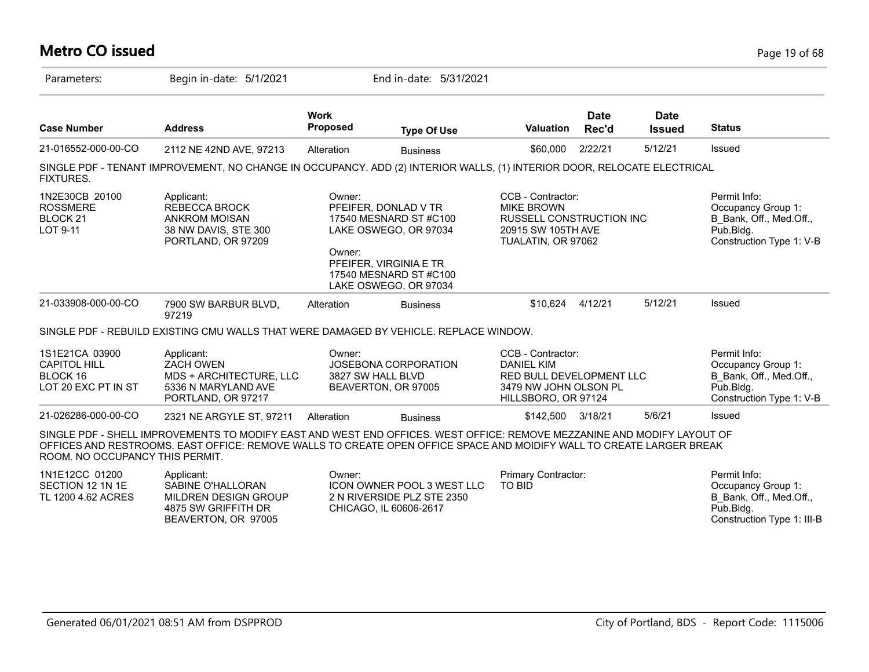| <b>Metro CO issued</b> | Page 19 of 68 |
|------------------------|---------------|
|                        |               |

| Parameters:                                                              | Begin in-date: 5/1/2021                                                                                                                                                                                                                         |                                | End in-date: 5/31/2021                                                                                                                               |                                                                                                                       |                      |                              |                                                                                                          |
|--------------------------------------------------------------------------|-------------------------------------------------------------------------------------------------------------------------------------------------------------------------------------------------------------------------------------------------|--------------------------------|------------------------------------------------------------------------------------------------------------------------------------------------------|-----------------------------------------------------------------------------------------------------------------------|----------------------|------------------------------|----------------------------------------------------------------------------------------------------------|
| <b>Case Number</b>                                                       | <b>Address</b>                                                                                                                                                                                                                                  | <b>Work</b><br><b>Proposed</b> | <b>Type Of Use</b>                                                                                                                                   | <b>Valuation</b>                                                                                                      | <b>Date</b><br>Rec'd | <b>Date</b><br><b>Issued</b> | <b>Status</b>                                                                                            |
| 21-016552-000-00-CO                                                      | 2112 NE 42ND AVE, 97213                                                                                                                                                                                                                         | Alteration                     | <b>Business</b>                                                                                                                                      | \$60,000                                                                                                              | 2/22/21              | 5/12/21                      | Issued                                                                                                   |
| <b>FIXTURES.</b>                                                         | SINGLE PDF - TENANT IMPROVEMENT, NO CHANGE IN OCCUPANCY. ADD (2) INTERIOR WALLS, (1) INTERIOR DOOR, RELOCATE ELECTRICAL                                                                                                                         |                                |                                                                                                                                                      |                                                                                                                       |                      |                              |                                                                                                          |
| 1N2E30CB 20100<br><b>ROSSMERE</b><br><b>BLOCK 21</b><br>LOT 9-11         | Applicant:<br><b>REBECCA BROCK</b><br><b>ANKROM MOISAN</b><br>38 NW DAVIS, STE 300<br>PORTLAND, OR 97209                                                                                                                                        | Owner:<br>Owner:               | PFEIFER, DONLAD V TR<br>17540 MESNARD ST #C100<br>LAKE OSWEGO, OR 97034<br>PFEIFER, VIRGINIA E TR<br>17540 MESNARD ST #C100<br>LAKE OSWEGO, OR 97034 | CCB - Contractor:<br><b>MIKE BROWN</b><br><b>RUSSELL CONSTRUCTION INC</b><br>20915 SW 105TH AVE<br>TUALATIN, OR 97062 |                      |                              | Permit Info:<br>Occupancy Group 1:<br>B Bank, Off., Med.Off.,<br>Pub.Bldg.<br>Construction Type 1: V-B   |
| 21-033908-000-00-CO                                                      | 7900 SW BARBUR BLVD,<br>97219                                                                                                                                                                                                                   | Alteration                     | <b>Business</b>                                                                                                                                      | \$10.624                                                                                                              | 4/12/21              | 5/12/21                      | Issued                                                                                                   |
|                                                                          | SINGLE PDF - REBUILD EXISTING CMU WALLS THAT WERE DAMAGED BY VEHICLE. REPLACE WINDOW.                                                                                                                                                           |                                |                                                                                                                                                      |                                                                                                                       |                      |                              |                                                                                                          |
| 1S1E21CA 03900<br><b>CAPITOL HILL</b><br>BLOCK 16<br>LOT 20 EXC PT IN ST | Applicant:<br><b>ZACH OWEN</b><br>MDS + ARCHITECTURE, LLC<br>5336 N MARYLAND AVE<br>PORTLAND, OR 97217                                                                                                                                          | Owner:                         | JOSEBONA CORPORATION<br>3827 SW HALL BLVD<br>BEAVERTON, OR 97005                                                                                     | CCB - Contractor:<br><b>DANIEL KIM</b><br>RED BULL DEVELOPMENT LLC<br>3479 NW JOHN OLSON PL<br>HILLSBORO, OR 97124    |                      |                              | Permit Info:<br>Occupancy Group 1:<br>B Bank, Off., Med.Off.,<br>Pub.Bldg.<br>Construction Type 1: V-B   |
| 21-026286-000-00-CO                                                      | 2321 NE ARGYLE ST, 97211                                                                                                                                                                                                                        | Alteration                     | <b>Business</b>                                                                                                                                      | \$142,500                                                                                                             | 3/18/21              | 5/6/21                       | Issued                                                                                                   |
| ROOM. NO OCCUPANCY THIS PERMIT.                                          | SINGLE PDF - SHELL IMPROVEMENTS TO MODIFY EAST AND WEST END OFFICES. WEST OFFICE: REMOVE MEZZANINE AND MODIFY LAYOUT OF<br>OFFICES AND RESTROOMS. EAST OFFICE: REMOVE WALLS TO CREATE OPEN OFFICE SPACE AND MOIDIFY WALL TO CREATE LARGER BREAK |                                |                                                                                                                                                      |                                                                                                                       |                      |                              |                                                                                                          |
| 1N1E12CC 01200<br>SECTION 12 1N 1E<br>TL 1200 4.62 ACRES                 | Applicant:<br>SABINE O'HALLORAN<br>MILDREN DESIGN GROUP<br>4875 SW GRIFFITH DR<br>BEAVERTON, OR 97005                                                                                                                                           | Owner:                         | <b>ICON OWNER POOL 3 WEST LLC</b><br>2 N RIVERSIDE PLZ STE 2350<br>CHICAGO, IL 60606-2617                                                            | Primary Contractor:<br><b>TO BID</b>                                                                                  |                      |                              | Permit Info:<br>Occupancy Group 1:<br>B Bank, Off., Med.Off.,<br>Pub.Bldg.<br>Construction Type 1: III-B |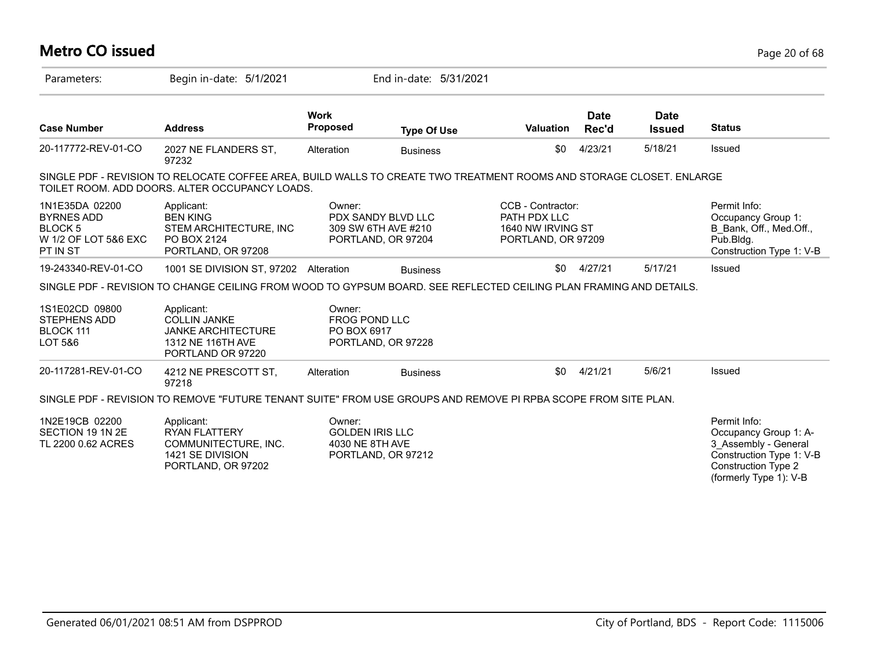| <b>Metro CO issued</b>                                                                   |                                                                                                                                                                        |                                                     |                                                                 |                                                                              |                      |                              | Page 20 of 68                                                                                                                                     |
|------------------------------------------------------------------------------------------|------------------------------------------------------------------------------------------------------------------------------------------------------------------------|-----------------------------------------------------|-----------------------------------------------------------------|------------------------------------------------------------------------------|----------------------|------------------------------|---------------------------------------------------------------------------------------------------------------------------------------------------|
| Parameters:                                                                              | Begin in-date: 5/1/2021                                                                                                                                                |                                                     | End in-date: 5/31/2021                                          |                                                                              |                      |                              |                                                                                                                                                   |
| <b>Case Number</b>                                                                       | <b>Address</b>                                                                                                                                                         | <b>Work</b><br><b>Proposed</b>                      | <b>Type Of Use</b>                                              | <b>Valuation</b>                                                             | <b>Date</b><br>Rec'd | <b>Date</b><br><b>Issued</b> | <b>Status</b>                                                                                                                                     |
| 20-117772-REV-01-CO                                                                      | 2027 NE FLANDERS ST,<br>97232                                                                                                                                          | Alteration                                          | <b>Business</b>                                                 | \$0                                                                          | 4/23/21              | 5/18/21                      | Issued                                                                                                                                            |
|                                                                                          | SINGLE PDF - REVISION TO RELOCATE COFFEE AREA, BUILD WALLS TO CREATE TWO TREATMENT ROOMS AND STORAGE CLOSET. ENLARGE<br>TOILET ROOM. ADD DOORS. ALTER OCCUPANCY LOADS. |                                                     |                                                                 |                                                                              |                      |                              |                                                                                                                                                   |
| 1N1E35DA 02200<br><b>BYRNES ADD</b><br><b>BLOCK5</b><br>W 1/2 OF LOT 5&6 EXC<br>PT IN ST | Applicant:<br><b>BEN KING</b><br>STEM ARCHITECTURE, INC<br>PO BOX 2124<br>PORTLAND, OR 97208                                                                           | Owner:                                              | PDX SANDY BLVD LLC<br>309 SW 6TH AVE #210<br>PORTLAND, OR 97204 | CCB - Contractor:<br>PATH PDX LLC<br>1640 NW IRVING ST<br>PORTLAND, OR 97209 |                      |                              | Permit Info:<br>Occupancy Group 1:<br>B Bank, Off., Med.Off.,<br>Pub.Bldg.<br>Construction Type 1: V-B                                            |
| 19-243340-REV-01-CO                                                                      | 1001 SE DIVISION ST, 97202 Alteration                                                                                                                                  |                                                     | <b>Business</b>                                                 | \$0                                                                          | 4/27/21              | 5/17/21                      | Issued                                                                                                                                            |
|                                                                                          | SINGLE PDF - REVISION TO CHANGE CEILING FROM WOOD TO GYPSUM BOARD. SEE REFLECTED CEILING PLAN FRAMING AND DETAILS.                                                     |                                                     |                                                                 |                                                                              |                      |                              |                                                                                                                                                   |
| 1S1E02CD 09800<br><b>STEPHENS ADD</b><br>BLOCK 111<br>LOT 5&6                            | Applicant:<br><b>COLLIN JANKE</b><br><b>JANKE ARCHITECTURE</b><br>1312 NE 116TH AVE<br>PORTLAND OR 97220                                                               | Owner:<br>FROG POND LLC<br>PO BOX 6917              | PORTLAND, OR 97228                                              |                                                                              |                      |                              |                                                                                                                                                   |
| 20-117281-REV-01-CO                                                                      | 4212 NE PRESCOTT ST,<br>97218                                                                                                                                          | Alteration                                          | <b>Business</b>                                                 | \$0                                                                          | 4/21/21              | 5/6/21                       | Issued                                                                                                                                            |
|                                                                                          | SINGLE PDF - REVISION TO REMOVE "FUTURE TENANT SUITE" FROM USE GROUPS AND REMOVE PI RPBA SCOPE FROM SITE PLAN.                                                         |                                                     |                                                                 |                                                                              |                      |                              |                                                                                                                                                   |
| 1N2E19CB 02200<br>SECTION 19 1N 2E<br>TL 2200 0.62 ACRES                                 | Applicant:<br><b>RYAN FLATTERY</b><br>COMMUNITECTURE, INC.<br>1421 SE DIVISION<br>PORTLAND, OR 97202                                                                   | Owner:<br><b>GOLDEN IRIS LLC</b><br>4030 NE 8TH AVE | PORTLAND, OR 97212                                              |                                                                              |                      |                              | Permit Info:<br>Occupancy Group 1: A-<br>3 Assembly - General<br>Construction Type 1: V-B<br><b>Construction Type 2</b><br>(formerly Type 1): V-B |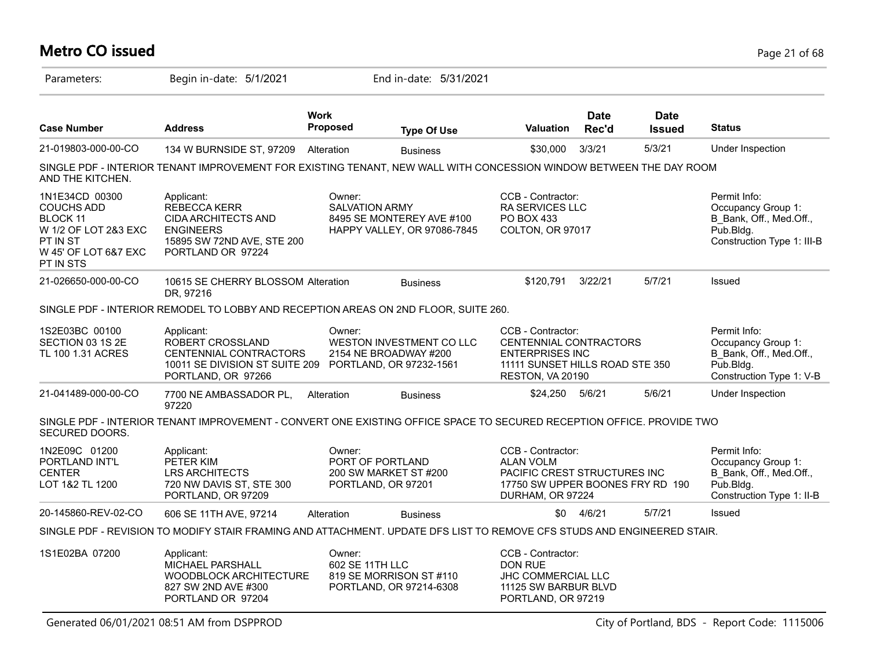# **Metro CO issued** Page 21 of 68

| Parameters:                                                                                                                     | Begin in-date: 5/1/2021                                                                                                                |                                                                                        | End in-date: 5/31/2021                                          |                                                                                                                               |                      |                              |                                                                                                            |
|---------------------------------------------------------------------------------------------------------------------------------|----------------------------------------------------------------------------------------------------------------------------------------|----------------------------------------------------------------------------------------|-----------------------------------------------------------------|-------------------------------------------------------------------------------------------------------------------------------|----------------------|------------------------------|------------------------------------------------------------------------------------------------------------|
| <b>Case Number</b>                                                                                                              | <b>Address</b>                                                                                                                         | <b>Work</b><br>Proposed                                                                | <b>Type Of Use</b>                                              | <b>Valuation</b>                                                                                                              | <b>Date</b><br>Rec'd | <b>Date</b><br><b>Issued</b> | <b>Status</b>                                                                                              |
| 21-019803-000-00-CO                                                                                                             | 134 W BURNSIDE ST, 97209                                                                                                               | Alteration                                                                             | <b>Business</b>                                                 | \$30,000                                                                                                                      | 3/3/21               | 5/3/21                       | Under Inspection                                                                                           |
| AND THE KITCHEN.                                                                                                                | SINGLE PDF - INTERIOR TENANT IMPROVEMENT FOR EXISTING TENANT, NEW WALL WITH CONCESSION WINDOW BETWEEN THE DAY ROOM                     |                                                                                        |                                                                 |                                                                                                                               |                      |                              |                                                                                                            |
| 1N1E34CD 00300<br><b>COUCHS ADD</b><br><b>BLOCK 11</b><br>W 1/2 OF LOT 2&3 EXC<br>PT IN ST<br>W 45' OF LOT 6&7 EXC<br>PT IN STS | Applicant:<br><b>REBECCA KERR</b><br><b>CIDA ARCHITECTS AND</b><br><b>ENGINEERS</b><br>15895 SW 72ND AVE, STE 200<br>PORTLAND OR 97224 | Owner:<br><b>SALVATION ARMY</b>                                                        | 8495 SE MONTEREY AVE #100<br>HAPPY VALLEY, OR 97086-7845        | CCB - Contractor:<br><b>RA SERVICES LLC</b><br>PO BOX 433<br>COLTON, OR 97017                                                 |                      |                              | Permit Info:<br>Occupancy Group 1:<br>B_Bank, Off., Med.Off.,<br>Pub.Bldg.<br>Construction Type 1: III-B   |
| 21-026650-000-00-CO                                                                                                             | 10615 SE CHERRY BLOSSOM Alteration<br>DR, 97216                                                                                        |                                                                                        | <b>Business</b>                                                 | \$120,791                                                                                                                     | 3/22/21              | 5/7/21                       | Issued                                                                                                     |
|                                                                                                                                 | SINGLE PDF - INTERIOR REMODEL TO LOBBY AND RECEPTION AREAS ON 2ND FLOOR, SUITE 260.                                                    |                                                                                        |                                                                 |                                                                                                                               |                      |                              |                                                                                                            |
| 1S2E03BC 00100<br>SECTION 03 1S 2E<br>TL 100 1.31 ACRES                                                                         | Applicant:<br>ROBERT CROSSLAND<br>CENTENNIAL CONTRACTORS<br>10011 SE DIVISION ST SUITE 209<br>PORTLAND, OR 97266                       | Owner:<br>WESTON INVESTMENT CO LLC<br>2154 NE BROADWAY #200<br>PORTLAND, OR 97232-1561 |                                                                 | CCB - Contractor:<br>CENTENNIAL CONTRACTORS<br><b>ENTERPRISES INC</b><br>11111 SUNSET HILLS ROAD STE 350<br>RESTON, VA 20190  |                      |                              | Permit Info:<br>Occupancy Group 1:<br>B Bank, Off., Med.Off.,<br>$P$ ub.Bldg.<br>Construction Type 1: V-B  |
| 21-041489-000-00-CO                                                                                                             | 7700 NE AMBASSADOR PL,<br>97220                                                                                                        | Alteration                                                                             | <b>Business</b>                                                 | \$24,250                                                                                                                      | 5/6/21               | 5/6/21                       | Under Inspection                                                                                           |
| SECURED DOORS.                                                                                                                  | SINGLE PDF - INTERIOR TENANT IMPROVEMENT - CONVERT ONE EXISTING OFFICE SPACE TO SECURED RECEPTION OFFICE. PROVIDE TWO                  |                                                                                        |                                                                 |                                                                                                                               |                      |                              |                                                                                                            |
| 1N2E09C 01200<br>PORTLAND INT'L<br><b>CENTER</b><br>LOT 1&2 TL 1200                                                             | Applicant:<br>PETER KIM<br>LRS ARCHITECTS<br>720 NW DAVIS ST, STE 300<br>PORTLAND, OR 97209                                            | Owner:                                                                                 | PORT OF PORTLAND<br>200 SW MARKET ST #200<br>PORTLAND, OR 97201 | CCB - Contractor:<br><b>ALAN VOLM</b><br>PACIFIC CREST STRUCTURES INC<br>17750 SW UPPER BOONES FRY RD 190<br>DURHAM, OR 97224 |                      |                              | Permit Info:<br>Occupancy Group 1:<br>B Bank, Off., Med.Off.,<br>$P$ ub.Bldg.<br>Construction Type 1: II-B |
| 20-145860-REV-02-CO                                                                                                             | 606 SE 11TH AVE, 97214                                                                                                                 | Alteration                                                                             | <b>Business</b>                                                 | \$0                                                                                                                           | 4/6/21               | 5/7/21                       | Issued                                                                                                     |
|                                                                                                                                 | SINGLE PDF - REVISION TO MODIFY STAIR FRAMING AND ATTACHMENT. UPDATE DFS LIST TO REMOVE CFS STUDS AND ENGINEERED STAIR.                |                                                                                        |                                                                 |                                                                                                                               |                      |                              |                                                                                                            |
| 1S1E02BA 07200                                                                                                                  | Applicant:<br>MICHAEL PARSHALL<br>WOODBLOCK ARCHITECTURE<br>827 SW 2ND AVE #300<br>PORTLAND OR 97204                                   | Owner:<br>602 SE 11TH LLC                                                              | 819 SE MORRISON ST #110<br>PORTLAND, OR 97214-6308              | CCB - Contractor:<br><b>DON RUE</b><br>JHC COMMERCIAL LLC<br>11125 SW BARBUR BLVD<br>PORTLAND, OR 97219                       |                      |                              |                                                                                                            |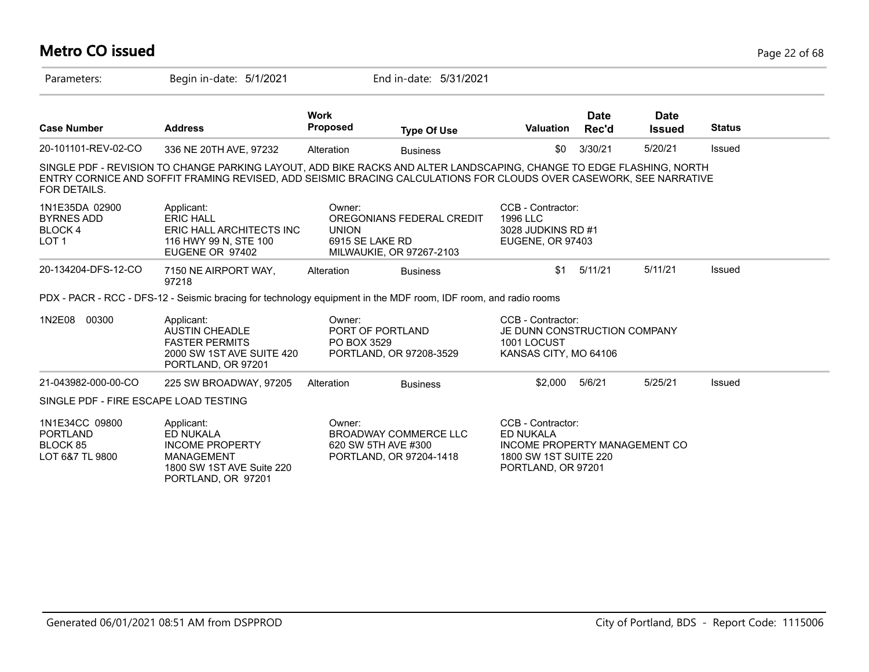### **Metro CO issued** Page 22 of 68 Parameters: Begin in-date: 5/1/2021 End in-date: 5/31/2021 **Work Case Number Address Proposed Type Of Use Valuation Status Date Rec'd Date Issued** 20-101101-REV-02-CO 336 NE 20TH AVE, 97232 Alteration Business \$0 3/30/21 5/20/21 Issued SINGLE PDF - REVISION TO CHANGE PARKING LAYOUT, ADD BIKE RACKS AND ALTER LANDSCAPING, CHANGE TO EDGE FLASHING, NORTH ENTRY CORNICE AND SOFFIT FRAMING REVISED, ADD SEISMIC BRACING CALCULATIONS FOR CLOUDS OVER CASEWORK, SEE NARRATIVE FOR DETAILS. 1N1E35DA 02900 BYRNES ADD BLOCK 4 LOT 1 CCB - Contractor: 1996 LLC 3028 JUDKINS RD #1 EUGENE, OR 97403 Owner: OREGONIANS FEDERAL CREDIT UNION 6915 SE LAKE RD MILWAUKIE, OR 97267-2103 Applicant: ERIC HALL ERIC HALL ARCHITECTS INC 116 HWY 99 N, STE 100 EUGENE OR 97402 20-134204-DFS-12-CO 7150 NE AIRPORT WAY, 97218 Alteration Business 5/11/21 5/11/21 Issued PDX - PACR - RCC - DFS-12 - Seismic bracing for technology equipment in the MDF room, IDF room, and radio rooms 1N2E08 00300 CCB - Contractor: JE DUNN CONSTRUCTION COMPANY 1001 LOCUST KANSAS CITY, MO 64106 Owner: PORT OF PORTLAND PO BOX 3529 PORTLAND, OR 97208-3529 Applicant: AUSTIN CHEADLE FASTER PERMITS 2000 SW 1ST AVE SUITE 420 PORTLAND, OR 97201 21-043982-000-00-CO 225 SW BROADWAY, 97205 Alteration Business \$2,000 5/6/21 5/25/21 Issued SINGLE PDF - FIRE ESCAPE LOAD TESTING 1N1E34CC 09800 PORTLAND BLOCK 85 LOT 6&7 TL 9800 CCB - Contractor: ED NUKALA INCOME PROPERTY MANAGEMENT CO 1800 SW 1ST SUITE 220 PORTLAND, OR 97201 Owner: BROADWAY COMMERCE LLC 620 SW 5TH AVE #300 PORTLAND, OR 97204-1418 Applicant: ED NUKALA INCOME PROPERTY MANAGEMENT 1800 SW 1ST AVE Suite 220 PORTLAND, OR 97201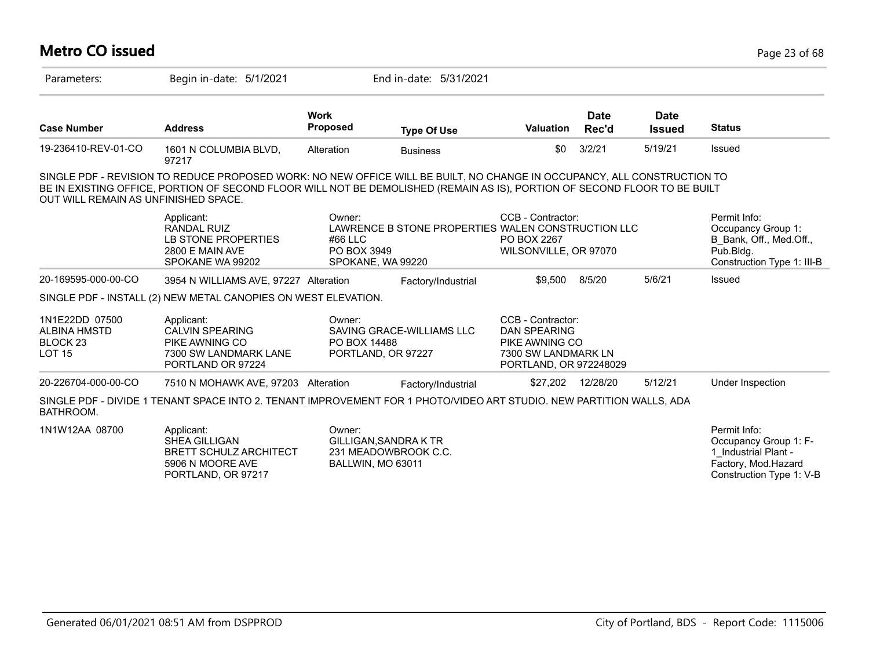| <b>Metro CO issued</b>                                                        |                                                                                                                                                                                                                                                      |                                  |                                                                         |                                                                                                             |                      |                              | Page 23 of 68                                                                                                    |
|-------------------------------------------------------------------------------|------------------------------------------------------------------------------------------------------------------------------------------------------------------------------------------------------------------------------------------------------|----------------------------------|-------------------------------------------------------------------------|-------------------------------------------------------------------------------------------------------------|----------------------|------------------------------|------------------------------------------------------------------------------------------------------------------|
| Parameters:                                                                   | Begin in-date: 5/1/2021                                                                                                                                                                                                                              |                                  | End in-date: 5/31/2021                                                  |                                                                                                             |                      |                              |                                                                                                                  |
| <b>Case Number</b>                                                            | <b>Address</b>                                                                                                                                                                                                                                       | <b>Work</b><br>Proposed          | <b>Type Of Use</b>                                                      | <b>Valuation</b>                                                                                            | <b>Date</b><br>Rec'd | <b>Date</b><br><b>Issued</b> | <b>Status</b>                                                                                                    |
| 19-236410-REV-01-CO                                                           | 1601 N COLUMBIA BLVD,<br>97217                                                                                                                                                                                                                       | Alteration                       | <b>Business</b>                                                         | \$0                                                                                                         | 3/2/21               | 5/19/21                      | Issued                                                                                                           |
| OUT WILL REMAIN AS UNFINISHED SPACE.                                          | SINGLE PDF - REVISION TO REDUCE PROPOSED WORK: NO NEW OFFICE WILL BE BUILT, NO CHANGE IN OCCUPANCY, ALL CONSTRUCTION TO<br>BE IN EXISTING OFFICE, PORTION OF SECOND FLOOR WILL NOT BE DEMOLISHED (REMAIN AS IS), PORTION OF SECOND FLOOR TO BE BUILT |                                  |                                                                         |                                                                                                             |                      |                              |                                                                                                                  |
|                                                                               | Applicant:<br><b>RANDAL RUIZ</b><br>LB STONE PROPERTIES<br>2800 E MAIN AVE<br>SPOKANE WA 99202                                                                                                                                                       | Owner:<br>#66 LLC<br>PO BOX 3949 | LAWRENCE B STONE PROPERTIES WALEN CONSTRUCTION LLC<br>SPOKANE, WA 99220 | CCB - Contractor:<br>PO BOX 2267<br>WILSONVILLE, OR 97070                                                   |                      |                              | Permit Info:<br>Occupancy Group 1:<br>B Bank, Off., Med.Off.,<br>Pub.Bldg.<br>Construction Type 1: III-B         |
| 20-169595-000-00-CO                                                           | 3954 N WILLIAMS AVE, 97227 Alteration                                                                                                                                                                                                                |                                  | Factory/Industrial                                                      | \$9,500                                                                                                     | 8/5/20               | 5/6/21                       | Issued                                                                                                           |
|                                                                               | SINGLE PDF - INSTALL (2) NEW METAL CANOPIES ON WEST ELEVATION.                                                                                                                                                                                       |                                  |                                                                         |                                                                                                             |                      |                              |                                                                                                                  |
| 1N1E22DD 07500<br><b>ALBINA HMSTD</b><br>BLOCK <sub>23</sub><br><b>LOT 15</b> | Applicant:<br><b>CALVIN SPEARING</b><br>PIKE AWNING CO<br>7300 SW LANDMARK LANE<br>PORTLAND OR 97224                                                                                                                                                 | Owner:<br>PO BOX 14488           | SAVING GRACE-WILLIAMS LLC<br>PORTLAND, OR 97227                         | CCB - Contractor:<br><b>DAN SPEARING</b><br>PIKE AWNING CO<br>7300 SW LANDMARK LN<br>PORTLAND, OR 972248029 |                      |                              |                                                                                                                  |
| 20-226704-000-00-CO                                                           | 7510 N MOHAWK AVE, 97203 Alteration                                                                                                                                                                                                                  |                                  | Factory/Industrial                                                      | \$27,202                                                                                                    | 12/28/20             | 5/12/21                      | Under Inspection                                                                                                 |
| BATHROOM.                                                                     | SINGLE PDF - DIVIDE 1 TENANT SPACE INTO 2. TENANT IMPROVEMENT FOR 1 PHOTO/VIDEO ART STUDIO. NEW PARTITION WALLS, ADA                                                                                                                                 |                                  |                                                                         |                                                                                                             |                      |                              |                                                                                                                  |
| 1N1W12AA 08700                                                                | Applicant:<br>SHEA GILLIGAN<br><b>BRETT SCHULZ ARCHITECT</b><br>5906 N MOORE AVE<br>PORTLAND, OR 97217                                                                                                                                               | Owner:                           | GILLIGAN, SANDRA K TR<br>231 MEADOWBROOK C.C.<br>BALLWIN, MO 63011      |                                                                                                             |                      |                              | Permit Info:<br>Occupancy Group 1: F-<br>1 Industrial Plant -<br>Factory, Mod.Hazard<br>Construction Type 1: V-B |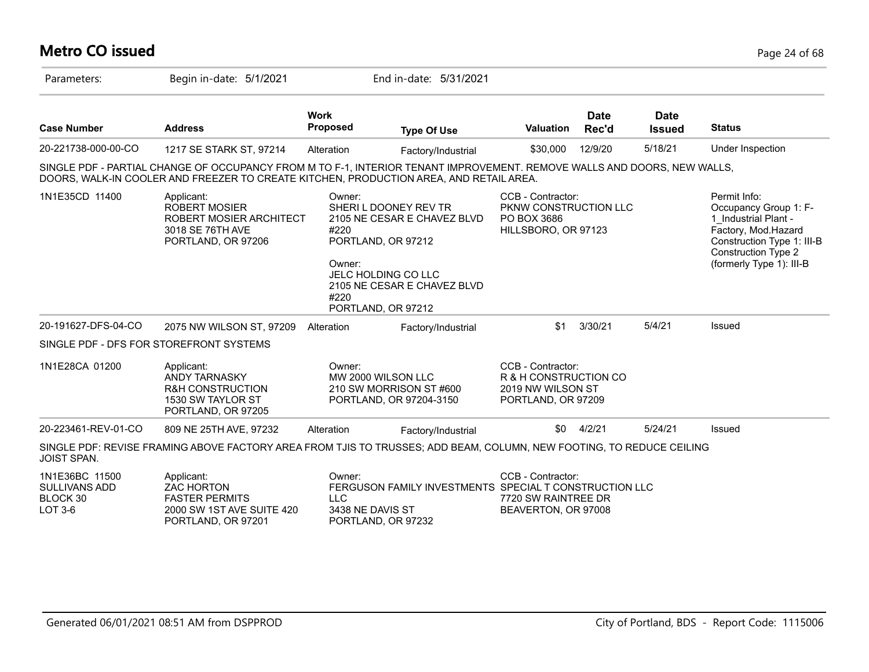## **Metro CO issued** Page 24 of 68

| Parameters:                                            | Begin in-date: 5/1/2021                                                                                                                                                                                           |                                                                                    | End in-date: 5/31/2021                                                                                                                                        |                                                                                       |                      |                              |                                                                                                                                                                              |
|--------------------------------------------------------|-------------------------------------------------------------------------------------------------------------------------------------------------------------------------------------------------------------------|------------------------------------------------------------------------------------|---------------------------------------------------------------------------------------------------------------------------------------------------------------|---------------------------------------------------------------------------------------|----------------------|------------------------------|------------------------------------------------------------------------------------------------------------------------------------------------------------------------------|
| <b>Case Number</b>                                     | <b>Address</b>                                                                                                                                                                                                    | Work<br><b>Proposed</b>                                                            | <b>Type Of Use</b>                                                                                                                                            | <b>Valuation</b>                                                                      | <b>Date</b><br>Rec'd | <b>Date</b><br><b>Issued</b> | <b>Status</b>                                                                                                                                                                |
| 20-221738-000-00-CO                                    | 1217 SE STARK ST, 97214                                                                                                                                                                                           | Alteration                                                                         | Factory/Industrial                                                                                                                                            | \$30,000                                                                              | 12/9/20              | 5/18/21                      | Under Inspection                                                                                                                                                             |
|                                                        | SINGLE PDF - PARTIAL CHANGE OF OCCUPANCY FROM M TO F-1, INTERIOR TENANT IMPROVEMENT. REMOVE WALLS AND DOORS, NEW WALLS,<br>DOORS, WALK-IN COOLER AND FREEZER TO CREATE KITCHEN, PRODUCTION AREA, AND RETAIL AREA. |                                                                                    |                                                                                                                                                               |                                                                                       |                      |                              |                                                                                                                                                                              |
| 1N1E35CD 11400                                         | Applicant:<br><b>ROBERT MOSIER</b><br>ROBERT MOSIER ARCHITECT<br>3018 SE 76TH AVE<br>PORTLAND, OR 97206                                                                                                           | Owner:<br>#220<br>Owner:<br>#220                                                   | SHERI L DOONEY REV TR<br>2105 NE CESAR E CHAVEZ BLVD<br>PORTLAND, OR 97212<br><b>JELC HOLDING CO LLC</b><br>2105 NE CESAR E CHAVEZ BLVD<br>PORTLAND, OR 97212 | CCB - Contractor:<br>PKNW CONSTRUCTION LLC<br>PO BOX 3686<br>HILLSBORO, OR 97123      |                      |                              | Permit Info:<br>Occupancy Group 1: F-<br>1 Industrial Plant -<br>Factory, Mod.Hazard<br>Construction Type 1: III-B<br><b>Construction Type 2</b><br>(formerly Type 1): III-B |
| 20-191627-DFS-04-CO                                    | 2075 NW WILSON ST, 97209                                                                                                                                                                                          | Alteration                                                                         | Factory/Industrial                                                                                                                                            | \$1                                                                                   | 3/30/21              | 5/4/21                       | Issued                                                                                                                                                                       |
|                                                        | SINGLE PDF - DFS FOR STOREFRONT SYSTEMS                                                                                                                                                                           |                                                                                    |                                                                                                                                                               |                                                                                       |                      |                              |                                                                                                                                                                              |
| 1N1E28CA 01200                                         | Applicant:<br><b>ANDY TARNASKY</b><br><b>R&amp;H CONSTRUCTION</b><br>1530 SW TAYLOR ST<br>PORTLAND, OR 97205                                                                                                      | Owner:<br>MW 2000 WILSON LLC<br>210 SW MORRISON ST #600<br>PORTLAND, OR 97204-3150 |                                                                                                                                                               | CCB - Contractor:<br>R & H CONSTRUCTION CO<br>2019 NW WILSON ST<br>PORTLAND, OR 97209 |                      |                              |                                                                                                                                                                              |
| 20-223461-REV-01-CO                                    | 809 NE 25TH AVE, 97232                                                                                                                                                                                            | Alteration                                                                         | Factory/Industrial                                                                                                                                            | \$0                                                                                   | 4/2/21               | 5/24/21                      | Issued                                                                                                                                                                       |
| JOIST SPAN.                                            | SINGLE PDF: REVISE FRAMING ABOVE FACTORY AREA FROM TJIS TO TRUSSES; ADD BEAM, COLUMN, NEW FOOTING, TO REDUCE CEILING                                                                                              |                                                                                    |                                                                                                                                                               |                                                                                       |                      |                              |                                                                                                                                                                              |
| 1N1E36BC 11500<br>SULLIVANS ADD<br>BLOCK 30<br>LOT 3-6 | Applicant:<br><b>ZAC HORTON</b><br><b>FASTER PERMITS</b><br>2000 SW 1ST AVE SUITE 420<br>PORTLAND, OR 97201                                                                                                       | Owner:<br><b>LLC</b><br>3438 NE DAVIS ST                                           | FERGUSON FAMILY INVESTMENTS SPECIAL T CONSTRUCTION LLC<br>PORTLAND, OR 97232                                                                                  | CCB - Contractor:<br>7720 SW RAINTREE DR<br>BEAVERTON, OR 97008                       |                      |                              |                                                                                                                                                                              |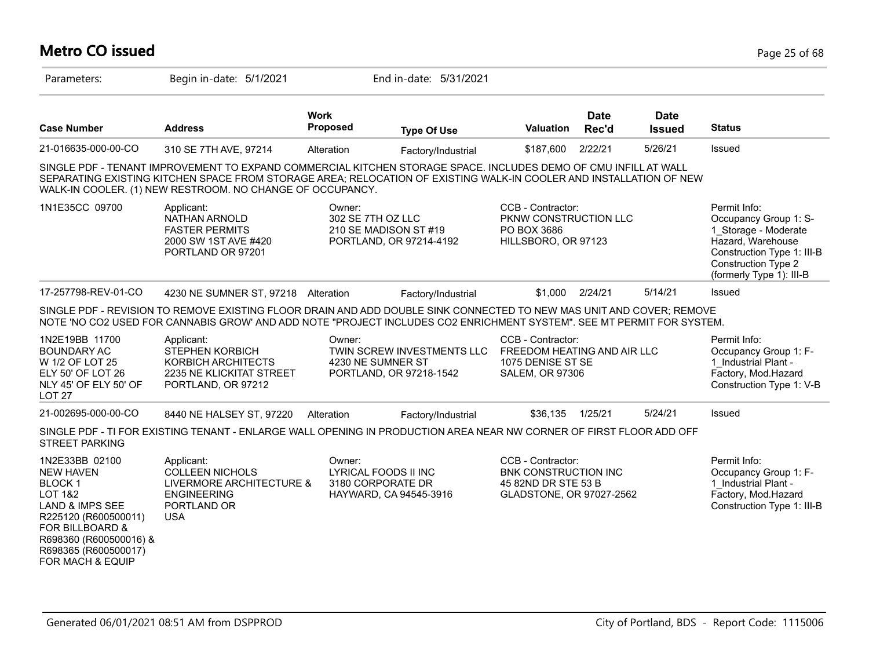# **Metro CO issued** Page 25 of 68

| Parameters:                                                                                                                                                                                                                         | Begin in-date: 5/1/2021                                                                                                                                                                                                                                                                            |                                                                               | End in-date: 5/31/2021                                |                                                                                                     |                      |                              |                                                                                                                                                                     |
|-------------------------------------------------------------------------------------------------------------------------------------------------------------------------------------------------------------------------------------|----------------------------------------------------------------------------------------------------------------------------------------------------------------------------------------------------------------------------------------------------------------------------------------------------|-------------------------------------------------------------------------------|-------------------------------------------------------|-----------------------------------------------------------------------------------------------------|----------------------|------------------------------|---------------------------------------------------------------------------------------------------------------------------------------------------------------------|
| <b>Case Number</b>                                                                                                                                                                                                                  | <b>Address</b>                                                                                                                                                                                                                                                                                     | <b>Work</b><br><b>Proposed</b>                                                | <b>Type Of Use</b>                                    | <b>Valuation</b>                                                                                    | <b>Date</b><br>Rec'd | <b>Date</b><br><b>Issued</b> | <b>Status</b>                                                                                                                                                       |
| 21-016635-000-00-CO                                                                                                                                                                                                                 | 310 SE 7TH AVE, 97214                                                                                                                                                                                                                                                                              | Alteration                                                                    | Factory/Industrial                                    | \$187,600                                                                                           | 2/22/21              | 5/26/21                      | Issued                                                                                                                                                              |
|                                                                                                                                                                                                                                     | SINGLE PDF - TENANT IMPROVEMENT TO EXPAND COMMERCIAL KITCHEN STORAGE SPACE. INCLUDES DEMO OF CMU INFILL AT WALL<br>SEPARATING EXISTING KITCHEN SPACE FROM STORAGE AREA; RELOCATION OF EXISTING WALK-IN COOLER AND INSTALLATION OF NEW<br>WALK-IN COOLER. (1) NEW RESTROOM. NO CHANGE OF OCCUPANCY. |                                                                               |                                                       |                                                                                                     |                      |                              |                                                                                                                                                                     |
| 1N1E35CC 09700                                                                                                                                                                                                                      | Applicant:<br>NATHAN ARNOLD<br><b>FASTER PERMITS</b><br>2000 SW 1ST AVE #420<br>PORTLAND OR 97201                                                                                                                                                                                                  | Owner:<br>302 SE 7TH OZ LLC<br>210 SE MADISON ST #19                          | PORTLAND, OR 97214-4192                               | CCB - Contractor:<br>PKNW CONSTRUCTION LLC<br>PO BOX 3686<br>HILLSBORO, OR 97123                    |                      |                              | Permit Info:<br>Occupancy Group 1: S-<br>1 Storage - Moderate<br>Hazard, Warehouse<br>Construction Type 1: III-B<br>Construction Type 2<br>(formerly Type 1): III-B |
| 17-257798-REV-01-CO                                                                                                                                                                                                                 | 4230 NE SUMNER ST, 97218 Alteration                                                                                                                                                                                                                                                                |                                                                               | Factory/Industrial                                    | \$1,000                                                                                             | 2/24/21              | 5/14/21                      | <b>Issued</b>                                                                                                                                                       |
|                                                                                                                                                                                                                                     | SINGLE PDF - REVISION TO REMOVE EXISTING FLOOR DRAIN AND ADD DOUBLE SINK CONNECTED TO NEW MAS UNIT AND COVER; REMOVE<br>NOTE 'NO CO2 USED FOR CANNABIS GROW' AND ADD NOTE "PROJECT INCLUDES CO2 ENRICHMENT SYSTEM". SEE MT PERMIT FOR SYSTEM.                                                      |                                                                               |                                                       |                                                                                                     |                      |                              |                                                                                                                                                                     |
| 1N2E19BB 11700<br><b>BOUNDARY AC</b><br>W 1/2 OF LOT 25<br>ELY 50' OF LOT 26<br>NLY 45' OF ELY 50' OF<br>LOT <sub>27</sub>                                                                                                          | Applicant:<br><b>STEPHEN KORBICH</b><br>KORBICH ARCHITECTS<br>2235 NE KLICKITAT STREET<br>PORTLAND, OR 97212                                                                                                                                                                                       | Owner:<br>4230 NE SUMNER ST                                                   | TWIN SCREW INVESTMENTS LLC<br>PORTLAND, OR 97218-1542 | CCB - Contractor:<br>FREEDOM HEATING AND AIR LLC<br>1075 DENISE ST SE<br><b>SALEM, OR 97306</b>     |                      |                              | Permit Info:<br>Occupancy Group 1: F-<br>1 Industrial Plant -<br>Factory, Mod.Hazard<br>Construction Type 1: V-B                                                    |
| 21-002695-000-00-CO                                                                                                                                                                                                                 | 8440 NE HALSEY ST, 97220                                                                                                                                                                                                                                                                           | Alteration                                                                    | Factory/Industrial                                    | \$36,135                                                                                            | 1/25/21              | 5/24/21                      | Issued                                                                                                                                                              |
| <b>STREET PARKING</b>                                                                                                                                                                                                               | SINGLE PDF - TI FOR EXISTING TENANT - ENLARGE WALL OPENING IN PRODUCTION AREA NEAR NW CORNER OF FIRST FLOOR ADD OFF                                                                                                                                                                                |                                                                               |                                                       |                                                                                                     |                      |                              |                                                                                                                                                                     |
| 1N2E33BB 02100<br><b>NEW HAVEN</b><br><b>BLOCK1</b><br><b>LOT 1&amp;2</b><br><b>LAND &amp; IMPS SEE</b><br>R225120 (R600500011)<br><b>FOR BILLBOARD &amp;</b><br>R698360 (R600500016) &<br>R698365 (R600500017)<br>FOR MACH & EQUIP | Applicant:<br><b>COLLEEN NICHOLS</b><br>LIVERMORE ARCHITECTURE &<br><b>ENGINEERING</b><br>PORTLAND OR<br><b>USA</b>                                                                                                                                                                                | Owner:<br>LYRICAL FOODS II INC<br>3180 CORPORATE DR<br>HAYWARD, CA 94545-3916 |                                                       | CCB - Contractor:<br><b>BNK CONSTRUCTION INC</b><br>45 82ND DR STE 53 B<br>GLADSTONE, OR 97027-2562 |                      |                              | Permit Info:<br>Occupancy Group 1: F-<br>1 Industrial Plant -<br>Factory, Mod.Hazard<br>Construction Type 1: III-B                                                  |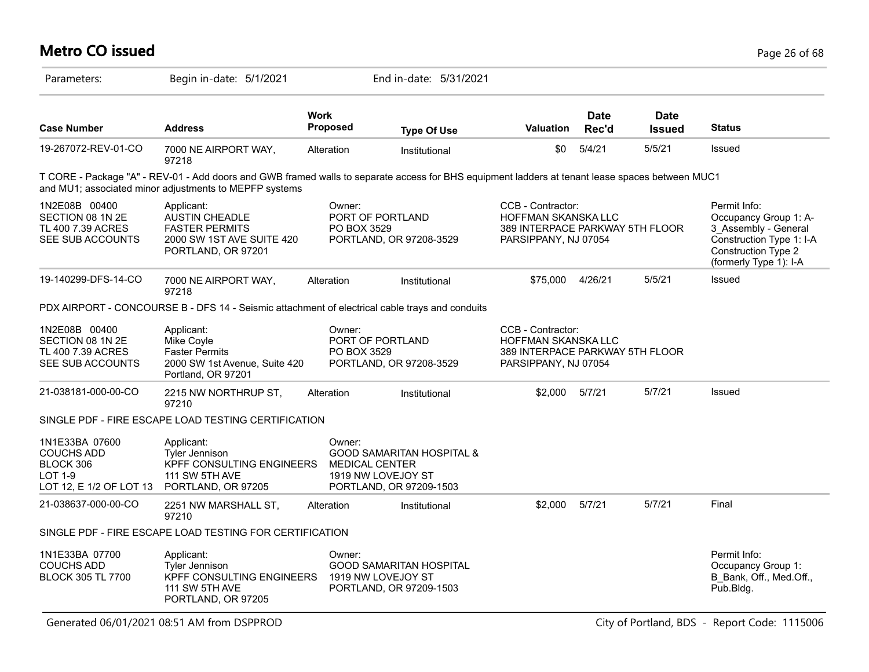| <b>Metro CO issued</b>                                                                 |                                                                                                                                                                                                           |                                 |                                                                                       |                                                                                                            |                      |                              | Page 26 of 68                                                                                                                              |
|----------------------------------------------------------------------------------------|-----------------------------------------------------------------------------------------------------------------------------------------------------------------------------------------------------------|---------------------------------|---------------------------------------------------------------------------------------|------------------------------------------------------------------------------------------------------------|----------------------|------------------------------|--------------------------------------------------------------------------------------------------------------------------------------------|
| Parameters:                                                                            | Begin in-date: 5/1/2021                                                                                                                                                                                   |                                 | End in-date: 5/31/2021                                                                |                                                                                                            |                      |                              |                                                                                                                                            |
| <b>Case Number</b>                                                                     | <b>Address</b>                                                                                                                                                                                            | <b>Work</b><br><b>Proposed</b>  | <b>Type Of Use</b>                                                                    | <b>Valuation</b>                                                                                           | <b>Date</b><br>Rec'd | <b>Date</b><br><b>Issued</b> | <b>Status</b>                                                                                                                              |
| 19-267072-REV-01-CO                                                                    | 7000 NE AIRPORT WAY,<br>97218                                                                                                                                                                             | Alteration                      | Institutional                                                                         | \$0                                                                                                        | 5/4/21               | 5/5/21                       | Issued                                                                                                                                     |
|                                                                                        | T CORE - Package "A" - REV-01 - Add doors and GWB framed walls to separate access for BHS equipment ladders at tenant lease spaces between MUC1<br>and MU1; associated minor adjustments to MEPFP systems |                                 |                                                                                       |                                                                                                            |                      |                              |                                                                                                                                            |
| 1N2E08B 00400<br>SECTION 08 1N 2E<br>TL 400 7.39 ACRES<br>SEE SUB ACCOUNTS             | Applicant:<br><b>AUSTIN CHEADLE</b><br><b>FASTER PERMITS</b><br>2000 SW 1ST AVE SUITE 420<br>PORTLAND, OR 97201                                                                                           | Owner:<br>PO BOX 3529           | PORT OF PORTLAND<br>PORTLAND, OR 97208-3529                                           | CCB - Contractor:<br><b>HOFFMAN SKANSKA LLC</b><br>389 INTERPACE PARKWAY 5TH FLOOR<br>PARSIPPANY, NJ 07054 |                      |                              | Permit Info:<br>Occupancy Group 1: A-<br>3 Assembly - General<br>Construction Type 1: I-A<br>Construction Type 2<br>(formerly Type 1): I-A |
| 19-140299-DFS-14-CO                                                                    | 7000 NE AIRPORT WAY,<br>97218                                                                                                                                                                             | Alteration                      | Institutional                                                                         | \$75,000                                                                                                   | 4/26/21              | 5/5/21                       | Issued                                                                                                                                     |
|                                                                                        | PDX AIRPORT - CONCOURSE B - DFS 14 - Seismic attachment of electrical cable trays and conduits                                                                                                            |                                 |                                                                                       |                                                                                                            |                      |                              |                                                                                                                                            |
| 1N2E08B 00400<br>SECTION 08 1N 2E<br>TL 400 7.39 ACRES<br>SEE SUB ACCOUNTS             | Applicant:<br>Mike Coyle<br><b>Faster Permits</b><br>2000 SW 1st Avenue, Suite 420<br>Portland, OR 97201                                                                                                  | Owner:<br>PO BOX 3529           | PORT OF PORTLAND<br>PORTLAND, OR 97208-3529                                           | CCB - Contractor:<br><b>HOFFMAN SKANSKA LLC</b><br>389 INTERPACE PARKWAY 5TH FLOOR<br>PARSIPPANY, NJ 07054 |                      |                              |                                                                                                                                            |
| 21-038181-000-00-CO                                                                    | 2215 NW NORTHRUP ST,<br>97210                                                                                                                                                                             | Alteration                      | Institutional                                                                         | \$2.000                                                                                                    | 5/7/21               | 5/7/21                       | Issued                                                                                                                                     |
|                                                                                        | SINGLE PDF - FIRE ESCAPE LOAD TESTING CERTIFICATION                                                                                                                                                       |                                 |                                                                                       |                                                                                                            |                      |                              |                                                                                                                                            |
| 1N1E33BA 07600<br><b>COUCHS ADD</b><br>BLOCK 306<br>LOT 1-9<br>LOT 12, E 1/2 OF LOT 13 | Applicant:<br><b>Tyler Jennison</b><br>KPFF CONSULTING ENGINEERS<br><b>111 SW 5TH AVE</b><br>PORTLAND, OR 97205                                                                                           | Owner:<br><b>MEDICAL CENTER</b> | <b>GOOD SAMARITAN HOSPITAL &amp;</b><br>1919 NW LOVEJOY ST<br>PORTLAND, OR 97209-1503 |                                                                                                            |                      |                              |                                                                                                                                            |
| 21-038637-000-00-CO                                                                    | 2251 NW MARSHALL ST,<br>97210                                                                                                                                                                             | Alteration                      | Institutional                                                                         | \$2,000                                                                                                    | 5/7/21               | 5/7/21                       | Final                                                                                                                                      |
|                                                                                        | SINGLE PDF - FIRE ESCAPE LOAD TESTING FOR CERTIFICATION                                                                                                                                                   |                                 |                                                                                       |                                                                                                            |                      |                              |                                                                                                                                            |
| 1N1E33BA 07700<br><b>COUCHS ADD</b><br><b>BLOCK 305 TL 7700</b>                        | Applicant:<br>Tyler Jennison<br>KPFF CONSULTING ENGINEERS<br>111 SW 5TH AVE<br>PORTLAND, OR 97205                                                                                                         | Owner:                          | <b>GOOD SAMARITAN HOSPITAL</b><br>1919 NW LOVEJOY ST<br>PORTLAND, OR 97209-1503       |                                                                                                            |                      |                              | Permit Info:<br>Occupancy Group 1:<br>B Bank, Off., Med.Off.,<br>Pub.Bldg.                                                                 |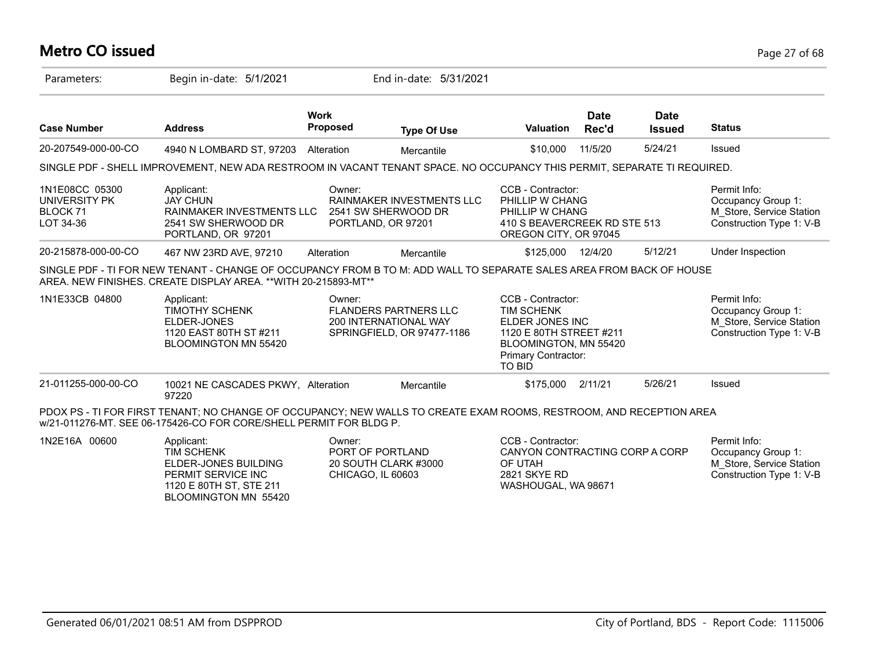## **Metro CO issued** Page 27 of 68

| Parameters:                                              | Begin in-date: 5/1/2021                                                                                                                                                                   |                                | End in-date: 5/31/2021                                                              |                                                                                                                                                       |                      |                              |                                                                                            |
|----------------------------------------------------------|-------------------------------------------------------------------------------------------------------------------------------------------------------------------------------------------|--------------------------------|-------------------------------------------------------------------------------------|-------------------------------------------------------------------------------------------------------------------------------------------------------|----------------------|------------------------------|--------------------------------------------------------------------------------------------|
| <b>Case Number</b>                                       | <b>Address</b>                                                                                                                                                                            | <b>Work</b><br><b>Proposed</b> | <b>Type Of Use</b>                                                                  | <b>Valuation</b>                                                                                                                                      | <b>Date</b><br>Rec'd | <b>Date</b><br><b>Issued</b> | <b>Status</b>                                                                              |
| 20-207549-000-00-CO                                      | 4940 N LOMBARD ST, 97203                                                                                                                                                                  | Alteration                     | Mercantile                                                                          | \$10,000                                                                                                                                              | 11/5/20              | 5/24/21                      | Issued                                                                                     |
|                                                          | SINGLE PDF - SHELL IMPROVEMENT, NEW ADA RESTROOM IN VACANT TENANT SPACE. NO OCCUPANCY THIS PERMIT, SEPARATE TI REQUIRED.                                                                  |                                |                                                                                     |                                                                                                                                                       |                      |                              |                                                                                            |
| 1N1E08CC 05300<br>UNIVERSITY PK<br>BLOCK 71<br>LOT 34-36 | Applicant:<br><b>JAY CHUN</b><br>RAINMAKER INVESTMENTS LLC<br>2541 SW SHERWOOD DR<br>PORTLAND, OR 97201                                                                                   | Owner:                         | RAINMAKER INVESTMENTS LLC<br>2541 SW SHERWOOD DR<br>PORTLAND, OR 97201              | CCB - Contractor:<br>PHILLIP W CHANG<br>PHILLIP W CHANG<br>410 S BEAVERCREEK RD STE 513<br>OREGON CITY, OR 97045                                      |                      |                              | Permit Info:<br>Occupancy Group 1:<br>M Store, Service Station<br>Construction Type 1: V-B |
| 20-215878-000-00-CO                                      | 467 NW 23RD AVE, 97210                                                                                                                                                                    | Alteration                     | Mercantile                                                                          | \$125,000                                                                                                                                             | 12/4/20              | 5/12/21                      | Under Inspection                                                                           |
|                                                          | SINGLE PDF - TI FOR NEW TENANT - CHANGE OF OCCUPANCY FROM B TO M: ADD WALL TO SEPARATE SALES AREA FROM BACK OF HOUSE<br>AREA. NEW FINISHES. CREATE DISPLAY AREA. ** WITH 20-215893-MT**   |                                |                                                                                     |                                                                                                                                                       |                      |                              |                                                                                            |
| 1N1E33CB 04800                                           | Applicant:<br><b>TIMOTHY SCHENK</b><br>ELDER-JONES<br>1120 EAST 80TH ST #211<br>BLOOMINGTON MN 55420                                                                                      | Owner:                         | <b>FLANDERS PARTNERS LLC</b><br>200 INTERNATIONAL WAY<br>SPRINGFIELD, OR 97477-1186 | CCB - Contractor:<br><b>TIM SCHENK</b><br>ELDER JONES INC<br>1120 E 80TH STREET #211<br>BLOOMINGTON, MN 55420<br>Primary Contractor:<br><b>TO BID</b> |                      |                              | Permit Info:<br>Occupancy Group 1:<br>M_Store, Service Station<br>Construction Type 1: V-B |
| 21-011255-000-00-CO                                      | 10021 NE CASCADES PKWY, Alteration<br>97220                                                                                                                                               |                                | Mercantile                                                                          | \$175.000                                                                                                                                             | 2/11/21              | 5/26/21                      | Issued                                                                                     |
|                                                          | PDOX PS - TI FOR FIRST TENANT; NO CHANGE OF OCCUPANCY; NEW WALLS TO CREATE EXAM ROOMS, RESTROOM, AND RECEPTION AREA<br>w/21-011276-MT. SEE 06-175426-CO FOR CORE/SHELL PERMIT FOR BLDG P. |                                |                                                                                     |                                                                                                                                                       |                      |                              |                                                                                            |
| 1N2E16A 00600                                            | Applicant:<br><b>TIM SCHENK</b><br>ELDER-JONES BUILDING<br>PERMIT SERVICE INC<br>1120 E 80TH ST, STE 211                                                                                  | Owner:<br>CHICAGO, IL 60603    | PORT OF PORTLAND<br>20 SOUTH CLARK #3000                                            | CCB - Contractor:<br>CANYON CONTRACTING CORP A CORP<br>OF UTAH<br>2821 SKYE RD<br>WASHOUGAL, WA 98671                                                 |                      |                              | Permit Info:<br>Occupancy Group 1:<br>M_Store, Service Station<br>Construction Type 1: V-B |

BLOOMINGTON MN 55420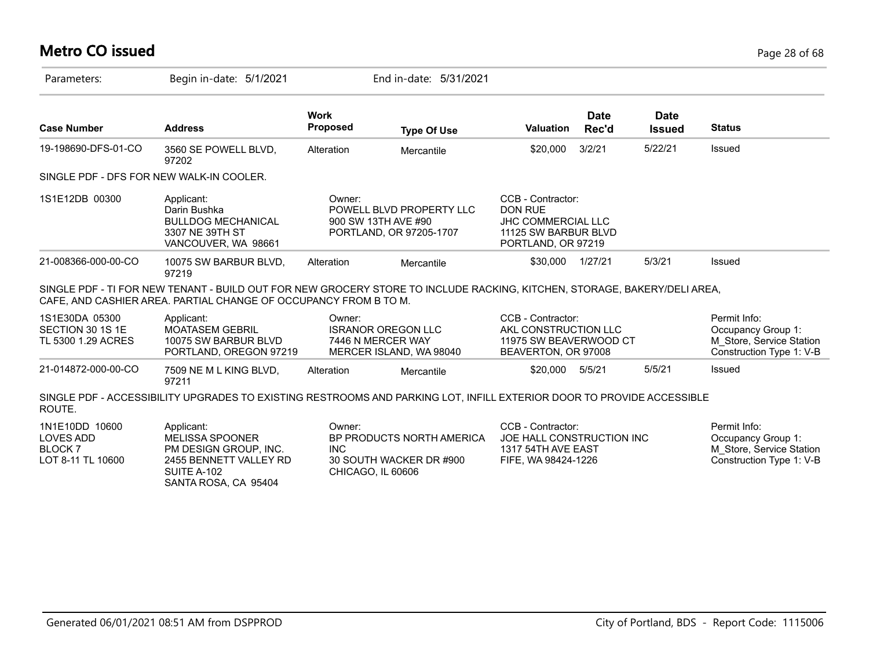# **Metro CO issued** Page 28 of 68

| Parameters:                                                                   | Begin in-date: 5/1/2021                                                                                                                                                                      |                                           | End in-date: 5/31/2021                                                     |                                                                                                                |                      |                              |                                                                                            |
|-------------------------------------------------------------------------------|----------------------------------------------------------------------------------------------------------------------------------------------------------------------------------------------|-------------------------------------------|----------------------------------------------------------------------------|----------------------------------------------------------------------------------------------------------------|----------------------|------------------------------|--------------------------------------------------------------------------------------------|
| <b>Case Number</b>                                                            | <b>Address</b>                                                                                                                                                                               | <b>Work</b><br><b>Proposed</b>            | <b>Type Of Use</b>                                                         | <b>Valuation</b>                                                                                               | <b>Date</b><br>Rec'd | <b>Date</b><br><b>Issued</b> | <b>Status</b>                                                                              |
| 19-198690-DFS-01-CO                                                           | 3560 SE POWELL BLVD,<br>97202                                                                                                                                                                | Alteration                                | Mercantile                                                                 | \$20,000                                                                                                       | 3/2/21               | 5/22/21                      | Issued                                                                                     |
|                                                                               | SINGLE PDF - DFS FOR NEW WALK-IN COOLER.                                                                                                                                                     |                                           |                                                                            |                                                                                                                |                      |                              |                                                                                            |
| 1S1E12DB 00300                                                                | Applicant:<br>Darin Bushka<br><b>BULLDOG MECHANICAL</b><br>3307 NE 39TH ST<br>VANCOUVER, WA 98661                                                                                            | Owner:                                    | POWELL BLVD PROPERTY LLC<br>900 SW 13TH AVE #90<br>PORTLAND, OR 97205-1707 | CCB - Contractor:<br><b>DON RUE</b><br><b>JHC COMMERCIAL LLC</b><br>11125 SW BARBUR BLVD<br>PORTLAND, OR 97219 |                      |                              |                                                                                            |
| 21-008366-000-00-CO                                                           | 10075 SW BARBUR BLVD,<br>97219                                                                                                                                                               | Alteration                                | Mercantile                                                                 | \$30,000 1/27/21                                                                                               |                      | 5/3/21                       | Issued                                                                                     |
|                                                                               | SINGLE PDF - TI FOR NEW TENANT - BUILD OUT FOR NEW GROCERY STORE TO INCLUDE RACKING, KITCHEN, STORAGE, BAKERY/DELI AREA,<br>CAFE, AND CASHIER AREA. PARTIAL CHANGE OF OCCUPANCY FROM B TO M. |                                           |                                                                            |                                                                                                                |                      |                              |                                                                                            |
| 1S1E30DA 05300<br>SECTION 30 1S 1E<br>TL 5300 1.29 ACRES                      | Applicant:<br><b>MOATASEM GEBRIL</b><br>10075 SW BARBUR BLVD<br>PORTLAND, OREGON 97219                                                                                                       | Owner:                                    | <b>ISRANOR OREGON LLC</b><br>7446 N MERCER WAY<br>MERCER ISLAND, WA 98040  | CCB - Contractor:<br>AKL CONSTRUCTION LLC<br>11975 SW BEAVERWOOD CT<br>BEAVERTON, OR 97008                     |                      |                              | Permit Info:<br>Occupancy Group 1:<br>M_Store, Service Station<br>Construction Type 1: V-B |
| 21-014872-000-00-CO                                                           | 7509 NE M L KING BLVD,<br>97211                                                                                                                                                              | Alteration                                | Mercantile                                                                 | \$20,000                                                                                                       | 5/5/21               | 5/5/21                       | Issued                                                                                     |
| ROUTE.                                                                        | SINGLE PDF - ACCESSIBILITY UPGRADES TO EXISTING RESTROOMS AND PARKING LOT, INFILL EXTERIOR DOOR TO PROVIDE ACCESSIBLE                                                                        |                                           |                                                                            |                                                                                                                |                      |                              |                                                                                            |
| 1N1E10DD 10600<br><b>LOVES ADD</b><br>BLOCK <sub>7</sub><br>LOT 8-11 TL 10600 | Applicant:<br><b>MELISSA SPOONER</b><br>PM DESIGN GROUP, INC.<br>2455 BENNETT VALLEY RD<br>SUITE A-102<br>SANTA ROSA, CA 95404                                                               | Owner:<br><b>INC</b><br>CHICAGO, IL 60606 | BP PRODUCTS NORTH AMERICA<br>30 SOUTH WACKER DR #900                       | CCB - Contractor:<br>JOE HALL CONSTRUCTION INC<br>1317 54TH AVE EAST<br>FIFE, WA 98424-1226                    |                      |                              | Permit Info:<br>Occupancy Group 1:<br>M Store, Service Station<br>Construction Type 1: V-B |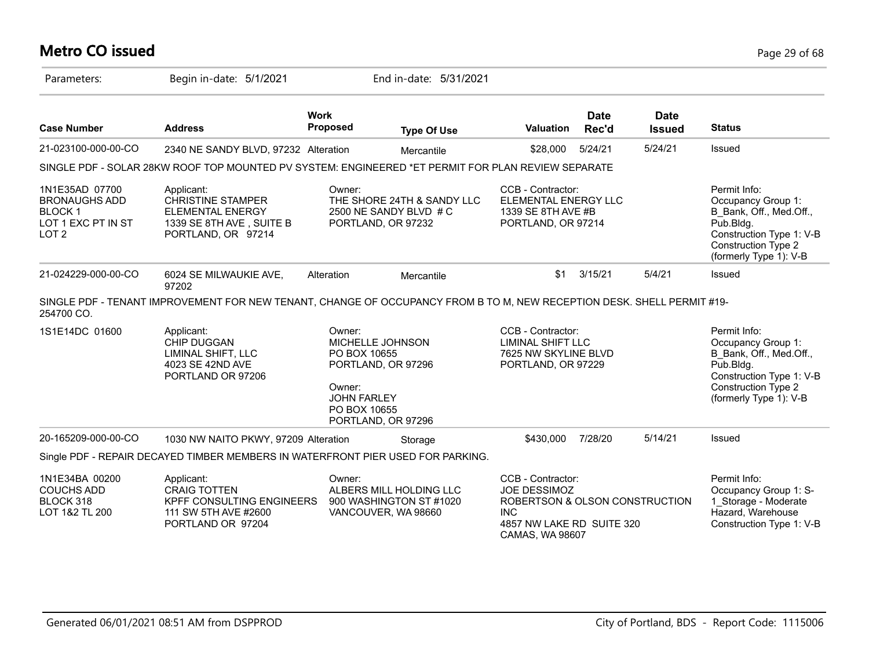# **Metro CO issued** Page 29 of 68

| Parameters:                                                                                       | Begin in-date: 5/1/2021                                                                                                |                                                                        | End in-date: 5/31/2021                                                     |                                                                                                                                          |                      |                              |                                                                                                                                                                   |
|---------------------------------------------------------------------------------------------------|------------------------------------------------------------------------------------------------------------------------|------------------------------------------------------------------------|----------------------------------------------------------------------------|------------------------------------------------------------------------------------------------------------------------------------------|----------------------|------------------------------|-------------------------------------------------------------------------------------------------------------------------------------------------------------------|
| <b>Case Number</b>                                                                                | <b>Address</b>                                                                                                         | <b>Work</b><br><b>Proposed</b>                                         | <b>Type Of Use</b>                                                         | <b>Valuation</b>                                                                                                                         | <b>Date</b><br>Rec'd | <b>Date</b><br><b>Issued</b> | <b>Status</b>                                                                                                                                                     |
| 21-023100-000-00-CO                                                                               | 2340 NE SANDY BLVD, 97232 Alteration                                                                                   |                                                                        | Mercantile                                                                 | \$28,000                                                                                                                                 | 5/24/21              | 5/24/21                      | Issued                                                                                                                                                            |
|                                                                                                   | SINGLE PDF - SOLAR 28KW ROOF TOP MOUNTED PV SYSTEM: ENGINEERED *ET PERMIT FOR PLAN REVIEW SEPARATE                     |                                                                        |                                                                            |                                                                                                                                          |                      |                              |                                                                                                                                                                   |
| 1N1E35AD 07700<br><b>BRONAUGHS ADD</b><br><b>BLOCK1</b><br>LOT 1 EXC PT IN ST<br>LOT <sub>2</sub> | Applicant:<br><b>CHRISTINE STAMPER</b><br><b>ELEMENTAL ENERGY</b><br>1339 SE 8TH AVE, SUITE B<br>PORTLAND, OR 97214    | Owner:                                                                 | THE SHORE 24TH & SANDY LLC<br>2500 NE SANDY BLVD # C<br>PORTLAND, OR 97232 | CCB - Contractor:<br>ELEMENTAL ENERGY LLC<br>1339 SE 8TH AVE #B<br>PORTLAND, OR 97214                                                    |                      |                              | Permit Info:<br>Occupancy Group 1:<br>B Bank, Off., Med.Off.,<br>Pub.Bldg.<br>Construction Type 1: V-B<br>Construction Type 2<br>(formerly Type 1): V-B           |
| 21-024229-000-00-CO                                                                               | 6024 SE MILWAUKIE AVE,<br>97202                                                                                        | Alteration                                                             | Mercantile                                                                 | \$1                                                                                                                                      | 3/15/21              | 5/4/21                       | Issued                                                                                                                                                            |
| 254700 CO.                                                                                        | SINGLE PDF - TENANT IMPROVEMENT FOR NEW TENANT, CHANGE OF OCCUPANCY FROM B TO M, NEW RECEPTION DESK. SHELL PERMIT #19- |                                                                        |                                                                            |                                                                                                                                          |                      |                              |                                                                                                                                                                   |
| 1S1E14DC 01600                                                                                    | Applicant:<br><b>CHIP DUGGAN</b><br>LIMINAL SHIFT, LLC<br>4023 SE 42ND AVE<br>PORTLAND OR 97206                        | Owner:<br>PO BOX 10655<br>Owner:<br><b>JOHN FARLEY</b><br>PO BOX 10655 | MICHELLE JOHNSON<br>PORTLAND, OR 97296<br>PORTLAND, OR 97296               | CCB - Contractor:<br><b>LIMINAL SHIFT LLC</b><br>7625 NW SKYLINE BLVD<br>PORTLAND, OR 97229                                              |                      |                              | Permit Info:<br>Occupancy Group 1:<br>B Bank, Off., Med.Off.,<br>$P$ ub.Bldg.<br>Construction Type 1: V-B<br><b>Construction Type 2</b><br>(formerly Type 1): V-B |
| 20-165209-000-00-CO                                                                               | 1030 NW NAITO PKWY, 97209 Alteration                                                                                   |                                                                        | Storage                                                                    | \$430,000                                                                                                                                | 7/28/20              | 5/14/21                      | Issued                                                                                                                                                            |
|                                                                                                   | Single PDF - REPAIR DECAYED TIMBER MEMBERS IN WATERFRONT PIER USED FOR PARKING.                                        |                                                                        |                                                                            |                                                                                                                                          |                      |                              |                                                                                                                                                                   |
| 1N1E34BA 00200<br><b>COUCHS ADD</b><br>BLOCK 318<br>LOT 1&2 TL 200                                | Applicant:<br><b>CRAIG TOTTEN</b><br>KPFF CONSULTING ENGINEERS<br>111 SW 5TH AVE #2600<br>PORTLAND OR 97204            | Owner:                                                                 | ALBERS MILL HOLDING LLC<br>900 WASHINGTON ST #1020<br>VANCOUVER, WA 98660  | CCB - Contractor:<br><b>JOE DESSIMOZ</b><br>ROBERTSON & OLSON CONSTRUCTION<br><b>INC</b><br>4857 NW LAKE RD SUITE 320<br>CAMAS, WA 98607 |                      |                              | Permit Info:<br>Occupancy Group 1: S-<br>1 Storage - Moderate<br>Hazard, Warehouse<br>Construction Type 1: V-B                                                    |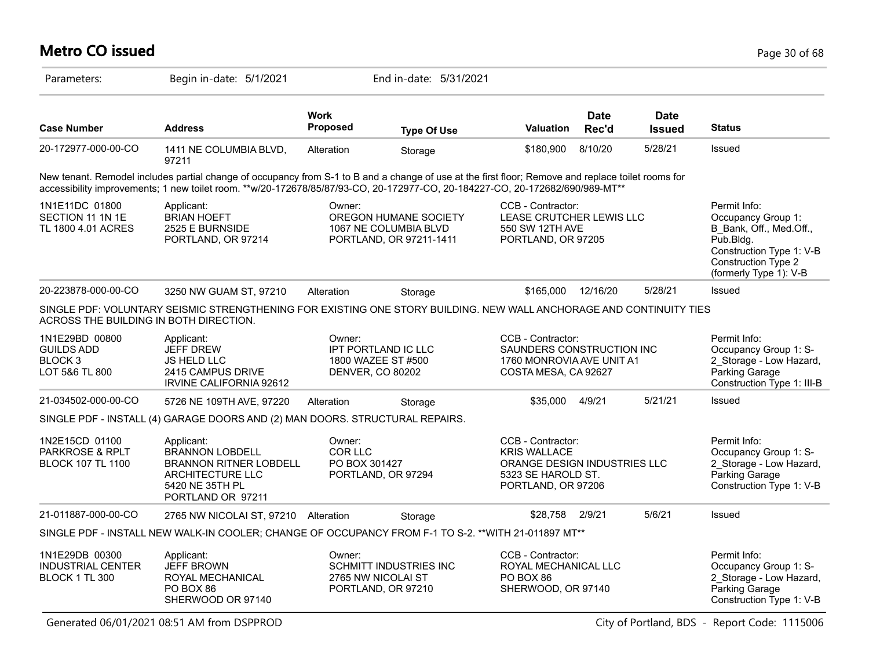## **Metro CO issued** Page 30 of 68

| Parameters:                                                                 | Begin in-date: 5/1/2021                                                                                                                                                                                                                                                            |                                    | End in-date: 5/31/2021                                                    |                                                                                                                      |                      |                              |                                                                                                                                                            |
|-----------------------------------------------------------------------------|------------------------------------------------------------------------------------------------------------------------------------------------------------------------------------------------------------------------------------------------------------------------------------|------------------------------------|---------------------------------------------------------------------------|----------------------------------------------------------------------------------------------------------------------|----------------------|------------------------------|------------------------------------------------------------------------------------------------------------------------------------------------------------|
| <b>Case Number</b>                                                          | <b>Address</b>                                                                                                                                                                                                                                                                     | <b>Work</b><br>Proposed            | <b>Type Of Use</b>                                                        | <b>Valuation</b>                                                                                                     | <b>Date</b><br>Rec'd | <b>Date</b><br><b>Issued</b> | <b>Status</b>                                                                                                                                              |
| 20-172977-000-00-CO                                                         | 1411 NE COLUMBIA BLVD,<br>97211                                                                                                                                                                                                                                                    | Alteration                         | Storage                                                                   | \$180,900                                                                                                            | 8/10/20              | 5/28/21                      | Issued                                                                                                                                                     |
|                                                                             | New tenant. Remodel includes partial change of occupancy from S-1 to B and a change of use at the first floor; Remove and replace toilet rooms for<br>accessibility improvements; 1 new toilet room. **w/20-172678/85/87/93-CO, 20-172977-CO, 20-184227-CO, 20-172682/690/989-MT** |                                    |                                                                           |                                                                                                                      |                      |                              |                                                                                                                                                            |
| 1N1E11DC 01800<br>SECTION 11 1N 1E<br>TL 1800 4.01 ACRES                    | Applicant:<br><b>BRIAN HOEFT</b><br>2525 E BURNSIDE<br>PORTLAND, OR 97214                                                                                                                                                                                                          | Owner:                             | OREGON HUMANE SOCIETY<br>1067 NE COLUMBIA BLVD<br>PORTLAND, OR 97211-1411 | CCB - Contractor:<br>LEASE CRUTCHER LEWIS LLC<br>550 SW 12TH AVE<br>PORTLAND, OR 97205                               |                      |                              | Permit Info:<br>Occupancy Group 1:<br>B Bank, Off., Med.Off.,<br>$P$ ub.Bldg.<br>Construction Type 1: V-B<br>Construction Type 2<br>(formerly Type 1): V-B |
| 20-223878-000-00-CO                                                         | 3250 NW GUAM ST, 97210                                                                                                                                                                                                                                                             | Alteration                         | Storage                                                                   | \$165,000                                                                                                            | 12/16/20             | 5/28/21                      | Issued                                                                                                                                                     |
| ACROSS THE BUILDING IN BOTH DIRECTION.                                      | SINGLE PDF: VOLUNTARY SEISMIC STRENGTHENING FOR EXISTING ONE STORY BUILDING. NEW WALL ANCHORAGE AND CONTINUITY TIES                                                                                                                                                                |                                    |                                                                           |                                                                                                                      |                      |                              |                                                                                                                                                            |
| 1N1E29BD 00800<br><b>GUILDS ADD</b><br>BLOCK <sub>3</sub><br>LOT 5&6 TL 800 | Applicant:<br><b>JEFF DREW</b><br><b>JS HELD LLC</b><br>2415 CAMPUS DRIVE<br>IRVINE CALIFORNIA 92612                                                                                                                                                                               | Owner:                             | IPT PORTLAND IC LLC<br>1800 WAZEE ST #500<br>DENVER, CO 80202             | CCB - Contractor:<br>SAUNDERS CONSTRUCTION INC<br>1760 MONROVIA AVE UNIT A1<br>COSTA MESA, CA 92627                  |                      |                              | Permit Info:<br>Occupancy Group 1: S-<br>2_Storage - Low Hazard,<br>Parking Garage<br>Construction Type 1: III-B                                           |
| 21-034502-000-00-CO                                                         | 5726 NE 109TH AVE, 97220                                                                                                                                                                                                                                                           | Alteration                         | Storage                                                                   | \$35,000                                                                                                             | 4/9/21               | 5/21/21                      | Issued                                                                                                                                                     |
|                                                                             | SINGLE PDF - INSTALL (4) GARAGE DOORS AND (2) MAN DOORS. STRUCTURAL REPAIRS.                                                                                                                                                                                                       |                                    |                                                                           |                                                                                                                      |                      |                              |                                                                                                                                                            |
| 1N2E15CD 01100<br><b>PARKROSE &amp; RPLT</b><br><b>BLOCK 107 TL 1100</b>    | Applicant:<br><b>BRANNON LOBDELL</b><br><b>BRANNON RITNER LOBDELL</b><br>ARCHITECTURE LLC<br>5420 NE 35TH PL<br>PORTLAND OR 97211                                                                                                                                                  | Owner:<br>COR LLC<br>PO BOX 301427 | PORTLAND, OR 97294                                                        | CCB - Contractor:<br><b>KRIS WALLACE</b><br>ORANGE DESIGN INDUSTRIES LLC<br>5323 SE HAROLD ST.<br>PORTLAND, OR 97206 |                      |                              | Permit Info:<br>Occupancy Group 1: S-<br>2 Storage - Low Hazard,<br>Parking Garage<br>Construction Type 1: V-B                                             |
| 21-011887-000-00-CO                                                         | 2765 NW NICOLAI ST, 97210 Alteration                                                                                                                                                                                                                                               |                                    | Storage                                                                   | \$28,758                                                                                                             | 2/9/21               | 5/6/21                       | Issued                                                                                                                                                     |
|                                                                             | SINGLE PDF - INSTALL NEW WALK-IN COOLER; CHANGE OF OCCUPANCY FROM F-1 TO S-2. ** WITH 21-011897 MT**                                                                                                                                                                               |                                    |                                                                           |                                                                                                                      |                      |                              |                                                                                                                                                            |
| 1N1E29DB 00300<br><b>INDUSTRIAL CENTER</b><br>BLOCK 1 TL 300                | Applicant:<br><b>JEFF BROWN</b><br>ROYAL MECHANICAL<br>PO BOX 86<br>SHERWOOD OR 97140                                                                                                                                                                                              | Owner:                             | SCHMITT INDUSTRIES INC<br>2765 NW NICOLAI ST<br>PORTLAND, OR 97210        | CCB - Contractor:<br>ROYAL MECHANICAL LLC<br>PO BOX 86<br>SHERWOOD, OR 97140                                         |                      |                              | Permit Info:<br>Occupancy Group 1: S-<br>2 Storage - Low Hazard,<br><b>Parking Garage</b><br>Construction Type 1: V-B                                      |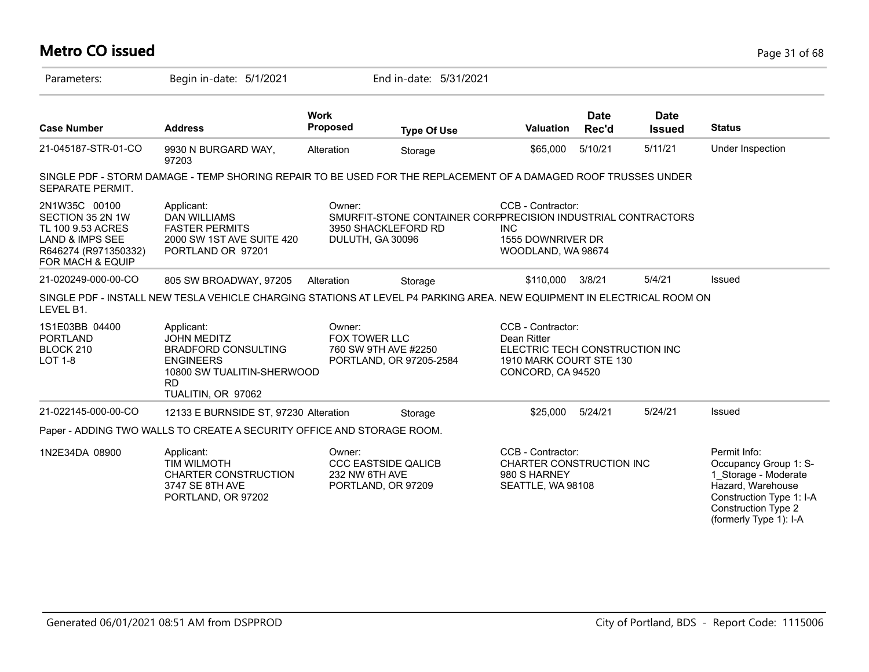### **Metro CO issued** Page 31 of 68 Parameters: Begin in-date: 5/1/2021 End in-date: 5/31/2021 **Work Case Number Address Proposed Type Of Use Valuation Status Date Rec'd Date Issued** 21-045187-STR-01-CO 9930 N BURGARD WAY, 97203 Alteration Storage 565,000 5/10/21 5/11/21 Under Inspection SINGLE PDF - STORM DAMAGE - TEMP SHORING REPAIR TO BE USED FOR THE REPLACEMENT OF A DAMAGED ROOF TRUSSES UNDER SEPARATE PERMIT. 2N1W35C 00100 SECTION 35 2N 1W TL 100 9.53 ACRES LAND & IMPS SEE R646274 (R971350332) FOR MACH & EQUIP CCB - Contractor: SMURFIT-STONE CONTAINER CORPPRECISION INDUSTRIAL CONTRACTORS INC 1555 DOWNRIVER DR WOODLAND, WA 98674 Owner: 3950 SHACKLEFORD RD DULUTH, GA 30096 Applicant: DAN WILLIAMS FASTER PERMITS 2000 SW 1ST AVE SUITE 420 PORTLAND OR 97201 21-020249-000-00-CO 805 SW BROADWAY, 97205 Alteration Storage \$110,000 3/8/21 5/4/21 Issued SINGLE PDF - INSTALL NEW TESLA VEHICLE CHARGING STATIONS AT LEVEL P4 PARKING AREA. NEW EQUIPMENT IN ELECTRICAL ROOM ON LEVEL B1. 1S1E03BB 04400 PORTLAND BLOCK 210 LOT 1-8 CCB - Contractor: Dean Ritter ELECTRIC TECH CONSTRUCTION INC 1910 MARK COURT STE 130 CONCORD, CA 94520 Owner: FOX TOWER LLC 760 SW 9TH AVE #2250 PORTLAND, OR 97205-2584 Applicant: JOHN MEDITZ BRADFORD CONSULTING ENGINEERS 10800 SW TUALITIN-SHERWOOD RD TUALITIN, OR 97062 21-022145-000-00-CO 12133 E BURNSIDE ST, 97230 Alteration Storage \$25,000 5/24/21 5/24/21 Issued Paper - ADDING TWO WALLS TO CREATE A SECURITY OFFICE AND STORAGE ROOM. 1N2E34DA 08900 Permit Info: Occupancy Group 1: S-1\_Storage - Moderate Hazard, Warehouse Construction Type 1: I-A Construction Type 2 (formerly Type 1): I-A CCB - Contractor: CHARTER CONSTRUCTION INC 980 S HARNEY SEATTLE, WA 98108 Owner: CCC EASTSIDE QALICB 232 NW 6TH AVE PORTLAND, OR 97209 Applicant: TIM WILMOTH CHARTER CONSTRUCTION 3747 SE 8TH AVE PORTLAND, OR 97202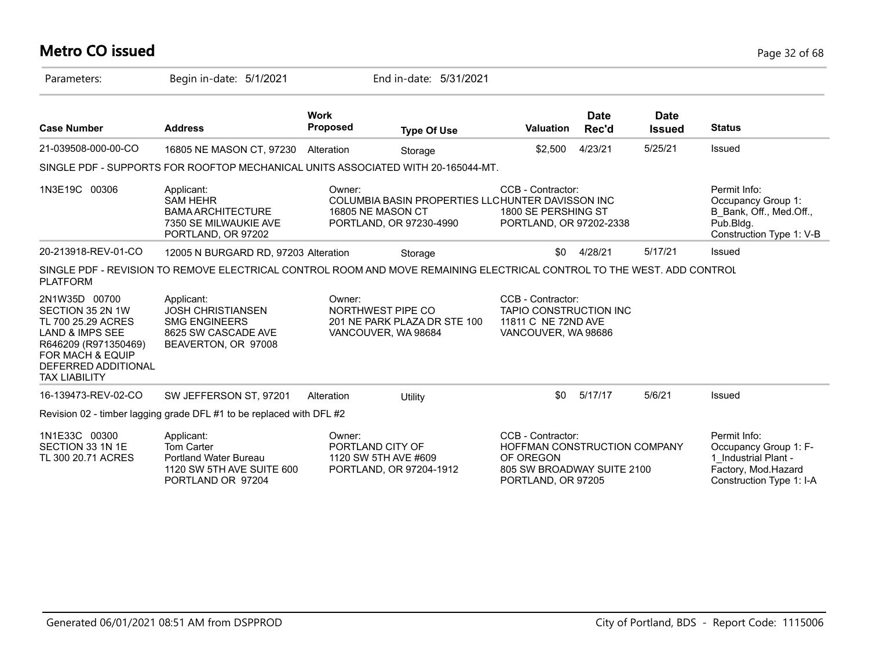# **Metro CO issued** Page 32 of 68

| Parameters:                                                                                                                                                                      | Begin in-date: 5/1/2021                                                                                                |                                | End in-date: 5/31/2021                                                      |                                                                                                                    |                      |                              |                                                                                                                  |
|----------------------------------------------------------------------------------------------------------------------------------------------------------------------------------|------------------------------------------------------------------------------------------------------------------------|--------------------------------|-----------------------------------------------------------------------------|--------------------------------------------------------------------------------------------------------------------|----------------------|------------------------------|------------------------------------------------------------------------------------------------------------------|
| <b>Case Number</b>                                                                                                                                                               | <b>Address</b>                                                                                                         | <b>Work</b><br><b>Proposed</b> | <b>Type Of Use</b>                                                          | <b>Valuation</b>                                                                                                   | <b>Date</b><br>Rec'd | <b>Date</b><br><b>Issued</b> | <b>Status</b>                                                                                                    |
| 21-039508-000-00-CO                                                                                                                                                              | 16805 NE MASON CT, 97230                                                                                               | Alteration                     | Storage                                                                     | \$2,500                                                                                                            | 4/23/21              | 5/25/21                      | Issued                                                                                                           |
|                                                                                                                                                                                  | SINGLE PDF - SUPPORTS FOR ROOFTOP MECHANICAL UNITS ASSOCIATED WITH 20-165044-MT.                                       |                                |                                                                             |                                                                                                                    |                      |                              |                                                                                                                  |
| 1N3E19C 00306                                                                                                                                                                    | Applicant:<br><b>SAM HEHR</b><br><b>BAMA ARCHITECTURE</b><br>7350 SE MILWAUKIE AVE<br>PORTLAND, OR 97202               | Owner:<br>16805 NE MASON CT    | COLUMBIA BASIN PROPERTIES LLCHUNTER DAVISSON INC<br>PORTLAND, OR 97230-4990 | CCB - Contractor:<br>1800 SE PERSHING ST<br>PORTLAND, OR 97202-2338                                                |                      |                              | Permit Info:<br>Occupancy Group 1:<br>B Bank, Off., Med.Off.,<br>Pub.Bldg.<br>Construction Type 1: V-B           |
| 20-213918-REV-01-CO                                                                                                                                                              | 12005 N BURGARD RD, 97203 Alteration                                                                                   |                                | Storage                                                                     | \$0                                                                                                                | 4/28/21              | 5/17/21                      | Issued                                                                                                           |
| <b>PLATFORM</b>                                                                                                                                                                  | SINGLE PDF - REVISION TO REMOVE ELECTRICAL CONTROL ROOM AND MOVE REMAINING ELECTRICAL CONTROL TO THE WEST. ADD CONTROL |                                |                                                                             |                                                                                                                    |                      |                              |                                                                                                                  |
| 2N1W35D 00700<br>SECTION 35 2N 1W<br>TL 700 25.29 ACRES<br><b>LAND &amp; IMPS SEE</b><br>R646209 (R971350469)<br>FOR MACH & EQUIP<br>DEFERRED ADDITIONAL<br><b>TAX LIABILITY</b> | Applicant:<br><b>JOSH CHRISTIANSEN</b><br><b>SMG ENGINEERS</b><br>8625 SW CASCADE AVE<br>BEAVERTON, OR 97008           | Owner:                         | NORTHWEST PIPE CO<br>201 NE PARK PLAZA DR STE 100<br>VANCOUVER, WA 98684    | CCB - Contractor:<br><b>TAPIO CONSTRUCTION INC</b><br>11811 C NE 72ND AVE<br>VANCOUVER, WA 98686                   |                      |                              |                                                                                                                  |
| 16-139473-REV-02-CO                                                                                                                                                              | SW JEFFERSON ST, 97201                                                                                                 | Alteration                     | Utility                                                                     | \$0                                                                                                                | 5/17/17              | 5/6/21                       | Issued                                                                                                           |
|                                                                                                                                                                                  | Revision 02 - timber lagging grade DFL #1 to be replaced with DFL #2                                                   |                                |                                                                             |                                                                                                                    |                      |                              |                                                                                                                  |
| 1N1E33C 00300<br>SECTION 33 1N 1E<br>TL 300 20.71 ACRES                                                                                                                          | Applicant:<br>Tom Carter<br><b>Portland Water Bureau</b><br>1120 SW 5TH AVE SUITE 600<br>PORTLAND OR 97204             | Owner:<br>PORTLAND CITY OF     | 1120 SW 5TH AVE #609<br>PORTLAND, OR 97204-1912                             | CCB - Contractor:<br>HOFFMAN CONSTRUCTION COMPANY<br>OF OREGON<br>805 SW BROADWAY SUITE 2100<br>PORTLAND, OR 97205 |                      |                              | Permit Info:<br>Occupancy Group 1: F-<br>1 Industrial Plant -<br>Factory, Mod.Hazard<br>Construction Type 1: I-A |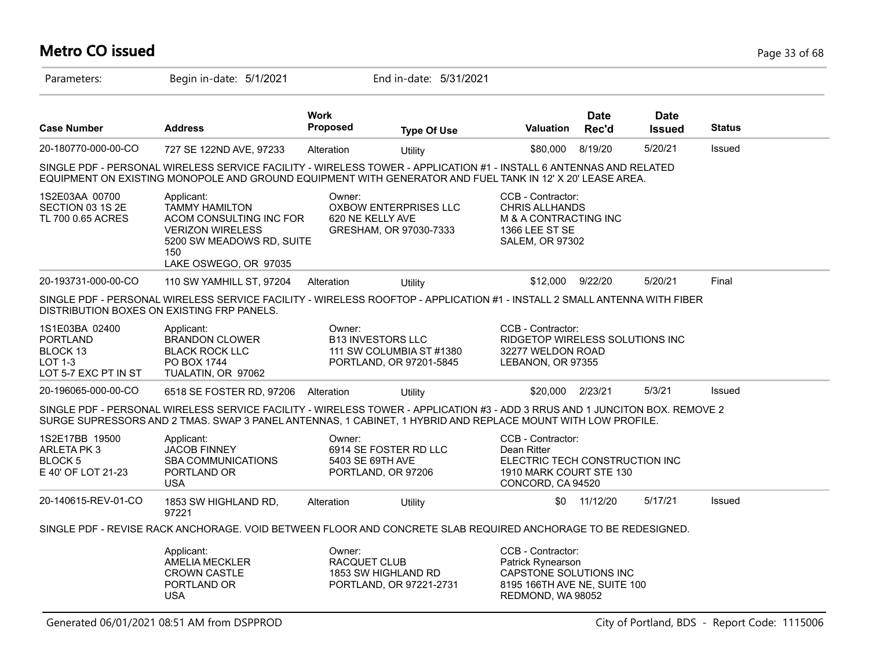# **Metro CO issued** Page 33 of 68

| Parameters:                                                                      | Begin in-date: 5/1/2021                                                                                                                                                                                                                    |                            | End in-date: 5/31/2021                                                          |                                                                                                                       |                      |                              |               |
|----------------------------------------------------------------------------------|--------------------------------------------------------------------------------------------------------------------------------------------------------------------------------------------------------------------------------------------|----------------------------|---------------------------------------------------------------------------------|-----------------------------------------------------------------------------------------------------------------------|----------------------|------------------------------|---------------|
| <b>Case Number</b>                                                               | <b>Address</b>                                                                                                                                                                                                                             | <b>Work</b><br>Proposed    | <b>Type Of Use</b>                                                              | <b>Valuation</b>                                                                                                      | <b>Date</b><br>Rec'd | <b>Date</b><br><b>Issued</b> | <b>Status</b> |
| 20-180770-000-00-CO                                                              | 727 SE 122ND AVE, 97233                                                                                                                                                                                                                    | Alteration                 | Utility                                                                         | \$80,000                                                                                                              | 8/19/20              | 5/20/21                      | Issued        |
|                                                                                  | SINGLE PDF - PERSONAL WIRELESS SERVICE FACILITY - WIRELESS TOWER - APPLICATION #1 - INSTALL 6 ANTENNAS AND RELATED<br>EQUIPMENT ON EXISTING MONOPOLE AND GROUND EQUIPMENT WITH GENERATOR AND FUEL TANK IN 12' X 20' LEASE AREA.            |                            |                                                                                 |                                                                                                                       |                      |                              |               |
| 1S2E03AA 00700<br>SECTION 03 1S 2E<br>TL 700 0.65 ACRES                          | Applicant:<br><b>TAMMY HAMILTON</b><br>ACOM CONSULTING INC FOR<br><b>VERIZON WIRELESS</b><br>5200 SW MEADOWS RD, SUITE<br>150<br>LAKE OSWEGO, OR 97035                                                                                     | Owner:<br>620 NE KELLY AVE | <b>OXBOW ENTERPRISES LLC</b><br>GRESHAM, OR 97030-7333                          | CCB - Contractor:<br><b>CHRIS ALLHANDS</b><br>M & A CONTRACTING INC<br>1366 LEE ST SE<br>SALEM, OR 97302              |                      |                              |               |
| 20-193731-000-00-CO                                                              | 110 SW YAMHILL ST, 97204                                                                                                                                                                                                                   | Alteration                 | Utility                                                                         | \$12,000                                                                                                              | 9/22/20              | 5/20/21                      | Final         |
|                                                                                  | SINGLE PDF - PERSONAL WIRELESS SERVICE FACILITY - WIRELESS ROOFTOP - APPLICATION #1 - INSTALL 2 SMALL ANTENNA WITH FIBER<br>DISTRIBUTION BOXES ON EXISTING FRP PANELS.                                                                     |                            |                                                                                 |                                                                                                                       |                      |                              |               |
| 1S1E03BA 02400<br><b>PORTLAND</b><br>BLOCK 13<br>LOT 1-3<br>LOT 5-7 EXC PT IN ST | Applicant:<br><b>BRANDON CLOWER</b><br><b>BLACK ROCK LLC</b><br>PO BOX 1744<br>TUALATIN, OR 97062                                                                                                                                          | Owner:                     | <b>B13 INVESTORS LLC</b><br>111 SW COLUMBIA ST #1380<br>PORTLAND, OR 97201-5845 | CCB - Contractor:<br><b>RIDGETOP WIRELESS SOLUTIONS INC</b><br>32277 WELDON ROAD<br>LEBANON, OR 97355                 |                      |                              |               |
| 20-196065-000-00-CO                                                              | 6518 SE FOSTER RD, 97206                                                                                                                                                                                                                   | Alteration                 | <b>Utility</b>                                                                  | \$20,000                                                                                                              | 2/23/21              | 5/3/21                       | Issued        |
|                                                                                  | SINGLE PDF - PERSONAL WIRELESS SERVICE FACILITY - WIRELESS TOWER - APPLICATION #3 - ADD 3 RRUS AND 1 JUNCITON BOX. REMOVE 2<br>SURGE SUPRESSORS AND 2 TMAS. SWAP 3 PANEL ANTENNAS, 1 CABINET, 1 HYBRID AND REPLACE MOUNT WITH LOW PROFILE. |                            |                                                                                 |                                                                                                                       |                      |                              |               |
| 1S2E17BB 19500<br>ARLETA PK 3<br><b>BLOCK 5</b><br>E 40' OF LOT 21-23            | Applicant:<br><b>JACOB FINNEY</b><br>SBA COMMUNICATIONS<br>PORTLAND OR<br><b>USA</b>                                                                                                                                                       | Owner:<br>5403 SE 69TH AVE | 6914 SE FOSTER RD LLC<br>PORTLAND, OR 97206                                     | CCB - Contractor:<br>Dean Ritter<br>ELECTRIC TECH CONSTRUCTION INC<br>1910 MARK COURT STE 130<br>CONCORD, CA 94520    |                      |                              |               |
| 20-140615-REV-01-CO                                                              | 1853 SW HIGHLAND RD,<br>97221                                                                                                                                                                                                              | Alteration                 | Utility                                                                         | \$0                                                                                                                   | 11/12/20             | 5/17/21                      | <b>Issued</b> |
|                                                                                  | SINGLE PDF - REVISE RACK ANCHORAGE. VOID BETWEEN FLOOR AND CONCRETE SLAB REQUIRED ANCHORAGE TO BE REDESIGNED.                                                                                                                              |                            |                                                                                 |                                                                                                                       |                      |                              |               |
|                                                                                  | Applicant:<br><b>AMELIA MECKLER</b><br><b>CROWN CASTLE</b><br>PORTLAND OR<br><b>USA</b>                                                                                                                                                    | Owner:<br>RACQUET CLUB     | 1853 SW HIGHLAND RD<br>PORTLAND, OR 97221-2731                                  | CCB - Contractor:<br>Patrick Rynearson<br>CAPSTONE SOLUTIONS INC<br>8195 166TH AVE NE, SUITE 100<br>REDMOND, WA 98052 |                      |                              |               |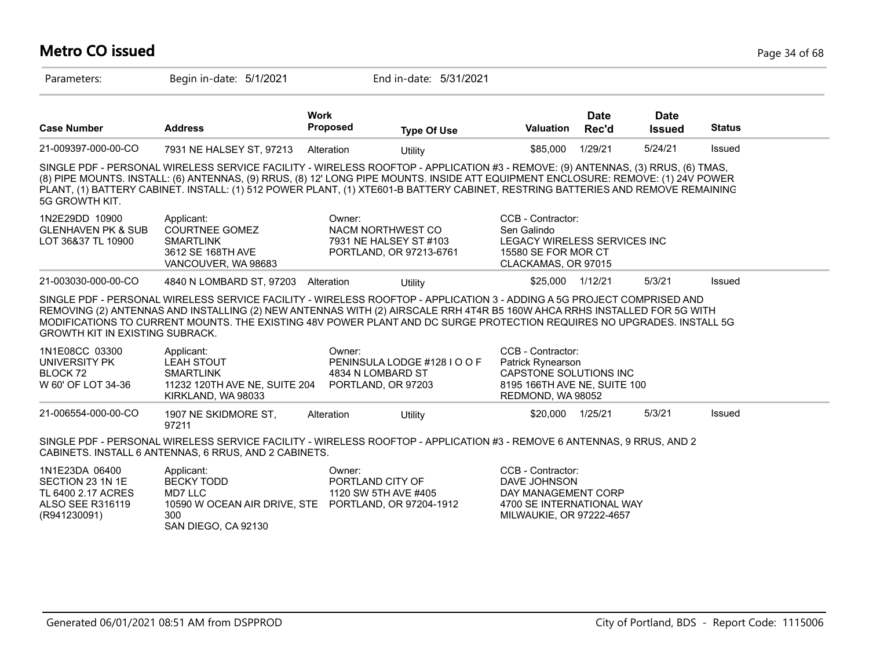## **Metro CO issued** Page 34 of 68

| Parameters:                                                                                         | Begin in-date: 5/1/2021                                                                                                                                                                                                                                                                                                                                                                                 |                                                    | End in-date: 5/31/2021                            |                                                                                                                       |                      |                              |               |
|-----------------------------------------------------------------------------------------------------|---------------------------------------------------------------------------------------------------------------------------------------------------------------------------------------------------------------------------------------------------------------------------------------------------------------------------------------------------------------------------------------------------------|----------------------------------------------------|---------------------------------------------------|-----------------------------------------------------------------------------------------------------------------------|----------------------|------------------------------|---------------|
| <b>Case Number</b>                                                                                  | <b>Address</b>                                                                                                                                                                                                                                                                                                                                                                                          | <b>Work</b><br><b>Proposed</b>                     | <b>Type Of Use</b>                                | Valuation                                                                                                             | <b>Date</b><br>Rec'd | <b>Date</b><br><b>Issued</b> | <b>Status</b> |
| 21-009397-000-00-CO                                                                                 | 7931 NE HALSEY ST, 97213                                                                                                                                                                                                                                                                                                                                                                                | Alteration                                         | Utility                                           | \$85,000                                                                                                              | 1/29/21              | 5/24/21                      | Issued        |
| 5G GROWTH KIT.                                                                                      | SINGLE PDF - PERSONAL WIRELESS SERVICE FACILITY - WIRELESS ROOFTOP - APPLICATION #3 - REMOVE: (9) ANTENNAS, (3) RRUS, (6) TMAS,<br>(8) PIPE MOUNTS. INSTALL: (6) ANTENNAS, (9) RRUS, (8) 12' LONG PIPE MOUNTS. INSIDE ATT EQUIPMENT ENCLOSURE: REMOVE: (1) 24V POWER<br>PLANT, (1) BATTERY CABINET. INSTALL: (1) 512 POWER PLANT, (1) XTE601-B BATTERY CABINET, RESTRING BATTERIES AND REMOVE REMAINING |                                                    |                                                   |                                                                                                                       |                      |                              |               |
| 1N2E29DD 10900<br><b>GLENHAVEN PK &amp; SUB</b><br>LOT 36&37 TL 10900                               | Applicant:<br><b>COURTNEE GOMEZ</b><br><b>SMARTLINK</b><br>3612 SE 168TH AVE<br>VANCOUVER, WA 98683                                                                                                                                                                                                                                                                                                     | Owner:<br>NACM NORTHWEST CO                        | 7931 NE HALSEY ST #103<br>PORTLAND, OR 97213-6761 | CCB - Contractor:<br>Sen Galindo<br>LEGACY WIRELESS SERVICES INC<br>15580 SE FOR MOR CT<br>CLACKAMAS, OR 97015        |                      |                              |               |
| 21-003030-000-00-CO                                                                                 | 4840 N LOMBARD ST, 97203                                                                                                                                                                                                                                                                                                                                                                                | Alteration                                         | Utility                                           | \$25,000 1/12/21                                                                                                      |                      | 5/3/21                       | Issued        |
| <b>GROWTH KIT IN EXISTING SUBRACK.</b>                                                              | SINGLE PDF - PERSONAL WIRELESS SERVICE FACILITY - WIRELESS ROOFTOP - APPLICATION 3 - ADDING A 5G PROJECT COMPRISED AND<br>REMOVING (2) ANTENNAS AND INSTALLING (2) NEW ANTENNAS WITH (2) AIRSCALE RRH 4T4R B5 160W AHCA RRHS INSTALLED FOR 5G WITH<br>MODIFICATIONS TO CURRENT MOUNTS. THE EXISTING 48V POWER PLANT AND DC SURGE PROTECTION REQUIRES NO UPGRADES. INSTALL 5G                            |                                                    |                                                   |                                                                                                                       |                      |                              |               |
| 1N1E08CC 03300<br>UNIVERSITY PK<br>BLOCK 72<br>W 60' OF LOT 34-36                                   | Applicant:<br><b>LEAH STOUT</b><br><b>SMARTLINK</b><br>11232 120TH AVE NE, SUITE 204<br>KIRKLAND, WA 98033                                                                                                                                                                                                                                                                                              | Owner:<br>4834 N LOMBARD ST<br>PORTLAND, OR 97203  | PENINSULA LODGE #128 I O O F                      | CCB - Contractor:<br>Patrick Rynearson<br>CAPSTONE SOLUTIONS INC<br>8195 166TH AVE NE, SUITE 100<br>REDMOND, WA 98052 |                      |                              |               |
| 21-006554-000-00-CO                                                                                 | 1907 NE SKIDMORE ST,<br>97211                                                                                                                                                                                                                                                                                                                                                                           | Alteration                                         | Utility                                           | \$20,000 1/25/21                                                                                                      |                      | 5/3/21                       | Issued        |
|                                                                                                     | SINGLE PDF - PERSONAL WIRELESS SERVICE FACILITY - WIRELESS ROOFTOP - APPLICATION #3 - REMOVE 6 ANTENNAS, 9 RRUS, AND 2<br>CABINETS. INSTALL 6 ANTENNAS, 6 RRUS, AND 2 CABINETS.                                                                                                                                                                                                                         |                                                    |                                                   |                                                                                                                       |                      |                              |               |
| 1N1E23DA 06400<br>SECTION 23 1N 1E<br>TL 6400 2.17 ACRES<br><b>ALSO SEE R316119</b><br>(R941230091) | Applicant:<br><b>BECKY TODD</b><br><b>MD7 LLC</b><br>10590 W OCEAN AIR DRIVE, STE PORTLAND, OR 97204-1912<br>300<br>SAN DIEGO, CA 92130                                                                                                                                                                                                                                                                 | Owner:<br>PORTLAND CITY OF<br>1120 SW 5TH AVE #405 |                                                   | CCB - Contractor:<br>DAVE JOHNSON<br>DAY MANAGEMENT CORP<br>4700 SE INTERNATIONAL WAY<br>MILWAUKIE, OR 97222-4657     |                      |                              |               |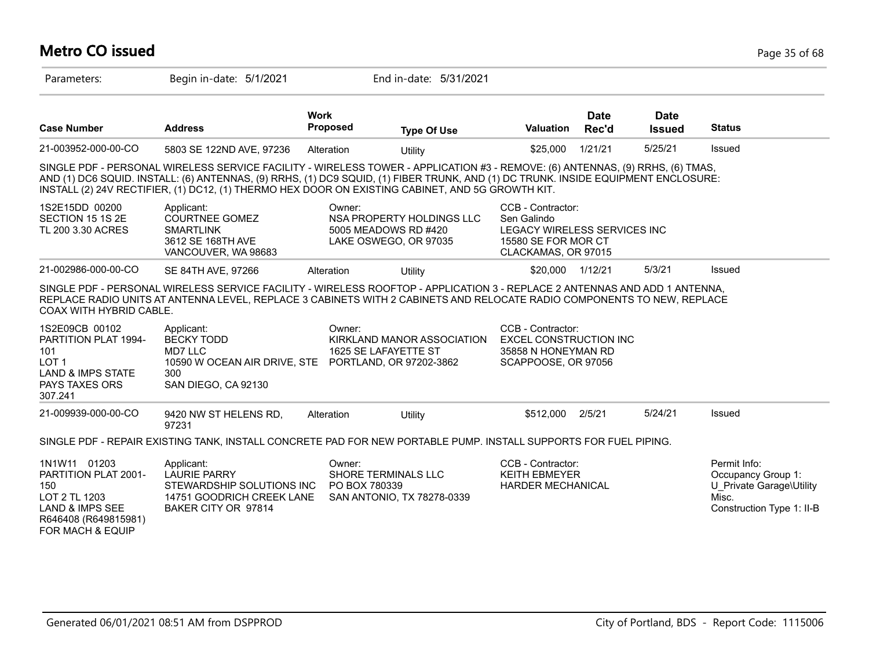# **Metro CO issued** Page 35 of 68

| Parameters:                                                                                                                            | Begin in-date: 5/1/2021                                                                                                                                                                                                                                                                                                                                                |                                | End in-date: 5/31/2021                                                     |                                                                                                                |                      |                              |                                                                                                      |
|----------------------------------------------------------------------------------------------------------------------------------------|------------------------------------------------------------------------------------------------------------------------------------------------------------------------------------------------------------------------------------------------------------------------------------------------------------------------------------------------------------------------|--------------------------------|----------------------------------------------------------------------------|----------------------------------------------------------------------------------------------------------------|----------------------|------------------------------|------------------------------------------------------------------------------------------------------|
| <b>Case Number</b>                                                                                                                     | <b>Address</b>                                                                                                                                                                                                                                                                                                                                                         | <b>Work</b><br><b>Proposed</b> | <b>Type Of Use</b>                                                         | <b>Valuation</b>                                                                                               | <b>Date</b><br>Rec'd | <b>Date</b><br><b>Issued</b> | <b>Status</b>                                                                                        |
| 21-003952-000-00-CO                                                                                                                    | 5803 SE 122ND AVE, 97236                                                                                                                                                                                                                                                                                                                                               | Alteration                     | Utility                                                                    | \$25,000                                                                                                       | 1/21/21              | 5/25/21                      | Issued                                                                                               |
|                                                                                                                                        | SINGLE PDF - PERSONAL WIRELESS SERVICE FACILITY - WIRELESS TOWER - APPLICATION #3 - REMOVE: (6) ANTENNAS, (9) RRHS, (6) TMAS,<br>AND (1) DC6 SQUID. INSTALL: (6) ANTENNAS, (9) RRHS, (1) DC9 SQUID, (1) FIBER TRUNK, AND (1) DC TRUNK. INSIDE EQUIPMENT ENCLOSURE:<br>INSTALL (2) 24V RECTIFIER, (1) DC12, (1) THERMO HEX DOOR ON EXISTING CABINET, AND 5G GROWTH KIT. |                                |                                                                            |                                                                                                                |                      |                              |                                                                                                      |
| 1S2E15DD 00200<br>SECTION 15 1S 2E<br>TL 200 3.30 ACRES                                                                                | Applicant:<br><b>COURTNEE GOMEZ</b><br><b>SMARTLINK</b><br>3612 SE 168TH AVE<br>VANCOUVER, WA 98683                                                                                                                                                                                                                                                                    | Owner:                         | NSA PROPERTY HOLDINGS LLC<br>5005 MEADOWS RD #420<br>LAKE OSWEGO, OR 97035 | CCB - Contractor:<br>Sen Galindo<br>LEGACY WIRELESS SERVICES INC<br>15580 SE FOR MOR CT<br>CLACKAMAS, OR 97015 |                      |                              |                                                                                                      |
| 21-002986-000-00-CO                                                                                                                    | SE 84TH AVE, 97266                                                                                                                                                                                                                                                                                                                                                     | Alteration                     | Utility                                                                    | \$20,000 1/12/21                                                                                               |                      | 5/3/21                       | Issued                                                                                               |
| COAX WITH HYBRID CABLE.                                                                                                                | SINGLE PDF - PERSONAL WIRELESS SERVICE FACILITY - WIRELESS ROOFTOP - APPLICATION 3 - REPLACE 2 ANTENNAS AND ADD 1 ANTENNA,<br>REPLACE RADIO UNITS AT ANTENNA LEVEL, REPLACE 3 CABINETS WITH 2 CABINETS AND RELOCATE RADIO COMPONENTS TO NEW, REPLACE                                                                                                                   |                                |                                                                            |                                                                                                                |                      |                              |                                                                                                      |
| 1S2E09CB 00102<br><b>PARTITION PLAT 1994-</b><br>101<br>LOT <sub>1</sub><br><b>LAND &amp; IMPS STATE</b><br>PAYS TAXES ORS<br>307.241  | Applicant:<br><b>BECKY TODD</b><br>MD7 LLC<br>10590 W OCEAN AIR DRIVE, STE PORTLAND, OR 97202-3862<br>300<br>SAN DIEGO, CA 92130                                                                                                                                                                                                                                       | Owner:                         | KIRKLAND MANOR ASSOCIATION<br>1625 SE LAFAYETTE ST                         | CCB - Contractor:<br><b>EXCEL CONSTRUCTION INC</b><br>35858 N HONEYMAN RD<br>SCAPPOOSE, OR 97056               |                      |                              |                                                                                                      |
| 21-009939-000-00-CO                                                                                                                    | 9420 NW ST HELENS RD,<br>97231                                                                                                                                                                                                                                                                                                                                         | Alteration                     | Utility                                                                    | \$512,000                                                                                                      | 2/5/21               | 5/24/21                      | Issued                                                                                               |
|                                                                                                                                        | SINGLE PDF - REPAIR EXISTING TANK, INSTALL CONCRETE PAD FOR NEW PORTABLE PUMP. INSTALL SUPPORTS FOR FUEL PIPING.                                                                                                                                                                                                                                                       |                                |                                                                            |                                                                                                                |                      |                              |                                                                                                      |
| 1N1W11 01203<br>PARTITION PLAT 2001-<br>150<br>LOT 2 TL 1203<br><b>LAND &amp; IMPS SEE</b><br>R646408 (R649815981)<br>FOR MACH & EQUIP | Applicant:<br><b>LAURIE PARRY</b><br>STEWARDSHIP SOLUTIONS INC<br>14751 GOODRICH CREEK LANE<br>BAKER CITY OR 97814                                                                                                                                                                                                                                                     | Owner:<br>PO BOX 780339        | SHORE TERMINALS LLC<br>SAN ANTONIO, TX 78278-0339                          | CCB - Contractor:<br><b>KEITH EBMEYER</b><br>HARDER MECHANICAL                                                 |                      |                              | Permit Info:<br>Occupancy Group 1:<br>U Private Garage\Utility<br>Misc.<br>Construction Type 1: II-B |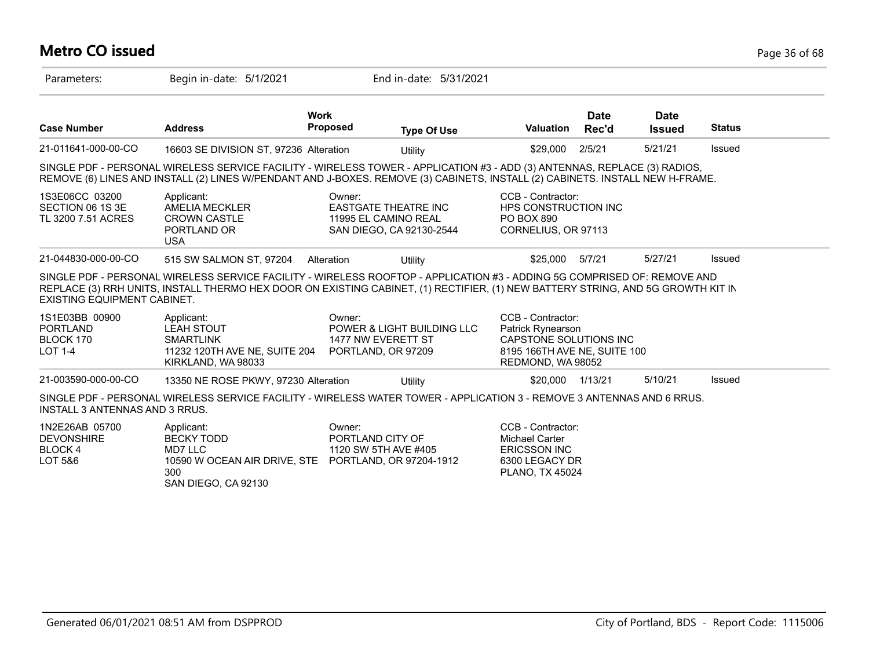# **Metro CO issued** Page 36 of 68

| Parameters:                                                     | Begin in-date: 5/1/2021                                                                                                                                                                                                                                     |                                                                                           | End in-date: 5/31/2021                |                                                                                                                       |                      |                              |               |
|-----------------------------------------------------------------|-------------------------------------------------------------------------------------------------------------------------------------------------------------------------------------------------------------------------------------------------------------|-------------------------------------------------------------------------------------------|---------------------------------------|-----------------------------------------------------------------------------------------------------------------------|----------------------|------------------------------|---------------|
| <b>Case Number</b>                                              | <b>Address</b>                                                                                                                                                                                                                                              | <b>Work</b><br><b>Proposed</b>                                                            | <b>Type Of Use</b>                    | <b>Valuation</b>                                                                                                      | <b>Date</b><br>Rec'd | <b>Date</b><br><b>Issued</b> | <b>Status</b> |
| 21-011641-000-00-CO                                             | 16603 SE DIVISION ST, 97236 Alteration                                                                                                                                                                                                                      |                                                                                           | Utility                               | \$29,000                                                                                                              | 2/5/21               | 5/21/21                      | Issued        |
|                                                                 | SINGLE PDF - PERSONAL WIRELESS SERVICE FACILITY - WIRELESS TOWER - APPLICATION #3 - ADD (3) ANTENNAS, REPLACE (3) RADIOS,<br>REMOVE (6) LINES AND INSTALL (2) LINES W/PENDANT AND J-BOXES. REMOVE (3) CABINETS, INSTALL (2) CABINETS. INSTALL NEW H-FRAME.  |                                                                                           |                                       |                                                                                                                       |                      |                              |               |
| 1S3E06CC 03200<br>SECTION 06 1S 3E<br>TL 3200 7.51 ACRES        | Applicant:<br>AMELIA MECKLER<br><b>CROWN CASTLE</b><br>PORTLAND OR<br><b>USA</b>                                                                                                                                                                            | Owner:<br><b>EASTGATE THEATRE INC</b><br>11995 EL CAMINO REAL<br>SAN DIEGO, CA 92130-2544 |                                       | CCB - Contractor:<br><b>HPS CONSTRUCTION INC</b><br>PO BOX 890<br>CORNELIUS, OR 97113                                 |                      |                              |               |
| 21-044830-000-00-CO                                             | 515 SW SALMON ST, 97204                                                                                                                                                                                                                                     | Alteration                                                                                | Utility                               | \$25.000                                                                                                              | 5/7/21               | 5/27/21                      | Issued        |
| <b>EXISTING EQUIPMENT CABINET.</b>                              | SINGLE PDF - PERSONAL WIRELESS SERVICE FACILITY - WIRELESS ROOFTOP - APPLICATION #3 - ADDING 5G COMPRISED OF: REMOVE AND<br>REPLACE (3) RRH UNITS, INSTALL THERMO HEX DOOR ON EXISTING CABINET, (1) RECTIFIER, (1) NEW BATTERY STRING, AND 5G GROWTH KIT IN |                                                                                           |                                       |                                                                                                                       |                      |                              |               |
| 1S1E03BB 00900<br><b>PORTLAND</b><br>BLOCK 170<br>LOT 1-4       | Applicant:<br><b>LEAH STOUT</b><br><b>SMARTLINK</b><br>11232 120TH AVE NE, SUITE 204<br>KIRKLAND, WA 98033                                                                                                                                                  | Owner:<br>1477 NW EVERETT ST<br>PORTLAND, OR 97209                                        | <b>POWER &amp; LIGHT BUILDING LLC</b> | CCB - Contractor:<br>Patrick Rynearson<br>CAPSTONE SOLUTIONS INC<br>8195 166TH AVE NE, SUITE 100<br>REDMOND, WA 98052 |                      |                              |               |
| 21-003590-000-00-CO                                             | 13350 NE ROSE PKWY, 97230 Alteration                                                                                                                                                                                                                        |                                                                                           | Utility                               | \$20,000                                                                                                              | 1/13/21              | 5/10/21                      | Issued        |
| INSTALL 3 ANTENNAS AND 3 RRUS.                                  | SINGLE PDF - PERSONAL WIRELESS SERVICE FACILITY - WIRELESS WATER TOWER - APPLICATION 3 - REMOVE 3 ANTENNAS AND 6 RRUS.                                                                                                                                      |                                                                                           |                                       |                                                                                                                       |                      |                              |               |
| 1N2E26AB 05700<br><b>DEVONSHIRE</b><br><b>BLOCK4</b><br>LOT 5&6 | Applicant:<br><b>BECKY TODD</b><br>MD7 LLC<br>10590 W OCEAN AIR DRIVE, STE PORTLAND, OR 97204-1912<br>300<br>SAN DIEGO, CA 92130                                                                                                                            | Owner:<br>PORTLAND CITY OF<br>1120 SW 5TH AVE #405                                        |                                       | CCB - Contractor:<br>Michael Carter<br><b>ERICSSON INC</b><br>6300 LEGACY DR<br><b>PLANO, TX 45024</b>                |                      |                              |               |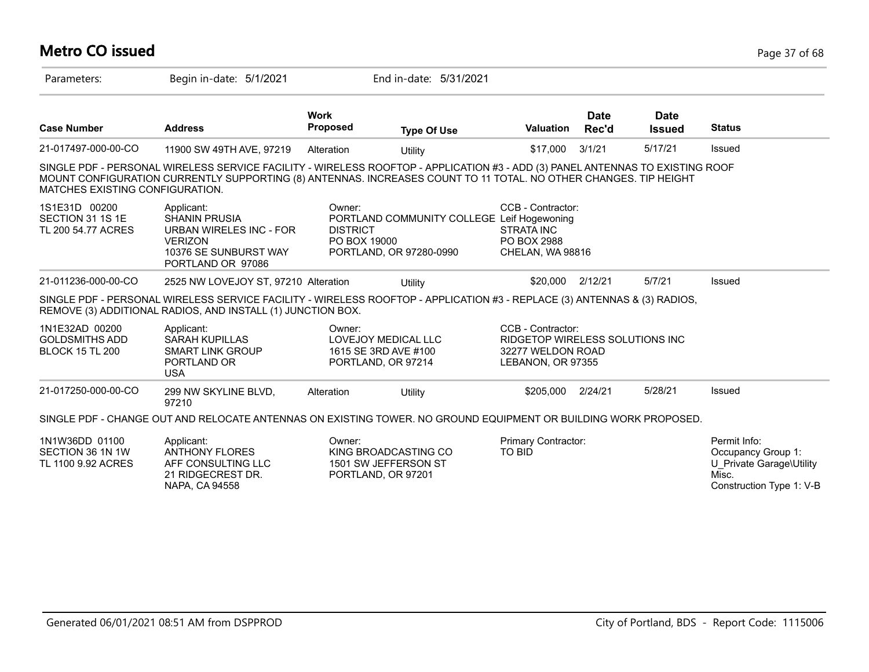## **Metro CO issued** Page 37 of 68

| Parameters:                                                       | Begin in-date: 5/1/2021                                                                                                                                                                                                                           |                                                                              | End in-date: 5/31/2021                                                |                                                                                                |                      |                              |                                                                                                     |
|-------------------------------------------------------------------|---------------------------------------------------------------------------------------------------------------------------------------------------------------------------------------------------------------------------------------------------|------------------------------------------------------------------------------|-----------------------------------------------------------------------|------------------------------------------------------------------------------------------------|----------------------|------------------------------|-----------------------------------------------------------------------------------------------------|
| <b>Case Number</b>                                                | <b>Address</b>                                                                                                                                                                                                                                    | <b>Work</b><br>Proposed                                                      | <b>Type Of Use</b>                                                    | <b>Valuation</b>                                                                               | <b>Date</b><br>Rec'd | <b>Date</b><br><b>Issued</b> | <b>Status</b>                                                                                       |
| 21-017497-000-00-CO                                               | 11900 SW 49TH AVE, 97219                                                                                                                                                                                                                          | Alteration                                                                   | Utility                                                               | \$17,000                                                                                       | 3/1/21               | 5/17/21                      | Issued                                                                                              |
| MATCHES EXISTING CONFIGURATION.                                   | SINGLE PDF - PERSONAL WIRELESS SERVICE FACILITY - WIRELESS ROOFTOP - APPLICATION #3 - ADD (3) PANEL ANTENNAS TO EXISTING ROOF<br>MOUNT CONFIGURATION CURRENTLY SUPPORTING (8) ANTENNAS. INCREASES COUNT TO 11 TOTAL. NO OTHER CHANGES. TIP HEIGHT |                                                                              |                                                                       |                                                                                                |                      |                              |                                                                                                     |
| 1S1E31D 00200<br>SECTION 31 1S 1E<br>TL 200 54.77 ACRES           | Applicant:<br><b>SHANIN PRUSIA</b><br>URBAN WIRELES INC - FOR<br><b>VERIZON</b><br>10376 SE SUNBURST WAY<br>PORTLAND OR 97086                                                                                                                     | Owner:<br><b>DISTRICT</b><br>PO BOX 19000                                    | PORTLAND COMMUNITY COLLEGE Leif Hogewoning<br>PORTLAND, OR 97280-0990 | CCB - Contractor:<br><b>STRATA INC</b><br>PO BOX 2988<br>CHELAN, WA 98816                      |                      |                              |                                                                                                     |
| 21-011236-000-00-CO                                               | 2525 NW LOVEJOY ST, 97210 Alteration                                                                                                                                                                                                              |                                                                              | Utility                                                               | \$20,000 2/12/21                                                                               |                      | 5/7/21                       | Issued                                                                                              |
|                                                                   | SINGLE PDF - PERSONAL WIRELESS SERVICE FACILITY - WIRELESS ROOFTOP - APPLICATION #3 - REPLACE (3) ANTENNAS & (3) RADIOS,<br>REMOVE (3) ADDITIONAL RADIOS, AND INSTALL (1) JUNCTION BOX.                                                           |                                                                              |                                                                       |                                                                                                |                      |                              |                                                                                                     |
| 1N1E32AD 00200<br><b>GOLDSMITHS ADD</b><br><b>BLOCK 15 TL 200</b> | Applicant:<br><b>SARAH KUPILLAS</b><br><b>SMART LINK GROUP</b><br>PORTLAND OR<br><b>USA</b>                                                                                                                                                       | Owner:<br>LOVEJOY MEDICAL LLC<br>1615 SE 3RD AVE #100<br>PORTLAND, OR 97214  |                                                                       | CCB - Contractor:<br>RIDGETOP WIRELESS SOLUTIONS INC<br>32277 WELDON ROAD<br>LEBANON, OR 97355 |                      |                              |                                                                                                     |
| 21-017250-000-00-CO                                               | 299 NW SKYLINE BLVD,<br>97210                                                                                                                                                                                                                     | Alteration                                                                   | Utility                                                               | \$205,000                                                                                      | 2/24/21              | 5/28/21                      | Issued                                                                                              |
|                                                                   | SINGLE PDF - CHANGE OUT AND RELOCATE ANTENNAS ON EXISTING TOWER. NO GROUND EQUIPMENT OR BUILDING WORK PROPOSED.                                                                                                                                   |                                                                              |                                                                       |                                                                                                |                      |                              |                                                                                                     |
| 1N1W36DD 01100<br>SECTION 36 1N 1W<br>TL 1100 9.92 ACRES          | Applicant:<br><b>ANTHONY FLORES</b><br>AFF CONSULTING LLC<br>21 RIDGECREST DR.<br>NAPA, CA 94558                                                                                                                                                  | Owner:<br>KING BROADCASTING CO<br>1501 SW JEFFERSON ST<br>PORTLAND, OR 97201 |                                                                       | Primary Contractor:<br>TO BID                                                                  |                      |                              | Permit Info:<br>Occupancy Group 1:<br>U Private Garage\Utility<br>Misc.<br>Construction Type 1: V-B |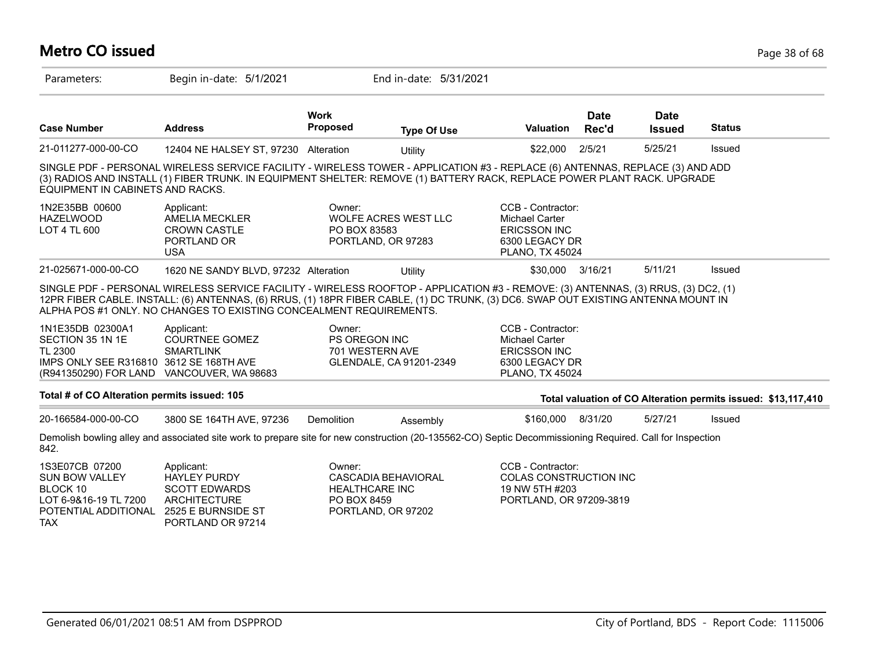## **Metro CO issued** Page 38 of 68

| Parameters:                                                                                                                             | Begin in-date: 5/1/2021                                                                                                                                                                                                                                                                                                                         |                                                | End in-date: 5/31/2021                           |                                                                                                        |                      |                              |                                                               |
|-----------------------------------------------------------------------------------------------------------------------------------------|-------------------------------------------------------------------------------------------------------------------------------------------------------------------------------------------------------------------------------------------------------------------------------------------------------------------------------------------------|------------------------------------------------|--------------------------------------------------|--------------------------------------------------------------------------------------------------------|----------------------|------------------------------|---------------------------------------------------------------|
| <b>Case Number</b>                                                                                                                      | <b>Address</b>                                                                                                                                                                                                                                                                                                                                  | <b>Work</b><br><b>Proposed</b>                 | <b>Type Of Use</b>                               | Valuation                                                                                              | <b>Date</b><br>Rec'd | <b>Date</b><br><b>Issued</b> | <b>Status</b>                                                 |
| 21-011277-000-00-CO                                                                                                                     | 12404 NE HALSEY ST, 97230 Alteration                                                                                                                                                                                                                                                                                                            |                                                | Utility                                          | \$22,000                                                                                               | 2/5/21               | 5/25/21                      | Issued                                                        |
| EQUIPMENT IN CABINETS AND RACKS.                                                                                                        | SINGLE PDF - PERSONAL WIRELESS SERVICE FACILITY - WIRELESS TOWER - APPLICATION #3 - REPLACE (6) ANTENNAS, REPLACE (3) AND ADD<br>(3) RADIOS AND INSTALL (1) FIBER TRUNK. IN EQUIPMENT SHELTER: REMOVE (1) BATTERY RACK, REPLACE POWER PLANT RACK. UPGRADE                                                                                       |                                                |                                                  |                                                                                                        |                      |                              |                                                               |
| 1N2E35BB 00600<br><b>HAZELWOOD</b><br>LOT 4 TL 600                                                                                      | Applicant:<br>AMELIA MECKLER<br><b>CROWN CASTLE</b><br>PORTLAND OR<br><b>USA</b>                                                                                                                                                                                                                                                                | Owner:<br>PO BOX 83583                         | WOLFE ACRES WEST LLC<br>PORTLAND, OR 97283       | CCB - Contractor:<br>Michael Carter<br><b>ERICSSON INC</b><br>6300 LEGACY DR<br><b>PLANO, TX 45024</b> |                      |                              |                                                               |
| 21-025671-000-00-CO                                                                                                                     | 1620 NE SANDY BLVD, 97232 Alteration                                                                                                                                                                                                                                                                                                            |                                                | Utility                                          | \$30,000                                                                                               | 3/16/21              | 5/11/21                      | Issued                                                        |
|                                                                                                                                         | SINGLE PDF - PERSONAL WIRELESS SERVICE FACILITY - WIRELESS ROOFTOP - APPLICATION #3 - REMOVE: (3) ANTENNAS, (3) RRUS, (3) DC2, (1)<br>12PR FIBER CABLE. INSTALL: (6) ANTENNAS, (6) RRUS, (1) 18PR FIBER CABLE, (1) DC TRUNK, (3) DC6. SWAP OUT EXISTING ANTENNA MOUNT IN<br>ALPHA POS #1 ONLY. NO CHANGES TO EXISTING CONCEALMENT REQUIREMENTS. |                                                |                                                  |                                                                                                        |                      |                              |                                                               |
| 1N1E35DB 02300A1<br>SECTION 35 1N 1E<br>TL 2300<br>IMPS ONLY SEE R316810 3612 SE 168TH AVE<br>(R941350290) FOR LAND VANCOUVER, WA 98683 | Applicant:<br><b>COURTNEE GOMEZ</b><br><b>SMARTLINK</b>                                                                                                                                                                                                                                                                                         | Owner:<br>PS OREGON INC<br>701 WESTERN AVE     | GLENDALE, CA 91201-2349                          | CCB - Contractor:<br><b>Michael Carter</b><br><b>ERICSSON INC</b><br>6300 LEGACY DR<br>PLANO, TX 45024 |                      |                              |                                                               |
| Total # of CO Alteration permits issued: 105                                                                                            |                                                                                                                                                                                                                                                                                                                                                 |                                                |                                                  |                                                                                                        |                      |                              | Total valuation of CO Alteration permits issued: \$13,117,410 |
| 20-166584-000-00-CO                                                                                                                     | 3800 SE 164TH AVE, 97236                                                                                                                                                                                                                                                                                                                        | Demolition                                     | Assembly                                         | \$160,000 8/31/20                                                                                      |                      | 5/27/21                      | Issued                                                        |
| 842.                                                                                                                                    | Demolish bowling alley and associated site work to prepare site for new construction (20-135562-CO) Septic Decommissioning Required. Call for Inspection                                                                                                                                                                                        |                                                |                                                  |                                                                                                        |                      |                              |                                                               |
| 1S3E07CB 07200<br><b>SUN BOW VALLEY</b><br>BLOCK 10<br>LOT 6-9&16-19 TL 7200<br>POTENTIAL ADDITIONAL<br><b>TAX</b>                      | Applicant:<br><b>HAYLEY PURDY</b><br><b>SCOTT EDWARDS</b><br><b>ARCHITECTURE</b><br>2525 E BURNSIDE ST<br>PORTLAND OR 97214                                                                                                                                                                                                                     | Owner:<br><b>HEALTHCARE INC</b><br>PO BOX 8459 | <b>CASCADIA BEHAVIORAL</b><br>PORTLAND, OR 97202 | CCB - Contractor:<br>COLAS CONSTRUCTION INC<br>19 NW 5TH #203<br>PORTLAND, OR 97209-3819               |                      |                              |                                                               |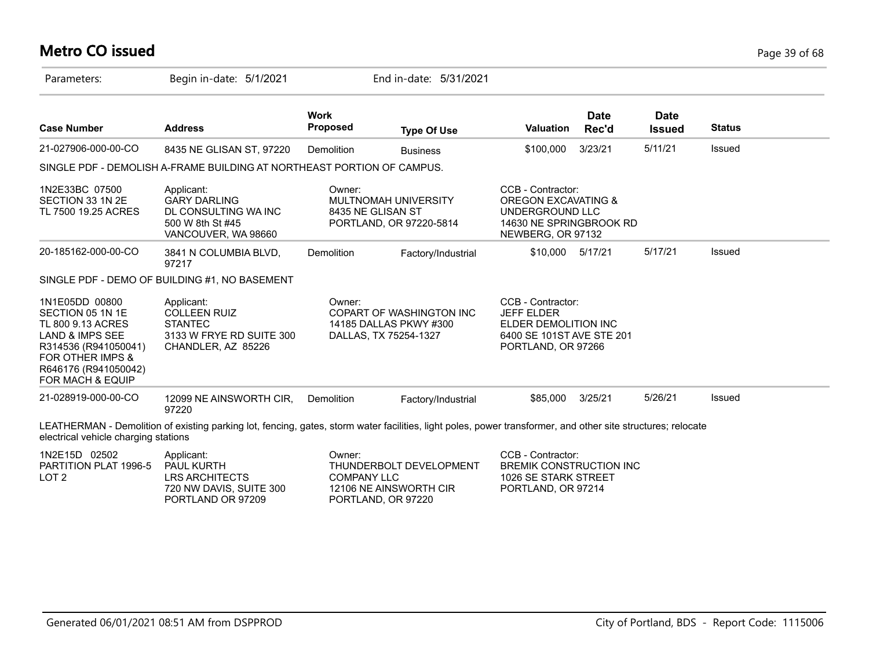# **Metro CO issued** Page 39 of 68

| Parameters:                                                                                                                                                                   | Begin in-date: 5/1/2021                                                                                                                                      |                                                    | End in-date: 5/31/2021                             |                                                                                                                        |                      |                              |               |  |
|-------------------------------------------------------------------------------------------------------------------------------------------------------------------------------|--------------------------------------------------------------------------------------------------------------------------------------------------------------|----------------------------------------------------|----------------------------------------------------|------------------------------------------------------------------------------------------------------------------------|----------------------|------------------------------|---------------|--|
| <b>Case Number</b>                                                                                                                                                            | <b>Address</b>                                                                                                                                               | <b>Work</b><br><b>Proposed</b>                     | <b>Type Of Use</b>                                 | <b>Valuation</b>                                                                                                       | <b>Date</b><br>Rec'd | <b>Date</b><br><b>Issued</b> | <b>Status</b> |  |
| 21-027906-000-00-CO                                                                                                                                                           | 8435 NE GLISAN ST, 97220                                                                                                                                     | <b>Demolition</b>                                  | <b>Business</b>                                    | \$100,000                                                                                                              | 3/23/21              | 5/11/21                      | <b>Issued</b> |  |
|                                                                                                                                                                               | SINGLE PDF - DEMOLISH A-FRAME BUILDING AT NORTHEAST PORTION OF CAMPUS.                                                                                       |                                                    |                                                    |                                                                                                                        |                      |                              |               |  |
| 1N2E33BC 07500<br>SECTION 33 1N 2E<br>TL 7500 19.25 ACRES                                                                                                                     | Applicant:<br><b>GARY DARLING</b><br>DL CONSULTING WA INC<br>500 W 8th St #45<br>VANCOUVER, WA 98660                                                         | Owner:<br>8435 NE GLISAN ST                        | MULTNOMAH UNIVERSITY<br>PORTLAND, OR 97220-5814    | CCB - Contractor:<br><b>OREGON EXCAVATING &amp;</b><br>UNDERGROUND LLC<br>14630 NE SPRINGBROOK RD<br>NEWBERG, OR 97132 |                      |                              |               |  |
| 20-185162-000-00-CO                                                                                                                                                           | 3841 N COLUMBIA BLVD,<br>97217                                                                                                                               | <b>Demolition</b>                                  | Factory/Industrial                                 | \$10,000                                                                                                               | 5/17/21              | 5/17/21                      | Issued        |  |
|                                                                                                                                                                               | SINGLE PDF - DEMO OF BUILDING #1, NO BASEMENT                                                                                                                |                                                    |                                                    |                                                                                                                        |                      |                              |               |  |
| 1N1E05DD 00800<br>SECTION 05 1N 1E<br>TL 800 9.13 ACRES<br>LAND & IMPS SEE<br>R314536 (R941050041)<br><b>FOR OTHER IMPS &amp;</b><br>R646176 (R941050042)<br>FOR MACH & EQUIP | Applicant:<br><b>COLLEEN RUIZ</b><br><b>STANTEC</b><br>3133 W FRYE RD SUITE 300<br>CHANDLER, AZ 85226                                                        | Owner:<br>DALLAS, TX 75254-1327                    | COPART OF WASHINGTON INC<br>14185 DALLAS PKWY #300 | CCB - Contractor:<br><b>JEFF ELDER</b><br>ELDER DEMOLITION INC<br>6400 SE 101ST AVE STE 201<br>PORTLAND, OR 97266      |                      |                              |               |  |
| 21-028919-000-00-CO                                                                                                                                                           | 12099 NE AINSWORTH CIR,<br>97220                                                                                                                             | <b>Demolition</b>                                  | Factory/Industrial                                 | \$85,000                                                                                                               | 3/25/21              | 5/26/21                      | <b>Issued</b> |  |
| electrical vehicle charging stations                                                                                                                                          | LEATHERMAN - Demolition of existing parking lot, fencing, gates, storm water facilities, light poles, power transformer, and other site structures; relocate |                                                    |                                                    |                                                                                                                        |                      |                              |               |  |
| 1N2E15D 02502<br>PARTITION PLAT 1996-5<br>LOT <sub>2</sub>                                                                                                                    | Applicant:<br>PAUL KURTH<br><b>LRS ARCHITECTS</b><br>720 NW DAVIS, SUITE 300<br>PORTLAND OR 97209                                                            | Owner:<br><b>COMPANY LLC</b><br>PORTLAND, OR 97220 | THUNDERBOLT DEVELOPMENT<br>12106 NE AINSWORTH CIR  | CCB - Contractor:<br><b>BREMIK CONSTRUCTION INC.</b><br>1026 SE STARK STREET<br>PORTLAND, OR 97214                     |                      |                              |               |  |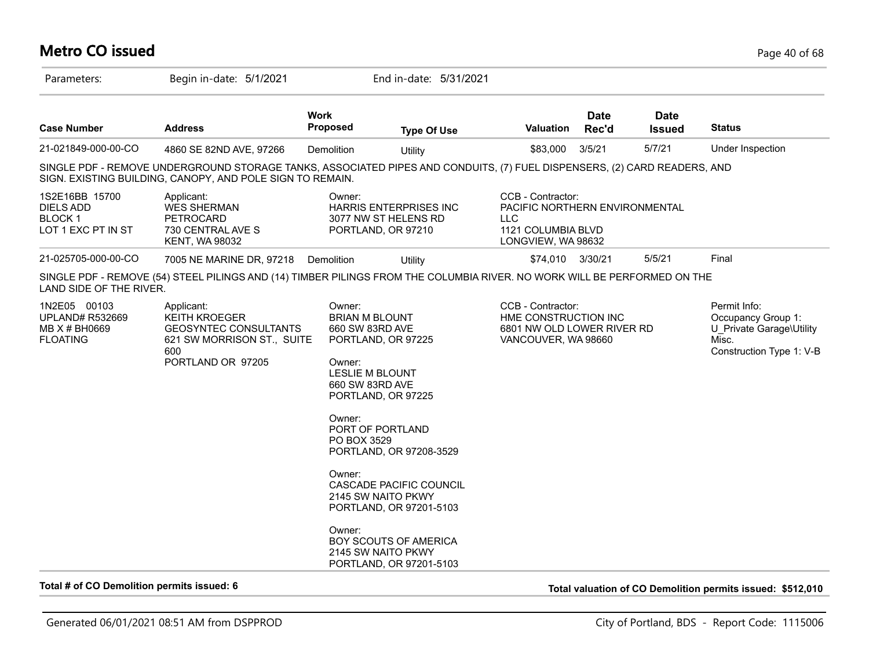## **Metro CO issued** Page 40 of 68

| Parameters:                                                                    | Begin in-date: 5/1/2021                                                                                                                                                               |                                                                                                                                                        | End in-date: 5/31/2021                                                                                                                                                                                                                        |                                                                                                        |                      |                              |                                                                                                     |
|--------------------------------------------------------------------------------|---------------------------------------------------------------------------------------------------------------------------------------------------------------------------------------|--------------------------------------------------------------------------------------------------------------------------------------------------------|-----------------------------------------------------------------------------------------------------------------------------------------------------------------------------------------------------------------------------------------------|--------------------------------------------------------------------------------------------------------|----------------------|------------------------------|-----------------------------------------------------------------------------------------------------|
| <b>Case Number</b>                                                             | <b>Address</b>                                                                                                                                                                        | <b>Work</b><br><b>Proposed</b>                                                                                                                         | <b>Type Of Use</b>                                                                                                                                                                                                                            | Valuation                                                                                              | <b>Date</b><br>Rec'd | <b>Date</b><br><b>Issued</b> | <b>Status</b>                                                                                       |
| 21-021849-000-00-CO                                                            | 4860 SE 82ND AVE, 97266                                                                                                                                                               | Demolition                                                                                                                                             | Utility                                                                                                                                                                                                                                       | \$83,000                                                                                               | 3/5/21               | 5/7/21                       | Under Inspection                                                                                    |
|                                                                                | SINGLE PDF - REMOVE UNDERGROUND STORAGE TANKS, ASSOCIATED PIPES AND CONDUITS, (7) FUEL DISPENSERS, (2) CARD READERS, AND<br>SIGN. EXISTING BUILDING, CANOPY, AND POLE SIGN TO REMAIN. |                                                                                                                                                        |                                                                                                                                                                                                                                               |                                                                                                        |                      |                              |                                                                                                     |
| 1S2E16BB 15700<br><b>DIELS ADD</b><br>BLOCK <sub>1</sub><br>LOT 1 EXC PT IN ST | Applicant:<br><b>WES SHERMAN</b><br>PETROCARD<br>730 CENTRAL AVE S<br><b>KENT, WA 98032</b>                                                                                           | Owner:                                                                                                                                                 | HARRIS ENTERPRISES INC<br>3077 NW ST HELENS RD<br>PORTLAND, OR 97210                                                                                                                                                                          | CCB - Contractor:<br>PACIFIC NORTHERN ENVIRONMENTAL<br>LLC<br>1121 COLUMBIA BLVD<br>LONGVIEW, WA 98632 |                      |                              |                                                                                                     |
| 21-025705-000-00-CO                                                            | 7005 NE MARINE DR, 97218                                                                                                                                                              | Demolition                                                                                                                                             | Utility                                                                                                                                                                                                                                       | \$74,010 3/30/21                                                                                       |                      | 5/5/21                       | Final                                                                                               |
| LAND SIDE OF THE RIVER.                                                        | SINGLE PDF - REMOVE (54) STEEL PILINGS AND (14) TIMBER PILINGS FROM THE COLUMBIA RIVER. NO WORK WILL BE PERFORMED ON THE                                                              |                                                                                                                                                        |                                                                                                                                                                                                                                               |                                                                                                        |                      |                              |                                                                                                     |
| 1N2E05 00103<br><b>UPLAND# R532669</b><br>MB X # BH0669<br><b>FLOATING</b>     | Applicant:<br><b>KEITH KROEGER</b><br><b>GEOSYNTEC CONSULTANTS</b><br>621 SW MORRISON ST., SUITE<br>600<br>PORTLAND OR 97205                                                          | Owner:<br><b>BRIAN M BLOUNT</b><br>660 SW 83RD AVE<br>Owner:<br><b>LESLIE M BLOUNT</b><br>660 SW 83RD AVE<br>Owner:<br>PO BOX 3529<br>Owner:<br>Owner: | PORTLAND, OR 97225<br>PORTLAND, OR 97225<br>PORT OF PORTLAND<br>PORTLAND, OR 97208-3529<br>CASCADE PACIFIC COUNCIL<br>2145 SW NAITO PKWY<br>PORTLAND, OR 97201-5103<br>BOY SCOUTS OF AMERICA<br>2145 SW NAITO PKWY<br>PORTLAND, OR 97201-5103 | CCB - Contractor:<br>HME CONSTRUCTION INC<br>6801 NW OLD LOWER RIVER RD<br>VANCOUVER, WA 98660         |                      |                              | Permit Info:<br>Occupancy Group 1:<br>U Private Garage\Utility<br>Misc.<br>Construction Type 1: V-B |

**Total # of CO Demolition permits issued: 6 Total valuation of CO Demolition permits issued: \$512,010**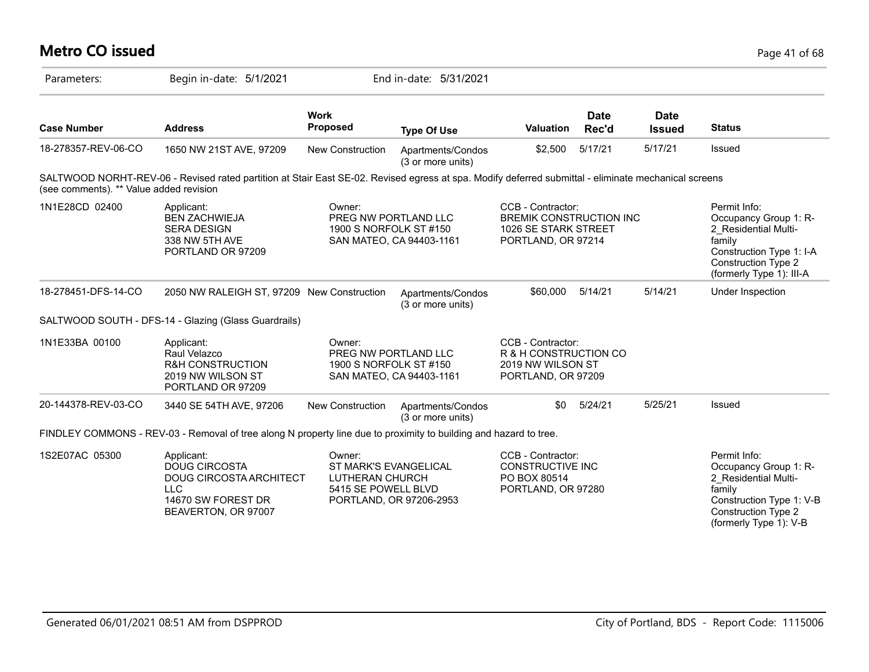### **Metro CO issued** Page 41 of 68 Parameters: Begin in-date: 5/1/2021 End in-date: 5/31/2021 **Work Case Number Address Proposed Type Of Use Valuation Status Date Rec'd Date Issued** 18-278357-REV-06-CO 1650 NW 21ST AVE, 97209 New Construction Apartments/Condos (3 or more units) \$2,500 5/17/21 5/17/21 Issued SALTWOOD NORHT-REV-06 - Revised rated partition at Stair East SE-02. Revised egress at spa. Modify deferred submittal - eliminate mechanical screens (see comments). \*\* Value added revision 1N1E28CD 02400 Applicant: A CONDER: COB - Contractor: Permit Info: COB - Contractor: Permit Info: Occupancy Group 1: R-2\_Residential Multifamily Construction Type 1: I-A Construction Type 2 (formerly Type 1): III-A CCB - Contractor: BREMIK CONSTRUCTION INC 1026 SE STARK STREET PORTLAND, OR 97214 Owner: PREG NW PORTLAND LLC 1900 S NORFOLK ST #150 SAN MATEO, CA 94403-1161 Applicant: BEN ZACHWIEJA SERA DESIGN 338 NW 5TH AVE PORTLAND OR 97209 18-278451-DFS-14-CO 2050 NW RALEIGH ST, 97209 New Construction Apartments/Condos (3 or more units) \$60,000 5/14/21 5/14/21 Under Inspection SALTWOOD SOUTH - DFS-14 - Glazing (Glass Guardrails) 1N1E33BA 00100 CCB - Contractor: R & H CONSTRUCTION CO 2019 NW WILSON ST PORTLAND, OR 97209 Owner: PREG NW PORTLAND LLC 1900 S NORFOLK ST #150 SAN MATEO, CA 94403-1161 Applicant: Raul Velazco R&H CONSTRUCTION 2019 NW WILSON ST PORTLAND OR 97209 20-144378-REV-03-CO 3440 SE 54TH AVE, 97206 New Construction Apartments/Condos (3 or more units) \$0 5/24/21 5/25/21 Issued FINDLEY COMMONS - REV-03 - Removal of tree along N property line due to proximity to building and hazard to tree. 1S2E07AC 05300 Applicant: Applicant: A CONNERT CONSIDENT PARAGONIC CB - Contractor: Permit Info: Occupancy Group 1: R-2\_Residential Multifamily Construction Type 1: V-B Construction Type 2 CCB - Contractor: CONSTRUCTIVE INC PO BOX 80514 PORTLAND, OR 97280 Owner: ST MARK'S EVANGELICAL LUTHERAN CHURCH 5415 SE POWELL BLVD PORTLAND, OR 97206-2953 Applicant: DOUG CIRCOSTA DOUG CIRCOSTA ARCHITECT  $ILC$ 14670 SW FOREST DR BEAVERTON, OR 97007

(formerly Type 1): V-B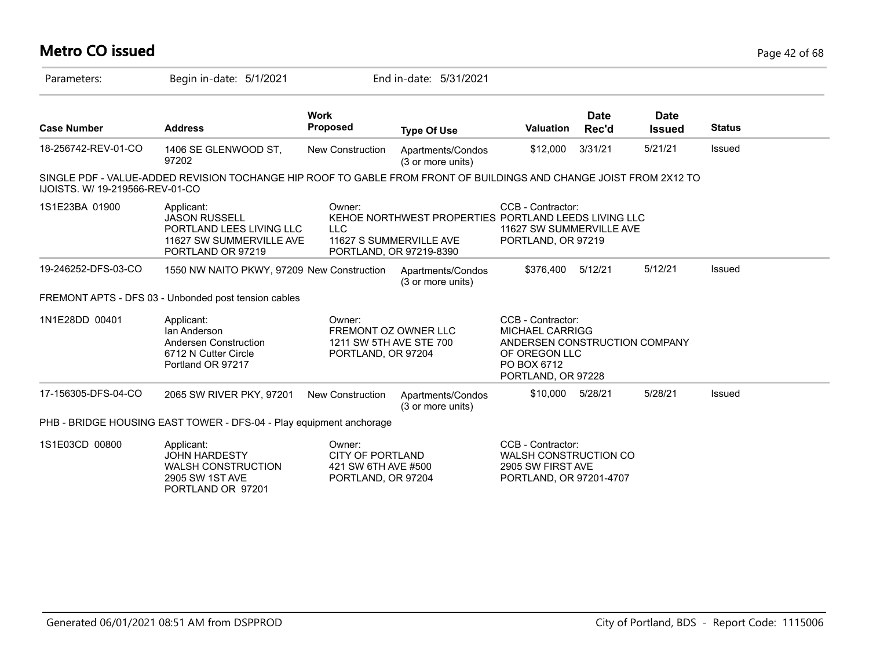# **Metro CO issued** Page 42 of 68

| Parameters:                     | Begin in-date: 5/1/2021                                                                                            |                                                                                 | End in-date: 5/31/2021                                                                                     |                                                                                                                                    |                      |                              |               |
|---------------------------------|--------------------------------------------------------------------------------------------------------------------|---------------------------------------------------------------------------------|------------------------------------------------------------------------------------------------------------|------------------------------------------------------------------------------------------------------------------------------------|----------------------|------------------------------|---------------|
| <b>Case Number</b>              | <b>Address</b>                                                                                                     | <b>Work</b><br><b>Proposed</b>                                                  | <b>Type Of Use</b>                                                                                         | <b>Valuation</b>                                                                                                                   | <b>Date</b><br>Rec'd | <b>Date</b><br><b>Issued</b> | <b>Status</b> |
| 18-256742-REV-01-CO             | 1406 SE GLENWOOD ST,<br>97202                                                                                      | New Construction                                                                | Apartments/Condos<br>(3 or more units)                                                                     | \$12,000                                                                                                                           | 3/31/21              | 5/21/21                      | Issued        |
| IJOISTS. W/ 19-219566-REV-01-CO | SINGLE PDF - VALUE-ADDED REVISION TOCHANGE HIP ROOF TO GABLE FROM FRONT OF BUILDINGS AND CHANGE JOIST FROM 2X12 TO |                                                                                 |                                                                                                            |                                                                                                                                    |                      |                              |               |
| 1S1E23BA 01900                  | Applicant:<br><b>JASON RUSSELL</b><br>PORTLAND LEES LIVING LLC<br>11627 SW SUMMERVILLE AVE<br>PORTLAND OR 97219    | Owner:<br><b>LLC</b>                                                            | KEHOE NORTHWEST PROPERTIES PORTLAND LEEDS LIVING LLC<br>11627 S SUMMERVILLE AVE<br>PORTLAND, OR 97219-8390 | CCB - Contractor:<br>11627 SW SUMMERVILLE AVE<br>PORTLAND, OR 97219                                                                |                      |                              |               |
| 19-246252-DFS-03-CO             | 1550 NW NAITO PKWY, 97209 New Construction                                                                         |                                                                                 | Apartments/Condos<br>(3 or more units)                                                                     | \$376,400                                                                                                                          | 5/12/21              | 5/12/21                      | <b>Issued</b> |
|                                 | FREMONT APTS - DFS 03 - Unbonded post tension cables                                                               |                                                                                 |                                                                                                            |                                                                                                                                    |                      |                              |               |
| 1N1E28DD 00401                  | Applicant:<br>Ian Anderson<br>Andersen Construction<br>6712 N Cutter Circle<br>Portland OR 97217                   | Owner:<br>FREMONT OZ OWNER LLC<br>1211 SW 5TH AVE STE 700<br>PORTLAND, OR 97204 |                                                                                                            | CCB - Contractor:<br><b>MICHAEL CARRIGG</b><br>ANDERSEN CONSTRUCTION COMPANY<br>OF OREGON LLC<br>PO BOX 6712<br>PORTLAND, OR 97228 |                      |                              |               |
| 17-156305-DFS-04-CO             | 2065 SW RIVER PKY, 97201                                                                                           | <b>New Construction</b>                                                         | Apartments/Condos<br>(3 or more units)                                                                     | \$10,000                                                                                                                           | 5/28/21              | 5/28/21                      | Issued        |
|                                 | PHB - BRIDGE HOUSING EAST TOWER - DFS-04 - Play equipment anchorage                                                |                                                                                 |                                                                                                            |                                                                                                                                    |                      |                              |               |
| 1S1E03CD 00800                  | Applicant:<br><b>JOHN HARDESTY</b><br><b>WALSH CONSTRUCTION</b><br>2905 SW 1ST AVE<br>PORTLAND OR 97201            | Owner:<br><b>CITY OF PORTLAND</b><br>421 SW 6TH AVE #500<br>PORTLAND, OR 97204  |                                                                                                            | CCB - Contractor:<br>WALSH CONSTRUCTION CO<br>2905 SW FIRST AVE<br>PORTLAND, OR 97201-4707                                         |                      |                              |               |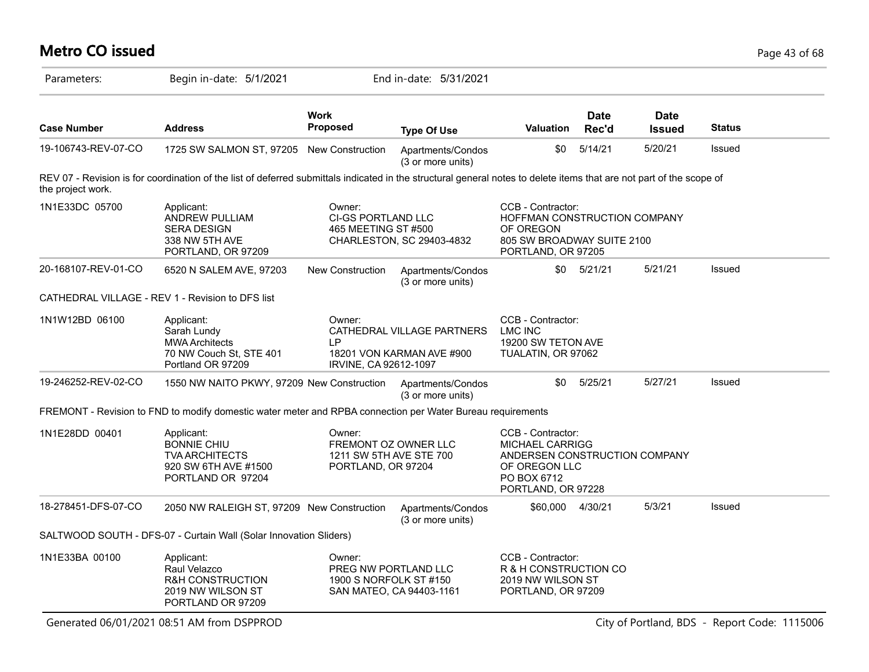### Parameters: Begin in-date: 5/1/2021 End in-date: 5/31/2021 **Work Case Number Address Proposed Type Of Use Valuation Status Date Rec'd Date Issued** 19-106743-REV-07-CO 1725 SW SALMON ST, 97205 New Construction Apartments/Condos (3 or more units) \$0 5/14/21 5/20/21 Issued REV 07 - Revision is for coordination of the list of deferred submittals indicated in the structural general notes to delete items that are not part of the scope of the project work. 1N1E33DC 05700 Applicant: Applicant: Owner: CCB - Contractor: HOFFMAN CONSTRUCTION COMPANY OF OREGON 805 SW BROADWAY SUITE 2100 PORTLAND, OR 97205 Owner: CI-GS PORTLAND LLC 465 MEETING ST #500 CHARLESTON, SC 29403-4832 Applicant: ANDREW PULLIAM SERA DESIGN 338 NW 5TH AVE PORTLAND, OR 97209 20-168107-REV-01-CO 6520 N SALEM AVE, 97203 New Construction Apartments/Condos (3 or more units) \$0 5/21/21 5/21/21 Issued CATHEDRAL VILLAGE - REV 1 - Revision to DFS list 1N1W12BD 06100 CCB - Contractor: LMC INC 19200 SW TETON AVE TUALATIN, OR 97062 Owner: CATHEDRAL VILLAGE PARTNERS LP 18201 VON KARMAN AVE #900 IRVINE, CA 92612-1097 Applicant: Sarah Lundy MWA Architects 70 NW Couch St, STE 401 Portland OR 97209 19-246252-REV-02-CO 1550 NW NAITO PKWY, 97209 New Construction Apartments/Condos (3 or more units) \$0 5/25/21 5/27/21 Issued FREMONT - Revision to FND to modify domestic water meter and RPBA connection per Water Bureau requirements 1N1E28DD 00401 CCB - Contractor: MICHAEL CARRIGG ANDERSEN CONSTRUCTION COMPANY OF OREGON LLC PO BOX 6712 PORTLAND, OR 97228 Owner: FREMONT OZ OWNER LLC 1211 SW 5TH AVE STE 700 PORTLAND, OR 97204 Applicant: BONNIE CHIU TVA ARCHITECTS 920 SW 6TH AVE #1500 PORTLAND OR 97204 18-278451-DFS-07-CO 2050 NW RALEIGH ST, 97209 New Construction Apartments/Condos (3 or more units) \$60,000 4/30/21 5/3/21 Issued SALTWOOD SOUTH - DFS-07 - Curtain Wall (Solar Innovation Sliders) 1N1E33BA 00100 CCB - Contractor: R & H CONSTRUCTION CO 2019 NW WILSON ST PORTLAND, OR 97209 Owner: PREG NW PORTLAND LLC 1900 S NORFOLK ST #150 SAN MATEO, CA 94403-1161 Applicant: Raul Velazco R&H CONSTRUCTION 2019 NW WILSON ST PORTLAND OR 97209

**Metro CO issued** Page 43 of 68

Generated 06/01/2021 08:51 AM from DSPPROD City of Portland, BDS - Report Code: 1115006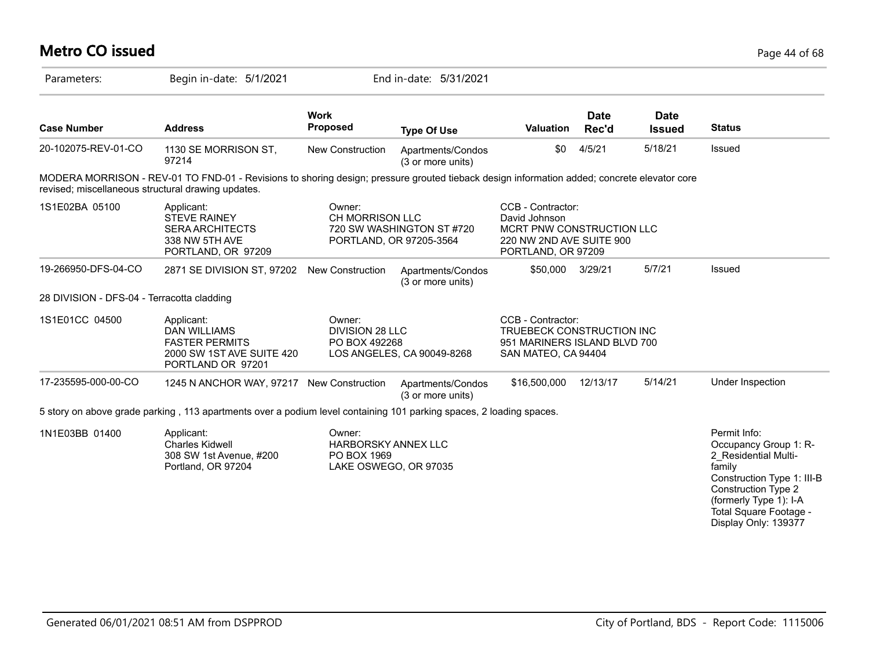| <b>Metro CO issued</b>                             |                                                                                                                                             |                                                                       |                                                      |                                                                                                                   |                      |                              | Page 44 of 68                                                                                                                                                                                                   |
|----------------------------------------------------|---------------------------------------------------------------------------------------------------------------------------------------------|-----------------------------------------------------------------------|------------------------------------------------------|-------------------------------------------------------------------------------------------------------------------|----------------------|------------------------------|-----------------------------------------------------------------------------------------------------------------------------------------------------------------------------------------------------------------|
| Parameters:                                        | Begin in-date: 5/1/2021                                                                                                                     |                                                                       | End in-date: 5/31/2021                               |                                                                                                                   |                      |                              |                                                                                                                                                                                                                 |
| <b>Case Number</b>                                 | <b>Address</b>                                                                                                                              | <b>Work</b><br><b>Proposed</b>                                        | <b>Type Of Use</b>                                   | Valuation                                                                                                         | <b>Date</b><br>Rec'd | <b>Date</b><br><b>Issued</b> | <b>Status</b>                                                                                                                                                                                                   |
| 20-102075-REV-01-CO                                | 1130 SE MORRISON ST,<br>97214                                                                                                               | New Construction                                                      | Apartments/Condos<br>(3 or more units)               | \$0                                                                                                               | 4/5/21               | 5/18/21                      | Issued                                                                                                                                                                                                          |
| revised; miscellaneous structural drawing updates. | MODERA MORRISON - REV-01 TO FND-01 - Revisions to shoring design; pressure grouted tieback design information added; concrete elevator core |                                                                       |                                                      |                                                                                                                   |                      |                              |                                                                                                                                                                                                                 |
| 1S1E02BA 05100                                     | Applicant:<br><b>STEVE RAINEY</b><br><b>SERA ARCHITECTS</b><br>338 NW 5TH AVE<br>PORTLAND, OR 97209                                         | Owner:<br>CH MORRISON LLC                                             | 720 SW WASHINGTON ST #720<br>PORTLAND, OR 97205-3564 | CCB - Contractor:<br>David Johnson<br>MCRT PNW CONSTRUCTION LLC<br>220 NW 2ND AVE SUITE 900<br>PORTLAND, OR 97209 |                      |                              |                                                                                                                                                                                                                 |
| 19-266950-DFS-04-CO                                | 2871 SE DIVISION ST, 97202 New Construction                                                                                                 |                                                                       | Apartments/Condos<br>(3 or more units)               | \$50,000 3/29/21                                                                                                  |                      | 5/7/21                       | Issued                                                                                                                                                                                                          |
| 28 DIVISION - DFS-04 - Terracotta cladding         |                                                                                                                                             |                                                                       |                                                      |                                                                                                                   |                      |                              |                                                                                                                                                                                                                 |
| 1S1E01CC 04500                                     | Applicant:<br><b>DAN WILLIAMS</b><br><b>FASTER PERMITS</b><br>2000 SW 1ST AVE SUITE 420<br>PORTLAND OR 97201                                | Owner:<br><b>DIVISION 28 LLC</b><br>PO BOX 492268                     | LOS ANGELES, CA 90049-8268                           | CCB - Contractor:<br>TRUEBECK CONSTRUCTION INC<br>951 MARINERS ISLAND BLVD 700<br>SAN MATEO, CA 94404             |                      |                              |                                                                                                                                                                                                                 |
| 17-235595-000-00-CO                                | 1245 N ANCHOR WAY, 97217 New Construction                                                                                                   |                                                                       | Apartments/Condos<br>(3 or more units)               | \$16,500,000                                                                                                      | 12/13/17             | 5/14/21                      | Under Inspection                                                                                                                                                                                                |
|                                                    | 5 story on above grade parking, 113 apartments over a podium level containing 101 parking spaces, 2 loading spaces.                         |                                                                       |                                                      |                                                                                                                   |                      |                              |                                                                                                                                                                                                                 |
| 1N1E03BB 01400                                     | Applicant:<br><b>Charles Kidwell</b><br>308 SW 1st Avenue, #200<br>Portland, OR 97204                                                       | Owner:<br>HARBORSKY ANNEX LLC<br>PO BOX 1969<br>LAKE OSWEGO, OR 97035 |                                                      |                                                                                                                   |                      |                              | Permit Info:<br>Occupancy Group 1: R-<br>2 Residential Multi-<br>family<br>Construction Type 1: III-B<br><b>Construction Type 2</b><br>(formerly Type 1): I-A<br>Total Square Footage -<br>Display Only: 139377 |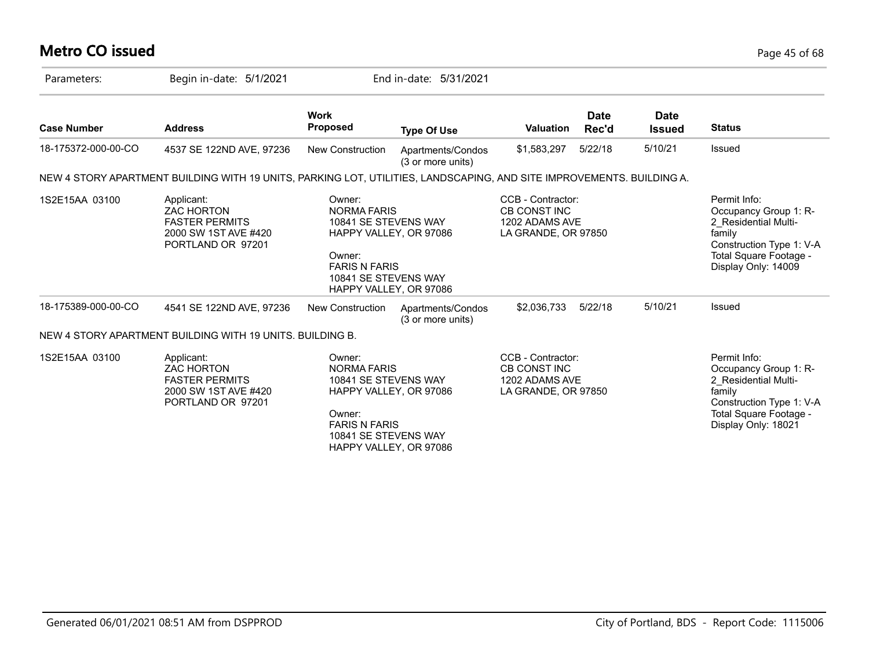# **Metro CO issued** Page 45 of 68

| Parameters:         | Begin in-date: 5/1/2021                                                                                               |                                                                                                                | End in-date: 5/31/2021                           |                                                                                   |                      |                              |                                                                                                                                                      |
|---------------------|-----------------------------------------------------------------------------------------------------------------------|----------------------------------------------------------------------------------------------------------------|--------------------------------------------------|-----------------------------------------------------------------------------------|----------------------|------------------------------|------------------------------------------------------------------------------------------------------------------------------------------------------|
| <b>Case Number</b>  | <b>Address</b>                                                                                                        | <b>Work</b><br><b>Proposed</b>                                                                                 | <b>Type Of Use</b>                               | <b>Valuation</b>                                                                  | <b>Date</b><br>Rec'd | <b>Date</b><br><b>Issued</b> | <b>Status</b>                                                                                                                                        |
| 18-175372-000-00-CO | 4537 SE 122ND AVE, 97236                                                                                              | <b>New Construction</b>                                                                                        | Apartments/Condos<br>(3 or more units)           | \$1,583,297                                                                       | 5/22/18              | 5/10/21                      | <b>Issued</b>                                                                                                                                        |
|                     | NEW 4 STORY APARTMENT BUILDING WITH 19 UNITS, PARKING LOT, UTILITIES, LANDSCAPING, AND SITE IMPROVEMENTS. BUILDING A. |                                                                                                                |                                                  |                                                                                   |                      |                              |                                                                                                                                                      |
| 1S2E15AA 03100      | Applicant:<br><b>ZAC HORTON</b><br><b>FASTER PERMITS</b><br>2000 SW 1ST AVE #420<br>PORTLAND OR 97201                 | Owner:<br><b>NORMA FARIS</b><br>10841 SE STEVENS WAY<br>Owner:<br><b>FARIS N FARIS</b><br>10841 SE STEVENS WAY | HAPPY VALLEY, OR 97086<br>HAPPY VALLEY, OR 97086 | CCB - Contractor:<br><b>CB CONST INC</b><br>1202 ADAMS AVE<br>LA GRANDE, OR 97850 |                      |                              | Permit Info:<br>Occupancy Group 1: R-<br>2 Residential Multi-<br>family<br>Construction Type 1: V-A<br>Total Square Footage -<br>Display Only: 14009 |
| 18-175389-000-00-CO | 4541 SE 122ND AVE, 97236                                                                                              | <b>New Construction</b>                                                                                        | Apartments/Condos<br>(3 or more units)           | \$2,036,733                                                                       | 5/22/18              | 5/10/21                      | Issued                                                                                                                                               |
|                     | NEW 4 STORY APARTMENT BUILDING WITH 19 UNITS. BUILDING B.                                                             |                                                                                                                |                                                  |                                                                                   |                      |                              |                                                                                                                                                      |
| 1S2E15AA 03100      | Applicant:<br><b>ZAC HORTON</b><br><b>FASTER PERMITS</b><br>2000 SW 1ST AVE #420<br>PORTLAND OR 97201                 | Owner:<br><b>NORMA FARIS</b><br>10841 SE STEVENS WAY<br>Owner:<br><b>FARIS N FARIS</b><br>10841 SE STEVENS WAY | HAPPY VALLEY, OR 97086<br>HAPPY VALLEY, OR 97086 | CCB - Contractor:<br><b>CB CONST INC</b><br>1202 ADAMS AVE<br>LA GRANDE, OR 97850 |                      |                              | Permit Info:<br>Occupancy Group 1: R-<br>2 Residential Multi-<br>family<br>Construction Type 1: V-A<br>Total Square Footage -<br>Display Only: 18021 |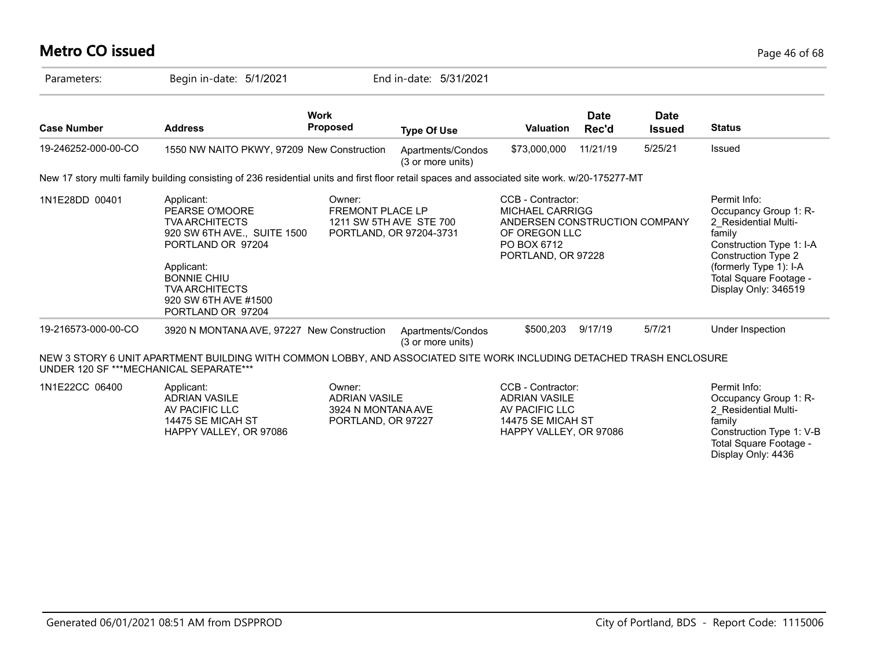# **Metro CO issued** Page 46 of 68

| Parameters:                            | Begin in-date: 5/1/2021                                                                                                                                                                                             |                                                                            | End in-date: 5/31/2021                             |                                                                                                                                    |                      |                              |                                                                                                                                                                                                               |
|----------------------------------------|---------------------------------------------------------------------------------------------------------------------------------------------------------------------------------------------------------------------|----------------------------------------------------------------------------|----------------------------------------------------|------------------------------------------------------------------------------------------------------------------------------------|----------------------|------------------------------|---------------------------------------------------------------------------------------------------------------------------------------------------------------------------------------------------------------|
| <b>Case Number</b>                     | <b>Address</b>                                                                                                                                                                                                      | <b>Work</b><br><b>Proposed</b>                                             | <b>Type Of Use</b>                                 | <b>Valuation</b>                                                                                                                   | <b>Date</b><br>Rec'd | <b>Date</b><br><b>Issued</b> | <b>Status</b>                                                                                                                                                                                                 |
| 19-246252-000-00-CO                    | 1550 NW NAITO PKWY, 97209 New Construction                                                                                                                                                                          |                                                                            | Apartments/Condos<br>(3 or more units)             | \$73,000,000                                                                                                                       | 11/21/19             | 5/25/21                      | Issued                                                                                                                                                                                                        |
|                                        | New 17 story multi family building consisting of 236 residential units and first floor retail spaces and associated site work. w/20-175277-MT                                                                       |                                                                            |                                                    |                                                                                                                                    |                      |                              |                                                                                                                                                                                                               |
| 1N1E28DD 00401                         | Applicant:<br>PEARSE O'MOORE<br><b>TVA ARCHITECTS</b><br>920 SW 6TH AVE., SUITE 1500<br>PORTLAND OR 97204<br>Applicant:<br><b>BONNIE CHIU</b><br><b>TVA ARCHITECTS</b><br>920 SW 6TH AVE #1500<br>PORTLAND OR 97204 | Owner:<br><b>FREMONT PLACE LP</b>                                          | 1211 SW 5TH AVE STE 700<br>PORTLAND, OR 97204-3731 | CCB - Contractor:<br><b>MICHAEL CARRIGG</b><br>ANDERSEN CONSTRUCTION COMPANY<br>OF OREGON LLC<br>PO BOX 6712<br>PORTLAND, OR 97228 |                      |                              | Permit Info:<br>Occupancy Group 1: R-<br>2 Residential Multi-<br>family<br>Construction Type 1: I-A<br><b>Construction Type 2</b><br>(formerly Type 1): I-A<br>Total Square Footage -<br>Display Only: 346519 |
| 19-216573-000-00-CO                    | 3920 N MONTANA AVE, 97227 New Construction                                                                                                                                                                          |                                                                            | Apartments/Condos<br>(3 or more units)             | \$500,203                                                                                                                          | 9/17/19              | 5/7/21                       | Under Inspection                                                                                                                                                                                              |
| UNDER 120 SF ***MECHANICAL SEPARATE*** | NEW 3 STORY 6 UNIT APARTMENT BUILDING WITH COMMON LOBBY, AND ASSOCIATED SITE WORK INCLUDING DETACHED TRASH ENCLOSURE                                                                                                |                                                                            |                                                    |                                                                                                                                    |                      |                              |                                                                                                                                                                                                               |
| 1N1E22CC 06400                         | Applicant:<br><b>ADRIAN VASILE</b><br>AV PACIFIC LLC<br>14475 SE MICAH ST<br>HAPPY VALLEY, OR 97086                                                                                                                 | Owner:<br><b>ADRIAN VASILE</b><br>3924 N MONTANA AVE<br>PORTLAND, OR 97227 |                                                    | CCB - Contractor:<br><b>ADRIAN VASILE</b><br>AV PACIFIC LLC<br>14475 SE MICAH ST<br>HAPPY VALLEY, OR 97086                         |                      |                              | Permit Info:<br>Occupancy Group 1: R-<br>2 Residential Multi-<br>family<br>Construction Type 1: V-B<br>Total Square Footage -                                                                                 |

Display Only: 4436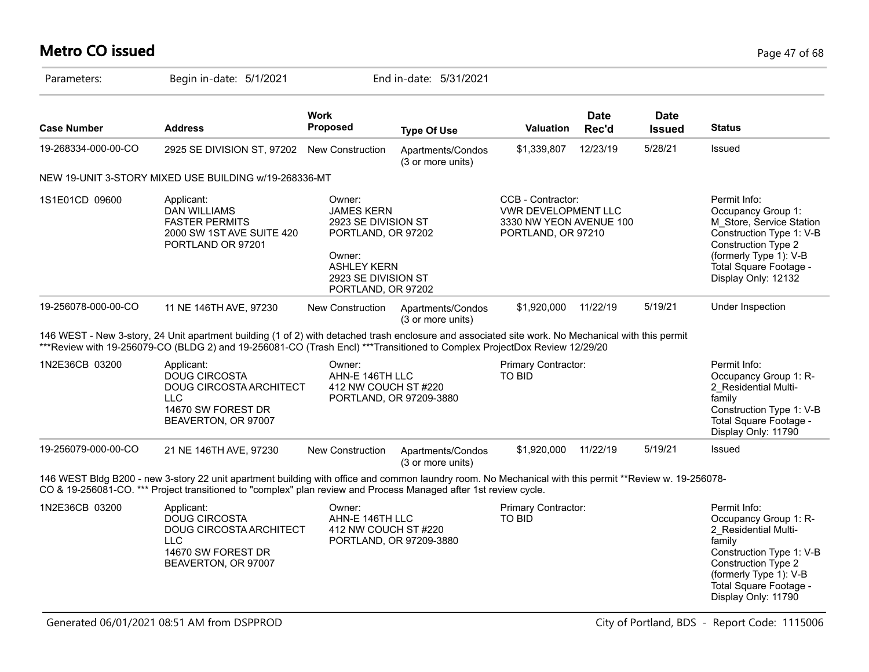# **Metro CO issued** Page 47 of 68

| Parameters:         | Begin in-date: 5/1/2021                                                                                                                                                                                                                                                        |                                                                                                                                                       | End in-date: 5/31/2021                 |                                                                                           |                      |                              |                                                                                                                                                                                                       |
|---------------------|--------------------------------------------------------------------------------------------------------------------------------------------------------------------------------------------------------------------------------------------------------------------------------|-------------------------------------------------------------------------------------------------------------------------------------------------------|----------------------------------------|-------------------------------------------------------------------------------------------|----------------------|------------------------------|-------------------------------------------------------------------------------------------------------------------------------------------------------------------------------------------------------|
| <b>Case Number</b>  | <b>Address</b>                                                                                                                                                                                                                                                                 | Work<br>Proposed                                                                                                                                      | <b>Type Of Use</b>                     | <b>Valuation</b>                                                                          | <b>Date</b><br>Rec'd | <b>Date</b><br><b>Issued</b> | <b>Status</b>                                                                                                                                                                                         |
| 19-268334-000-00-CO | 2925 SE DIVISION ST, 97202                                                                                                                                                                                                                                                     | New Construction                                                                                                                                      | Apartments/Condos<br>(3 or more units) | \$1,339,807                                                                               | 12/23/19             | 5/28/21                      | Issued                                                                                                                                                                                                |
|                     | NEW 19-UNIT 3-STORY MIXED USE BUILDING w/19-268336-MT                                                                                                                                                                                                                          |                                                                                                                                                       |                                        |                                                                                           |                      |                              |                                                                                                                                                                                                       |
| 1S1E01CD 09600      | Applicant:<br><b>DAN WILLIAMS</b><br><b>FASTER PERMITS</b><br>2000 SW 1ST AVE SUITE 420<br>PORTLAND OR 97201                                                                                                                                                                   | Owner:<br><b>JAMES KERN</b><br>2923 SE DIVISION ST<br>PORTLAND, OR 97202<br>Owner:<br><b>ASHLEY KERN</b><br>2923 SE DIVISION ST<br>PORTLAND, OR 97202 |                                        | CCB - Contractor:<br>VWR DEVELOPMENT LLC<br>3330 NW YEON AVENUE 100<br>PORTLAND, OR 97210 |                      |                              | Permit Info:<br>Occupancy Group 1:<br>M Store, Service Station<br>Construction Type 1: V-B<br>Construction Type 2<br>(formerly Type 1): V-B<br>Total Square Footage -<br>Display Only: 12132          |
| 19-256078-000-00-CO | 11 NE 146TH AVE, 97230                                                                                                                                                                                                                                                         | New Construction                                                                                                                                      | Apartments/Condos<br>(3 or more units) | \$1,920,000                                                                               | 11/22/19             | 5/19/21                      | Under Inspection                                                                                                                                                                                      |
|                     | 146 WEST - New 3-story, 24 Unit apartment building (1 of 2) with detached trash enclosure and associated site work. No Mechanical with this permit<br>***Review with 19-256079-CO (BLDG 2) and 19-256081-CO (Trash Encl) ***Transitioned to Complex ProjectDox Review 12/29/20 |                                                                                                                                                       |                                        |                                                                                           |                      |                              |                                                                                                                                                                                                       |
| 1N2E36CB 03200      | Applicant:<br><b>DOUG CIRCOSTA</b><br>DOUG CIRCOSTA ARCHITECT<br><b>LLC</b><br>14670 SW FOREST DR<br>BEAVERTON, OR 97007                                                                                                                                                       | Owner:<br>AHN-E 146TH LLC<br>412 NW COUCH ST #220                                                                                                     | PORTLAND, OR 97209-3880                | Primary Contractor:<br>TO BID                                                             |                      |                              | Permit Info:<br>Occupancy Group 1: R-<br>2 Residential Multi-<br>family<br>Construction Type 1: V-B<br>Total Square Footage -<br>Display Only: 11790                                                  |
| 19-256079-000-00-CO | 21 NE 146TH AVE, 97230                                                                                                                                                                                                                                                         | <b>New Construction</b>                                                                                                                               | Apartments/Condos<br>(3 or more units) | \$1,920,000                                                                               | 11/22/19             | 5/19/21                      | Issued                                                                                                                                                                                                |
|                     | 146 WEST Bldg B200 - new 3-story 22 unit apartment building with office and common laundry room. No Mechanical with this permit **Review w. 19-256078-<br>CO & 19-256081-CO. *** Project transitioned to "complex" plan review and Process Managed after 1st review cycle.     |                                                                                                                                                       |                                        |                                                                                           |                      |                              |                                                                                                                                                                                                       |
| 1N2E36CB 03200      | Applicant:<br><b>DOUG CIRCOSTA</b><br>DOUG CIRCOSTA ARCHITECT<br><b>LLC</b><br>14670 SW FOREST DR<br>BEAVERTON, OR 97007                                                                                                                                                       | Owner:<br>AHN-E 146TH LLC<br>412 NW COUCH ST#220                                                                                                      | PORTLAND, OR 97209-3880                | Primary Contractor:<br>TO BID                                                             |                      |                              | Permit Info:<br>Occupancy Group 1: R-<br>2 Residential Multi-<br>family<br>Construction Type 1: V-B<br>Construction Type 2<br>(formerly Type 1): V-B<br>Total Square Footage -<br>Display Only: 11790 |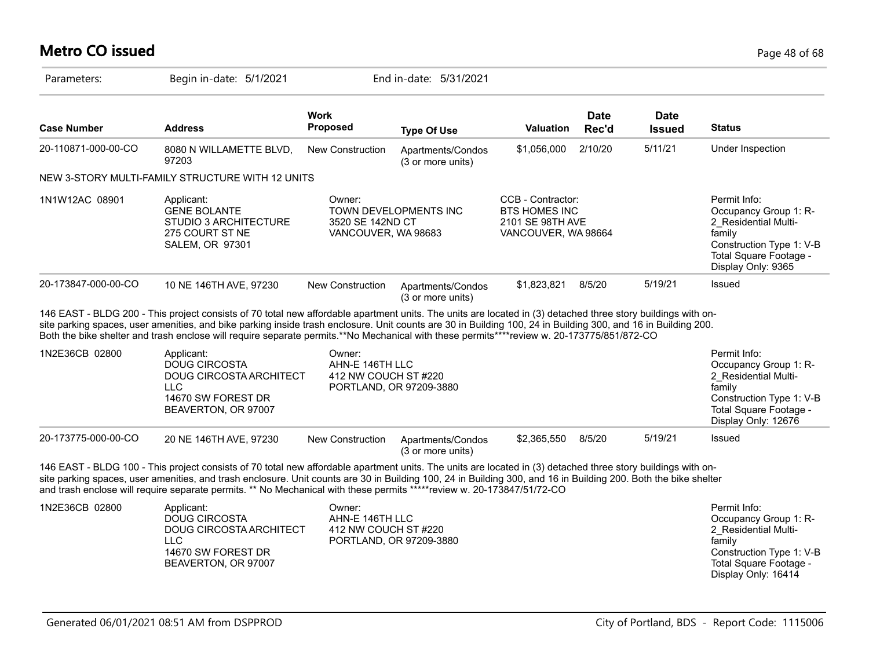# **Metro CO issued** Page 48 of 68

| Parameters:         | Begin in-date: 5/1/2021                                                                                                                                                                                                                                                                                                                                                                                                                                                     |                                                   | End in-date: 5/31/2021                 |                                                                                      |                      |                       |                                                                                                                                                      |
|---------------------|-----------------------------------------------------------------------------------------------------------------------------------------------------------------------------------------------------------------------------------------------------------------------------------------------------------------------------------------------------------------------------------------------------------------------------------------------------------------------------|---------------------------------------------------|----------------------------------------|--------------------------------------------------------------------------------------|----------------------|-----------------------|------------------------------------------------------------------------------------------------------------------------------------------------------|
| <b>Case Number</b>  | <b>Address</b>                                                                                                                                                                                                                                                                                                                                                                                                                                                              | <b>Work</b><br><b>Proposed</b>                    | <b>Type Of Use</b>                     | <b>Valuation</b>                                                                     | <b>Date</b><br>Rec'd | Date<br><b>Issued</b> | <b>Status</b>                                                                                                                                        |
| 20-110871-000-00-CO | 8080 N WILLAMETTE BLVD,<br>97203                                                                                                                                                                                                                                                                                                                                                                                                                                            | New Construction                                  | Apartments/Condos<br>(3 or more units) | \$1,056,000                                                                          | 2/10/20              | 5/11/21               | Under Inspection                                                                                                                                     |
|                     | NEW 3-STORY MULTI-FAMILY STRUCTURE WITH 12 UNITS                                                                                                                                                                                                                                                                                                                                                                                                                            |                                                   |                                        |                                                                                      |                      |                       |                                                                                                                                                      |
| 1N1W12AC 08901      | Applicant:<br><b>GENE BOLANTE</b><br>STUDIO 3 ARCHITECTURE<br>275 COURT ST NE<br><b>SALEM, OR 97301</b>                                                                                                                                                                                                                                                                                                                                                                     | Owner:<br>3520 SE 142ND CT<br>VANCOUVER, WA 98683 | TOWN DEVELOPMENTS INC                  | CCB - Contractor:<br><b>BTS HOMES INC</b><br>2101 SE 98TH AVE<br>VANCOUVER, WA 98664 |                      |                       | Permit Info:<br>Occupancy Group 1: R-<br>2 Residential Multi-<br>family<br>Construction Type 1: V-B<br>Total Square Footage -<br>Display Only: 9365  |
| 20-173847-000-00-CO | 10 NE 146TH AVE, 97230                                                                                                                                                                                                                                                                                                                                                                                                                                                      | New Construction                                  | Apartments/Condos<br>(3 or more units) | \$1,823,821                                                                          | 8/5/20               | 5/19/21               | Issued                                                                                                                                               |
|                     | 146 EAST - BLDG 200 - This project consists of 70 total new affordable apartment units. The units are located in (3) detached three story buildings with on-<br>site parking spaces, user amenities, and bike parking inside trash enclosure. Unit counts are 30 in Building 100, 24 in Building 300, and 16 in Building 200.<br>Both the bike shelter and trash enclose will require separate permits.**No Mechanical with these permits****review w. 20-173775/851/872-CO |                                                   |                                        |                                                                                      |                      |                       |                                                                                                                                                      |
| 1N2E36CB 02800      | Applicant:<br><b>DOUG CIRCOSTA</b><br><b>DOUG CIRCOSTA ARCHITECT</b><br><b>LLC</b><br>14670 SW FOREST DR<br>BEAVERTON, OR 97007                                                                                                                                                                                                                                                                                                                                             | Owner:<br>AHN-E 146TH LLC<br>412 NW COUCH ST#220  | PORTLAND, OR 97209-3880                |                                                                                      |                      |                       | Permit Info:<br>Occupancy Group 1: R-<br>2 Residential Multi-<br>family<br>Construction Type 1: V-B<br>Total Square Footage -<br>Display Only: 12676 |
| 20-173775-000-00-CO | 20 NE 146TH AVE, 97230                                                                                                                                                                                                                                                                                                                                                                                                                                                      | New Construction                                  | Apartments/Condos<br>(3 or more units) | \$2,365,550                                                                          | 8/5/20               | 5/19/21               | <b>Issued</b>                                                                                                                                        |
|                     | 146 EAST - BLDG 100 - This project consists of 70 total new affordable apartment units. The units are located in (3) detached three story buildings with on-<br>site parking spaces, user amenities, and trash enclosure. Unit counts are 30 in Building 100, 24 in Building 300, and 16 in Building 200. Both the bike shelter<br>and trash enclose will require separate permits. ** No Mechanical with these permits *****review w. 20-173847/51/72-CO                   |                                                   |                                        |                                                                                      |                      |                       |                                                                                                                                                      |
| 1N2E36CB 02800      | Applicant:<br><b>DOUG CIRCOSTA</b><br>DOUG CIRCOSTA ARCHITECT<br><b>LLC</b><br>14670 SW FOREST DR<br>BEAVERTON, OR 97007                                                                                                                                                                                                                                                                                                                                                    | Owner:<br>AHN-E 146TH LLC<br>412 NW COUCH ST#220  | PORTLAND, OR 97209-3880                |                                                                                      |                      |                       | Permit Info:<br>Occupancy Group 1: R-<br>2 Residential Multi-<br>family<br>Construction Type 1: V-B<br>Total Square Footage -<br>Display Only: 16414 |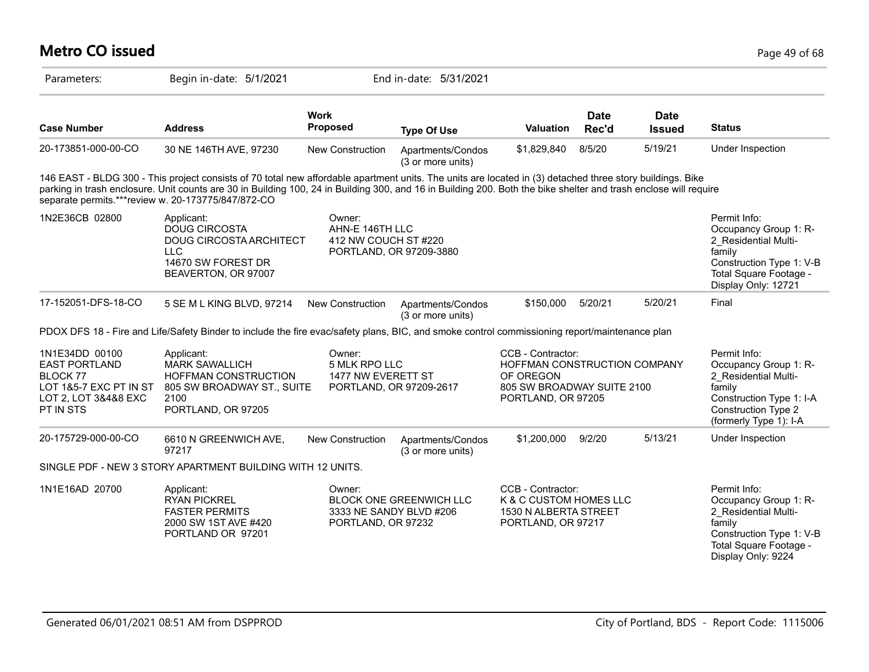#### **Metro CO issued** Page 49 of 68 Parameters: Begin in-date: 5/1/2021 End in-date: 5/31/2021 **Work Case Number Address Proposed Type Of Use Valuation Status Date Rec'd Date Issued** 20-173851-000-00-CO 30 NE 146TH AVE, 97230 New Construction Apartments/Condos (3 or more units) \$1,829,840 8/5/20 5/19/21 Under Inspection 146 EAST - BLDG 300 - This project consists of 70 total new affordable apartment units. The units are located in (3) detached three story buildings. Bike parking in trash enclosure. Unit counts are 30 in Building 100, 24 in Building 300, and 16 in Building 200. Both the bike shelter and trash enclose will require separate permits.\*\*\*review w. 20-173775/847/872-CO 1N2E36CB 02800 Applicant: CWINE COMPET COMPET COMPET COMPET COMPET PERMIT Info: Occupancy Group 1: R-2\_Residential Multifamily Construction Type 1: V-B Total Square Footage - Display Only: 12721 Owner: **AHN-F 146TH LLC** 412 NW COUCH ST #220 PORTLAND, OR 97209-3880 Applicant: DOUG CIRCOSTA DOUG CIRCOSTA ARCHITECT  $\sqcup$  C 14670 SW FOREST DR BEAVERTON, OR 97007 17-152051-DFS-18-CO 5 SE M L KING BLVD, 97214 New Construction Apartments/Condos (3 or more units) \$150,000 5/20/21 5/20/21 Final PDOX DFS 18 - Fire and Life/Safety Binder to include the fire evac/safety plans, BIC, and smoke control commissioning report/maintenance plan 1N1E34DD 00100 EAST PORTLAND BLOCK 77 LOT 1&5-7 EXC PT IN ST LOT 2, LOT 3&4&8 EXC PT IN STS Permit Info: Occupancy Group 1: R-2\_Residential Multifamily Construction Type 1: I-A Construction Type 2 (formerly Type 1): I-A CCB - Contractor: HOFFMAN CONSTRUCTION COMPANY OF OREGON 805 SW BROADWAY SUITE 2100 PORTLAND, OR 97205 Owner: 5 MLK RPO LLC 1477 NW EVERETT ST PORTLAND, OR 97209-2617 Applicant: MARK SAWALLICH HOFFMAN CONSTRUCTION 805 SW BROADWAY ST., SUITE 2100 PORTLAND, OR 97205 20-175729-000-00-CO 6610 N GREENWICH AVE, 97217 New Construction Apartments/Condos (3 or more units) \$1,200,000 9/2/20 5/13/21 Under Inspection SINGLE PDF - NEW 3 STORY APARTMENT BUILDING WITH 12 UNITS. 1N1E16AD 20700 Applicant: COB Communication CCB - Contractor: Permit Info: Occupancy Group 1: R-2\_Residential Multifamily Construction Type 1: V-B Total Square Footage - Display Only: 9224 CCB - Contractor: K & C CUSTOM HOMES LLC 1530 N ALBERTA STREET PORTLAND, OR 97217 Owner: BLOCK ONE GREENWICH LLC 3333 NE SANDY BLVD #206 PORTLAND, OR 97232 Applicant: RYAN PICKREL FASTER PERMITS 2000 SW 1ST AVE #420 PORTLAND OR 97201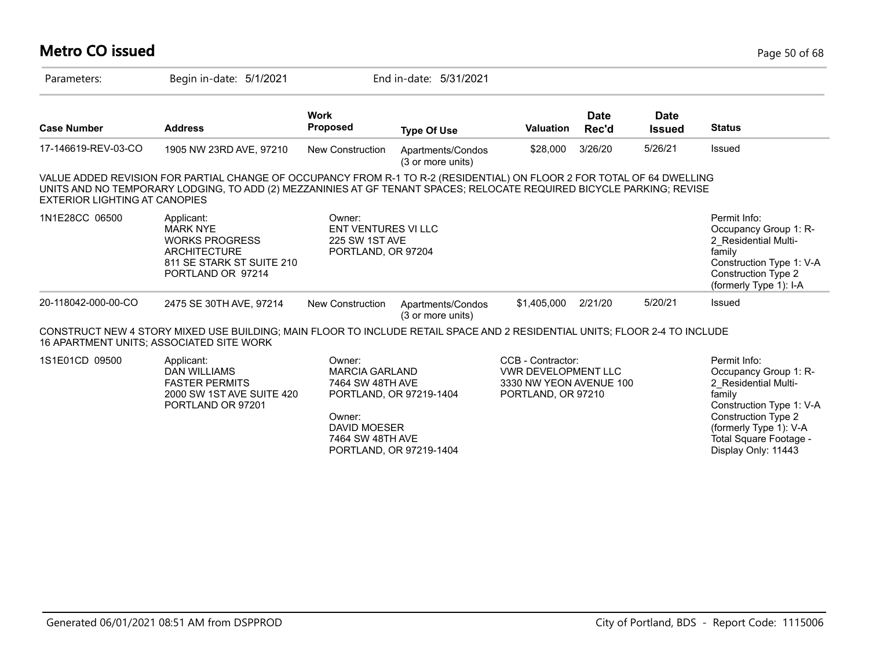### **Metro CO issued** Page 50 of 68 Parameters: Begin in-date: 5/1/2021 End in-date: 5/31/2021 **Work Case Number Address Proposed Type Of Use Valuation Status Date Rec'd Date Issued** 17-146619-REV-03-CO 1905 NW 23RD AVE, 97210 New Construction Apartments/Condos (3 or more units) \$28,000 3/26/20 5/26/21 Issued VALUE ADDED REVISION FOR PARTIAL CHANGE OF OCCUPANCY FROM R-1 TO R-2 (RESIDENTIAL) ON FLOOR 2 FOR TOTAL OF 64 DWELLING UNITS AND NO TEMPORARY LODGING, TO ADD (2) MEZZANINIES AT GF TENANT SPACES; RELOCATE REQUIRED BICYCLE PARKING; REVISE EXTERIOR LIGHTING AT CANOPIES 1N1E28CC 06500 Applicant:  $\qquad \qquad \text{Owner:}$ Owner: ENT VENTURES VI LLC 225 SW 1ST AVE PORTLAND, OR 97204 Applicant: MARK NYE WORKS PROGRESS **ARCHITECTURE** 811 SE STARK ST SUITE 210 PORTLAND OR 97214 20-118042-000-00-CO 2475 SE 30TH AVE, 97214 New Construction Apartments/Condos (3 or more units) \$1,405,000 2/21/20 5/20/21 Issued CONSTRUCT NEW 4 STORY MIXED USE BUILDING; MAIN FLOOR TO INCLUDE RETAIL SPACE AND 2 RESIDENTIAL UNITS; FLOOR 2-4 TO INCLUDE 16 APARTMENT UNITS; ASSOCIATED SITE WORK

1S1E01CD 09500 Applicant: A CONDITE: CCB - Contractor: Permit Info: CSB - Contractor: Permit Info: CCB - Contractor: VWR DEVELOPMENT LLC 3330 NW YEON AVENUE 100 PORTLAND, OR 97210 Owner: MARCIA GARLAND 7464 SW 48TH AVE PORTLAND, OR 97219-1404 Owner: DAVID MOESER 7464 SW 48TH AVE Applicant: DAN WILLIAMS FASTER PERMITS 2000 SW 1ST AVE SUITE 420 PORTLAND OR 97201

PORTLAND, OR 97219-1404

Occupancy Group 1: R-2\_Residential Multi-

Construction Type 1: V-A Construction Type 2 (formerly Type 1): I-A

Occupancy Group 1: R-2\_Residential Multi-

Construction Type 1: V-A Construction Type 2 (formerly Type 1): V-A Total Square Footage - Display Only: 11443

family

family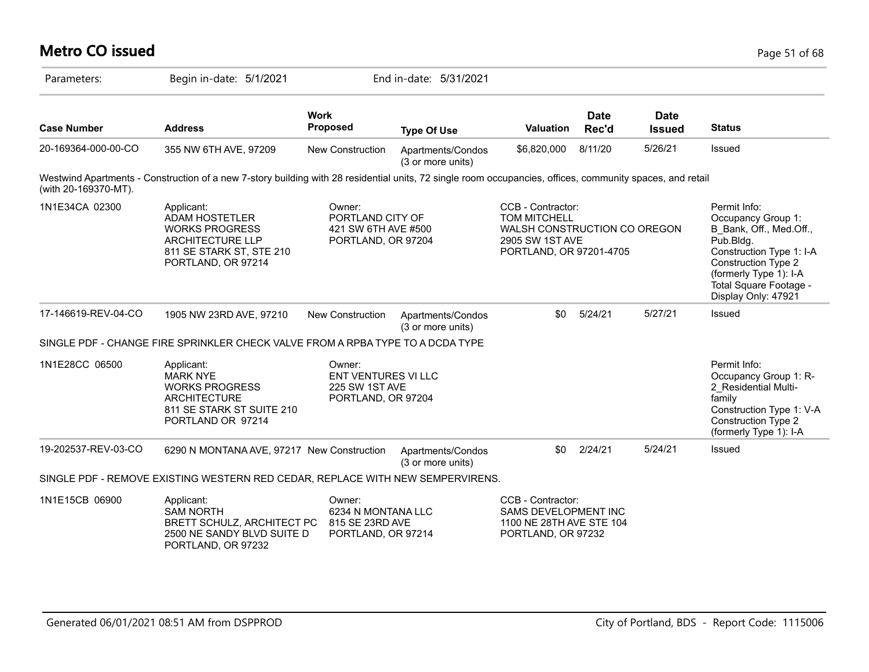# **Metro CO issued** Page 51 of 68

| Parameters:          | Begin in-date: 5/1/2021                                                                                                                                   |                                                                              | End in-date: 5/31/2021                 |                                                                                                                        |                      |                              |                                                                                                                                                                                                          |
|----------------------|-----------------------------------------------------------------------------------------------------------------------------------------------------------|------------------------------------------------------------------------------|----------------------------------------|------------------------------------------------------------------------------------------------------------------------|----------------------|------------------------------|----------------------------------------------------------------------------------------------------------------------------------------------------------------------------------------------------------|
| <b>Case Number</b>   | <b>Address</b>                                                                                                                                            | <b>Work</b><br><b>Proposed</b>                                               | <b>Type Of Use</b>                     | <b>Valuation</b>                                                                                                       | <b>Date</b><br>Rec'd | <b>Date</b><br><b>Issued</b> | <b>Status</b>                                                                                                                                                                                            |
| 20-169364-000-00-CO  | 355 NW 6TH AVE, 97209                                                                                                                                     | New Construction                                                             | Apartments/Condos<br>(3 or more units) | \$6,820,000                                                                                                            | 8/11/20              | 5/26/21                      | Issued                                                                                                                                                                                                   |
| (with 20-169370-MT). | Westwind Apartments - Construction of a new 7-story building with 28 residential units, 72 single room occupancies, offices, community spaces, and retail |                                                                              |                                        |                                                                                                                        |                      |                              |                                                                                                                                                                                                          |
| 1N1E34CA 02300       | Applicant:<br>ADAM HOSTETLER<br><b>WORKS PROGRESS</b><br><b>ARCHITECTURE LLP</b><br>811 SE STARK ST, STE 210<br>PORTLAND, OR 97214                        | Owner:<br>PORTLAND CITY OF<br>421 SW 6TH AVE #500<br>PORTLAND, OR 97204      |                                        | CCB - Contractor:<br><b>TOM MITCHELL</b><br>WALSH CONSTRUCTION CO OREGON<br>2905 SW 1ST AVE<br>PORTLAND, OR 97201-4705 |                      |                              | Permit Info:<br>Occupancy Group 1:<br>B Bank, Off., Med.Off.,<br>Pub.Bldg.<br>Construction Type 1: I-A<br>Construction Type 2<br>(formerly Type 1): I-A<br>Total Square Footage -<br>Display Only: 47921 |
| 17-146619-REV-04-CO  | 1905 NW 23RD AVE, 97210                                                                                                                                   | New Construction                                                             | Apartments/Condos<br>(3 or more units) | \$0                                                                                                                    | 5/24/21              | 5/27/21                      | Issued                                                                                                                                                                                                   |
|                      | SINGLE PDF - CHANGE FIRE SPRINKLER CHECK VALVE FROM A RPBA TYPE TO A DCDA TYPE                                                                            |                                                                              |                                        |                                                                                                                        |                      |                              |                                                                                                                                                                                                          |
| 1N1E28CC 06500       | Applicant:<br><b>MARK NYE</b><br><b>WORKS PROGRESS</b><br><b>ARCHITECTURE</b><br>811 SE STARK ST SUITE 210<br>PORTLAND OR 97214                           | Owner:<br><b>ENT VENTURES VI LLC</b><br>225 SW 1ST AVE<br>PORTLAND, OR 97204 |                                        |                                                                                                                        |                      |                              | Permit Info:<br>Occupancy Group 1: R-<br>2 Residential Multi-<br>family<br>Construction Type 1: V-A<br>Construction Type 2<br>(formerly Type 1): I-A                                                     |
| 19-202537-REV-03-CO  | 6290 N MONTANA AVE, 97217 New Construction                                                                                                                |                                                                              | Apartments/Condos<br>(3 or more units) | \$0                                                                                                                    | 2/24/21              | 5/24/21                      | Issued                                                                                                                                                                                                   |
|                      | SINGLE PDF - REMOVE EXISTING WESTERN RED CEDAR, REPLACE WITH NEW SEMPERVIRENS.                                                                            |                                                                              |                                        |                                                                                                                        |                      |                              |                                                                                                                                                                                                          |
| 1N1E15CB 06900       | Applicant:<br><b>SAM NORTH</b><br>BRETT SCHULZ, ARCHITECT PC<br>2500 NE SANDY BLVD SUITE D<br>PORTLAND, OR 97232                                          | Owner:<br>6234 N MONTANA LLC<br>815 SE 23RD AVE<br>PORTLAND, OR 97214        |                                        | CCB - Contractor:<br>SAMS DEVELOPMENT INC<br>1100 NE 28TH AVE STE 104<br>PORTLAND, OR 97232                            |                      |                              |                                                                                                                                                                                                          |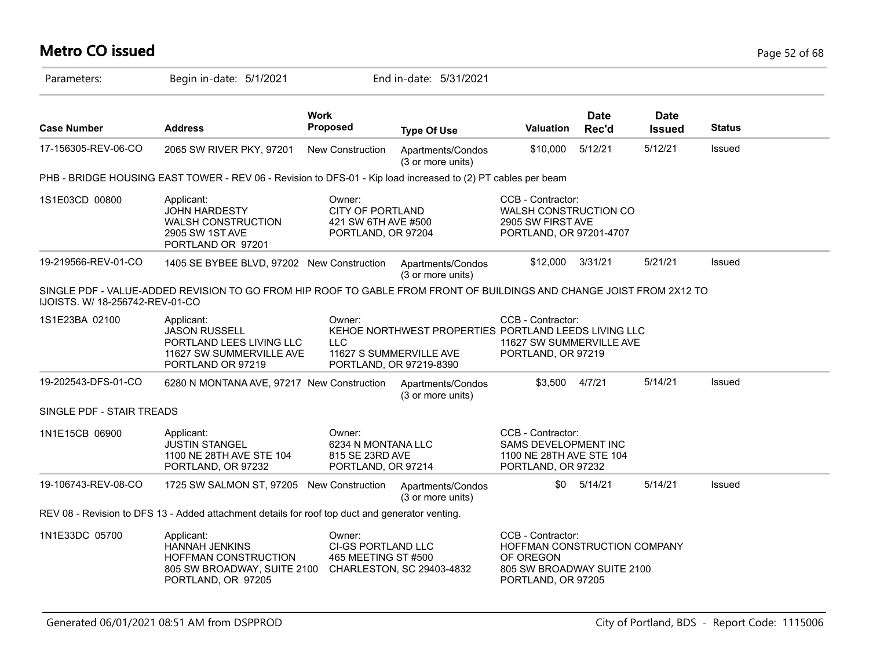# **Metro CO issued** Page 52 of 68

| Parameters:                     | Begin in-date: 5/1/2021                                                                                              |                                                                                | End in-date: 5/31/2021                                                                                     |                                                                                                                    |                      |                              |               |  |
|---------------------------------|----------------------------------------------------------------------------------------------------------------------|--------------------------------------------------------------------------------|------------------------------------------------------------------------------------------------------------|--------------------------------------------------------------------------------------------------------------------|----------------------|------------------------------|---------------|--|
| <b>Case Number</b>              | <b>Address</b>                                                                                                       | <b>Work</b><br><b>Proposed</b>                                                 | <b>Type Of Use</b>                                                                                         | Valuation                                                                                                          | <b>Date</b><br>Rec'd | <b>Date</b><br><b>Issued</b> | <b>Status</b> |  |
| 17-156305-REV-06-CO             | 2065 SW RIVER PKY, 97201                                                                                             | New Construction                                                               | Apartments/Condos<br>(3 or more units)                                                                     | \$10,000                                                                                                           | 5/12/21              | 5/12/21                      | Issued        |  |
|                                 | PHB - BRIDGE HOUSING EAST TOWER - REV 06 - Revision to DFS-01 - Kip load increased to (2) PT cables per beam         |                                                                                |                                                                                                            |                                                                                                                    |                      |                              |               |  |
| 1S1E03CD 00800                  | Applicant:<br><b>JOHN HARDESTY</b><br><b>WALSH CONSTRUCTION</b><br>2905 SW 1ST AVE<br>PORTLAND OR 97201              | Owner:<br><b>CITY OF PORTLAND</b><br>421 SW 6TH AVE #500<br>PORTLAND, OR 97204 |                                                                                                            | CCB - Contractor:<br><b>WALSH CONSTRUCTION CO</b><br>2905 SW FIRST AVE<br>PORTLAND, OR 97201-4707                  |                      |                              |               |  |
| 19-219566-REV-01-CO             | 1405 SE BYBEE BLVD, 97202 New Construction                                                                           |                                                                                | Apartments/Condos<br>(3 or more units)                                                                     | \$12,000 3/31/21                                                                                                   |                      | 5/21/21                      | <b>Issued</b> |  |
| IJOISTS. W/ 18-256742-REV-01-CO | SINGLE PDF - VALUE-ADDED REVISION TO GO FROM HIP ROOF TO GABLE FROM FRONT OF BUILDINGS AND CHANGE JOIST FROM 2X12 TO |                                                                                |                                                                                                            |                                                                                                                    |                      |                              |               |  |
| 1S1E23BA 02100                  | Applicant:<br><b>JASON RUSSELL</b><br>PORTLAND LEES LIVING LLC<br>11627 SW SUMMERVILLE AVE<br>PORTLAND OR 97219      | Owner:<br><b>LLC</b>                                                           | KEHOE NORTHWEST PROPERTIES PORTLAND LEEDS LIVING LLC<br>11627 S SUMMERVILLE AVE<br>PORTLAND, OR 97219-8390 | CCB - Contractor:<br>11627 SW SUMMERVILLE AVE<br>PORTLAND, OR 97219                                                |                      |                              |               |  |
| 19-202543-DFS-01-CO             | 6280 N MONTANA AVE, 97217 New Construction                                                                           |                                                                                | Apartments/Condos<br>(3 or more units)                                                                     | \$3,500                                                                                                            | 4/7/21               | 5/14/21                      | Issued        |  |
| SINGLE PDF - STAIR TREADS       |                                                                                                                      |                                                                                |                                                                                                            |                                                                                                                    |                      |                              |               |  |
| 1N1E15CB 06900                  | Applicant:<br><b>JUSTIN STANGEL</b><br>1100 NE 28TH AVE STE 104<br>PORTLAND, OR 97232                                | Owner:<br>6234 N MONTANA LLC<br>815 SE 23RD AVE<br>PORTLAND, OR 97214          |                                                                                                            | CCB - Contractor:<br>SAMS DEVELOPMENT INC<br>1100 NE 28TH AVE STE 104<br>PORTLAND, OR 97232                        |                      |                              |               |  |
| 19-106743-REV-08-CO             | 1725 SW SALMON ST, 97205 New Construction                                                                            |                                                                                | Apartments/Condos<br>(3 or more units)                                                                     | \$0                                                                                                                | 5/14/21              | 5/14/21                      | Issued        |  |
|                                 | REV 08 - Revision to DFS 13 - Added attachment details for roof top duct and generator venting.                      |                                                                                |                                                                                                            |                                                                                                                    |                      |                              |               |  |
| 1N1E33DC 05700                  | Applicant:<br><b>HANNAH JENKINS</b><br>HOFFMAN CONSTRUCTION<br>805 SW BROADWAY, SUITE 2100<br>PORTLAND, OR 97205     | Owner:<br>CI-GS PORTLAND LLC<br>465 MEETING ST #500                            | CHARLESTON, SC 29403-4832                                                                                  | CCB - Contractor:<br>HOFFMAN CONSTRUCTION COMPANY<br>OF OREGON<br>805 SW BROADWAY SUITE 2100<br>PORTLAND, OR 97205 |                      |                              |               |  |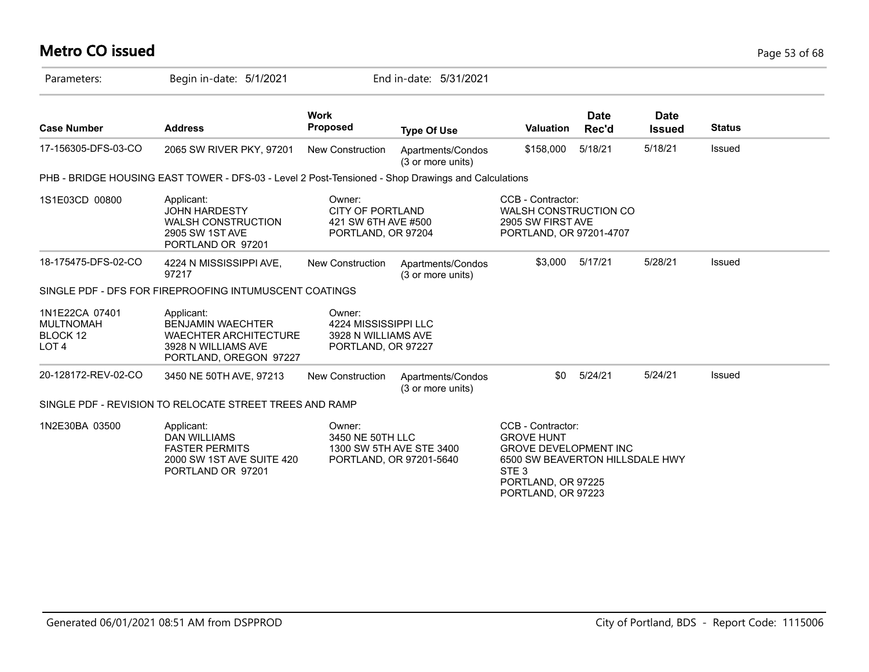# **Metro CO issued** Page 53 of 68

| Parameters:                                                        | Begin in-date: 5/1/2021                                                                                                 |                                                                                | End in-date: 5/31/2021                              |                                                                                                                                                                           |                      |                              |               |
|--------------------------------------------------------------------|-------------------------------------------------------------------------------------------------------------------------|--------------------------------------------------------------------------------|-----------------------------------------------------|---------------------------------------------------------------------------------------------------------------------------------------------------------------------------|----------------------|------------------------------|---------------|
| <b>Case Number</b>                                                 | <b>Address</b>                                                                                                          | <b>Work</b><br>Proposed                                                        | <b>Type Of Use</b>                                  | <b>Valuation</b>                                                                                                                                                          | <b>Date</b><br>Rec'd | <b>Date</b><br><b>Issued</b> | <b>Status</b> |
| 17-156305-DFS-03-CO                                                | 2065 SW RIVER PKY, 97201                                                                                                | <b>New Construction</b>                                                        | Apartments/Condos<br>(3 or more units)              | \$158,000                                                                                                                                                                 | 5/18/21              | 5/18/21                      | Issued        |
|                                                                    | PHB - BRIDGE HOUSING EAST TOWER - DFS-03 - Level 2 Post-Tensioned - Shop Drawings and Calculations                      |                                                                                |                                                     |                                                                                                                                                                           |                      |                              |               |
| 1S1E03CD 00800                                                     | Applicant:<br><b>JOHN HARDESTY</b><br><b>WALSH CONSTRUCTION</b><br>2905 SW 1ST AVE<br>PORTLAND OR 97201                 | Owner:<br><b>CITY OF PORTLAND</b><br>421 SW 6TH AVE #500<br>PORTLAND, OR 97204 |                                                     | CCB - Contractor:<br><b>WALSH CONSTRUCTION CO</b><br>2905 SW FIRST AVE<br>PORTLAND, OR 97201-4707                                                                         |                      |                              |               |
| 18-175475-DFS-02-CO                                                | 4224 N MISSISSIPPI AVE,<br>97217                                                                                        | <b>New Construction</b>                                                        | Apartments/Condos<br>(3 or more units)              | \$3,000                                                                                                                                                                   | 5/17/21              | 5/28/21                      | Issued        |
|                                                                    | SINGLE PDF - DFS FOR FIREPROOFING INTUMUSCENT COATINGS                                                                  |                                                                                |                                                     |                                                                                                                                                                           |                      |                              |               |
| 1N1E22CA 07401<br><b>MULTNOMAH</b><br>BLOCK 12<br>LOT <sub>4</sub> | Applicant:<br><b>BENJAMIN WAECHTER</b><br><b>WAECHTER ARCHITECTURE</b><br>3928 N WILLIAMS AVE<br>PORTLAND, OREGON 97227 | Owner:<br>4224 MISSISSIPPI LLC<br>3928 N WILLIAMS AVE<br>PORTLAND, OR 97227    |                                                     |                                                                                                                                                                           |                      |                              |               |
| 20-128172-REV-02-CO                                                | 3450 NE 50TH AVE, 97213                                                                                                 | <b>New Construction</b>                                                        | Apartments/Condos<br>(3 or more units)              | \$0                                                                                                                                                                       | 5/24/21              | 5/24/21                      | Issued        |
|                                                                    | SINGLE PDF - REVISION TO RELOCATE STREET TREES AND RAMP                                                                 |                                                                                |                                                     |                                                                                                                                                                           |                      |                              |               |
| 1N2E30BA 03500                                                     | Applicant:<br><b>DAN WILLIAMS</b><br><b>FASTER PERMITS</b><br>2000 SW 1ST AVE SUITE 420<br>PORTLAND OR 97201            | Owner:<br>3450 NE 50TH LLC                                                     | 1300 SW 5TH AVE STE 3400<br>PORTLAND, OR 97201-5640 | CCB - Contractor:<br><b>GROVE HUNT</b><br><b>GROVE DEVELOPMENT INC</b><br>6500 SW BEAVERTON HILLSDALE HWY<br>STE <sub>3</sub><br>PORTLAND, OR 97225<br>PORTLAND, OR 97223 |                      |                              |               |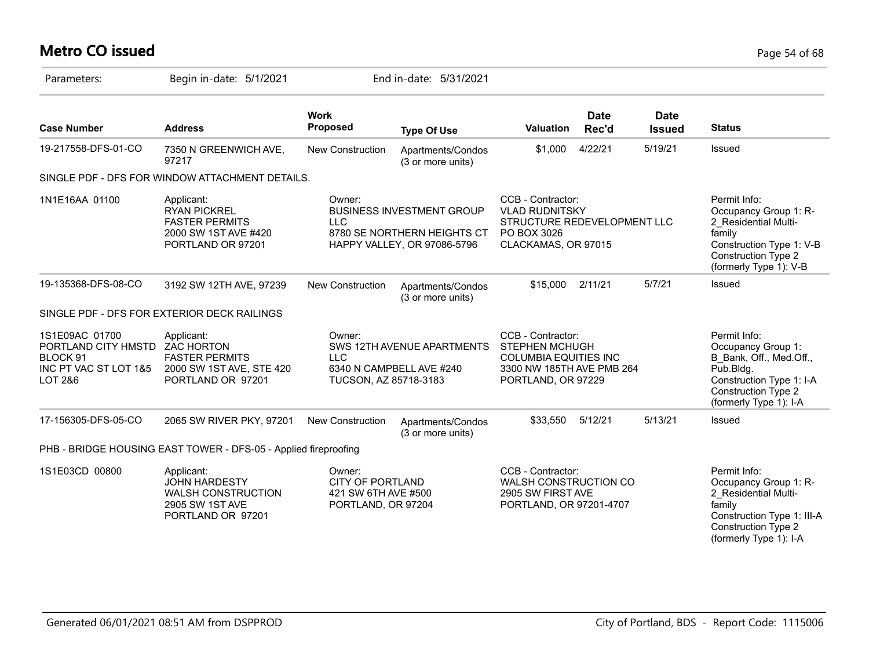# **Metro CO issued** Page 54 of 68

| Parameters:                                                                                                 | Begin in-date: 5/1/2021                                                                                 |                                                                                | End in-date: 5/31/2021                                                                         |                                                                                                                               |                      |                              |                                                                                                                                                                |
|-------------------------------------------------------------------------------------------------------------|---------------------------------------------------------------------------------------------------------|--------------------------------------------------------------------------------|------------------------------------------------------------------------------------------------|-------------------------------------------------------------------------------------------------------------------------------|----------------------|------------------------------|----------------------------------------------------------------------------------------------------------------------------------------------------------------|
| <b>Case Number</b>                                                                                          | <b>Address</b>                                                                                          | <b>Work</b><br><b>Proposed</b>                                                 | <b>Type Of Use</b>                                                                             | <b>Valuation</b>                                                                                                              | <b>Date</b><br>Rec'd | <b>Date</b><br><b>Issued</b> | <b>Status</b>                                                                                                                                                  |
| 19-217558-DFS-01-CO                                                                                         | 7350 N GREENWICH AVE,<br>97217                                                                          | New Construction                                                               | Apartments/Condos<br>(3 or more units)                                                         | \$1,000                                                                                                                       | 4/22/21              | 5/19/21                      | Issued                                                                                                                                                         |
|                                                                                                             | SINGLE PDF - DFS FOR WINDOW ATTACHMENT DETAILS.                                                         |                                                                                |                                                                                                |                                                                                                                               |                      |                              |                                                                                                                                                                |
| 1N1E16AA 01100                                                                                              | Applicant:<br><b>RYAN PICKREL</b><br><b>FASTER PERMITS</b><br>2000 SW 1ST AVE #420<br>PORTLAND OR 97201 | Owner:<br><b>LLC</b>                                                           | <b>BUSINESS INVESTMENT GROUP</b><br>8780 SE NORTHERN HEIGHTS CT<br>HAPPY VALLEY, OR 97086-5796 | CCB - Contractor:<br><b>VLAD RUDNITSKY</b><br>STRUCTURE REDEVELOPMENT LLC<br>PO BOX 3026<br>CLACKAMAS, OR 97015               |                      |                              | Permit Info:<br>Occupancy Group 1: R-<br>2 Residential Multi-<br>family<br>Construction Type 1: V-B<br><b>Construction Type 2</b><br>(formerly Type 1): V-B    |
| 19-135368-DFS-08-CO                                                                                         | 3192 SW 12TH AVE, 97239                                                                                 | New Construction                                                               | Apartments/Condos<br>(3 or more units)                                                         | \$15,000                                                                                                                      | 2/11/21              | 5/7/21                       | Issued                                                                                                                                                         |
|                                                                                                             | SINGLE PDF - DFS FOR EXTERIOR DECK RAILINGS                                                             |                                                                                |                                                                                                |                                                                                                                               |                      |                              |                                                                                                                                                                |
| 1S1E09AC 01700<br>PORTLAND CITY HMSTD ZAC HORTON<br>BLOCK 91<br>INC PT VAC ST LOT 1&5<br><b>LOT 2&amp;6</b> | Applicant:<br><b>FASTER PERMITS</b><br>2000 SW 1ST AVE, STE 420<br>PORTLAND OR 97201                    | Owner:<br><b>LLC</b><br>TUCSON, AZ 85718-3183                                  | SWS 12TH AVENUE APARTMENTS<br>6340 N CAMPBELL AVE #240                                         | CCB - Contractor:<br><b>STEPHEN MCHUGH</b><br><b>COLUMBIA EQUITIES INC</b><br>3300 NW 185TH AVE PMB 264<br>PORTLAND, OR 97229 |                      |                              | Permit Info:<br>Occupancy Group 1:<br>B Bank, Off., Med.Off.,<br>Pub.Bldg.<br>Construction Type 1: I-A<br><b>Construction Type 2</b><br>(formerly Type 1): I-A |
| 17-156305-DFS-05-CO                                                                                         | 2065 SW RIVER PKY, 97201                                                                                | New Construction                                                               | Apartments/Condos<br>(3 or more units)                                                         | \$33,550                                                                                                                      | 5/12/21              | 5/13/21                      | Issued                                                                                                                                                         |
|                                                                                                             | PHB - BRIDGE HOUSING EAST TOWER - DFS-05 - Applied fireproofing                                         |                                                                                |                                                                                                |                                                                                                                               |                      |                              |                                                                                                                                                                |
| 1S1E03CD 00800                                                                                              | Applicant:<br><b>JOHN HARDESTY</b><br><b>WALSH CONSTRUCTION</b><br>2905 SW 1ST AVE<br>PORTLAND OR 97201 | Owner:<br><b>CITY OF PORTLAND</b><br>421 SW 6TH AVE #500<br>PORTLAND, OR 97204 |                                                                                                | CCB - Contractor:<br>WALSH CONSTRUCTION CO<br>2905 SW FIRST AVE<br>PORTLAND, OR 97201-4707                                    |                      |                              | Permit Info:<br>Occupancy Group 1: R-<br>2 Residential Multi-<br>family<br>Construction Type 1: III-A<br><b>Construction Type 2</b><br>(formerly Type 1): I-A  |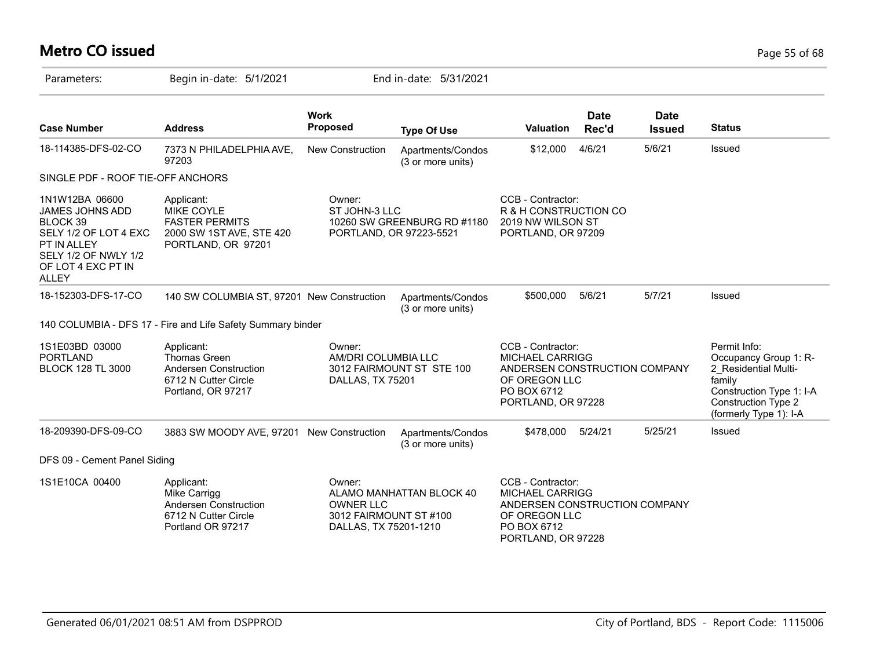# **Metro CO issued** Page 55 of 68

| Parameters:                                                                                                                                         | Begin in-date: 5/1/2021                                                                                    |                                                                               | End in-date: 5/31/2021                                 |                                                                                                                                    |                      |                       |                                                                                                                                                             |
|-----------------------------------------------------------------------------------------------------------------------------------------------------|------------------------------------------------------------------------------------------------------------|-------------------------------------------------------------------------------|--------------------------------------------------------|------------------------------------------------------------------------------------------------------------------------------------|----------------------|-----------------------|-------------------------------------------------------------------------------------------------------------------------------------------------------------|
| <b>Case Number</b>                                                                                                                                  | <b>Address</b>                                                                                             | <b>Work</b><br><b>Proposed</b>                                                | <b>Type Of Use</b>                                     | <b>Valuation</b>                                                                                                                   | <b>Date</b><br>Rec'd | Date<br><b>Issued</b> | <b>Status</b>                                                                                                                                               |
| 18-114385-DFS-02-CO                                                                                                                                 | 7373 N PHILADELPHIA AVE,<br>97203                                                                          | New Construction                                                              | Apartments/Condos<br>(3 or more units)                 | \$12,000                                                                                                                           | 4/6/21               | 5/6/21                | Issued                                                                                                                                                      |
| SINGLE PDF - ROOF TIE-OFF ANCHORS                                                                                                                   |                                                                                                            |                                                                               |                                                        |                                                                                                                                    |                      |                       |                                                                                                                                                             |
| 1N1W12BA 06600<br>JAMES JOHNS ADD<br>BLOCK 39<br>SELY 1/2 OF LOT 4 EXC<br>PT IN ALLEY<br>SELY 1/2 OF NWLY 1/2<br>OF LOT 4 EXC PT IN<br><b>ALLEY</b> | Applicant:<br><b>MIKE COYLE</b><br><b>FASTER PERMITS</b><br>2000 SW 1ST AVE, STE 420<br>PORTLAND, OR 97201 | Owner:<br>ST JOHN-3 LLC                                                       | 10260 SW GREENBURG RD #1180<br>PORTLAND, OR 97223-5521 | CCB - Contractor:<br>R & H CONSTRUCTION CO<br>2019 NW WILSON ST<br>PORTLAND, OR 97209                                              |                      |                       |                                                                                                                                                             |
| 18-152303-DFS-17-CO                                                                                                                                 | 140 SW COLUMBIA ST, 97201 New Construction                                                                 |                                                                               | Apartments/Condos<br>(3 or more units)                 | \$500,000                                                                                                                          | 5/6/21               | 5/7/21                | Issued                                                                                                                                                      |
|                                                                                                                                                     | 140 COLUMBIA - DFS 17 - Fire and Life Safety Summary binder                                                |                                                                               |                                                        |                                                                                                                                    |                      |                       |                                                                                                                                                             |
| 1S1E03BD 03000<br><b>PORTLAND</b><br><b>BLOCK 128 TL 3000</b>                                                                                       | Applicant:<br>Thomas Green<br>Andersen Construction<br>6712 N Cutter Circle<br>Portland, OR 97217          | Owner:<br>AM/DRI COLUMBIA LLC<br>DALLAS, TX 75201                             | 3012 FAIRMOUNT ST STE 100                              | CCB - Contractor:<br><b>MICHAEL CARRIGG</b><br>ANDERSEN CONSTRUCTION COMPANY<br>OF OREGON LLC<br>PO BOX 6712<br>PORTLAND, OR 97228 |                      |                       | Permit Info:<br>Occupancy Group 1: R-<br>2_Residential Multi-<br>family<br>Construction Type 1: I-A<br><b>Construction Type 2</b><br>(formerly Type 1): I-A |
| 18-209390-DFS-09-CO                                                                                                                                 | 3883 SW MOODY AVE, 97201 New Construction                                                                  |                                                                               | Apartments/Condos<br>(3 or more units)                 | \$478,000                                                                                                                          | 5/24/21              | 5/25/21               | Issued                                                                                                                                                      |
| DFS 09 - Cement Panel Siding                                                                                                                        |                                                                                                            |                                                                               |                                                        |                                                                                                                                    |                      |                       |                                                                                                                                                             |
| 1S1E10CA 00400                                                                                                                                      | Applicant:<br>Mike Carrigg<br>Andersen Construction<br>6712 N Cutter Circle<br>Portland OR 97217           | Owner:<br><b>OWNER LLC</b><br>3012 FAIRMOUNT ST #100<br>DALLAS, TX 75201-1210 | ALAMO MANHATTAN BLOCK 40                               | CCB - Contractor:<br><b>MICHAEL CARRIGG</b><br>ANDERSEN CONSTRUCTION COMPANY<br>OF OREGON LLC<br>PO BOX 6712<br>PORTLAND, OR 97228 |                      |                       |                                                                                                                                                             |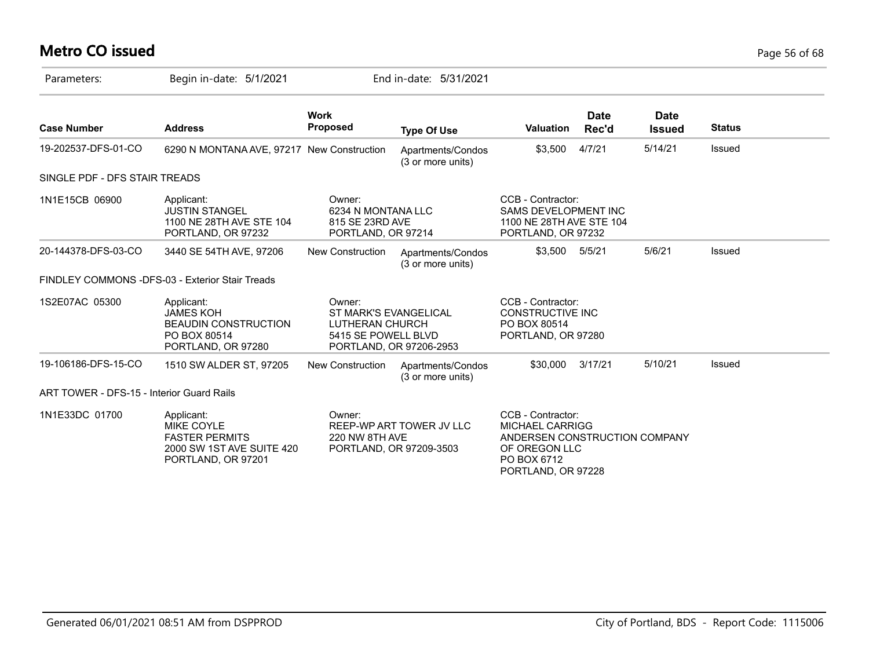# **Metro CO issued** Page 56 of 68

| Parameters:                               | Begin in-date: 5/1/2021                                                                                     |                                                                                  | End in-date: 5/31/2021                              |                                                                                                                             |                      |                              |               |
|-------------------------------------------|-------------------------------------------------------------------------------------------------------------|----------------------------------------------------------------------------------|-----------------------------------------------------|-----------------------------------------------------------------------------------------------------------------------------|----------------------|------------------------------|---------------|
| <b>Case Number</b>                        | <b>Address</b>                                                                                              | <b>Work</b><br><b>Proposed</b>                                                   | <b>Type Of Use</b>                                  | <b>Valuation</b>                                                                                                            | <b>Date</b><br>Rec'd | <b>Date</b><br><b>Issued</b> | <b>Status</b> |
| 19-202537-DFS-01-CO                       | 6290 N MONTANA AVE, 97217 New Construction                                                                  |                                                                                  | Apartments/Condos<br>(3 or more units)              | \$3,500                                                                                                                     | 4/7/21               | 5/14/21                      | Issued        |
| SINGLE PDF - DFS STAIR TREADS             |                                                                                                             |                                                                                  |                                                     |                                                                                                                             |                      |                              |               |
| 1N1E15CB 06900                            | Applicant:<br><b>JUSTIN STANGEL</b><br>1100 NE 28TH AVE STE 104<br>PORTLAND, OR 97232                       | Owner:<br>6234 N MONTANA LLC<br>815 SE 23RD AVE<br>PORTLAND, OR 97214            |                                                     | CCB - Contractor:<br>SAMS DEVELOPMENT INC<br>1100 NE 28TH AVE STE 104<br>PORTLAND, OR 97232                                 |                      |                              |               |
| 20-144378-DFS-03-CO                       | 3440 SE 54TH AVE, 97206                                                                                     | <b>New Construction</b>                                                          | Apartments/Condos<br>(3 or more units)              | \$3,500 5/5/21                                                                                                              |                      | 5/6/21                       | Issued        |
|                                           | FINDLEY COMMONS -DFS-03 - Exterior Stair Treads                                                             |                                                                                  |                                                     |                                                                                                                             |                      |                              |               |
| 1S2E07AC 05300                            | Applicant:<br><b>JAMES KOH</b><br><b>BEAUDIN CONSTRUCTION</b><br>PO BOX 80514<br>PORTLAND, OR 97280         | Owner:<br><b>ST MARK'S EVANGELICAL</b><br>LUTHERAN CHURCH<br>5415 SE POWELL BLVD | PORTLAND, OR 97206-2953                             | CCB - Contractor:<br><b>CONSTRUCTIVE INC</b><br>PO BOX 80514<br>PORTLAND, OR 97280                                          |                      |                              |               |
| 19-106186-DFS-15-CO                       | 1510 SW ALDER ST, 97205                                                                                     | <b>New Construction</b>                                                          | Apartments/Condos<br>(3 or more units)              | \$30,000                                                                                                                    | 3/17/21              | 5/10/21                      | Issued        |
| ART TOWER - DFS-15 - Interior Guard Rails |                                                                                                             |                                                                                  |                                                     |                                                                                                                             |                      |                              |               |
| 1N1E33DC 01700                            | Applicant:<br><b>MIKE COYLE</b><br><b>FASTER PERMITS</b><br>2000 SW 1ST AVE SUITE 420<br>PORTLAND, OR 97201 | Owner:<br>220 NW 8TH AVE                                                         | REEP-WP ART TOWER JV LLC<br>PORTLAND, OR 97209-3503 | CCB - Contractor:<br>MICHAEL CARRIGG<br>ANDERSEN CONSTRUCTION COMPANY<br>OF OREGON LLC<br>PO BOX 6712<br>PORTLAND, OR 97228 |                      |                              |               |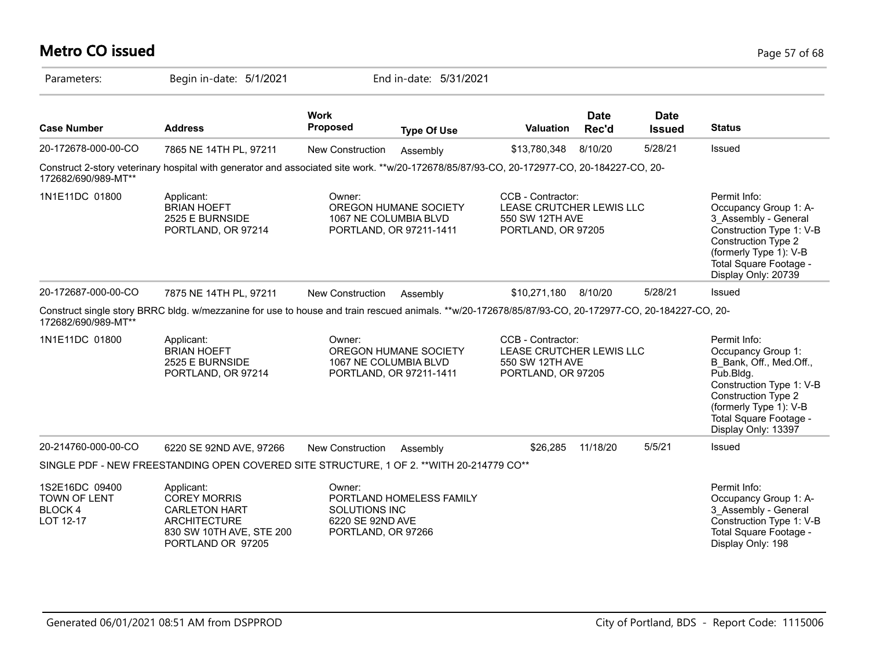# **Metro CO issued** Page 57 of 68

| Parameters:                                                         | Begin in-date: 5/1/2021                                                                                                                              |                                                                   | End in-date: 5/31/2021                                                    |                                                                                        |                      |                              |                                                                                                                                                                                                                 |
|---------------------------------------------------------------------|------------------------------------------------------------------------------------------------------------------------------------------------------|-------------------------------------------------------------------|---------------------------------------------------------------------------|----------------------------------------------------------------------------------------|----------------------|------------------------------|-----------------------------------------------------------------------------------------------------------------------------------------------------------------------------------------------------------------|
| <b>Case Number</b>                                                  | <b>Address</b>                                                                                                                                       | <b>Work</b><br><b>Proposed</b>                                    | <b>Type Of Use</b>                                                        | <b>Valuation</b>                                                                       | <b>Date</b><br>Rec'd | <b>Date</b><br><b>Issued</b> | <b>Status</b>                                                                                                                                                                                                   |
| 20-172678-000-00-CO                                                 | 7865 NE 14TH PL, 97211                                                                                                                               | New Construction                                                  | Assembly                                                                  | \$13,780,348                                                                           | 8/10/20              | 5/28/21                      | Issued                                                                                                                                                                                                          |
| 172682/690/989-MT**                                                 | Construct 2-story veterinary hospital with generator and associated site work. **w/20-172678/85/87/93-CO, 20-172977-CO, 20-184227-CO, 20-            |                                                                   |                                                                           |                                                                                        |                      |                              |                                                                                                                                                                                                                 |
| 1N1E11DC 01800                                                      | Applicant:<br><b>BRIAN HOEFT</b><br>2525 E BURNSIDE<br>PORTLAND, OR 97214                                                                            | Owner:                                                            | OREGON HUMANE SOCIETY<br>1067 NE COLUMBIA BLVD<br>PORTLAND, OR 97211-1411 | CCB - Contractor:<br>LEASE CRUTCHER LEWIS LLC<br>550 SW 12TH AVE<br>PORTLAND, OR 97205 |                      |                              | Permit Info:<br>Occupancy Group 1: A-<br>3 Assembly - General<br>Construction Type 1: V-B<br>Construction Type 2<br>(formerly Type 1): V-B<br>Total Square Footage -<br>Display Only: 20739                     |
| 20-172687-000-00-CO                                                 | 7875 NE 14TH PL, 97211                                                                                                                               | <b>New Construction</b>                                           | Assembly                                                                  | \$10,271,180                                                                           | 8/10/20              | 5/28/21                      | <b>Issued</b>                                                                                                                                                                                                   |
| 172682/690/989-MT**                                                 | Construct single story BRRC bldg. w/mezzanine for use to house and train rescued animals. **w/20-172678/85/87/93-CO, 20-172977-CO, 20-184227-CO, 20- |                                                                   |                                                                           |                                                                                        |                      |                              |                                                                                                                                                                                                                 |
| 1N1E11DC 01800                                                      | Applicant:<br><b>BRIAN HOEFT</b><br>2525 E BURNSIDE<br>PORTLAND, OR 97214                                                                            | Owner:                                                            | OREGON HUMANE SOCIETY<br>1067 NE COLUMBIA BLVD<br>PORTLAND, OR 97211-1411 | CCB - Contractor:<br>LEASE CRUTCHER LEWIS LLC<br>550 SW 12TH AVE<br>PORTLAND, OR 97205 |                      |                              | Permit Info:<br>Occupancy Group 1:<br>B Bank, Off., Med.Off.,<br>Pub.Bldg.<br>Construction Type 1: V-B<br><b>Construction Type 2</b><br>(formerly Type 1): V-B<br>Total Square Footage -<br>Display Only: 13397 |
| 20-214760-000-00-CO                                                 | 6220 SE 92ND AVE, 97266                                                                                                                              | <b>New Construction</b>                                           | Assembly                                                                  | \$26,285                                                                               | 11/18/20             | 5/5/21                       | <b>Issued</b>                                                                                                                                                                                                   |
|                                                                     | SINGLE PDF - NEW FREESTANDING OPEN COVERED SITE STRUCTURE, 1 OF 2. ** WITH 20-214779 CO**                                                            |                                                                   |                                                                           |                                                                                        |                      |                              |                                                                                                                                                                                                                 |
| 1S2E16DC 09400<br><b>TOWN OF LENT</b><br><b>BLOCK4</b><br>LOT 12-17 | Applicant:<br><b>COREY MORRIS</b><br><b>CARLETON HART</b><br><b>ARCHITECTURE</b><br>830 SW 10TH AVE, STE 200<br>PORTLAND OR 97205                    | Owner:<br>SOLUTIONS INC<br>6220 SE 92ND AVE<br>PORTLAND, OR 97266 | PORTLAND HOMELESS FAMILY                                                  |                                                                                        |                      |                              | Permit Info:<br>Occupancy Group 1: A-<br>3 Assembly - General<br>Construction Type 1: V-B<br>Total Square Footage -<br>Display Only: 198                                                                        |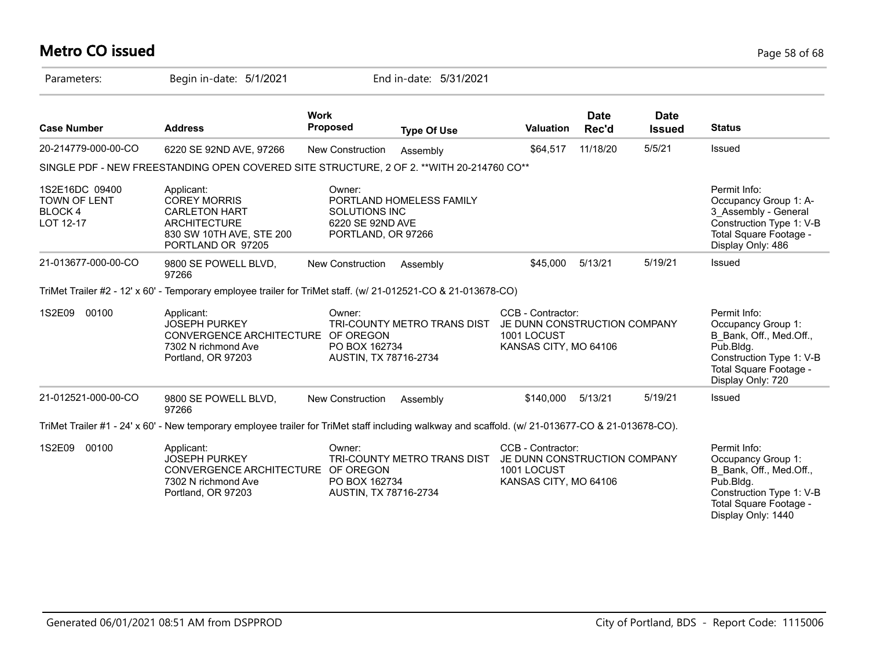# **Metro CO issued** Page 58 of 68

| Parameters:                                            | Begin in-date: 5/1/2021                                                                                                                           |                                                                                 | End in-date: 5/31/2021      |                                                                                           |                      |                              |                                                                                                                                                        |
|--------------------------------------------------------|---------------------------------------------------------------------------------------------------------------------------------------------------|---------------------------------------------------------------------------------|-----------------------------|-------------------------------------------------------------------------------------------|----------------------|------------------------------|--------------------------------------------------------------------------------------------------------------------------------------------------------|
| <b>Case Number</b>                                     | <b>Address</b>                                                                                                                                    | <b>Work</b><br><b>Proposed</b>                                                  | <b>Type Of Use</b>          | <b>Valuation</b>                                                                          | <b>Date</b><br>Rec'd | <b>Date</b><br><b>Issued</b> | <b>Status</b>                                                                                                                                          |
| 20-214779-000-00-CO                                    | 6220 SE 92ND AVE, 97266                                                                                                                           | New Construction                                                                | Assembly                    | \$64,517                                                                                  | 11/18/20             | 5/5/21                       | Issued                                                                                                                                                 |
|                                                        | SINGLE PDF - NEW FREESTANDING OPEN COVERED SITE STRUCTURE, 2 OF 2. ** WITH 20-214760 CO**                                                         |                                                                                 |                             |                                                                                           |                      |                              |                                                                                                                                                        |
| 1S2E16DC 09400<br>TOWN OF LENT<br>BLOCK 4<br>LOT 12-17 | Applicant:<br><b>COREY MORRIS</b><br><b>CARLETON HART</b><br><b>ARCHITECTURE</b><br>830 SW 10TH AVE, STE 200<br>PORTLAND OR 97205                 | Owner:<br><b>SOLUTIONS INC</b><br>6220 SE 92ND AVE<br>PORTLAND, OR 97266        | PORTLAND HOMELESS FAMILY    |                                                                                           |                      |                              | Permit Info:<br>Occupancy Group 1: A-<br>3 Assembly - General<br>Construction Type 1: V-B<br>Total Square Footage -<br>Display Only: 486               |
| 21-013677-000-00-CO                                    | 9800 SE POWELL BLVD,<br>97266                                                                                                                     | New Construction                                                                | Assembly                    | \$45,000                                                                                  | 5/13/21              | 5/19/21                      | Issued                                                                                                                                                 |
|                                                        | TriMet Trailer #2 - 12' x 60' - Temporary employee trailer for TriMet staff. (w/ 21-012521-CO & 21-013678-CO)                                     |                                                                                 |                             |                                                                                           |                      |                              |                                                                                                                                                        |
| 1S2E09<br>00100                                        | Applicant:<br><b>JOSEPH PURKEY</b><br>CONVERGENCE ARCHITECTURE OF OREGON<br>7302 N richmond Ave<br>Portland, OR 97203                             | Owner:<br>TRI-COUNTY METRO TRANS DIST<br>PO BOX 162734<br>AUSTIN, TX 78716-2734 |                             | CCB - Contractor:<br>JE DUNN CONSTRUCTION COMPANY<br>1001 LOCUST<br>KANSAS CITY, MO 64106 |                      |                              | Permit Info:<br>Occupancy Group 1:<br>B Bank, Off., Med.Off.,<br>Pub.Bldg.<br>Construction Type 1: V-B<br>Total Square Footage -<br>Display Only: 720  |
| 21-012521-000-00-CO                                    | 9800 SE POWELL BLVD,<br>97266                                                                                                                     | New Construction                                                                | Assembly                    | \$140,000                                                                                 | 5/13/21              | 5/19/21                      | Issued                                                                                                                                                 |
|                                                        | TriMet Trailer #1 - 24' x 60' - New temporary employee trailer for TriMet staff including walkway and scaffold. (w/ 21-013677-CO & 21-013678-CO). |                                                                                 |                             |                                                                                           |                      |                              |                                                                                                                                                        |
| 1S2E09<br>00100                                        | Applicant:<br><b>JOSEPH PURKEY</b><br>CONVERGENCE ARCHITECTURE OF OREGON<br>7302 N richmond Ave<br>Portland, OR 97203                             | Owner:<br>PO BOX 162734<br>AUSTIN, TX 78716-2734                                | TRI-COUNTY METRO TRANS DIST | CCB - Contractor:<br>JE DUNN CONSTRUCTION COMPANY<br>1001 LOCUST<br>KANSAS CITY, MO 64106 |                      |                              | Permit Info:<br>Occupancy Group 1:<br>B Bank, Off., Med.Off.,<br>Pub.Bldg.<br>Construction Type 1: V-B<br>Total Square Footage -<br>Display Only: 1440 |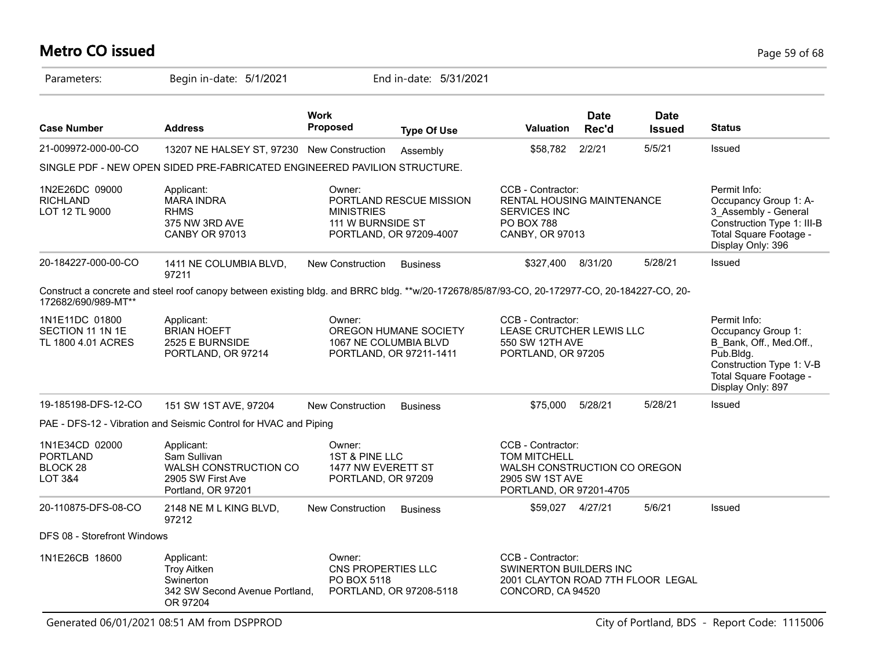# **Metro CO issued** Page 59 of 68

| Parameters:                                              | Begin in-date: 5/1/2021                                                                                                                     |                                                                      | End in-date: 5/31/2021                             |                                                                                                                 |                      |                              |                                                                                                                                                       |
|----------------------------------------------------------|---------------------------------------------------------------------------------------------------------------------------------------------|----------------------------------------------------------------------|----------------------------------------------------|-----------------------------------------------------------------------------------------------------------------|----------------------|------------------------------|-------------------------------------------------------------------------------------------------------------------------------------------------------|
| <b>Case Number</b>                                       | <b>Address</b>                                                                                                                              | <b>Work</b><br><b>Proposed</b>                                       | <b>Type Of Use</b>                                 | <b>Valuation</b>                                                                                                | <b>Date</b><br>Rec'd | <b>Date</b><br><b>Issued</b> | <b>Status</b>                                                                                                                                         |
| 21-009972-000-00-CO                                      | 13207 NE HALSEY ST, 97230 New Construction                                                                                                  |                                                                      | Assembly                                           | \$58,782                                                                                                        | 2/2/21               | 5/5/21                       | <b>Issued</b>                                                                                                                                         |
|                                                          | SINGLE PDF - NEW OPEN SIDED PRE-FABRICATED ENGINEERED PAVILION STRUCTURE.                                                                   |                                                                      |                                                    |                                                                                                                 |                      |                              |                                                                                                                                                       |
| 1N2E26DC 09000<br><b>RICHLAND</b><br>LOT 12 TL 9000      | Applicant:<br><b>MARA INDRA</b><br><b>RHMS</b><br>375 NW 3RD AVE<br><b>CANBY OR 97013</b>                                                   | Owner:<br><b>MINISTRIES</b><br>111 W BURNSIDE ST                     | PORTLAND RESCUE MISSION<br>PORTLAND, OR 97209-4007 | CCB - Contractor:<br>RENTAL HOUSING MAINTENANCE<br><b>SERVICES INC</b><br><b>PO BOX 788</b><br>CANBY, OR 97013  |                      |                              | Permit Info:<br>Occupancy Group 1: A-<br>3 Assembly - General<br>Construction Type 1: III-B<br>Total Square Footage -<br>Display Only: 396            |
| 20-184227-000-00-CO                                      | 1411 NE COLUMBIA BLVD,<br>97211                                                                                                             | <b>New Construction</b>                                              | <b>Business</b>                                    | \$327,400                                                                                                       | 8/31/20              | 5/28/21                      | Issued                                                                                                                                                |
| 172682/690/989-MT**                                      | Construct a concrete and steel roof canopy between existing bldg. and BRRC bldg. **w/20-172678/85/87/93-CO, 20-172977-CO, 20-184227-CO, 20- |                                                                      |                                                    |                                                                                                                 |                      |                              |                                                                                                                                                       |
| 1N1E11DC 01800<br>SECTION 11 1N 1E<br>TL 1800 4.01 ACRES | Applicant:<br><b>BRIAN HOEFT</b><br>2525 E BURNSIDE<br>PORTLAND, OR 97214                                                                   | Owner:<br>1067 NE COLUMBIA BLVD                                      | OREGON HUMANE SOCIETY<br>PORTLAND, OR 97211-1411   | CCB - Contractor:<br>LEASE CRUTCHER LEWIS LLC<br>550 SW 12TH AVE<br>PORTLAND, OR 97205                          |                      |                              | Permit Info:<br>Occupancy Group 1:<br>B Bank, Off., Med.Off.,<br>Pub.Bldg.<br>Construction Type 1: V-B<br>Total Square Footage -<br>Display Only: 897 |
| 19-185198-DFS-12-CO                                      | 151 SW 1ST AVE, 97204                                                                                                                       | <b>New Construction</b>                                              | <b>Business</b>                                    | \$75,000                                                                                                        | 5/28/21              | 5/28/21                      | <b>Issued</b>                                                                                                                                         |
|                                                          | PAE - DFS-12 - Vibration and Seismic Control for HVAC and Piping                                                                            |                                                                      |                                                    |                                                                                                                 |                      |                              |                                                                                                                                                       |
| 1N1E34CD 02000<br><b>PORTLAND</b><br>BLOCK 28<br>LOT 3&4 | Applicant:<br>Sam Sullivan<br>WALSH CONSTRUCTION CO<br>2905 SW First Ave<br>Portland, OR 97201                                              | Owner:<br>1ST & PINE LLC<br>1477 NW EVERETT ST<br>PORTLAND, OR 97209 |                                                    | CCB - Contractor:<br>TOM MITCHELL<br>WALSH CONSTRUCTION CO OREGON<br>2905 SW 1ST AVE<br>PORTLAND, OR 97201-4705 |                      |                              |                                                                                                                                                       |
| 20-110875-DFS-08-CO                                      | 2148 NE M L KING BLVD,<br>97212                                                                                                             | New Construction                                                     | <b>Business</b>                                    | \$59,027 4/27/21                                                                                                |                      | 5/6/21                       | Issued                                                                                                                                                |
| DFS 08 - Storefront Windows                              |                                                                                                                                             |                                                                      |                                                    |                                                                                                                 |                      |                              |                                                                                                                                                       |
| 1N1E26CB 18600                                           | Applicant:<br><b>Troy Aitken</b><br>Swinerton<br>342 SW Second Avenue Portland.<br>OR 97204                                                 | Owner:<br>CNS PROPERTIES LLC<br>PO BOX 5118                          | PORTLAND, OR 97208-5118                            | CCB - Contractor:<br>SWINERTON BUILDERS INC<br>2001 CLAYTON ROAD 7TH FLOOR LEGAL<br>CONCORD, CA 94520           |                      |                              |                                                                                                                                                       |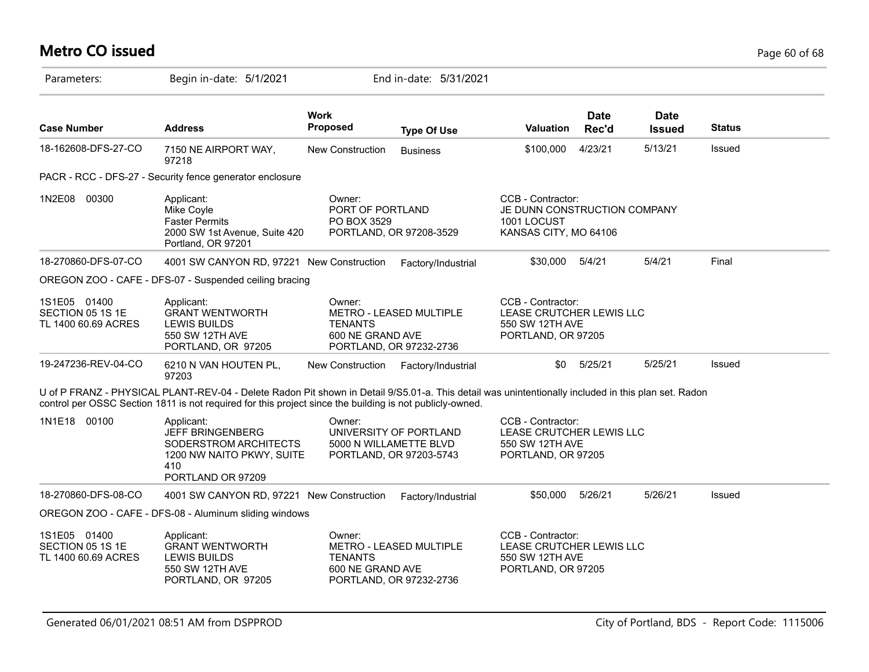# **Metro CO issued** Page 60 of 68

| Parameters:                                             | Begin in-date: 5/1/2021                                                                                                                                                                                                                                         |                                              | End in-date: 5/31/2021                             |                                                                                           |                      |                              |               |  |
|---------------------------------------------------------|-----------------------------------------------------------------------------------------------------------------------------------------------------------------------------------------------------------------------------------------------------------------|----------------------------------------------|----------------------------------------------------|-------------------------------------------------------------------------------------------|----------------------|------------------------------|---------------|--|
| <b>Case Number</b>                                      | <b>Address</b>                                                                                                                                                                                                                                                  | <b>Work</b><br><b>Proposed</b>               | <b>Type Of Use</b>                                 | <b>Valuation</b>                                                                          | <b>Date</b><br>Rec'd | <b>Date</b><br><b>Issued</b> | <b>Status</b> |  |
| 18-162608-DFS-27-CO                                     | 7150 NE AIRPORT WAY,<br>97218                                                                                                                                                                                                                                   | New Construction                             | <b>Business</b>                                    | \$100,000                                                                                 | 4/23/21              | 5/13/21                      | Issued        |  |
|                                                         | PACR - RCC - DFS-27 - Security fence generator enclosure                                                                                                                                                                                                        |                                              |                                                    |                                                                                           |                      |                              |               |  |
| 1N2E08 00300                                            | Applicant:<br>Mike Coyle<br><b>Faster Permits</b><br>2000 SW 1st Avenue, Suite 420<br>Portland, OR 97201                                                                                                                                                        | Owner:<br>PORT OF PORTLAND<br>PO BOX 3529    | PORTLAND, OR 97208-3529                            | CCB - Contractor:<br>JE DUNN CONSTRUCTION COMPANY<br>1001 LOCUST<br>KANSAS CITY, MO 64106 |                      |                              |               |  |
| 18-270860-DFS-07-CO                                     | 4001 SW CANYON RD, 97221 New Construction                                                                                                                                                                                                                       |                                              | Factory/Industrial                                 | \$30,000 5/4/21                                                                           |                      | 5/4/21                       | Final         |  |
|                                                         | OREGON ZOO - CAFE - DFS-07 - Suspended ceiling bracing                                                                                                                                                                                                          |                                              |                                                    |                                                                                           |                      |                              |               |  |
| 1S1E05 01400<br>SECTION 05 1S 1E<br>TL 1400 60.69 ACRES | Applicant:<br><b>GRANT WENTWORTH</b><br><b>LEWIS BUILDS</b><br>550 SW 12TH AVE<br>PORTLAND, OR 97205                                                                                                                                                            | Owner:<br><b>TENANTS</b><br>600 NE GRAND AVE | METRO - LEASED MULTIPLE<br>PORTLAND, OR 97232-2736 | CCB - Contractor:<br>LEASE CRUTCHER LEWIS LLC<br>550 SW 12TH AVE<br>PORTLAND, OR 97205    |                      |                              |               |  |
| 19-247236-REV-04-CO                                     | 6210 N VAN HOUTEN PL,<br>97203                                                                                                                                                                                                                                  | New Construction                             | Factory/Industrial                                 | \$0                                                                                       | 5/25/21              | 5/25/21                      | Issued        |  |
|                                                         | U of P FRANZ - PHYSICAL PLANT-REV-04 - Delete Radon Pit shown in Detail 9/S5.01-a. This detail was unintentionally included in this plan set. Radon<br>control per OSSC Section 1811 is not required for this project since the building is not publicly-owned. |                                              |                                                    |                                                                                           |                      |                              |               |  |
| 1N1E18 00100                                            | Applicant:<br><b>JEFF BRINGENBERG</b><br>SODERSTROM ARCHITECTS<br>1200 NW NAITO PKWY, SUITE<br>410<br>PORTLAND OR 97209                                                                                                                                         | Owner:<br>5000 N WILLAMETTE BLVD             | UNIVERSITY OF PORTLAND<br>PORTLAND, OR 97203-5743  | CCB - Contractor:<br>LEASE CRUTCHER LEWIS LLC<br>550 SW 12TH AVE<br>PORTLAND, OR 97205    |                      |                              |               |  |
| 18-270860-DFS-08-CO                                     | 4001 SW CANYON RD, 97221 New Construction                                                                                                                                                                                                                       |                                              | Factory/Industrial                                 | \$50,000                                                                                  | 5/26/21              | 5/26/21                      | Issued        |  |
|                                                         | OREGON ZOO - CAFE - DFS-08 - Aluminum sliding windows                                                                                                                                                                                                           |                                              |                                                    |                                                                                           |                      |                              |               |  |
| 1S1E05 01400<br>SECTION 05 1S 1E<br>TL 1400 60.69 ACRES | Applicant:<br><b>GRANT WENTWORTH</b><br><b>LEWIS BUILDS</b><br>550 SW 12TH AVE<br>PORTLAND, OR 97205                                                                                                                                                            | Owner:<br><b>TENANTS</b><br>600 NE GRAND AVE | METRO - LEASED MULTIPLE<br>PORTLAND, OR 97232-2736 | CCB - Contractor:<br>LEASE CRUTCHER LEWIS LLC<br>550 SW 12TH AVE<br>PORTLAND, OR 97205    |                      |                              |               |  |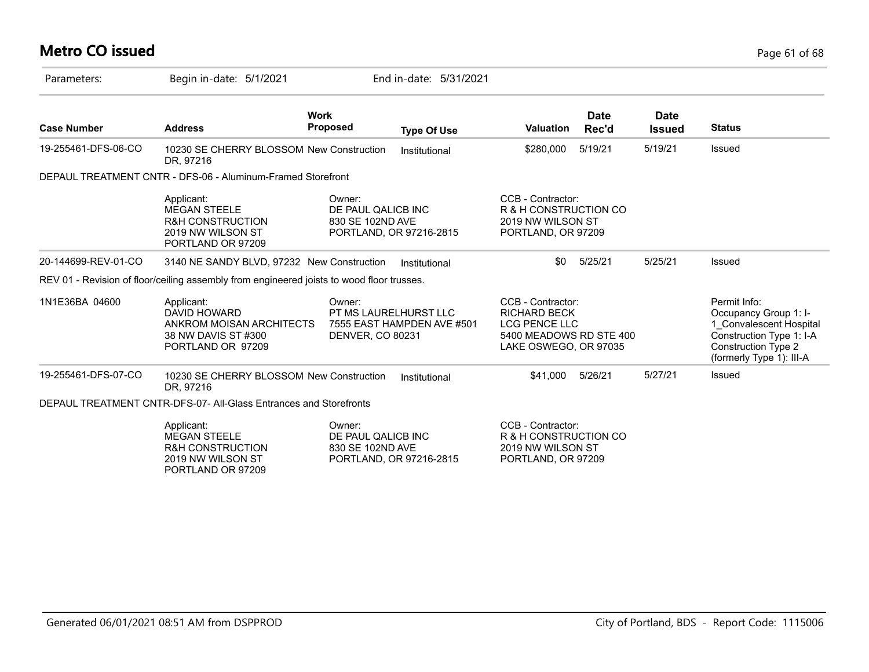# **Metro CO issued** Page 61 of 68

| Parameters:         | Begin in-date: 5/1/2021                                                                                    |                                                                                   | End in-date: 5/31/2021  |                                                                                                                      |                      |                              |                                                                                                                                                        |
|---------------------|------------------------------------------------------------------------------------------------------------|-----------------------------------------------------------------------------------|-------------------------|----------------------------------------------------------------------------------------------------------------------|----------------------|------------------------------|--------------------------------------------------------------------------------------------------------------------------------------------------------|
| <b>Case Number</b>  | <b>Address</b>                                                                                             | <b>Work</b><br><b>Proposed</b>                                                    | <b>Type Of Use</b>      | <b>Valuation</b>                                                                                                     | <b>Date</b><br>Rec'd | <b>Date</b><br><b>Issued</b> | <b>Status</b>                                                                                                                                          |
| 19-255461-DFS-06-CO | 10230 SE CHERRY BLOSSOM New Construction<br>DR. 97216                                                      |                                                                                   | Institutional           | \$280,000                                                                                                            | 5/19/21              | 5/19/21                      | <b>Issued</b>                                                                                                                                          |
|                     | DEPAUL TREATMENT CNTR - DFS-06 - Aluminum-Framed Storefront                                                |                                                                                   |                         |                                                                                                                      |                      |                              |                                                                                                                                                        |
|                     | Applicant:<br><b>MEGAN STEELE</b><br><b>R&amp;H CONSTRUCTION</b><br>2019 NW WILSON ST<br>PORTLAND OR 97209 | Owner:<br>DE PAUL QALICB INC<br>830 SE 102ND AVE                                  | PORTLAND, OR 97216-2815 | CCB - Contractor:<br>R & H CONSTRUCTION CO<br>2019 NW WILSON ST<br>PORTLAND, OR 97209                                |                      |                              |                                                                                                                                                        |
| 20-144699-REV-01-CO | 3140 NE SANDY BLVD, 97232 New Construction                                                                 |                                                                                   | Institutional           | \$0                                                                                                                  | 5/25/21              | 5/25/21                      | Issued                                                                                                                                                 |
|                     | REV 01 - Revision of floor/ceiling assembly from engineered joists to wood floor trusses.                  |                                                                                   |                         |                                                                                                                      |                      |                              |                                                                                                                                                        |
| 1N1E36BA 04600      | Applicant:<br><b>DAVID HOWARD</b><br>ANKROM MOISAN ARCHITECTS<br>38 NW DAVIS ST #300<br>PORTLAND OR 97209  | Owner:<br>PT MS LAURELHURST LLC<br>7555 EAST HAMPDEN AVE #501<br>DENVER, CO 80231 |                         | CCB - Contractor:<br><b>RICHARD BECK</b><br><b>LCG PENCE LLC</b><br>5400 MEADOWS RD STE 400<br>LAKE OSWEGO, OR 97035 |                      |                              | Permit Info:<br>Occupancy Group 1: I-<br>1 Convalescent Hospital<br>Construction Type 1: I-A<br><b>Construction Type 2</b><br>(formerly Type 1): III-A |
| 19-255461-DFS-07-CO | 10230 SE CHERRY BLOSSOM New Construction<br>DR. 97216                                                      |                                                                                   | Institutional           | \$41.000                                                                                                             | 5/26/21              | 5/27/21                      | Issued                                                                                                                                                 |
|                     | DEPAUL TREATMENT CNTR-DFS-07- All-Glass Entrances and Storefronts                                          |                                                                                   |                         |                                                                                                                      |                      |                              |                                                                                                                                                        |
|                     | Applicant:<br><b>MEGAN STEELE</b><br><b>R&amp;H CONSTRUCTION</b><br>2019 NW WILSON ST<br>PORTLAND OR 97209 | Owner:<br>DE PAUL QALICB INC<br>830 SE 102ND AVE                                  | PORTLAND, OR 97216-2815 | CCB - Contractor:<br>R & H CONSTRUCTION CO<br>2019 NW WILSON ST<br>PORTLAND, OR 97209                                |                      |                              |                                                                                                                                                        |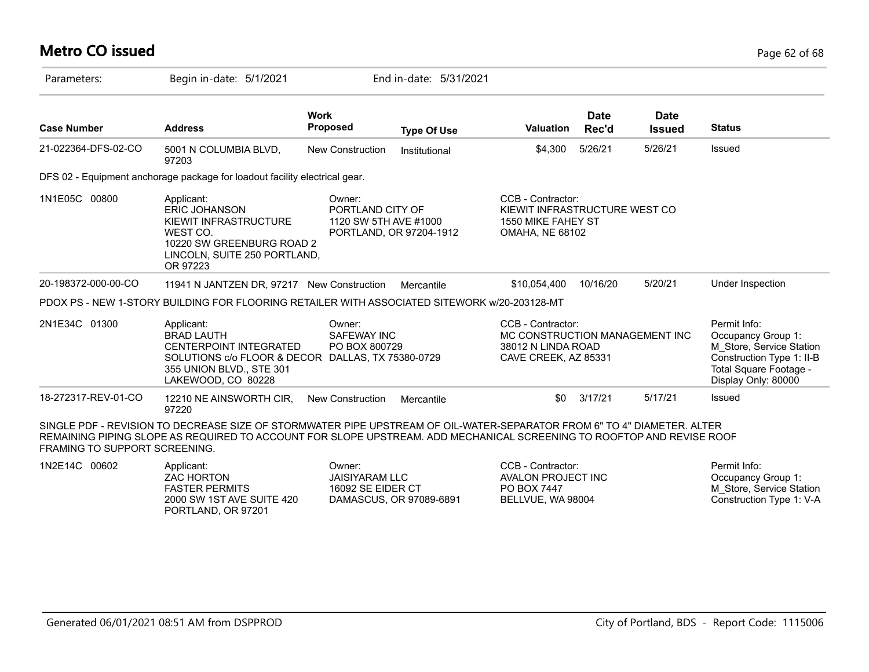## **Metro CO issued** Page 62 of 68

| Parameters:                   | Begin in-date: 5/1/2021                                                                                                                                                                                                                          |                                                      | End in-date: 5/31/2021                           |                                                                                                    |                      |                              |                                                                                                                                              |
|-------------------------------|--------------------------------------------------------------------------------------------------------------------------------------------------------------------------------------------------------------------------------------------------|------------------------------------------------------|--------------------------------------------------|----------------------------------------------------------------------------------------------------|----------------------|------------------------------|----------------------------------------------------------------------------------------------------------------------------------------------|
| <b>Case Number</b>            | <b>Address</b>                                                                                                                                                                                                                                   | <b>Work</b><br><b>Proposed</b>                       | <b>Type Of Use</b>                               | <b>Valuation</b>                                                                                   | <b>Date</b><br>Rec'd | <b>Date</b><br><b>Issued</b> | <b>Status</b>                                                                                                                                |
| 21-022364-DFS-02-CO           | 5001 N COLUMBIA BLVD,<br>97203                                                                                                                                                                                                                   | <b>New Construction</b>                              | Institutional                                    | \$4,300                                                                                            | 5/26/21              | 5/26/21                      | Issued                                                                                                                                       |
|                               | DFS 02 - Equipment anchorage package for loadout facility electrical gear.                                                                                                                                                                       |                                                      |                                                  |                                                                                                    |                      |                              |                                                                                                                                              |
| 1N1E05C 00800                 | Applicant:<br><b>ERIC JOHANSON</b><br>KIEWIT INFRASTRUCTURE<br>WEST CO.<br>10220 SW GREENBURG ROAD 2<br>LINCOLN, SUITE 250 PORTLAND,<br>OR 97223                                                                                                 | Owner:<br>PORTLAND CITY OF                           | 1120 SW 5TH AVE #1000<br>PORTLAND, OR 97204-1912 | CCB - Contractor:<br>KIEWIT INFRASTRUCTURE WEST CO<br>1550 MIKE FAHEY ST<br><b>OMAHA, NE 68102</b> |                      |                              |                                                                                                                                              |
| 20-198372-000-00-CO           | 11941 N JANTZEN DR, 97217 New Construction                                                                                                                                                                                                       |                                                      | Mercantile                                       | \$10,054,400                                                                                       | 10/16/20             | 5/20/21                      | Under Inspection                                                                                                                             |
|                               | PDOX PS - NEW 1-STORY BUILDING FOR FLOORING RETAILER WITH ASSOCIATED SITEWORK w/20-203128-MT                                                                                                                                                     |                                                      |                                                  |                                                                                                    |                      |                              |                                                                                                                                              |
| 2N1E34C 01300                 | Applicant:<br><b>BRAD LAUTH</b><br><b>CENTERPOINT INTEGRATED</b><br>SOLUTIONS c/o FLOOR & DECOR DALLAS, TX 75380-0729<br>355 UNION BLVD., STE 301<br>LAKEWOOD, CO 80228                                                                          | Owner:<br>SAFEWAY INC<br>PO BOX 800729               |                                                  | CCB - Contractor:<br>MC CONSTRUCTION MANAGEMENT INC<br>38012 N LINDA ROAD<br>CAVE CREEK, AZ 85331  |                      |                              | Permit Info:<br>Occupancy Group 1:<br>M_Store, Service Station<br>Construction Type 1: II-B<br>Total Square Footage -<br>Display Only: 80000 |
| 18-272317-REV-01-CO           | 12210 NE AINSWORTH CIR,<br>97220                                                                                                                                                                                                                 | New Construction                                     | Mercantile                                       | \$0                                                                                                | 3/17/21              | 5/17/21                      | Issued                                                                                                                                       |
| FRAMING TO SUPPORT SCREENING. | SINGLE PDF - REVISION TO DECREASE SIZE OF STORMWATER PIPE UPSTREAM OF OIL-WATER-SEPARATOR FROM 6" TO 4" DIAMETER. ALTER<br>REMAINING PIPING SLOPE AS REQUIRED TO ACCOUNT FOR SLOPE UPSTREAM. ADD MECHANICAL SCREENING TO ROOFTOP AND REVISE ROOF |                                                      |                                                  |                                                                                                    |                      |                              |                                                                                                                                              |
| 1N2E14C 00602                 | Applicant:<br><b>ZAC HORTON</b><br><b>FASTER PERMITS</b><br>2000 SW 1ST AVE SUITE 420<br>PORTLAND, OR 97201                                                                                                                                      | Owner:<br><b>JAISIYARAM LLC</b><br>16092 SE EIDER CT | DAMASCUS, OR 97089-6891                          | CCB - Contractor:<br>AVALON PROJECT INC<br>PO BOX 7447<br>BELLVUE, WA 98004                        |                      |                              | Permit Info:<br>Occupancy Group 1:<br>M Store, Service Station<br>Construction Type 1: V-A                                                   |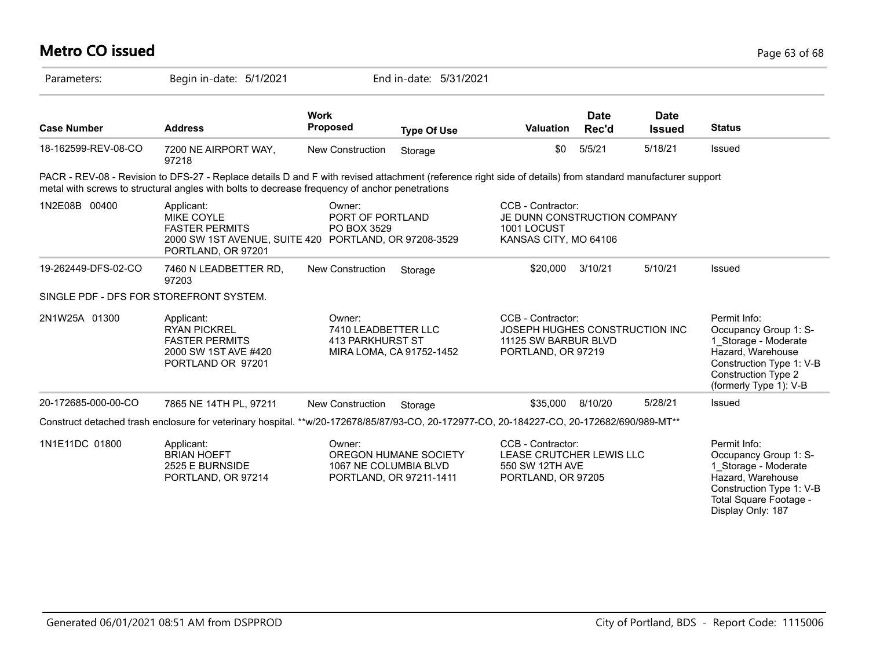| <b>Metro CO issued</b> |                                                                                                                                                                                                                                                             |                                                   |                                                  |                                                                                                   |                      |                              | Page 63 of 68                                                                                                                                                          |
|------------------------|-------------------------------------------------------------------------------------------------------------------------------------------------------------------------------------------------------------------------------------------------------------|---------------------------------------------------|--------------------------------------------------|---------------------------------------------------------------------------------------------------|----------------------|------------------------------|------------------------------------------------------------------------------------------------------------------------------------------------------------------------|
| Parameters:            | Begin in-date: 5/1/2021                                                                                                                                                                                                                                     |                                                   | End in-date: 5/31/2021                           |                                                                                                   |                      |                              |                                                                                                                                                                        |
| <b>Case Number</b>     | <b>Address</b>                                                                                                                                                                                                                                              | <b>Work</b><br><b>Proposed</b>                    | <b>Type Of Use</b>                               | Valuation                                                                                         | <b>Date</b><br>Rec'd | <b>Date</b><br><b>Issued</b> | <b>Status</b>                                                                                                                                                          |
| 18-162599-REV-08-CO    | 7200 NE AIRPORT WAY,<br>97218                                                                                                                                                                                                                               | New Construction                                  | Storage                                          | \$0                                                                                               | 5/5/21               | 5/18/21                      | Issued                                                                                                                                                                 |
|                        | PACR - REV-08 - Revision to DFS-27 - Replace details D and F with revised attachment (reference right side of details) from standard manufacturer support<br>metal with screws to structural angles with bolts to decrease frequency of anchor penetrations |                                                   |                                                  |                                                                                                   |                      |                              |                                                                                                                                                                        |
| 1N2E08B 00400          | Applicant:<br><b>MIKE COYLE</b><br><b>FASTER PERMITS</b><br>2000 SW 1ST AVENUE, SUITE 420 PORTLAND, OR 97208-3529<br>PORTLAND, OR 97201                                                                                                                     | Owner:<br>PORT OF PORTLAND<br>PO BOX 3529         |                                                  | CCB - Contractor:<br>JE DUNN CONSTRUCTION COMPANY<br>1001 LOCUST<br>KANSAS CITY, MO 64106         |                      |                              |                                                                                                                                                                        |
| 19-262449-DFS-02-CO    | 7460 N LEADBETTER RD,<br>97203                                                                                                                                                                                                                              | <b>New Construction</b>                           | Storage                                          | \$20,000                                                                                          | 3/10/21              | 5/10/21                      | Issued                                                                                                                                                                 |
|                        | SINGLE PDF - DFS FOR STOREFRONT SYSTEM.                                                                                                                                                                                                                     |                                                   |                                                  |                                                                                                   |                      |                              |                                                                                                                                                                        |
| 2N1W25A 01300          | Applicant:<br><b>RYAN PICKREL</b><br><b>FASTER PERMITS</b><br>2000 SW 1ST AVE #420<br>PORTLAND OR 97201                                                                                                                                                     | Owner:<br>7410 LEADBETTER LLC<br>413 PARKHURST ST | MIRA LOMA, CA 91752-1452                         | CCB - Contractor:<br>JOSEPH HUGHES CONSTRUCTION INC<br>11125 SW BARBUR BLVD<br>PORTLAND, OR 97219 |                      |                              | Permit Info:<br>Occupancy Group 1: S-<br>1_Storage - Moderate<br>Hazard, Warehouse<br>Construction Type 1: V-B<br><b>Construction Type 2</b><br>(formerly Type 1): V-B |
| 20-172685-000-00-CO    | 7865 NE 14TH PL, 97211                                                                                                                                                                                                                                      | <b>New Construction</b>                           | Storage                                          | \$35,000 8/10/20                                                                                  |                      | 5/28/21                      | Issued                                                                                                                                                                 |
|                        | Construct detached trash enclosure for veterinary hospital. **w/20-172678/85/87/93-CO, 20-172977-CO, 20-184227-CO, 20-172682/690/989-MT**                                                                                                                   |                                                   |                                                  |                                                                                                   |                      |                              |                                                                                                                                                                        |
| 1N1E11DC 01800         | Applicant:<br><b>BRIAN HOEFT</b><br>2525 E BURNSIDE<br>PORTLAND, OR 97214                                                                                                                                                                                   | Owner:<br>1067 NE COLUMBIA BLVD                   | OREGON HUMANE SOCIETY<br>PORTLAND, OR 97211-1411 | CCB - Contractor:<br>LEASE CRUTCHER LEWIS LLC<br>550 SW 12TH AVE<br>PORTLAND, OR 97205            |                      |                              | Permit Info:<br>Occupancy Group 1: S-<br>1 Storage - Moderate<br>Hazard, Warehouse<br>Construction Type 1: V-B<br>Total Square Footage -<br>Display Only: 187          |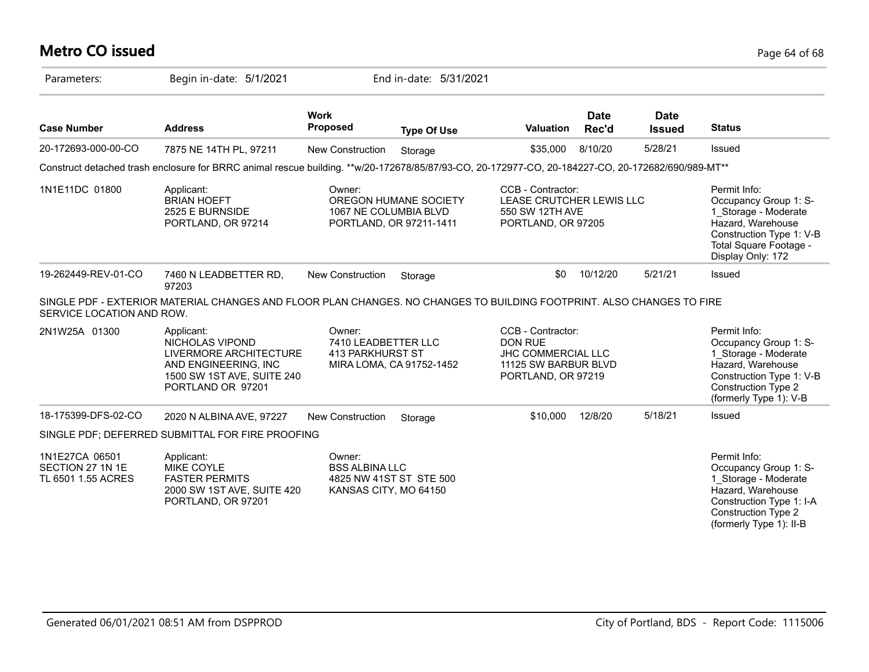## **Metro CO issued** Page 64 of 68

| Parameters:                                              | Begin in-date: 5/1/2021                                                                                                                           |                                                                                     | End in-date: 5/31/2021                           |                                                                                                                |                      |                              |                                                                                                                                                                         |
|----------------------------------------------------------|---------------------------------------------------------------------------------------------------------------------------------------------------|-------------------------------------------------------------------------------------|--------------------------------------------------|----------------------------------------------------------------------------------------------------------------|----------------------|------------------------------|-------------------------------------------------------------------------------------------------------------------------------------------------------------------------|
| <b>Case Number</b>                                       | <b>Address</b>                                                                                                                                    | <b>Work</b><br><b>Proposed</b>                                                      | <b>Type Of Use</b>                               | Valuation                                                                                                      | <b>Date</b><br>Rec'd | <b>Date</b><br><b>Issued</b> | <b>Status</b>                                                                                                                                                           |
| 20-172693-000-00-CO                                      | 7875 NE 14TH PL, 97211                                                                                                                            | New Construction                                                                    | Storage                                          | \$35,000                                                                                                       | 8/10/20              | 5/28/21                      | Issued                                                                                                                                                                  |
|                                                          | Construct detached trash enclosure for BRRC animal rescue building. **w/20-172678/85/87/93-CO, 20-172977-CO, 20-184227-CO, 20-172682/690/989-MT** |                                                                                     |                                                  |                                                                                                                |                      |                              |                                                                                                                                                                         |
| 1N1E11DC 01800                                           | Applicant:<br><b>BRIAN HOEFT</b><br>2525 E BURNSIDE<br>PORTLAND, OR 97214                                                                         | Owner:<br>1067 NE COLUMBIA BLVD                                                     | OREGON HUMANE SOCIETY<br>PORTLAND, OR 97211-1411 | CCB - Contractor:<br>LEASE CRUTCHER LEWIS LLC<br>550 SW 12TH AVE<br>PORTLAND, OR 97205                         |                      |                              | Permit Info:<br>Occupancy Group 1: S-<br>1_Storage - Moderate<br>Hazard, Warehouse<br>Construction Type 1: V-B<br>Total Square Footage -<br>Display Only: 172           |
| 19-262449-REV-01-CO                                      | 7460 N LEADBETTER RD,<br>97203                                                                                                                    | <b>New Construction</b>                                                             | Storage                                          | \$0                                                                                                            | 10/12/20             | 5/21/21                      | Issued                                                                                                                                                                  |
| SERVICE LOCATION AND ROW.                                | SINGLE PDF - EXTERIOR MATERIAL CHANGES AND FLOOR PLAN CHANGES. NO CHANGES TO BUILDING FOOTPRINT. ALSO CHANGES TO FIRE                             |                                                                                     |                                                  |                                                                                                                |                      |                              |                                                                                                                                                                         |
| 2N1W25A 01300                                            | Applicant:<br>NICHOLAS VIPOND<br>LIVERMORE ARCHITECTURE<br>AND ENGINEERING, INC<br>1500 SW 1ST AVE, SUITE 240<br>PORTLAND OR 97201                | Owner:<br>7410 LEADBETTER LLC<br>413 PARKHURST ST                                   | MIRA LOMA, CA 91752-1452                         | CCB - Contractor:<br><b>DON RUE</b><br><b>JHC COMMERCIAL LLC</b><br>11125 SW BARBUR BLVD<br>PORTLAND, OR 97219 |                      |                              | Permit Info:<br>Occupancy Group 1: S-<br>1 Storage - Moderate<br>Hazard, Warehouse<br>Construction Type 1: V-B<br><b>Construction Type 2</b><br>(formerly Type 1): V-B  |
| 18-175399-DFS-02-CO                                      | 2020 N ALBINA AVE, 97227                                                                                                                          | <b>New Construction</b>                                                             | Storage                                          | \$10,000                                                                                                       | 12/8/20              | 5/18/21                      | Issued                                                                                                                                                                  |
|                                                          | SINGLE PDF; DEFERRED SUBMITTAL FOR FIRE PROOFING                                                                                                  |                                                                                     |                                                  |                                                                                                                |                      |                              |                                                                                                                                                                         |
| 1N1E27CA 06501<br>SECTION 27 1N 1E<br>TL 6501 1.55 ACRES | Applicant:<br><b>MIKE COYLE</b><br><b>FASTER PERMITS</b><br>2000 SW 1ST AVE, SUITE 420<br>PORTLAND, OR 97201                                      | Owner:<br><b>BSS ALBINA LLC</b><br>4825 NW 41ST ST STE 500<br>KANSAS CITY, MO 64150 |                                                  |                                                                                                                |                      |                              | Permit Info:<br>Occupancy Group 1: S-<br>1 Storage - Moderate<br>Hazard, Warehouse<br>Construction Type 1: I-A<br><b>Construction Type 2</b><br>(formerly Type 1): II-B |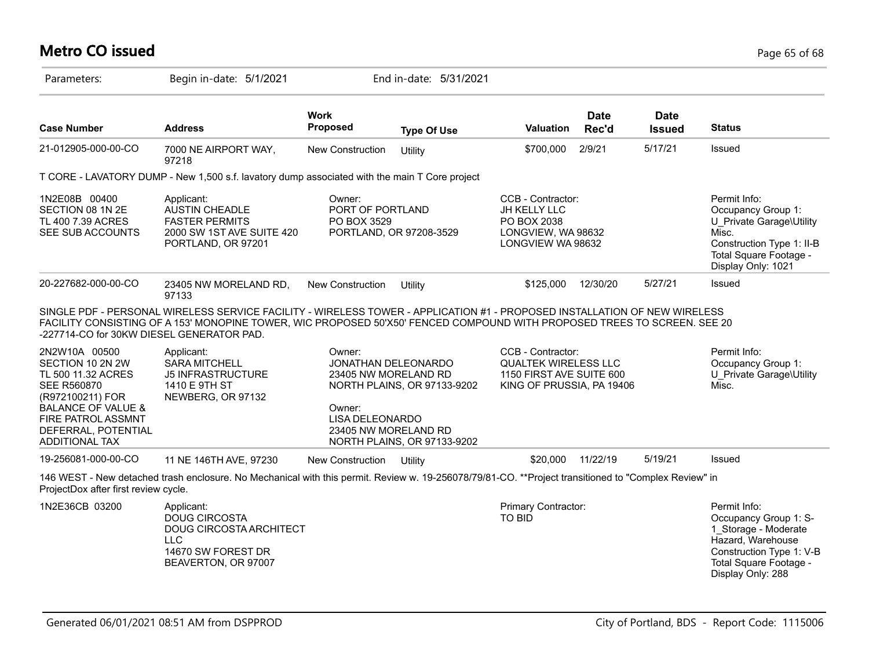## **Metro CO issued** Page 65 of 68

| Parameters:                                                                                                                                                                                       | Begin in-date: 5/1/2021                                                                                                                                                                                                                               |                                                                                                            | End in-date: 5/31/2021                                     |                                                                                                           |                      |                              |                                                                                                                                                               |
|---------------------------------------------------------------------------------------------------------------------------------------------------------------------------------------------------|-------------------------------------------------------------------------------------------------------------------------------------------------------------------------------------------------------------------------------------------------------|------------------------------------------------------------------------------------------------------------|------------------------------------------------------------|-----------------------------------------------------------------------------------------------------------|----------------------|------------------------------|---------------------------------------------------------------------------------------------------------------------------------------------------------------|
| <b>Case Number</b>                                                                                                                                                                                | <b>Address</b>                                                                                                                                                                                                                                        | <b>Work</b><br><b>Proposed</b>                                                                             | <b>Type Of Use</b>                                         | <b>Valuation</b>                                                                                          | <b>Date</b><br>Rec'd | <b>Date</b><br><b>Issued</b> | <b>Status</b>                                                                                                                                                 |
| 21-012905-000-00-CO                                                                                                                                                                               | 7000 NE AIRPORT WAY,<br>97218                                                                                                                                                                                                                         | New Construction                                                                                           | Utility                                                    | \$700,000                                                                                                 | 2/9/21               | 5/17/21                      | Issued                                                                                                                                                        |
|                                                                                                                                                                                                   | T CORE - LAVATORY DUMP - New 1,500 s.f. lavatory dump associated with the main T Core project                                                                                                                                                         |                                                                                                            |                                                            |                                                                                                           |                      |                              |                                                                                                                                                               |
| 1N2E08B 00400<br>SECTION 08 1N 2E<br>TL 400 7.39 ACRES<br>SEE SUB ACCOUNTS                                                                                                                        | Applicant:<br><b>AUSTIN CHEADLE</b><br><b>FASTER PERMITS</b><br>2000 SW 1ST AVE SUITE 420<br>PORTLAND, OR 97201                                                                                                                                       | Owner:<br>PORT OF PORTLAND<br>PO BOX 3529                                                                  | PORTLAND, OR 97208-3529                                    | CCB - Contractor:<br>JH KELLY LLC<br>PO BOX 2038<br>LONGVIEW, WA 98632<br>LONGVIEW WA 98632               |                      |                              | Permit Info:<br>Occupancy Group 1:<br>U Private Garage\Utility<br>Misc.<br>Construction Type 1: II-B<br>Total Square Footage -<br>Display Only: 1021          |
| 20-227682-000-00-CO                                                                                                                                                                               | 23405 NW MORELAND RD,<br>97133                                                                                                                                                                                                                        | New Construction                                                                                           | Utility                                                    | \$125,000                                                                                                 | 12/30/20             | 5/27/21                      | Issued                                                                                                                                                        |
| -227714-CO for 30KW DIESEL GENERATOR PAD.                                                                                                                                                         | SINGLE PDF - PERSONAL WIRELESS SERVICE FACILITY - WIRELESS TOWER - APPLICATION #1 - PROPOSED INSTALLATION OF NEW WIRELESS<br>FACILITY CONSISTING OF A 153' MONOPINE TOWER, WIC PROPOSED 50'X50' FENCED COMPOUND WITH PROPOSED TREES TO SCREEN. SEE 20 |                                                                                                            |                                                            |                                                                                                           |                      |                              |                                                                                                                                                               |
| 2N2W10A 00500<br>SECTION 10 2N 2W<br>TL 500 11.32 ACRES<br><b>SEE R560870</b><br>(R972100211) FOR<br><b>BALANCE OF VALUE &amp;</b><br>FIRE PATROL ASSMNT<br>DEFERRAL, POTENTIAL<br>ADDITIONAL TAX | Applicant:<br><b>SARA MITCHELL</b><br><b>J5 INFRASTRUCTURE</b><br>1410 E 9TH ST<br>NEWBERG, OR 97132                                                                                                                                                  | Owner:<br>JONATHAN DELEONARDO<br>23405 NW MORELAND RD<br>Owner:<br>LISA DELEONARDO<br>23405 NW MORELAND RD | NORTH PLAINS, OR 97133-9202<br>NORTH PLAINS, OR 97133-9202 | CCB - Contractor:<br><b>QUALTEK WIRELESS LLC</b><br>1150 FIRST AVE SUITE 600<br>KING OF PRUSSIA, PA 19406 |                      |                              | Permit Info:<br>Occupancy Group 1:<br>U Private Garage\Utility<br>Misc.                                                                                       |
| 19-256081-000-00-CO                                                                                                                                                                               | 11 NE 146TH AVE, 97230                                                                                                                                                                                                                                | <b>New Construction</b>                                                                                    | Utility                                                    | \$20,000                                                                                                  | 11/22/19             | 5/19/21                      | Issued                                                                                                                                                        |
| ProjectDox after first review cycle.                                                                                                                                                              | 146 WEST - New detached trash enclosure. No Mechanical with this permit. Review w. 19-256078/79/81-CO. **Project transitioned to "Complex Review" in                                                                                                  |                                                                                                            |                                                            |                                                                                                           |                      |                              |                                                                                                                                                               |
| 1N2E36CB 03200                                                                                                                                                                                    | Applicant:<br><b>DOUG CIRCOSTA</b><br><b>DOUG CIRCOSTA ARCHITECT</b><br><b>LLC</b><br>14670 SW FOREST DR<br>BEAVERTON, OR 97007                                                                                                                       |                                                                                                            |                                                            | Primary Contractor:<br>TO BID                                                                             |                      |                              | Permit Info:<br>Occupancy Group 1: S-<br>1 Storage - Moderate<br>Hazard, Warehouse<br>Construction Type 1: V-B<br>Total Square Footage -<br>Display Only: 288 |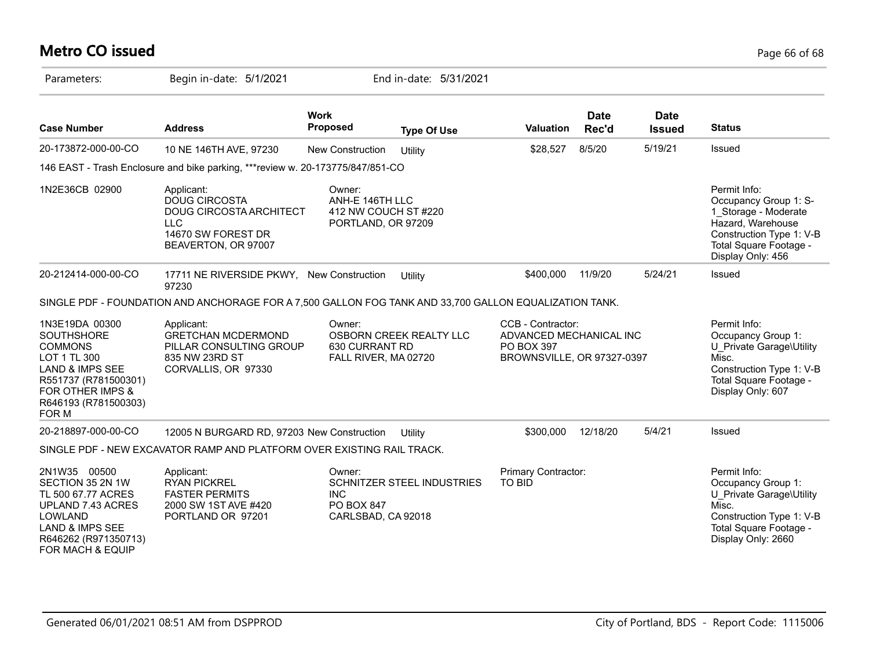## **Metro CO issued** Page 66 of 68

| Parameters:                                                                                                                                                                      | Begin in-date: 5/1/2021                                                                                                  |                                                                         | End in-date: 5/31/2021            |                                                                                                 |                      |                              |                                                                                                                                                               |
|----------------------------------------------------------------------------------------------------------------------------------------------------------------------------------|--------------------------------------------------------------------------------------------------------------------------|-------------------------------------------------------------------------|-----------------------------------|-------------------------------------------------------------------------------------------------|----------------------|------------------------------|---------------------------------------------------------------------------------------------------------------------------------------------------------------|
| <b>Case Number</b>                                                                                                                                                               | <b>Address</b>                                                                                                           | <b>Work</b><br>Proposed                                                 | <b>Type Of Use</b>                | Valuation                                                                                       | <b>Date</b><br>Rec'd | <b>Date</b><br><b>Issued</b> | <b>Status</b>                                                                                                                                                 |
| 20-173872-000-00-CO                                                                                                                                                              | 10 NE 146TH AVE, 97230                                                                                                   | New Construction                                                        | Utility                           | \$28,527                                                                                        | 8/5/20               | 5/19/21                      | Issued                                                                                                                                                        |
|                                                                                                                                                                                  | 146 EAST - Trash Enclosure and bike parking, ***review w. 20-173775/847/851-CO                                           |                                                                         |                                   |                                                                                                 |                      |                              |                                                                                                                                                               |
| 1N2E36CB 02900                                                                                                                                                                   | Applicant:<br><b>DOUG CIRCOSTA</b><br>DOUG CIRCOSTA ARCHITECT<br><b>LLC</b><br>14670 SW FOREST DR<br>BEAVERTON, OR 97007 | Owner:<br>ANH-E 146TH LLC<br>412 NW COUCH ST #220<br>PORTLAND, OR 97209 |                                   |                                                                                                 |                      |                              | Permit Info:<br>Occupancy Group 1: S-<br>1_Storage - Moderate<br>Hazard, Warehouse<br>Construction Type 1: V-B<br>Total Square Footage -<br>Display Only: 456 |
| 20-212414-000-00-CO                                                                                                                                                              | 17711 NE RIVERSIDE PKWY, New Construction<br>97230                                                                       |                                                                         | Utility                           | \$400,000                                                                                       | 11/9/20              | 5/24/21                      | Issued                                                                                                                                                        |
|                                                                                                                                                                                  | SINGLE PDF - FOUNDATION AND ANCHORAGE FOR A 7,500 GALLON FOG TANK AND 33,700 GALLON EQUALIZATION TANK.                   |                                                                         |                                   |                                                                                                 |                      |                              |                                                                                                                                                               |
| 1N3E19DA 00300<br><b>SOUTHSHORE</b><br><b>COMMONS</b><br>LOT 1 TL 300<br><b>LAND &amp; IMPS SEE</b><br>R551737 (R781500301)<br>FOR OTHER IMPS &<br>R646193 (R781500303)<br>FOR M | Applicant:<br><b>GRETCHAN MCDERMOND</b><br>PILLAR CONSULTING GROUP<br>835 NW 23RD ST<br>CORVALLIS, OR 97330              | Owner:<br>630 CURRANT RD<br>FALL RIVER, MA 02720                        | OSBORN CREEK REALTY LLC           | CCB - Contractor:<br>ADVANCED MECHANICAL INC<br><b>PO BOX 397</b><br>BROWNSVILLE, OR 97327-0397 |                      |                              | Permit Info:<br>Occupancy Group 1:<br>U Private Garage\Utility<br>Misc.<br>Construction Type 1: V-B<br>Total Square Footage -<br>Display Only: 607            |
| 20-218897-000-00-CO                                                                                                                                                              | 12005 N BURGARD RD, 97203 New Construction                                                                               |                                                                         | Utility                           | \$300,000                                                                                       | 12/18/20             | 5/4/21                       | Issued                                                                                                                                                        |
|                                                                                                                                                                                  | SINGLE PDF - NEW EXCAVATOR RAMP AND PLATFORM OVER EXISTING RAIL TRACK.                                                   |                                                                         |                                   |                                                                                                 |                      |                              |                                                                                                                                                               |
| 2N1W35 00500<br>SECTION 35 2N 1W<br>TL 500 67.77 ACRES<br>UPLAND 7.43 ACRES<br>LOWLAND<br>LAND & IMPS SEE<br>R646262 (R971350713)<br>FOR MACH & EQUIP                            | Applicant:<br><b>RYAN PICKREL</b><br><b>FASTER PERMITS</b><br>2000 SW 1ST AVE #420<br>PORTLAND OR 97201                  | Owner:<br><b>INC</b><br><b>PO BOX 847</b><br>CARLSBAD, CA 92018         | <b>SCHNITZER STEEL INDUSTRIES</b> | Primary Contractor:<br><b>TO BID</b>                                                            |                      |                              | Permit Info:<br>Occupancy Group 1:<br>U Private Garage\Utility<br>Misc.<br>Construction Type 1: V-B<br>Total Square Footage -<br>Display Only: 2660           |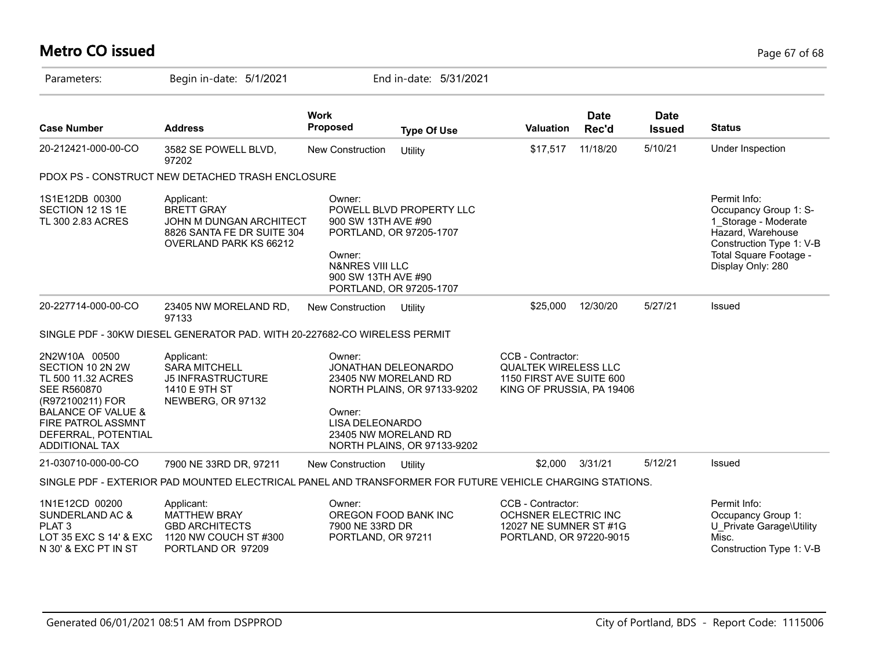# **Metro CO issued** Page 67 of 68

| Parameters:                                                                                                                                                                                                     | Begin in-date: 5/1/2021                                                                                                   |                                                                                                                                         | End in-date: 5/31/2021                                     |                                                                                                           |                      |                              |                                                                                                                                                               |
|-----------------------------------------------------------------------------------------------------------------------------------------------------------------------------------------------------------------|---------------------------------------------------------------------------------------------------------------------------|-----------------------------------------------------------------------------------------------------------------------------------------|------------------------------------------------------------|-----------------------------------------------------------------------------------------------------------|----------------------|------------------------------|---------------------------------------------------------------------------------------------------------------------------------------------------------------|
| <b>Case Number</b>                                                                                                                                                                                              | <b>Address</b>                                                                                                            | <b>Work</b><br>Proposed                                                                                                                 | <b>Type Of Use</b>                                         | <b>Valuation</b>                                                                                          | <b>Date</b><br>Rec'd | <b>Date</b><br><b>Issued</b> | <b>Status</b>                                                                                                                                                 |
| 20-212421-000-00-CO                                                                                                                                                                                             | 3582 SE POWELL BLVD,<br>97202                                                                                             | New Construction                                                                                                                        | Utility                                                    | \$17,517                                                                                                  | 11/18/20             | 5/10/21                      | Under Inspection                                                                                                                                              |
|                                                                                                                                                                                                                 | PDOX PS - CONSTRUCT NEW DETACHED TRASH ENCLOSURE                                                                          |                                                                                                                                         |                                                            |                                                                                                           |                      |                              |                                                                                                                                                               |
| 1S1E12DB 00300<br>SECTION 12 1S 1E<br>TL 300 2.83 ACRES                                                                                                                                                         | Applicant:<br><b>BRETT GRAY</b><br>JOHN M DUNGAN ARCHITECT<br>8826 SANTA FE DR SUITE 304<br><b>OVERLAND PARK KS 66212</b> | Owner:<br>900 SW 13TH AVE #90<br>PORTLAND, OR 97205-1707<br>Owner:<br>N&NRES VIII LLC<br>900 SW 13TH AVE #90<br>PORTLAND, OR 97205-1707 | POWELL BLVD PROPERTY LLC                                   |                                                                                                           |                      |                              | Permit Info:<br>Occupancy Group 1: S-<br>1 Storage - Moderate<br>Hazard, Warehouse<br>Construction Type 1: V-B<br>Total Square Footage -<br>Display Only: 280 |
| 20-227714-000-00-CO                                                                                                                                                                                             | 23405 NW MORELAND RD,<br>97133                                                                                            | New Construction                                                                                                                        | Utility                                                    | \$25,000                                                                                                  | 12/30/20             | 5/27/21                      | Issued                                                                                                                                                        |
|                                                                                                                                                                                                                 | SINGLE PDF - 30KW DIESEL GENERATOR PAD. WITH 20-227682-CO WIRELESS PERMIT                                                 |                                                                                                                                         |                                                            |                                                                                                           |                      |                              |                                                                                                                                                               |
| 2N2W10A 00500<br>SECTION 10 2N 2W<br>TL 500 11.32 ACRES<br><b>SEE R560870</b><br>(R972100211) FOR<br><b>BALANCE OF VALUE &amp;</b><br><b>FIRE PATROL ASSMNT</b><br>DEFERRAL, POTENTIAL<br><b>ADDITIONAL TAX</b> | Applicant:<br><b>SARA MITCHELL</b><br><b>J5 INFRASTRUCTURE</b><br>1410 E 9TH ST<br>NEWBERG, OR 97132                      | Owner:<br>JONATHAN DELEONARDO<br>23405 NW MORELAND RD<br>Owner:<br><b>LISA DELEONARDO</b><br>23405 NW MORELAND RD                       | NORTH PLAINS, OR 97133-9202<br>NORTH PLAINS, OR 97133-9202 | CCB - Contractor:<br><b>QUALTEK WIRELESS LLC</b><br>1150 FIRST AVE SUITE 600<br>KING OF PRUSSIA, PA 19406 |                      |                              |                                                                                                                                                               |
| 21-030710-000-00-CO                                                                                                                                                                                             | 7900 NE 33RD DR, 97211                                                                                                    | <b>New Construction</b>                                                                                                                 | Utility                                                    | \$2,000                                                                                                   | 3/31/21              | 5/12/21                      | Issued                                                                                                                                                        |
|                                                                                                                                                                                                                 | SINGLE PDF - EXTERIOR PAD MOUNTED ELECTRICAL PANEL AND TRANSFORMER FOR FUTURE VEHICLE CHARGING STATIONS.                  |                                                                                                                                         |                                                            |                                                                                                           |                      |                              |                                                                                                                                                               |
| 1N1E12CD 00200<br>SUNDERLAND AC &<br>PLAT <sub>3</sub><br>LOT 35 EXC S 14' & EXC<br>N 30' & EXC PT IN ST                                                                                                        | Applicant:<br>MATTHEW BRAY<br><b>GBD ARCHITECTS</b><br>1120 NW COUCH ST #300<br>PORTLAND OR 97209                         | Owner:<br>OREGON FOOD BANK INC<br>7900 NE 33RD DR<br>PORTLAND, OR 97211                                                                 |                                                            | CCB - Contractor:<br>OCHSNER ELECTRIC INC<br>12027 NE SUMNER ST #1G<br>PORTLAND, OR 97220-9015            |                      |                              | Permit Info:<br>Occupancy Group 1:<br>U Private Garage\Utility<br>Misc.<br>Construction Type 1: V-B                                                           |